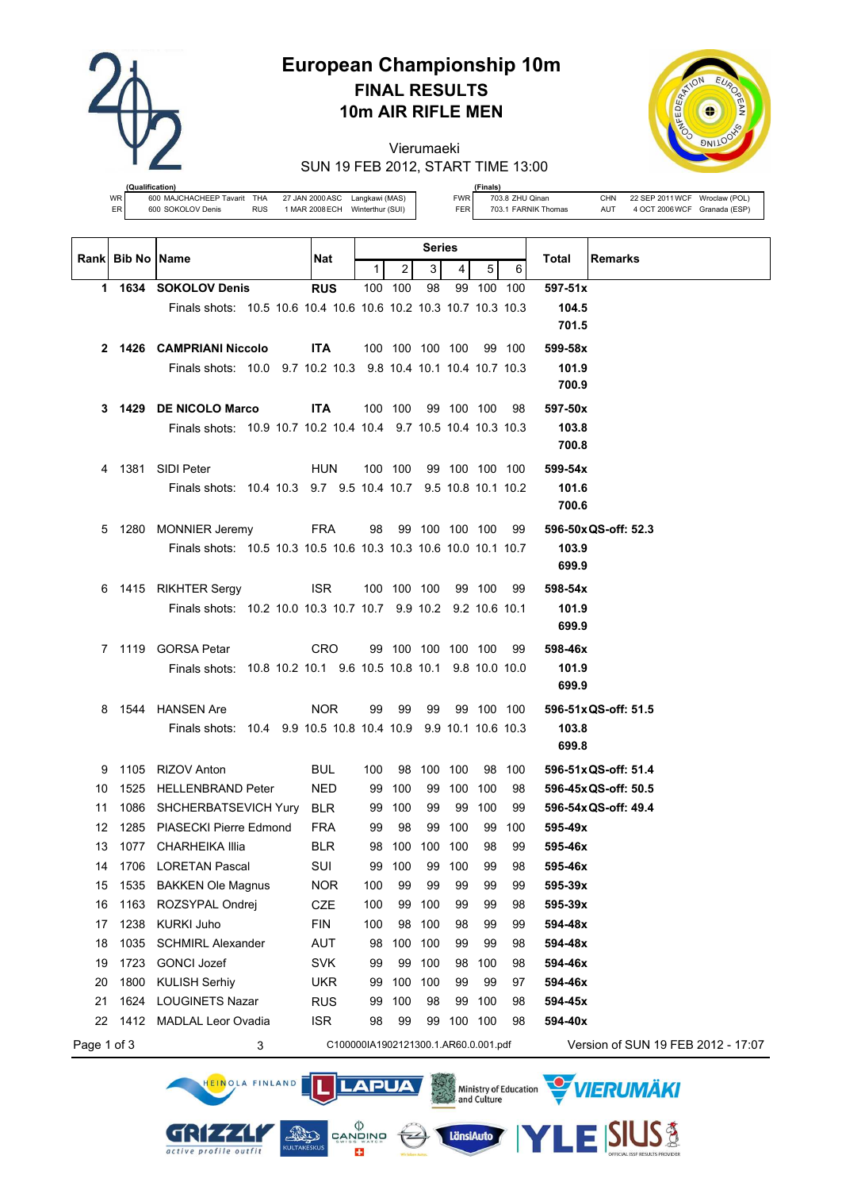

# **European Championship 10m FINAL RESULTS 10m AIR RIFLE MEN**

Vierumaeki SUN 19 FEB 2012, START TIME 13:00



**(fication)**<br>600 MAJCHACHEEP Tavarit WR 600 MAJCHACHEEP Tavarit THA 27 JAN 2000ASC Langkawi (MAS) ER 600 SOKOLOV Denis RUS 1 MAR 2008ECH Winterthur (SUI)

HEINOLA FINLAND

GRIZZLI

active profile outfit

**(Finals)** FWR 703.8 ZHU Qinan CHN 22 SEP 2011 WCF Wroclaw (POL)<br>FER 703.1 FARNIK Thomas AUT 4 OCT 2006 WCF Granada (ESP) FER 703.1 FARNIK Thomas AUT 4 OCT 2006 WCF Granada (ESP)

|             | Rank Bib No Name |                                                                 | Nat                                  |     |                    | <b>Series</b> |                |                |        | Total<br><b>Remarks</b>            |
|-------------|------------------|-----------------------------------------------------------------|--------------------------------------|-----|--------------------|---------------|----------------|----------------|--------|------------------------------------|
|             |                  |                                                                 |                                      | 1   | 2                  | 3             | 4 <sup>1</sup> | 5              | 6      |                                    |
|             |                  | 1 1634 SOKOLOV Denis                                            | <b>RUS</b>                           |     | 100 100            | 98            |                | 99 100 100     |        | $597 - 51x$                        |
|             |                  | Finals shots: 10.5 10.6 10.4 10.6 10.6 10.2 10.3 10.7 10.3 10.3 |                                      |     |                    |               |                |                |        | 104.5                              |
|             |                  |                                                                 |                                      |     |                    |               |                |                |        | 701.5                              |
|             |                  | 2 1426 CAMPRIANI Niccolo                                        | <b>ITA</b>                           |     | 100 100 100 100    |               |                |                | 99 100 | 599-58x                            |
|             |                  | Finals shots: 10.0 9.7 10.2 10.3 9.8 10.4 10.1 10.4 10.7 10.3   |                                      |     |                    |               |                |                |        | 101.9                              |
|             |                  |                                                                 |                                      |     |                    |               |                |                |        | 700.9                              |
|             |                  | 3 1429 DE NICOLO Marco                                          | <b>ITA</b>                           |     | 100 100            |               |                | 99 100 100     | 98     | 597-50x                            |
|             |                  | Finals shots: 10.9 10.7 10.2 10.4 10.4 9.7 10.5 10.4 10.3 10.3  |                                      |     |                    |               |                |                |        | 103.8                              |
|             |                  |                                                                 |                                      |     |                    |               |                |                |        | 700.8                              |
|             |                  | 4 1381 SIDI Peter                                               | <b>HUN</b>                           |     | 100 100            |               |                | 99 100 100 100 |        | 599-54x                            |
|             |                  | Finals shots: 10.4 10.3 9.7 9.5 10.4 10.7 9.5 10.8 10.1 10.2    |                                      |     |                    |               |                |                |        | 101.6                              |
|             |                  |                                                                 |                                      |     |                    |               |                |                |        | 700.6                              |
|             |                  | 5 1280 MONNIER Jeremy                                           | FRA                                  |     | 98 99 100 100 100  |               |                |                | 99     | 596-50x QS-off: 52.3               |
|             |                  | Finals shots: 10.5 10.3 10.5 10.6 10.3 10.3 10.6 10.0 10.1 10.7 |                                      |     |                    |               |                |                |        | 103.9                              |
|             |                  |                                                                 |                                      |     |                    |               |                |                |        | 699.9                              |
|             |                  | 6 1415 RIKHTER Sergy                                            | ISR.                                 |     | 100 100 100        |               |                | 99 100         | 99     | 598-54x                            |
|             |                  | Finals shots: 10.2 10.0 10.3 10.7 10.7 9.9 10.2 9.2 10.6 10.1   |                                      |     |                    |               |                |                |        | 101.9                              |
|             |                  |                                                                 |                                      |     |                    |               |                |                |        | 699.9                              |
|             |                  | 7 1119 GORSA Petar                                              | CRO                                  |     | 99 100 100 100 100 |               |                |                | 99     | 598-46x                            |
|             |                  | Finals shots: 10.8 10.2 10.1 9.6 10.5 10.8 10.1 9.8 10.0 10.0   |                                      |     |                    |               |                |                |        | 101.9                              |
|             |                  |                                                                 |                                      |     |                    |               |                |                |        | 699.9                              |
|             |                  | 8 1544 HANSEN Are                                               | <b>NOR</b>                           | 99  | 99                 | 99            |                | 99 100 100     |        | 596-51x QS-off: 51.5               |
|             |                  | Finals shots: 10.4 9.9 10.5 10.8 10.4 10.9 9.9 10.1 10.6 10.3   |                                      |     |                    |               |                |                |        | 103.8                              |
|             |                  |                                                                 |                                      |     |                    |               |                |                |        | 699.8                              |
| 9           |                  | 1105 RIZOV Anton                                                | BUL                                  | 100 |                    | 98 100 100    |                |                | 98 100 | 596-51x QS-off: 51.4               |
| 10          | 1525             | HELLENBRAND Peter                                               | <b>NED</b>                           |     | 99 100             |               | 99 100 100     |                | 98     | 596-45x QS-off: 50.5               |
| 11          |                  | 1086 SHCHERBATSEVICH Yury                                       | <b>BLR</b>                           |     | 99 100             | 99            |                | 99 100         | 99     | 596-54x QS-off: 49.4               |
| 12          | 1285             | PIASECKI Pierre Edmond                                          | <b>FRA</b>                           | 99  | 98                 | 99            | 100            | 99             | 100    | 595-49x                            |
| 13          |                  | 1077 CHARHEIKA Illia                                            | <b>BLR</b>                           |     | 98 100             | 100 100       |                | 98             | 99     | 595-46x                            |
| 14          |                  | 1706 LORETAN Pascal                                             | SUI                                  |     | 99 100             |               | 99 100         | 99             | 98     | 595-46x                            |
| 15          | 1535             | <b>BAKKEN Ole Magnus</b>                                        | <b>NOR</b>                           | 100 | 99                 | 99            | 99             | 99             | 99     | 595-39x                            |
| 16          | 1163             | ROZSYPAL Ondrej                                                 | CZE                                  | 100 | 99                 | 100           | 99             | 99             | 98     | 595-39x                            |
| 17          | 1238             | <b>KURKI Juho</b>                                               | <b>FIN</b>                           | 100 | 98                 | 100           | 98             | 99             | 99     | 594-48x                            |
| 18          | 1035             | <b>SCHMIRL Alexander</b>                                        | <b>AUT</b>                           | 98  |                    | 100 100       | 99             | 99             | 98     | 594-48x                            |
| 19          | 1723             | <b>GONCI Jozef</b>                                              | <b>SVK</b>                           | 99  | 99                 | 100           | 98             | 100            | 98     | 594-46x                            |
| 20          | 1800             | <b>KULISH Serhiy</b>                                            | <b>UKR</b>                           | 99  | 100                | 100           | 99             | 99             | 97     | 594-46x                            |
| 21          | 1624             | <b>LOUGINETS Nazar</b>                                          | <b>RUS</b>                           | 99  | 100                | 98            | 99             | 100            | 98     | 594-45x                            |
| 22          | 1412             | <b>MADLAL Leor Ovadia</b>                                       | <b>ISR</b>                           | 98  | 99                 | 99            | 100 100        |                | 98     | 594-40x                            |
| Page 1 of 3 |                  | 3                                                               | C100000IA1902121300.1.AR60.0.001.pdf |     |                    |               |                |                |        | Version of SUN 19 FEB 2012 - 17:07 |

**LAPUA** 

 $\left(\frac{1}{2}\right)$ 

 $\begin{matrix} \langle \rangle \\ \texttt{CANDING} \\ \texttt{SUNBS} \\ \end{matrix}$ 

E3

**AND** 



**SIUS®** 

VIERUMÄKI

Ministry of Education<br>and Culture

LänsiAuto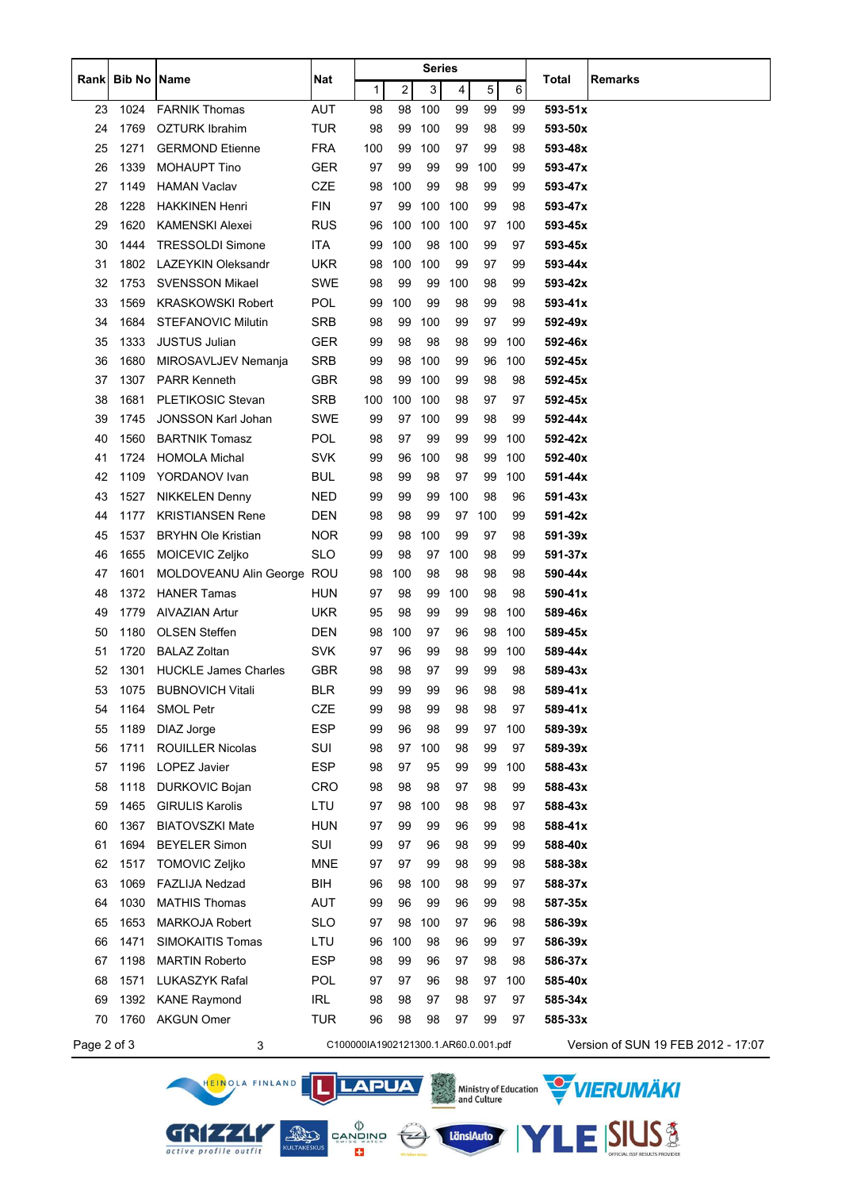|             |                      |                                       |                   | Series                               |                |           |                         |          |           |                    |                                    |
|-------------|----------------------|---------------------------------------|-------------------|--------------------------------------|----------------|-----------|-------------------------|----------|-----------|--------------------|------------------------------------|
| Rankl       | <b>Bib No   Name</b> |                                       | Nat               | $\mathbf{1}$                         | $\overline{c}$ | 3         | $\overline{\mathbf{4}}$ | 5        | 6         | <b>Total</b>       | <b>Remarks</b>                     |
| 23          | 1024                 | <b>FARNIK Thomas</b>                  | <b>AUT</b>        | 98                                   | 98             | 100       | 99                      | 99       | 99        | $593 - 51x$        |                                    |
| 24          | 1769                 | <b>OZTURK Ibrahim</b>                 | <b>TUR</b>        | 98                                   | 99             | 100       | 99                      | 98       | 99        | 593-50x            |                                    |
| 25          | 1271                 | <b>GERMOND Etienne</b>                | <b>FRA</b>        | 100                                  | 99             | 100       | 97                      | 99       | 98        | 593-48x            |                                    |
| 26          | 1339                 | <b>MOHAUPT Tino</b>                   | <b>GER</b>        | 97                                   | 99             | 99        | 99                      | 100      | 99        | 593-47x            |                                    |
| 27          | 1149                 | <b>HAMAN Vaclav</b>                   | CZE               | 98                                   | 100            | 99        | 98                      | 99       | 99        | 593-47x            |                                    |
| 28          | 1228                 | <b>HAKKINEN Henri</b>                 | <b>FIN</b>        | 97                                   | 99             | 100       | 100                     | 99       | 98        | 593-47x            |                                    |
| 29          | 1620                 | <b>KAMENSKI Alexei</b>                | <b>RUS</b>        | 96                                   | 100            | 100       | 100                     | 97       | 100       | 593-45x            |                                    |
| 30          | 1444                 | <b>TRESSOLDI Simone</b>               | ITA               | 99                                   | 100            | 98        | 100                     | 99       | 97        | 593-45x            |                                    |
| 31          | 1802                 | LAZEYKIN Oleksandr                    | <b>UKR</b>        | 98                                   | 100            | 100       | 99                      | 97       | 99        | 593-44x            |                                    |
| 32          | 1753                 | <b>SVENSSON Mikael</b>                | SWE               | 98                                   | 99             | 99        | 100                     | 98       | 99        | 593-42x            |                                    |
| 33          | 1569                 | <b>KRASKOWSKI Robert</b>              | <b>POL</b>        | 99                                   | 100            | 99        | 98                      | 99       | 98        | 593-41x            |                                    |
| 34          | 1684                 | <b>STEFANOVIC Milutin</b>             | <b>SRB</b>        | 98                                   | 99             | 100       | 99                      | 97       | 99        | 592-49x            |                                    |
| 35          | 1333                 | <b>JUSTUS Julian</b>                  | <b>GER</b>        | 99                                   | 98             | 98        | 98                      | 99       | 100       | 592-46x            |                                    |
| 36          | 1680                 | MIROSAVLJEV Nemanja                   | <b>SRB</b>        | 99                                   | 98             | 100       | 99                      | 96       | 100       | 592-45x            |                                    |
| 37          | 1307                 | <b>PARR Kenneth</b>                   | <b>GBR</b>        | 98                                   | 99             | 100       | 99                      | 98       | 98        | 592-45x            |                                    |
| 38          | 1681                 | <b>PLETIKOSIC Stevan</b>              | <b>SRB</b>        | 100                                  | 100            | 100       | 98                      | 97       | 97        | 592-45x            |                                    |
| 39          | 1745                 | <b>JONSSON Karl Johan</b>             | SWE               | 99                                   | 97             | 100       | 99                      | 98       | 99        | 592-44x            |                                    |
| 40          | 1560                 | <b>BARTNIK Tomasz</b>                 | <b>POL</b>        | 98                                   | 97             | 99        | 99                      | 99       | 100       | 592-42x            |                                    |
| 41          | 1724                 | <b>HOMOLA Michal</b>                  | <b>SVK</b>        | 99                                   | 96             | 100       | 98                      | 99       | 100       | 592-40x            |                                    |
| 42          | 1109                 | YORDANOV Ivan                         | BUL               | 98                                   | 99             | 98        | 97                      | 99       | 100       | 591-44x            |                                    |
| 43          | 1527                 | <b>NIKKELEN Denny</b>                 | <b>NED</b>        | 99                                   | 99             | 99        | 100                     | 98       | 96        | 591-43x            |                                    |
| 44          | 1177                 | <b>KRISTIANSEN Rene</b>               | DEN               | 98                                   | 98             | 99        | 97                      | 100      | 99        | 591-42x            |                                    |
| 45          | 1537                 | <b>BRYHN Ole Kristian</b>             | <b>NOR</b>        | 99                                   | 98             | 100       | 99                      | 97       | 98        | $591 - 39x$        |                                    |
| 46          | 1655                 | MOICEVIC Zeljko                       | <b>SLO</b>        | 99                                   | 98             | 97        | 100                     | 98       | 99        | 591-37x            |                                    |
| 47          | 1601                 | MOLDOVEANU Alin George ROU            |                   | 98                                   | 100            | 98        | 98                      | 98       | 98        | 590-44x            |                                    |
| 48          | 1372                 | <b>HANER Tamas</b>                    | <b>HUN</b>        | 97                                   | 98             | 99        | 100                     | 98       | 98        | 590-41x            |                                    |
| 49          | 1779                 | AIVAZIAN Artur                        | <b>UKR</b>        | 95                                   | 98             | 99        | 99                      | 98       | 100       | 589-46x            |                                    |
| 50          | 1180                 | <b>OLSEN Steffen</b>                  | DEN               | 98                                   | 100            | 97        | 96                      | 98       | 100       | 589-45x            |                                    |
| 51          | 1720                 | <b>BALAZ Zoltan</b>                   | <b>SVK</b>        | 97                                   | 96             | 99        | 98                      | 99       | 100       | 589-44x            |                                    |
| 52          | 1301                 | <b>HUCKLE James Charles</b>           | <b>GBR</b>        | 98                                   | 98             | 97        | 99                      | 99       | 98        | 589-43x            |                                    |
| 53          |                      | 1075 BUBNOVICH Vitali                 | <b>BLR</b>        | 99                                   | 99             | 99        | 96                      | 98       | 98        | 589-41x            |                                    |
| 54          | 1164                 | <b>SMOL Petr</b>                      | CZE<br><b>ESP</b> | 99                                   | 98             | 99        | 98                      | 98<br>97 | 97<br>100 | 589-41x            |                                    |
| 55<br>56    | 1189<br>1711         | DIAZ Jorge<br><b>ROUILLER Nicolas</b> | SUI               | 99<br>98                             | 96<br>97       | 98<br>100 | 99<br>98                | 99       | 97        | 589-39x<br>589-39x |                                    |
|             | 1196                 | LOPEZ Javier                          | ESP               | 98                                   | 97             | 95        | 99                      | 99       | 100       | 588-43x            |                                    |
| 57<br>58    | 1118                 | <b>DURKOVIC Bojan</b>                 | CRO               | 98                                   | 98             | 98        | 97                      | 98       | 99        | 588-43x            |                                    |
| 59          | 1465                 | <b>GIRULIS Karolis</b>                | LTU               | 97                                   | 98             | 100       | 98                      | 98       | 97        | 588-43x            |                                    |
| 60          | 1367                 | <b>BIATOVSZKI Mate</b>                | <b>HUN</b>        | 97                                   | 99             | 99        | 96                      | 99       | 98        | 588-41x            |                                    |
| 61          | 1694                 | <b>BEYELER Simon</b>                  | SUI               | 99                                   | 97             | 96        | 98                      | 99       | 99        | 588-40x            |                                    |
| 62          | 1517                 | <b>TOMOVIC Zeljko</b>                 | MNE               | 97                                   | 97             | 99        | 98                      | 99       | 98        | 588-38x            |                                    |
| 63          | 1069                 | <b>FAZLIJA Nedzad</b>                 | BIH               | 96                                   | 98             | 100       | 98                      | 99       | 97        | 588-37x            |                                    |
| 64          | 1030                 | <b>MATHIS Thomas</b>                  | AUT               | 99                                   | 96             | 99        | 96                      | 99       | 98        | 587-35x            |                                    |
| 65          | 1653                 | <b>MARKOJA Robert</b>                 | <b>SLO</b>        | 97                                   | 98             | 100       | 97                      | 96       | 98        | 586-39x            |                                    |
| 66          | 1471                 | SIMOKAITIS Tomas                      | LTU               | 96                                   | 100            | 98        | 96                      | 99       | 97        | 586-39x            |                                    |
| 67          | 1198                 | <b>MARTIN Roberto</b>                 | <b>ESP</b>        | 98                                   | 99             | 96        | 97                      | 98       | 98        | 586-37x            |                                    |
| 68          | 1571                 | LUKASZYK Rafal                        | <b>POL</b>        | 97                                   | 97             | 96        | 98                      | 97       | 100       | 585-40x            |                                    |
| 69          | 1392                 | <b>KANE Raymond</b>                   | <b>IRL</b>        | 98                                   | 98             | 97        | 98                      | 97       | 97        | 585-34x            |                                    |
| 70          | 1760                 | <b>AKGUN Omer</b>                     | <b>TUR</b>        | 96                                   | 98             | 98        | 97                      | 99       | 97        | 585-33x            |                                    |
|             |                      |                                       |                   |                                      |                |           |                         |          |           |                    |                                    |
| Page 2 of 3 |                      | 3                                     |                   | C100000IA1902121300.1.AR60.0.001.pdf |                |           |                         |          |           |                    | Version of SUN 19 FEB 2012 - 17:07 |

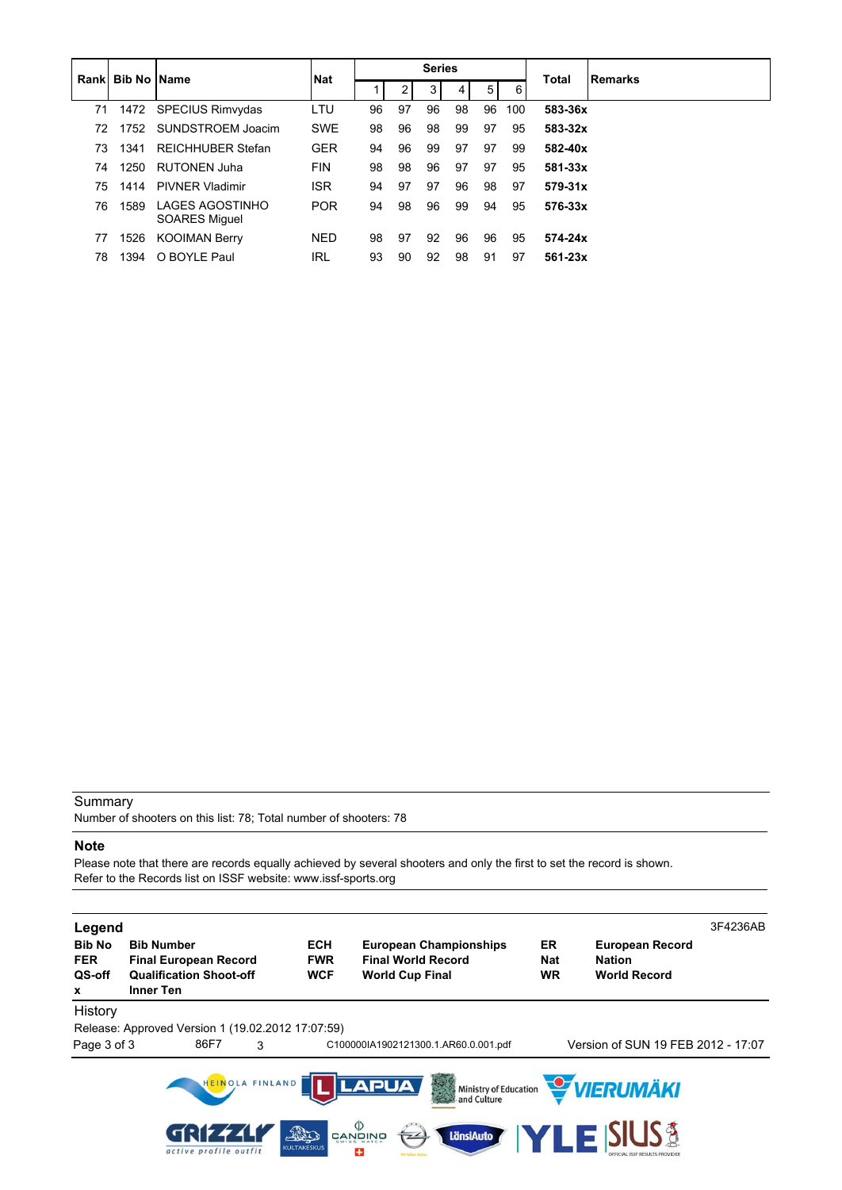|    | <b>Rankl Bib No IName</b> |                                         | <b>Nat</b> | <b>Series</b> |    |    |    |                |     |             | <b>Remarks</b> |
|----|---------------------------|-----------------------------------------|------------|---------------|----|----|----|----------------|-----|-------------|----------------|
|    |                           |                                         |            |               | 2  | 3  | 4  | 5 <sup>1</sup> | 6   | Total       |                |
| 71 | 1472                      | <b>SPECIUS Rimvydas</b>                 | LTU        | 96            | 97 | 96 | 98 | 96             | 100 | 583-36x     |                |
| 72 | 1752                      | SUNDSTROEM Joacim                       | <b>SWE</b> | 98            | 96 | 98 | 99 | 97             | 95  | 583-32x     |                |
| 73 | 1341                      | <b>REICHHUBER Stefan</b>                | <b>GER</b> | 94            | 96 | 99 | 97 | 97             | 99  | 582-40x     |                |
| 74 | 1250                      | <b>RUTONEN Juha</b>                     | <b>FIN</b> | 98            | 98 | 96 | 97 | 97             | 95  | 581-33x     |                |
| 75 | 1414                      | <b>PIVNER Vladimir</b>                  | <b>ISR</b> | 94            | 97 | 97 | 96 | 98             | 97  | $579-31x$   |                |
| 76 | 1589                      | LAGES AGOSTINHO<br><b>SOARES Miguel</b> | <b>POR</b> | 94            | 98 | 96 | 99 | 94             | 95  | 576-33x     |                |
| 77 | 1526                      | <b>KOOIMAN Berry</b>                    | <b>NED</b> | 98            | 97 | 92 | 96 | 96             | 95  | 574-24x     |                |
| 78 | 1394                      | O BOYLE Paul                            | IRL        | 93            | 90 | 92 | 98 | 91             | 97  | $561 - 23x$ |                |

Number of shooters on this list: 78; Total number of shooters: 78

#### **Note**

Please note that there are records equally achieved by several shooters and only the first to set the record is shown. Refer to the Records list on ISSF website: www.issf-sports.org

| Legend<br><b>Bib No</b><br><b>FER</b><br>QS-off<br>x | <b>Bib Number</b><br><b>Final European Record</b><br><b>Qualification Shoot-off</b><br><b>Inner Ten</b> | <b>ECH</b><br><b>FWR</b><br><b>WCF</b> | <b>European Championships</b><br><b>Final World Record</b><br><b>World Cup Final</b> | ER<br><b>Nat</b><br><b>WR</b> | <b>European Record</b><br><b>Nation</b><br><b>World Record</b> | 3F4236AB |
|------------------------------------------------------|---------------------------------------------------------------------------------------------------------|----------------------------------------|--------------------------------------------------------------------------------------|-------------------------------|----------------------------------------------------------------|----------|
| History<br>Page 3 of 3                               | Release: Approved Version 1 (19.02.2012 17:07:59)<br>86F7<br>3                                          |                                        | C100000IA1902121300.1.AR60.0.001.pdf                                                 |                               | Version of SUN 19 FEB 2012 - 17:07                             |          |
|                                                      | HEINOLA FINLAND                                                                                         |                                        | <b>LAPUA</b><br>等<br>Ministry of Education<br>and Culture                            |                               | VIERUMÄKI                                                      |          |
|                                                      | active profile outfit                                                                                   | AD<br><b>KULTAKESKUS</b>               | $\mathop{\oplus}\limits_{\mathsf{CANDINO}}$<br>LänsiAuto<br>25                       |                               | <b>TLE SIUS &amp;</b>                                          |          |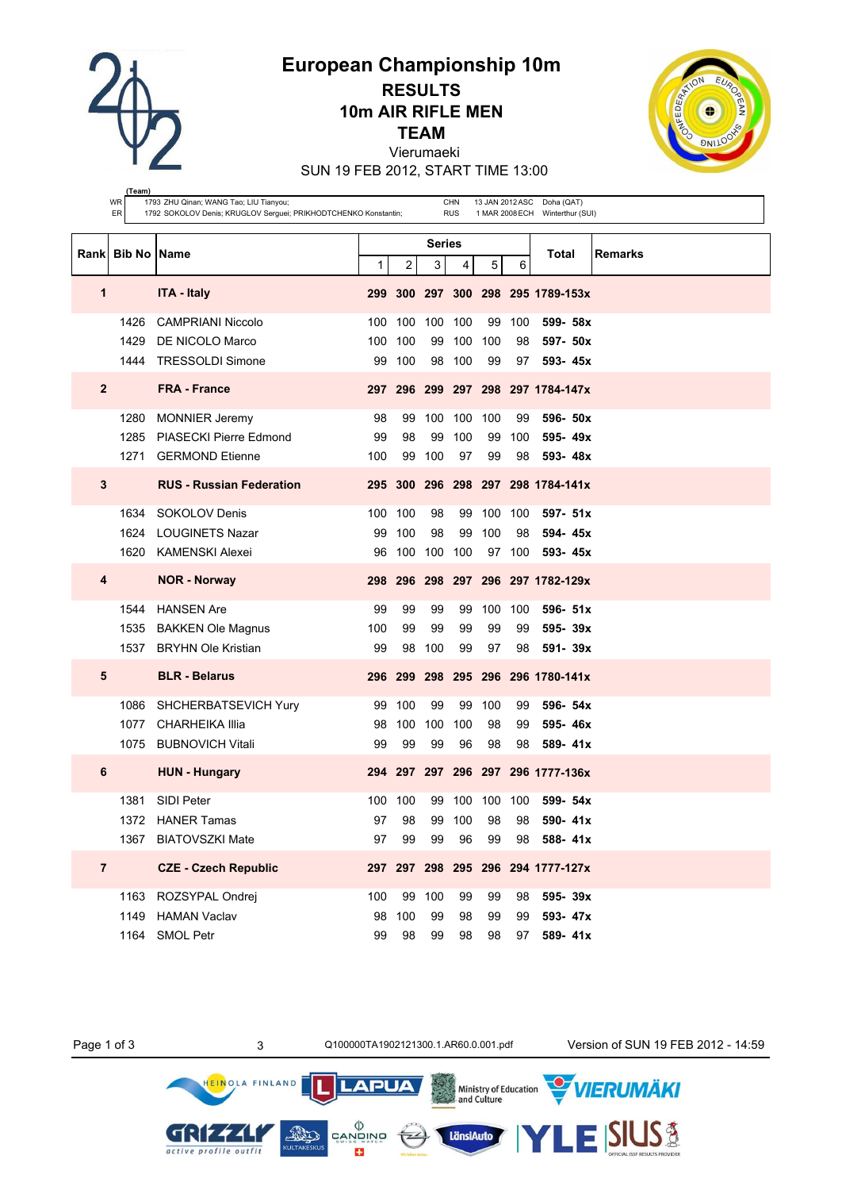**European Championship 10m**

**RESULTS 10m AIR RIFLE MEN**

**TEAM**

Vierumaeki

SUN 19 FEB 2012, START TIME 13:00



|                | (Team)<br><b>WR</b><br>ER | 1793 ZHU Qinan; WANG Tao; LIU Tianyou;<br>1792 SOKOLOV Denis; KRUGLOV Serguei; PRIKHODTCHENKO Konstantin; |     |         |                | <b>CHN</b><br><b>RUS</b> |     |        | 13 JAN 2012 ASC Doha (QAT)<br>1 MAR 2008 ECH Winterthur (SUI) |         |
|----------------|---------------------------|-----------------------------------------------------------------------------------------------------------|-----|---------|----------------|--------------------------|-----|--------|---------------------------------------------------------------|---------|
|                | Rank Bib No Name          |                                                                                                           |     |         | Series         |                          |     |        | Total                                                         | Remarks |
|                |                           |                                                                                                           | 1   | 2       | 3 <sup>1</sup> | 4                        | 5   | 6      |                                                               |         |
| 1              |                           | <b>ITA - Italy</b>                                                                                        |     |         |                |                          |     |        | 299 300 297 300 298 295 1789-153x                             |         |
|                | 1426                      | <b>CAMPRIANI Niccolo</b>                                                                                  | 100 | 100     | 100            | 100                      | 99  | 100    | 599- 58x                                                      |         |
|                | 1429                      | DE NICOLO Marco                                                                                           | 100 | 100     | 99             | 100                      | 100 | 98     | 597- 50x                                                      |         |
|                | 1444                      | <b>TRESSOLDI Simone</b>                                                                                   | 99  | 100     |                | 98 100                   | 99  | 97     | 593-45x                                                       |         |
| $\mathbf{2}$   |                           | <b>FRA - France</b>                                                                                       |     |         |                |                          |     |        | 297 296 299 297 298 297 1784-147x                             |         |
|                | 1280                      | <b>MONNIER Jeremy</b>                                                                                     | 98  | 99      | 100            | 100 100                  |     | 99     | 596- 50x                                                      |         |
|                | 1285                      | <b>PIASECKI Pierre Edmond</b>                                                                             | 99  | 98      | 99             | 100                      | 99  | 100    | 595-49x                                                       |         |
|                | 1271                      | <b>GERMOND Etienne</b>                                                                                    | 100 | 99      | 100            | 97                       | 99  | 98     | 593-48x                                                       |         |
| 3              |                           | <b>RUS - Russian Federation</b>                                                                           |     |         |                |                          |     |        | 295 300 296 298 297 298 1784-141x                             |         |
|                | 1634                      | SOKOLOV Denis                                                                                             |     | 100 100 | 98             | 99                       | 100 | 100    | 597- 51x                                                      |         |
|                | 1624                      | <b>LOUGINETS Nazar</b>                                                                                    | 99  | 100     | 98             | 99                       | 100 | 98     | 594-45x                                                       |         |
|                | 1620                      | <b>KAMENSKI Alexei</b>                                                                                    | 96  |         | 100 100 100    |                          |     | 97 100 | 593-45x                                                       |         |
| 4              |                           | <b>NOR - Norway</b>                                                                                       |     |         |                |                          |     |        | 298 296 298 297 296 297 1782-129x                             |         |
|                | 1544                      | <b>HANSEN Are</b>                                                                                         | 99  | 99      | 99             | 99                       | 100 | 100    | $596 - 51x$                                                   |         |
|                | 1535                      | <b>BAKKEN Ole Magnus</b>                                                                                  | 100 | 99      | 99             | 99                       | 99  | 99     | 595-39x                                                       |         |
|                | 1537                      | <b>BRYHN Ole Kristian</b>                                                                                 | 99  | 98      | 100            | 99                       | 97  | 98     | 591-39x                                                       |         |
| 5              |                           | <b>BLR</b> - Belarus                                                                                      |     |         |                |                          |     |        | 296 299 298 295 296 296 1780-141x                             |         |
|                | 1086                      | SHCHERBATSEVICH Yury                                                                                      | 99  | 100     | 99             | 99                       | 100 | 99     | 596- 54x                                                      |         |
|                | 1077                      | <b>CHARHEIKA Illia</b>                                                                                    | 98  | 100     | 100            | 100                      | 98  | 99     | 595-46x                                                       |         |
|                | 1075                      | <b>BUBNOVICH Vitali</b>                                                                                   | 99  | 99      | 99             | 96                       | 98  | 98     | 589-41x                                                       |         |
| 6              |                           | <b>HUN - Hungary</b>                                                                                      |     |         |                |                          |     |        | 294 297 297 296 297 296 1777-136x                             |         |
|                | 1381                      | <b>SIDI Peter</b>                                                                                         |     | 100 100 |                | 99 100 100 100           |     |        | 599- 54x                                                      |         |
|                |                           | 1372 HANER Tamas                                                                                          | 97  | 98      |                | 99 100                   | 98  | 98     | 590-41x                                                       |         |
|                |                           | 1367 BIATOVSZKI Mate                                                                                      | 97  | 99      | 99             | 96                       | 99  |        | 98 588-41x                                                    |         |
| $\overline{7}$ |                           | <b>CZE - Czech Republic</b>                                                                               |     |         |                |                          |     |        | 297 297 298 295 296 294 1777-127x                             |         |
|                | 1163                      | ROZSYPAL Ondrej                                                                                           | 100 |         | 99 100         | 99                       | 99  | 98     | 595-39x                                                       |         |
|                | 1149                      | <b>HAMAN Vaclav</b>                                                                                       | 98  | 100     | 99             | 98                       | 99  | 99     | 593-47x                                                       |         |
|                |                           | 1164 SMOL Petr                                                                                            | 99  | 98      | 99             | 98                       | 98  |        | 97 589-41x                                                    |         |

 $\left(\frac{1}{2}\right)$ 

Ministry of Education<br>and Culture

LänsiAuto

**LAPUA** 

 $\begin{matrix} \langle \rangle \\ \texttt{CANDING} \\ \texttt{SWISS} \\ \end{matrix}$ 

Ð

**AND** 

Page 1 of 3 3 3 Q100000TA1902121300.1.AR60.0.001.pdf Version of SUN 19 FEB 2012 - 14:59

VIERUMÄKI

**SIUS®** 

GRIZZLI

active profile outfit

HEINOLA FINLAND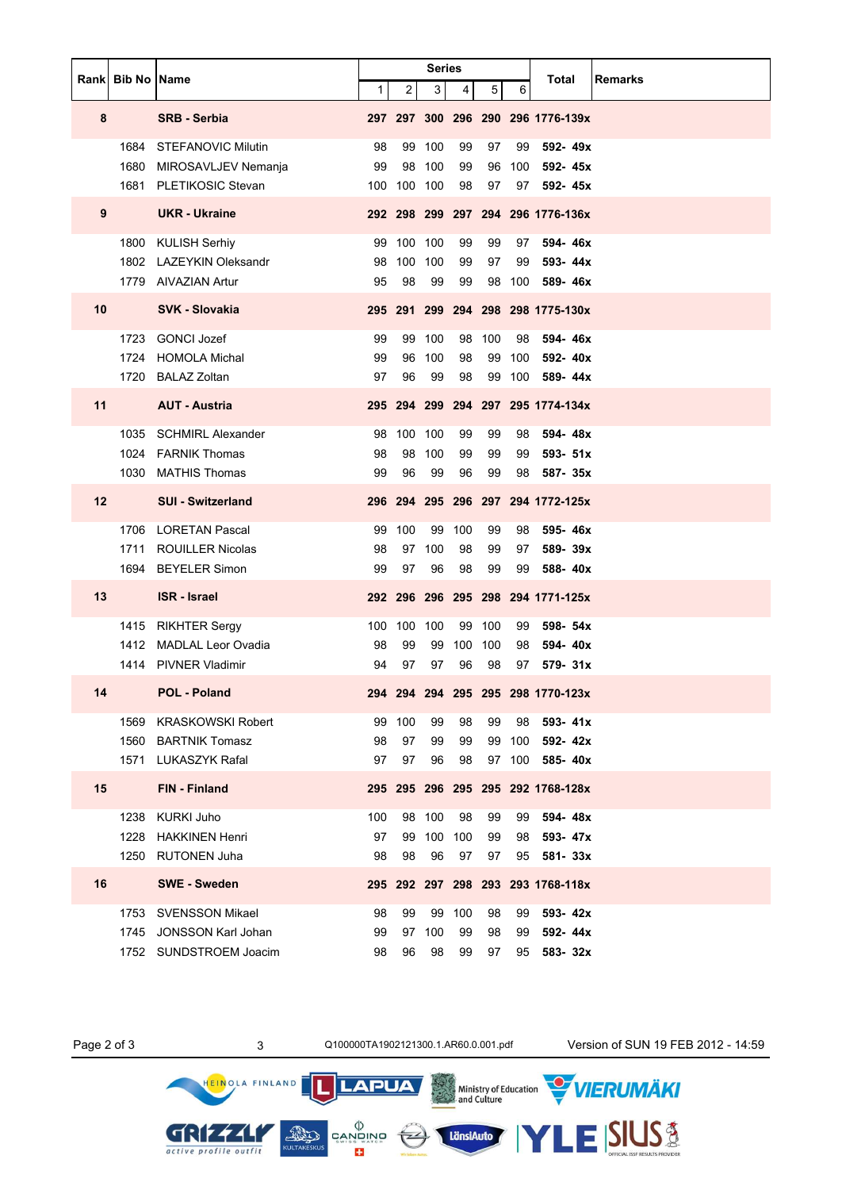|                   | Rank Bib No Name |                           | <b>Series</b> |                |                |     |                |     | Total                             | <b>Remarks</b> |
|-------------------|------------------|---------------------------|---------------|----------------|----------------|-----|----------------|-----|-----------------------------------|----------------|
|                   |                  |                           | 1             | $\overline{c}$ | 3 <sup>1</sup> | 4   | 5 <sup>5</sup> | 6   |                                   |                |
| 8                 |                  | <b>SRB - Serbia</b>       |               |                |                |     |                |     | 297 297 300 296 290 296 1776-139x |                |
|                   | 1684             | <b>STEFANOVIC Milutin</b> | 98            | 99             | 100            | 99  | 97             | 99  | 592-49x                           |                |
|                   | 1680             | MIROSAVLJEV Nemanja       | 99            |                | 98 100         | 99  | 96             | 100 | 592-45x                           |                |
|                   |                  | 1681 PLETIKOSIC Stevan    |               | 100 100 100    |                | 98  | 97             |     | 97 592-45x                        |                |
| 9                 |                  | <b>UKR</b> - Ukraine      |               |                |                |     |                |     | 292 298 299 297 294 296 1776-136x |                |
|                   | 1800             | KULISH Serhiy             | 99            | 100 100        |                | 99  | 99             | 97  | 594-46x                           |                |
|                   |                  | 1802 LAZEYKIN Oleksandr   | 98            |                | 100 100        | 99  | 97             | 99  | 593-44x                           |                |
|                   |                  | 1779 AIVAZIAN Artur       | 95            | 98             | 99             | 99  | 98             | 100 | 589-46x                           |                |
| 10                |                  | <b>SVK - Slovakia</b>     |               |                |                |     |                |     | 295 291 299 294 298 298 1775-130x |                |
|                   | 1723             | GONCI Jozef               | 99            |                | 99 100         |     | 98 100         | 98  | 594-46x                           |                |
|                   | 1724             | <b>HOMOLA Michal</b>      | 99            | 96             | 100            | 98  | 99             | 100 | 592-40x                           |                |
|                   |                  | 1720 BALAZ Zoltan         | 97            | 96             | 99             | 98  | 99             | 100 | 589- 44x                          |                |
| 11                |                  | <b>AUT - Austria</b>      |               |                |                |     |                |     | 295 294 299 294 297 295 1774-134x |                |
|                   | 1035             | <b>SCHMIRL Alexander</b>  | 98            | 100 100        |                | 99  | 99             | 98  | 594-48x                           |                |
|                   |                  | 1024 FARNIK Thomas        | 98            | 98             | 100            | 99  | 99             | 99  | 593- 51x                          |                |
|                   | 1030             | <b>MATHIS Thomas</b>      | 99            | 96             | 99             | 96  | 99             |     | 98 587-35x                        |                |
| $12 \overline{ }$ |                  | <b>SUI - Switzerland</b>  |               |                |                |     |                |     | 296 294 295 296 297 294 1772-125x |                |
|                   |                  | 1706 LORETAN Pascal       | 99            | 100            | 99             | 100 | 99             | 98  | 595-46x                           |                |
|                   | 1711             | <b>ROUILLER Nicolas</b>   | 98            | 97             | 100            | 98  | 99             | 97  | 589-39x                           |                |
|                   |                  | 1694 BEYELER Simon        | 99            | 97             | 96             | 98  | 99             | 99  | 588-40x                           |                |
| 13                |                  | <b>ISR</b> - Israel       |               |                |                |     |                |     | 292 296 296 295 298 294 1771-125x |                |
|                   |                  | 1415 RIKHTER Sergy        |               | 100 100        | 100            |     | 99 100         | 99  | 598- 54x                          |                |
|                   |                  | 1412 MADLAL Leor Ovadia   | 98            | 99             | 99             |     | 100 100        | 98  | 594-40x                           |                |
|                   |                  | 1414 PIVNER Vladimir      | 94            | 97             | 97             | 96  | 98             |     | $97$ 579-31x                      |                |
| 14                |                  | <b>POL - Poland</b>       |               |                |                |     |                |     | 294 294 294 295 295 298 1770-123x |                |
|                   | 1569             | <b>KRASKOWSKI Robert</b>  | 99            | 100            | 99             | 98  | 99             | 98  | $593 - 41x$                       |                |
|                   | 1560             | <b>BARTNIK Tomasz</b>     | 98            | 97             | 99             | 99  | 99             | 100 | 592-42x                           |                |
|                   | 1571             | <b>LUKASZYK Rafal</b>     | 97            | 97             | 96             | 98  | 97             | 100 | 585-40x                           |                |
| 15                |                  | <b>FIN</b> - Finland      |               |                |                |     |                |     | 295 295 296 295 295 292 1768-128x |                |
|                   | 1238             | <b>KURKI Juho</b>         | 100           | 98             | 100            | 98  | 99             | 99  | 594-48x                           |                |
|                   | 1228             | <b>HAKKINEN Henri</b>     | 97            | 99             | 100            | 100 | 99             | 98  | 593-47x                           |                |
|                   | 1250             | <b>RUTONEN Juha</b>       | 98            | 98             | 96             | 97  | 97             | 95  | 581-33x                           |                |
| 16                |                  | <b>SWE</b> - Sweden       |               |                |                |     |                |     | 295 292 297 298 293 293 1768-118x |                |
|                   | 1753             | <b>SVENSSON Mikael</b>    | 98            | 99             | 99             | 100 | 98             | 99  | 593-42x                           |                |
|                   | 1745             | <b>JONSSON Karl Johan</b> | 99            | 97             | 100            | 99  | 98             | 99  | 592-44x                           |                |
|                   |                  | 1752 SUNDSTROEM Joacim    | 98            | 96             | 98             | 99  | 97             | 95  | 583-32x                           |                |

HEINOLA FINLAND

GRIZZLI active profile outfit

תן

LänsiAuto

**LAPUA** 

 $\begin{matrix} \langle \rangle \\ \text{CAND} \\ \text{CAND} \\ \text{SUS} \\ \text{CUS} \end{matrix}$ 

Page 2 of 3 3 3 Q100000TA1902121300.1.AR60.0.001.pdf Version of SUN 19 FEB 2012 - 14:59

ESIUS<sup>3</sup>

Ministry of Education WIERUMAKI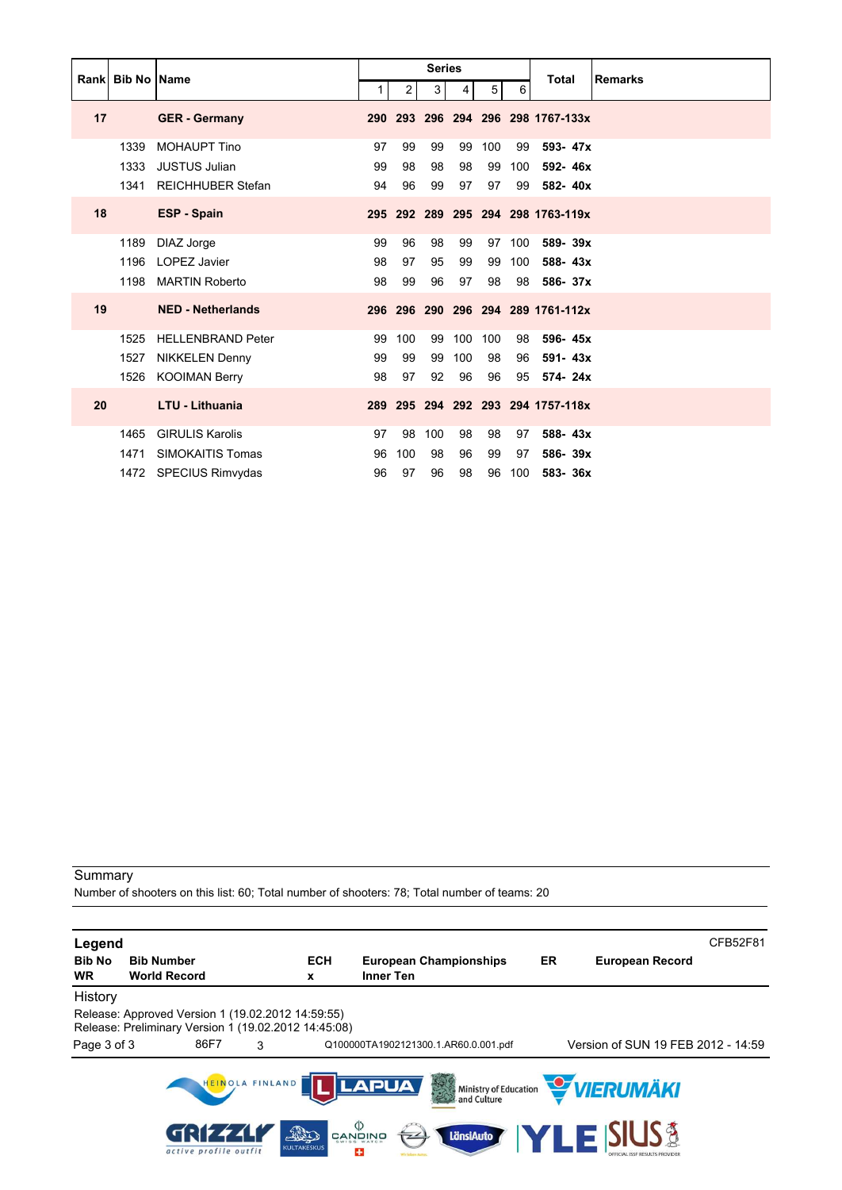|    | <b>Rankl Bib No IName</b> |                          |                |                | <b>Series</b> |                |     |     | <b>Total</b>                      | <b>Remarks</b> |
|----|---------------------------|--------------------------|----------------|----------------|---------------|----------------|-----|-----|-----------------------------------|----------------|
|    |                           |                          | 1 <sup>1</sup> | $\overline{2}$ | 3             | $\overline{4}$ | 5   | 6   |                                   |                |
| 17 |                           | <b>GER</b> - Germany     | 290            |                |               |                |     |     | 293 296 294 296 298 1767-133x     |                |
|    | 1339                      | <b>MOHAUPT Tino</b>      | 97             | 99             | 99            | 99             | 100 | 99  | 593-47x                           |                |
|    | 1333                      | <b>JUSTUS Julian</b>     | 99             | 98             | 98            | 98             | 99  | 100 | 592-46x                           |                |
|    | 1341                      | <b>REICHHUBER Stefan</b> | 94             | 96             | 99            | 97             | 97  | 99  | 582-40x                           |                |
| 18 |                           | <b>ESP - Spain</b>       |                |                |               |                |     |     | 295 292 289 295 294 298 1763-119x |                |
|    | 1189                      | DIAZ Jorge               | 99             | 96             | 98            | 99             | 97  | 100 | 589-39x                           |                |
|    | 1196                      | <b>LOPEZ Javier</b>      | 98             | 97             | 95            | 99             | 99  | 100 | 588-43x                           |                |
|    | 1198                      | <b>MARTIN Roberto</b>    | 98             | 99             | 96            | 97             | 98  | 98  | 586-37x                           |                |
| 19 |                           | <b>NED - Netherlands</b> |                |                |               |                |     |     | 296 296 290 296 294 289 1761-112x |                |
|    | 1525                      | <b>HELLENBRAND Peter</b> | 99             | 100            | 99            | 100            | 100 | 98  | 596-45x                           |                |
|    | 1527                      | <b>NIKKELEN Denny</b>    | 99             | 99             | 99            | 100            | 98  | 96  | 591-43x                           |                |
|    | 1526                      | <b>KOOIMAN Berry</b>     | 98             | 97             | 92            | 96             | 96  | 95  | 574-24x                           |                |
| 20 |                           | <b>LTU - Lithuania</b>   | 289            |                |               |                |     |     | 295 294 292 293 294 1757-118x     |                |
|    | 1465                      | <b>GIRULIS Karolis</b>   | 97             | 98             | 100           | 98             | 98  | 97  | 588-43x                           |                |
|    | 1471                      | SIMOKAITIS Tomas         | 96             | 100            | 98            | 96             | 99  | 97  | 586-39x                           |                |
|    | 1472                      | <b>SPECIUS Rimvydas</b>  | 96             | 97             | 96            | 98             | 96  | 100 | 583-36x                           |                |

Number of shooters on this list: 60; Total number of shooters: 78; Total number of teams: 20

| Legend                     |                                                                                                           |                                                  |                                            |    | CFB52F81                                                |
|----------------------------|-----------------------------------------------------------------------------------------------------------|--------------------------------------------------|--------------------------------------------|----|---------------------------------------------------------|
| <b>Bib No</b><br><b>WR</b> | <b>Bib Number</b><br><b>World Record</b>                                                                  | <b>ECH</b><br>x                                  | <b>European Championships</b><br>Inner Ten | ER | <b>European Record</b>                                  |
| History                    |                                                                                                           |                                                  |                                            |    |                                                         |
|                            | Release: Approved Version 1 (19.02.2012 14:59:55)<br>Release: Preliminary Version 1 (19.02.2012 14:45:08) |                                                  |                                            |    |                                                         |
| Page 3 of 3                | 86F7<br>3                                                                                                 |                                                  | Q100000TA1902121300.1.AR60.0.001.pdf       |    | Version of SUN 19 FEB 2012 - 14:59                      |
|                            | HEINOLA FINLAND                                                                                           |                                                  | <b>LAPUA</b>                               |    | Ministry of Education WERUMAKI                          |
|                            | active profile outfit                                                                                     | פֿאומעש<br>פֿ<br>FRED<br><b>KULTAKESKUS</b><br>÷ | LänsiAuto                                  |    | <b>TLE SIUS &amp;</b><br>OFFICIAL ISSE RESULTS PROVIDER |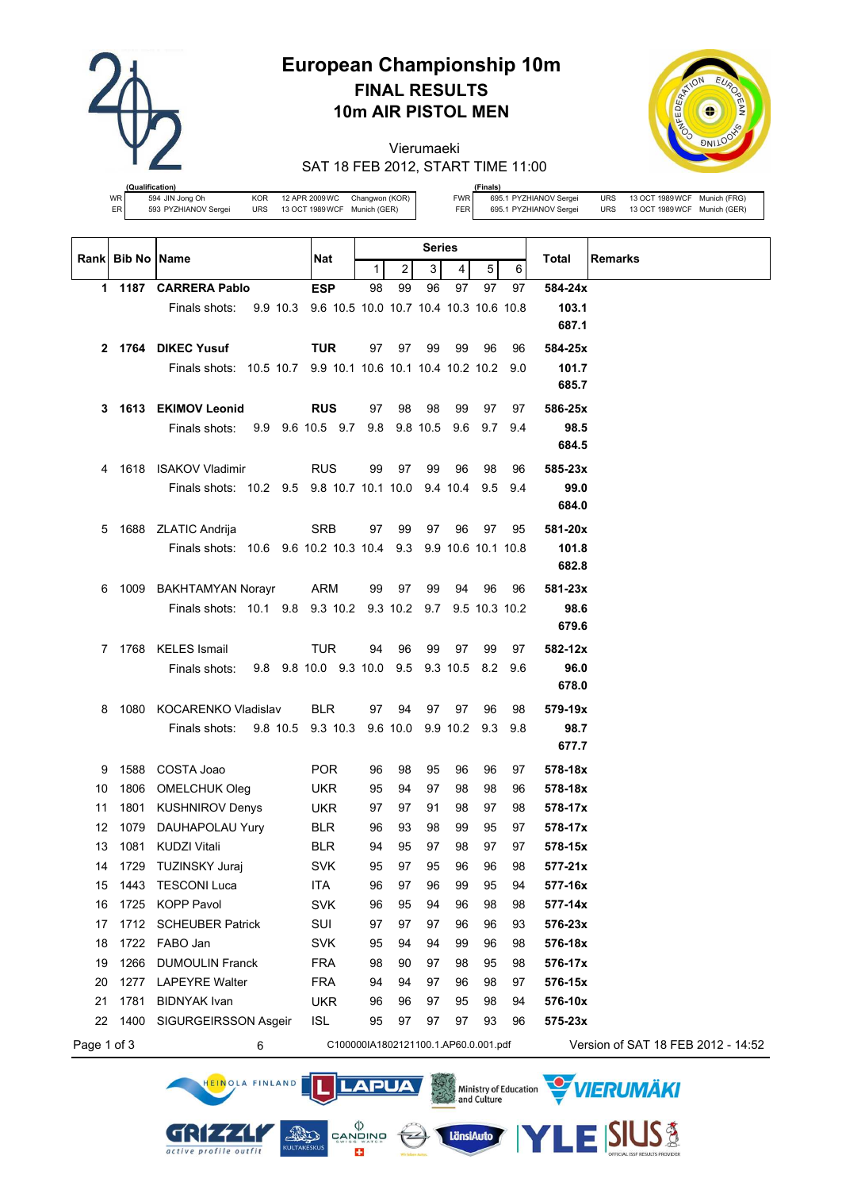

# **European Championship 10m FINAL RESULTS 10m AIR PISTOL MEN**

Vierumaeki SAT 18 FEB 2012, START TIME 11:00



**(fication)**<br>594 JIN Jong Oh WR  $\begin{array}{l|l} \text{WR} & \text{594 JIN Jong Oh} \end{array}$  Changwon (KOR)<br>
ER  $\begin{array}{l|l} \text{593 PYZHIANOV Sergei} & \text{URS} & \text{13 OCT 1989 WCF} \end{array}$  Munich (GER)

HEINOLA FINLAND

GRIZZLI

active profile outfit

**(Finals)** FWR 695.1 PYZHIANOV Sergei URS 13 OCT 1989WCF Munich (FRG) FER 695.1 PYZHIANOV Sergei URS 13 OCT 1989WCF Munich (GER)

|             | Rank Bib No Name |                                                               | Nat                                  | <b>Series</b> |                       |    |     |                  |         | <b>Total</b><br><b>Remarks</b>     |
|-------------|------------------|---------------------------------------------------------------|--------------------------------------|---------------|-----------------------|----|-----|------------------|---------|------------------------------------|
|             |                  |                                                               |                                      | 1             | 2                     | 3  | 4   | 5                | 6       |                                    |
|             |                  | 1 1187 CARRERA Pablo                                          | <b>ESP</b>                           | 98            | 99                    | 96 | 97  | 97               | 97      | 584-24x                            |
|             |                  | Finals shots: 9.9 10.3 9.6 10.5 10.0 10.7 10.4 10.3 10.6 10.8 |                                      |               |                       |    |     |                  |         | 103.1                              |
|             |                  |                                                               |                                      |               |                       |    |     |                  |         | 687.1                              |
|             |                  | 2 1764 DIKEC Yusuf                                            | <b>TUR</b>                           | 97            | 97                    | 99 | 99  | 96               | 96      | 584-25x                            |
|             |                  | Finals shots: 10.5 10.7 9.9 10.1 10.6 10.1 10.4 10.2 10.2 9.0 |                                      |               |                       |    |     |                  |         | 101.7                              |
|             |                  |                                                               |                                      |               |                       |    |     |                  |         | 685.7                              |
| 3           |                  | 1613 EKIMOV Leonid                                            | <b>RUS</b>                           | 97            | 98                    | 98 | 99  | 97               | 97      | 586-25x                            |
|             |                  | 9.9 9.6 10.5 9.7 9.8 9.8 10.5<br>Finals shots:                |                                      |               |                       |    | 9.6 | 9.7              | 9.4     | 98.5                               |
|             |                  |                                                               |                                      |               |                       |    |     |                  |         | 684.5                              |
| 4           |                  | 1618 ISAKOV Vladimir                                          | <b>RUS</b>                           | 99            | 97                    | 99 | 96  | 98               | 96      | 585-23x                            |
|             |                  | Finals shots: 10.2 9.5 9.8 10.7 10.1 10.0 9.4 10.4            |                                      |               |                       |    |     |                  | 9.5 9.4 | 99.0                               |
|             |                  |                                                               |                                      |               |                       |    |     |                  |         | 684.0                              |
| 5           |                  | 1688 ZLATIC Andrija                                           | SRB                                  | 97            | 99                    | 97 | 96  | 97               | 95      | 581-20x                            |
|             |                  | Finals shots: 10.6 9.6 10.2 10.3 10.4 9.3 9.9 10.6 10.1 10.8  |                                      |               |                       |    |     |                  |         | 101.8                              |
|             |                  |                                                               |                                      |               |                       |    |     |                  |         | 682.8                              |
| 6           |                  | 1009 BAKHTAMYAN Norayr                                        | ARM                                  | 99            | 97                    | 99 | 94  | 96               | 96      | $581 - 23x$                        |
|             |                  | Finals shots: 10.1 9.8 9.3 10.2 9.3 10.2 9.7 9.5 10.3 10.2    |                                      |               |                       |    |     |                  |         | 98.6                               |
|             |                  |                                                               |                                      |               |                       |    |     |                  |         | 679.6                              |
| 7           |                  | 1768 KELES Ismail                                             | <b>TUR</b>                           | 94            | 96                    | 99 | 97  | 99               | 97      | 582-12x                            |
|             |                  | 9.8 9.8 10.0 9.3 10.0 9.5<br>Finals shots:                    |                                      |               |                       |    |     | 9.3 10.5 8.2 9.6 |         | 96.0                               |
|             |                  |                                                               |                                      |               |                       |    |     |                  |         | 678.0                              |
| 8           |                  | 1080 KOCARENKO Vladislav                                      | <b>BLR</b>                           | 97            | 94                    | 97 | 97  | 96               | 98      | 579-19x                            |
|             |                  | 9.8 10.5 9.3 10.3<br>Finals shots:                            |                                      |               | 9.6 10.0 9.9 10.2 9.3 |    |     |                  | 9.8     | 98.7                               |
|             |                  |                                                               |                                      |               |                       |    |     |                  |         | 677.7                              |
| 9           | 1588             | COSTA Joao                                                    | <b>POR</b>                           | 96            | 98                    | 95 | 96  | 96               | 97      | 578-18x                            |
| 10          |                  | 1806 OMELCHUK Oleg                                            | <b>UKR</b>                           | 95            | 94                    | 97 | 98  | 98               | 96      | 578-18x                            |
| 11          |                  | 1801 KUSHNIROV Denys                                          | <b>UKR</b>                           | 97            | 97                    | 91 | 98  | 97               | 98      | 578-17x                            |
| 12          | 1079             | DAUHAPOLAU Yury                                               | <b>BLR</b>                           | 96            | 93                    | 98 | 99  | 95               | 97      | 578-17x                            |
| 13          |                  | 1081 KUDZI Vitali                                             | <b>BLR</b>                           | 94            | 95                    | 97 | 98  | 97               | 97      | 578-15x                            |
| 14          |                  | 1729 TUZINSKY Juraj                                           | SVK.                                 | 95            | 97                    | 95 | 96  | 96               | 98      | 577-21x                            |
| 15          | 1443             | <b>TESCONI Luca</b>                                           | <b>ITA</b>                           | 96            | 97                    | 96 | 99  | 95               | 94      | 577-16x                            |
| 16          | 1725             | <b>KOPP Pavol</b>                                             | <b>SVK</b>                           | 96            | 95                    | 94 | 96  | 98               | 98      | 577-14x                            |
| 17          | 1712             | <b>SCHEUBER Patrick</b>                                       | SUI                                  | 97            | 97                    | 97 | 96  | 96               | 93      | 576-23x                            |
| 18          |                  | 1722 FABO Jan                                                 | <b>SVK</b>                           | 95            | 94                    | 94 | 99  | 96               | 98      | 576-18x                            |
| 19          | 1266             | <b>DUMOULIN Franck</b>                                        | <b>FRA</b>                           | 98            | 90                    | 97 | 98  | 95               | 98      | 576-17x                            |
| 20          | 1277             | <b>LAPEYRE Walter</b>                                         | <b>FRA</b>                           | 94            | 94                    | 97 | 96  | 98               | 97      | 576-15x                            |
| 21          | 1781             | <b>BIDNYAK Ivan</b>                                           | <b>UKR</b>                           | 96            | 96                    | 97 | 95  | 98               | 94      | 576-10x                            |
| 22          | 1400             | SIGURGEIRSSON Asgeir                                          | <b>ISL</b>                           | 95            | 97                    | 97 | 97  | 93               | 96      | 575-23x                            |
| Page 1 of 3 |                  | 6                                                             | C100000IA1802121100.1.AP60.0.001.pdf |               |                       |    |     |                  |         | Version of SAT 18 FEB 2012 - 14:52 |

**LAPUA** 

 $\leftarrow$ 

LänsiAuto

 $\begin{matrix} \langle \rangle \\ \texttt{CANDING} \\ \texttt{SUNBS} \\ \end{matrix}$ 

E3

**AND** 

Ministry of Education WIERUMAKI

**SIUS®**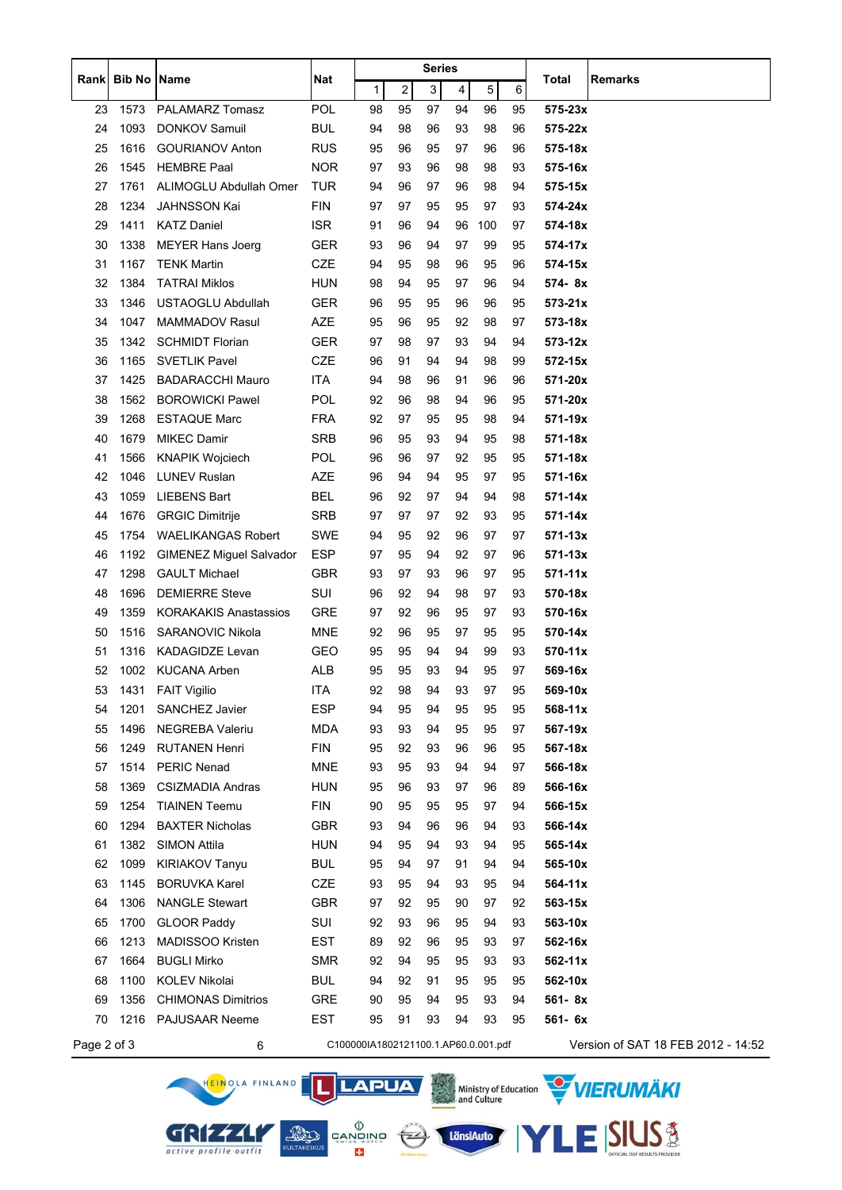|             |                    |                                |            | Series                               |                         |    |    |     |    |             |                                    |
|-------------|--------------------|--------------------------------|------------|--------------------------------------|-------------------------|----|----|-----|----|-------------|------------------------------------|
| Rankl       | <b>Bib No Name</b> |                                | <b>Nat</b> | 1                                    | $\overline{\mathbf{c}}$ | 3  | 4  | 5   | 6  | Total       | <b>Remarks</b>                     |
| 23          | 1573               | PALAMARZ Tomasz                | POL        | 98                                   | 95                      | 97 | 94 | 96  | 95 | $575 - 23x$ |                                    |
| 24          | 1093               | <b>DONKOV Samuil</b>           | <b>BUL</b> | 94                                   | 98                      | 96 | 93 | 98  | 96 | 575-22x     |                                    |
| 25          | 1616               | <b>GOURIANOV Anton</b>         | <b>RUS</b> | 95                                   | 96                      | 95 | 97 | 96  | 96 | 575-18x     |                                    |
| 26          | 1545               | <b>HEMBRE Paal</b>             | <b>NOR</b> | 97                                   | 93                      | 96 | 98 | 98  | 93 | 575-16x     |                                    |
| 27          | 1761               | ALIMOGLU Abdullah Omer         | TUR        | 94                                   | 96                      | 97 | 96 | 98  | 94 | 575-15x     |                                    |
| 28          | 1234               | <b>JAHNSSON Kai</b>            | <b>FIN</b> | 97                                   | 97                      | 95 | 95 | 97  | 93 | 574-24x     |                                    |
| 29          | 1411               | <b>KATZ Daniel</b>             | <b>ISR</b> | 91                                   | 96                      | 94 | 96 | 100 | 97 | 574-18x     |                                    |
| 30          | 1338               | <b>MEYER Hans Joerg</b>        | <b>GER</b> | 93                                   | 96                      | 94 | 97 | 99  | 95 | 574-17x     |                                    |
| 31          | 1167               | <b>TENK Martin</b>             | <b>CZE</b> | 94                                   | 95                      | 98 | 96 | 95  | 96 | 574-15x     |                                    |
| 32          | 1384               | <b>TATRAI Miklos</b>           | <b>HUN</b> | 98                                   | 94                      | 95 | 97 | 96  | 94 | 574-8x      |                                    |
| 33          | 1346               | <b>USTAOGLU Abdullah</b>       | <b>GER</b> | 96                                   | 95                      | 95 | 96 | 96  | 95 | $573 - 21x$ |                                    |
| 34          | 1047               | <b>MAMMADOV Rasul</b>          | AZE        | 95                                   | 96                      | 95 | 92 | 98  | 97 | 573-18x     |                                    |
| 35          | 1342               | <b>SCHMIDT Florian</b>         | <b>GER</b> | 97                                   | 98                      | 97 | 93 | 94  | 94 | $573 - 12x$ |                                    |
| 36          | 1165               | <b>SVETLIK Pavel</b>           | CZE        | 96                                   | 91                      | 94 | 94 | 98  | 99 | 572-15x     |                                    |
| 37          | 1425               | <b>BADARACCHI Mauro</b>        | <b>ITA</b> | 94                                   | 98                      | 96 | 91 | 96  | 96 | 571-20x     |                                    |
| 38          | 1562               | <b>BOROWICKI Pawel</b>         | <b>POL</b> | 92                                   | 96                      | 98 | 94 | 96  | 95 | 571-20x     |                                    |
| 39          | 1268               | <b>ESTAQUE Marc</b>            | <b>FRA</b> | 92                                   | 97                      | 95 | 95 | 98  | 94 | 571-19x     |                                    |
| 40          | 1679               | <b>MIKEC Damir</b>             | <b>SRB</b> | 96                                   | 95                      | 93 | 94 | 95  | 98 | 571-18x     |                                    |
| 41          | 1566               | <b>KNAPIK Wojciech</b>         | <b>POL</b> | 96                                   | 96                      | 97 | 92 | 95  | 95 | 571-18x     |                                    |
| 42          | 1046               | <b>LUNEV Ruslan</b>            | AZE        | 96                                   | 94                      | 94 | 95 | 97  | 95 | 571-16x     |                                    |
| 43          | 1059               | <b>LIEBENS Bart</b>            | BEL        | 96                                   | 92                      | 97 | 94 | 94  | 98 | 571-14x     |                                    |
| 44          | 1676               | <b>GRGIC Dimitrije</b>         | <b>SRB</b> | 97                                   | 97                      | 97 | 92 | 93  | 95 | 571-14x     |                                    |
| 45          | 1754               | <b>WAELIKANGAS Robert</b>      | SWE        | 94                                   | 95                      | 92 | 96 | 97  | 97 | $571 - 13x$ |                                    |
| 46          | 1192               | <b>GIMENEZ Miguel Salvador</b> | <b>ESP</b> | 97                                   | 95                      | 94 | 92 | 97  | 96 | $571 - 13x$ |                                    |
| 47          | 1298               | <b>GAULT Michael</b>           | <b>GBR</b> | 93                                   | 97                      | 93 | 96 | 97  | 95 | $571 - 11x$ |                                    |
| 48          | 1696               | <b>DEMIERRE Steve</b>          | SUI        | 96                                   | 92                      | 94 | 98 | 97  | 93 | 570-18x     |                                    |
| 49          | 1359               | <b>KORAKAKIS Anastassios</b>   | GRE        | 97                                   | 92                      | 96 | 95 | 97  | 93 | 570-16x     |                                    |
| 50          | 1516               | SARANOVIC Nikola               | MNE        | 92                                   | 96                      | 95 | 97 | 95  | 95 | 570-14x     |                                    |
| 51          | 1316               | <b>KADAGIDZE Levan</b>         | <b>GEO</b> | 95                                   | 95                      | 94 | 94 | 99  | 93 | 570-11x     |                                    |
| 52          |                    | 1002 KUCANA Arben              | ALB        | 95                                   | 95                      | 93 | 94 | 95  | 97 | 569-16x     |                                    |
| 53          |                    | 1431 FAIT Vigilio              | ITA        | 92                                   | 98                      | 94 | 93 | 97  | 95 | 569-10x     |                                    |
| 54          | 1201               | SANCHEZ Javier                 | <b>ESP</b> | 94                                   | 95                      | 94 | 95 | 95  | 95 | $568 - 11x$ |                                    |
| 55          | 1496               | NEGREBA Valeriu                | <b>MDA</b> | 93                                   | 93                      | 94 | 95 | 95  | 97 | 567-19x     |                                    |
| 56          | 1249               | <b>RUTANEN Henri</b>           | <b>FIN</b> | 95                                   | 92                      | 93 | 96 | 96  | 95 | 567-18x     |                                    |
| 57          | 1514               | <b>PERIC Nenad</b>             | <b>MNE</b> | 93                                   | 95                      | 93 | 94 | 94  | 97 | 566-18x     |                                    |
| 58          | 1369               | <b>CSIZMADIA Andras</b>        | HUN        | 95                                   | 96                      | 93 | 97 | 96  | 89 | 566-16x     |                                    |
| 59          | 1254               | <b>TIAINEN Teemu</b>           | FIN        | 90                                   | 95                      | 95 | 95 | 97  | 94 | 566-15x     |                                    |
| 60          | 1294               | <b>BAXTER Nicholas</b>         | <b>GBR</b> | 93                                   | 94                      | 96 | 96 | 94  | 93 | 566-14x     |                                    |
| 61          | 1382               | <b>SIMON Attila</b>            | HUN        | 94                                   | 95                      | 94 | 93 | 94  | 95 | 565-14x     |                                    |
| 62          | 1099               | <b>KIRIAKOV Tanyu</b>          | <b>BUL</b> | 95                                   | 94                      | 97 | 91 | 94  | 94 | 565-10x     |                                    |
| 63          | 1145               | <b>BORUVKA Karel</b>           | CZE        | 93                                   | 95                      | 94 | 93 | 95  | 94 | 564-11x     |                                    |
| 64          | 1306               | <b>NANGLE Stewart</b>          | <b>GBR</b> | 97                                   | 92                      | 95 | 90 | 97  | 92 | 563-15x     |                                    |
| 65          | 1700               | <b>GLOOR Paddy</b>             | SUI        | 92                                   | 93                      | 96 | 95 | 94  | 93 | 563-10x     |                                    |
| 66          | 1213               | MADISSOO Kristen               | EST        | 89                                   | 92                      | 96 | 95 | 93  | 97 | 562-16x     |                                    |
| 67          | 1664               | <b>BUGLI Mirko</b>             | <b>SMR</b> | 92                                   | 94                      | 95 | 95 | 93  | 93 | $562 - 11x$ |                                    |
| 68          | 1100               | KOLEV Nikolai                  | <b>BUL</b> | 94                                   | 92                      | 91 | 95 | 95  | 95 | 562-10x     |                                    |
| 69          | 1356               | <b>CHIMONAS Dimitrios</b>      | GRE        | 90                                   | 95                      | 94 | 95 | 93  | 94 | 561-8x      |                                    |
| 70          | 1216               | <b>PAJUSAAR Neeme</b>          | EST        | 95                                   | 91                      | 93 | 94 | 93  | 95 | 561- 6x     |                                    |
| Page 2 of 3 |                    | 6                              |            | C100000IA1802121100.1.AP60.0.001.pdf |                         |    |    |     |    |             | Version of SAT 18 FEB 2012 - 14:52 |

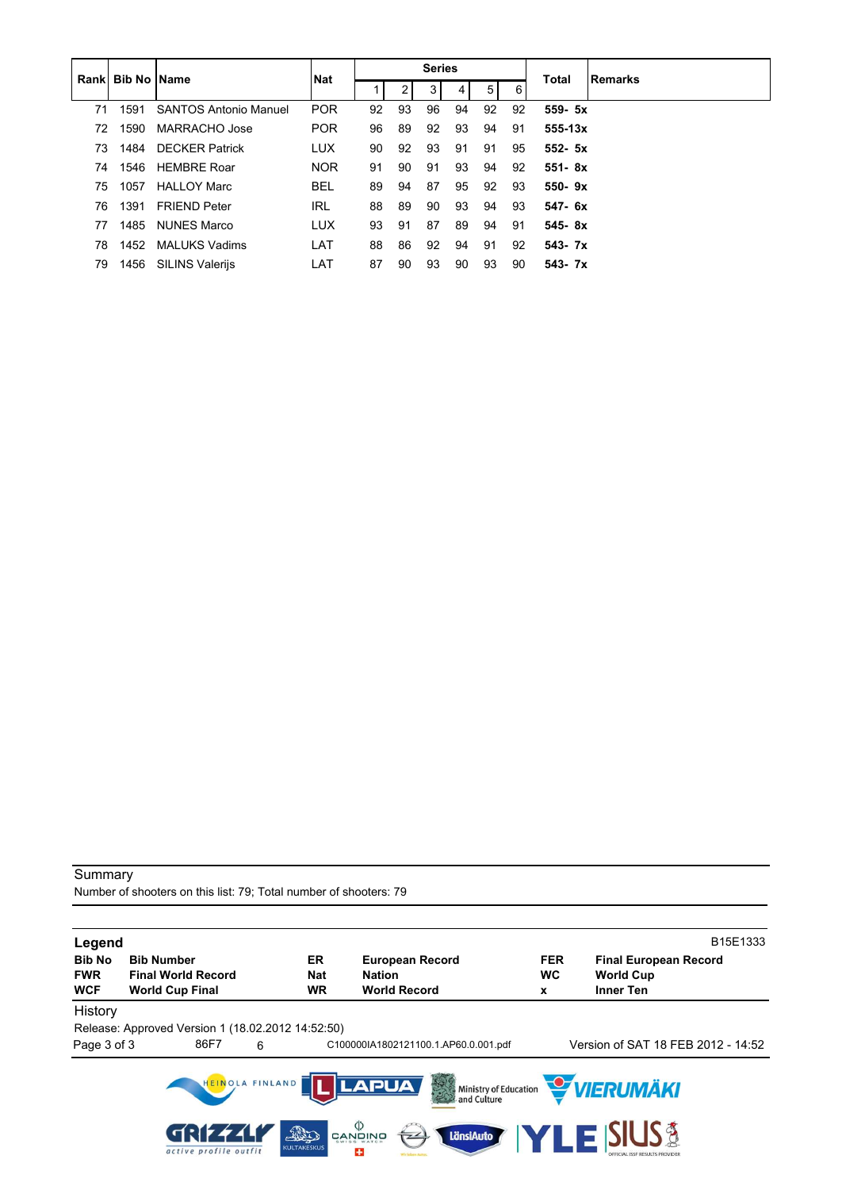|    | <b>Rankl Bib No IName</b> |                              | <b>Nat</b> | <b>Series</b> |    |    |    |                |    | <b>Remarks</b><br>Total |  |  |
|----|---------------------------|------------------------------|------------|---------------|----|----|----|----------------|----|-------------------------|--|--|
|    |                           |                              |            |               | 2  | 3  | 4  | 5 <sup>1</sup> | 6  |                         |  |  |
| 71 | 1591                      | <b>SANTOS Antonio Manuel</b> | <b>POR</b> | 92            | 93 | 96 | 94 | 92             | 92 | 559- 5x                 |  |  |
| 72 | 1590                      | MARRACHO Jose                | <b>POR</b> | 96            | 89 | 92 | 93 | 94             | 91 | $555 - 13x$             |  |  |
| 73 | 1484                      | <b>DECKER Patrick</b>        | <b>LUX</b> | 90            | 92 | 93 | 91 | 91             | 95 | $552 - 5x$              |  |  |
| 74 | 1546                      | <b>HEMBRE Roar</b>           | <b>NOR</b> | 91            | 90 | 91 | 93 | 94             | 92 | $551 - 8x$              |  |  |
| 75 | 1057                      | <b>HALLOY Marc</b>           | <b>BEL</b> | 89            | 94 | 87 | 95 | 92             | 93 | $550 - 9x$              |  |  |
| 76 | 1391                      | <b>FRIEND Peter</b>          | IRL        | 88            | 89 | 90 | 93 | 94             | 93 | $547 - 6x$              |  |  |
| 77 | 1485                      | NUNES Marco                  | <b>LUX</b> | 93            | 91 | 87 | 89 | 94             | 91 | $545 - 8x$              |  |  |
| 78 | 1452                      | <b>MALUKS Vadims</b>         | LAT        | 88            | 86 | 92 | 94 | 91             | 92 | $543 - 7x$              |  |  |
| 79 | 1456                      | <b>SILINS Valerijs</b>       | LAT        | 87            | 90 | 93 | 90 | 93             | 90 | $543 - 7x$              |  |  |

Number of shooters on this list: 79; Total number of shooters: 79

| Legend                   |                                                     |                                               |                                            |                                          |                |                                      | B15E1333 |
|--------------------------|-----------------------------------------------------|-----------------------------------------------|--------------------------------------------|------------------------------------------|----------------|--------------------------------------|----------|
| <b>Bib No</b>            | <b>Bib Number</b>                                   | ER.                                           | <b>European Record</b>                     |                                          | <b>FER</b>     | <b>Final European Record</b>         |          |
| <b>FWR</b><br><b>WCF</b> | <b>Final World Record</b><br><b>World Cup Final</b> | <b>Nat</b><br><b>WR</b>                       | <b>Nation</b><br><b>World Record</b>       |                                          | <b>WC</b><br>X | <b>World Cup</b><br><b>Inner Ten</b> |          |
| History                  |                                                     |                                               |                                            |                                          |                |                                      |          |
|                          | Release: Approved Version 1 (18.02.2012 14:52:50)   |                                               |                                            |                                          |                |                                      |          |
| Page 3 of 3              | 86F7                                                | 6                                             |                                            | C100000IA1802121100.1.AP60.0.001.pdf     |                | Version of SAT 18 FEB 2012 - 14:52   |          |
|                          | active profile outfit                               | HEINOLA FINLAND<br>This<br><b>KULTAKESKUS</b> | <b>LAPUA</b><br>פֿאומער פֿ<br>פֿאומע<br>25 | 大学<br>Ministry of Education<br>LänsiAuto |                | <b>WERUMÄKI</b><br>E SIUS &          |          |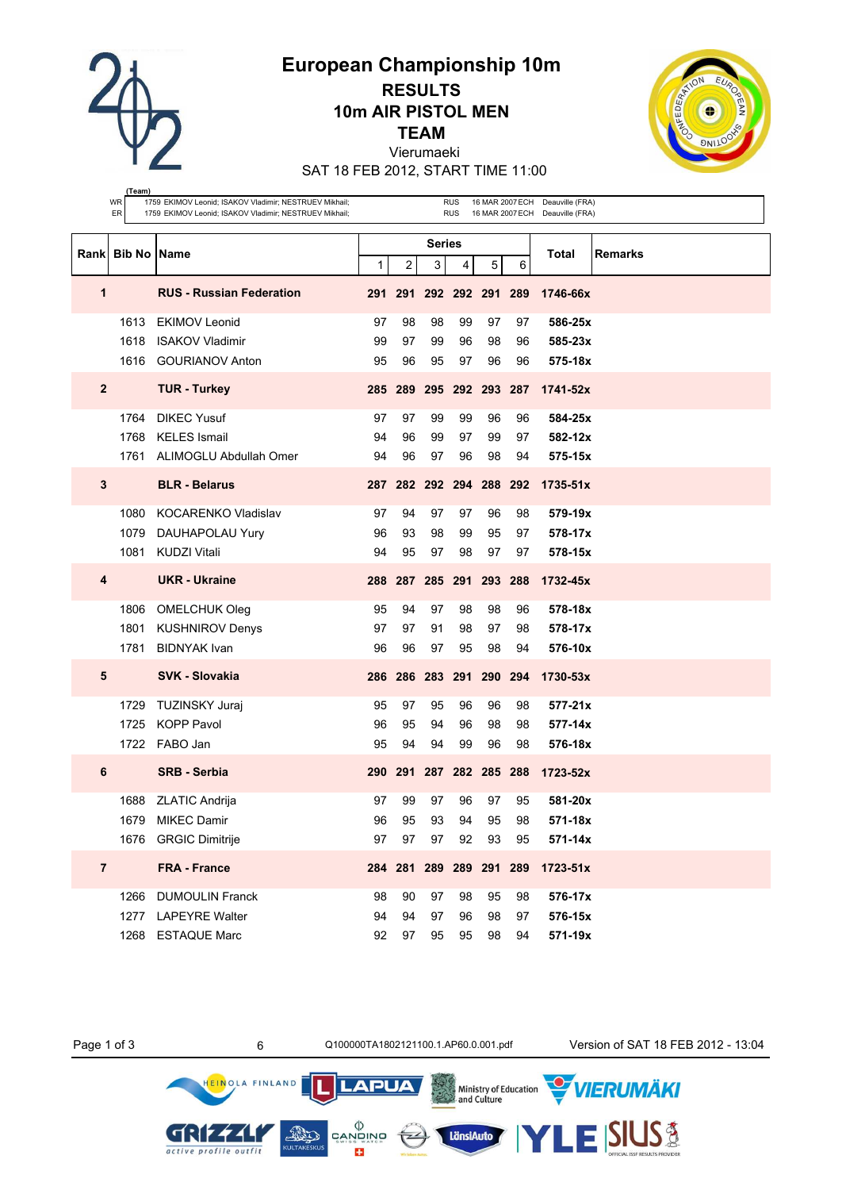**European Championship 10m**

**RESULTS 10m AIR PISTOL MEN**

**TEAM**

Vierumaeki SAT 18 FEB 2012, START TIME 11:00



|                | (Team)<br>WR<br>1759 EKIMOV Leonid; ISAKOV Vladimir; NESTRUEV Mikhail;<br><b>RUS</b><br>16 MAR 2007 ECH Deauville (FRA) |                                                        |              |    |                         |                |       |                         |                                  |         |
|----------------|-------------------------------------------------------------------------------------------------------------------------|--------------------------------------------------------|--------------|----|-------------------------|----------------|-------|-------------------------|----------------------------------|---------|
|                | ER                                                                                                                      | 1759 EKIMOV Leonid; ISAKOV Vladimir; NESTRUEV Mikhail; |              |    |                         | <b>RUS</b>     |       |                         | 16 MAR 2007 ECH Deauville (FRA)  |         |
|                |                                                                                                                         |                                                        |              |    | <b>Series</b>           |                |       |                         |                                  |         |
|                | Rank Bib No                                                                                                             | Name                                                   | $\mathbf{1}$ | 2  | 3                       | $\overline{4}$ | 5     | 6                       | Total                            | Remarks |
| 1              |                                                                                                                         | <b>RUS - Russian Federation</b>                        |              |    | 291 291 292 292 291 289 |                |       |                         | 1746-66x                         |         |
|                | 1613                                                                                                                    | <b>EKIMOV Leonid</b>                                   | 97           | 98 | 98                      | 99             | 97    | 97                      | 586-25x                          |         |
|                | 1618                                                                                                                    | <b>ISAKOV Vladimir</b>                                 | 99           | 97 | 99                      | 96             | 98    | 96                      | 585-23x                          |         |
|                | 1616                                                                                                                    | <b>GOURIANOV Anton</b>                                 | 95           | 96 | 95                      | 97             | 96    | 96                      | 575-18x                          |         |
| $\mathbf{2}$   |                                                                                                                         | <b>TUR - Turkey</b>                                    |              |    | 285 289 295 292 293 287 |                |       |                         | 1741-52x                         |         |
|                | 1764                                                                                                                    | <b>DIKEC Yusuf</b>                                     | 97           | 97 | 99                      | 99             | 96    | 96                      | 584-25x                          |         |
|                | 1768                                                                                                                    | <b>KELES</b> Ismail                                    | 94           | 96 | 99                      | 97             | 99    | 97                      | 582-12x                          |         |
|                | 1761                                                                                                                    | ALIMOGLU Abdullah Omer                                 | 94           | 96 | 97                      | 96             | 98    | 94                      | 575-15x                          |         |
| 3              |                                                                                                                         | <b>BLR - Belarus</b>                                   |              |    |                         |                |       |                         | 287 282 292 294 288 292 1735-51x |         |
|                | 1080                                                                                                                    | KOCARENKO Vladislav                                    | 97           | 94 | 97                      | 97             | 96    | 98                      | 579-19x                          |         |
|                | 1079                                                                                                                    | DAUHAPOLAU Yury                                        | 96           | 93 | 98                      | 99             | 95    | 97                      | 578-17x                          |         |
|                | 1081                                                                                                                    | <b>KUDZI Vitali</b>                                    | 94           | 95 | 97                      | 98             | 97    | 97                      | 578-15x                          |         |
| 4              |                                                                                                                         | <b>UKR</b> - Ukraine                                   |              |    |                         |                |       | 288 287 285 291 293 288 | 1732-45x                         |         |
|                | 1806                                                                                                                    | <b>OMELCHUK Oleg</b>                                   | 95           | 94 | 97                      | 98             | 98    | 96                      | 578-18x                          |         |
|                | 1801                                                                                                                    | <b>KUSHNIROV Denys</b>                                 | 97           | 97 | 91                      | 98             | 97    | 98                      | 578-17x                          |         |
|                | 1781                                                                                                                    | <b>BIDNYAK Ivan</b>                                    | 96           | 96 | 97                      | 95             | 98    | 94                      | 576-10x                          |         |
| 5              |                                                                                                                         | <b>SVK - Slovakia</b>                                  | 286          |    | 286 283 291 290 294     |                |       |                         | 1730-53x                         |         |
|                | 1729                                                                                                                    | TUZINSKY Juraj                                         | 95           | 97 | 95                      | 96             | 96    | 98                      | $577 - 21x$                      |         |
|                | 1725                                                                                                                    | <b>KOPP Pavol</b>                                      | 96           | 95 | 94                      | 96             | 98    | 98                      | $577 - 14x$                      |         |
|                |                                                                                                                         | 1722 FABO Jan                                          | 95           | 94 | 94                      | 99             | 96    | 98                      | 576-18x                          |         |
| 6              |                                                                                                                         | <b>SRB - Serbia</b>                                    |              |    | 290 291 287 282 285 288 |                |       |                         | 1723-52x                         |         |
|                |                                                                                                                         | 1688 ZLATIC Andrija                                    | 97           | 99 | 97                      | 96             | 97    | 95                      | 581-20x                          |         |
|                |                                                                                                                         | 1679 MIKEC Damir                                       | 96           | 95 | 93                      |                | 94 95 | 98                      | 571-18x                          |         |
|                | 1676                                                                                                                    | <b>GRGIC Dimitrije</b>                                 | 97           | 97 | 97                      | 92             | 93    | 95                      | 571-14x                          |         |
| $\overline{7}$ |                                                                                                                         | <b>FRA - France</b>                                    |              |    | 284 281 289 289 291 289 |                |       |                         | 1723-51x                         |         |
|                | 1266                                                                                                                    | <b>DUMOULIN Franck</b>                                 | 98           | 90 | 97                      | 98             | 95    | 98                      | 576-17x                          |         |
|                | 1277                                                                                                                    | <b>LAPEYRE Walter</b>                                  | 94           | 94 | 97                      | 96             | 98    | 97                      | 576-15x                          |         |
|                |                                                                                                                         | 1268 ESTAQUE Marc                                      | 92           | 97 | 95                      | 95             | 98    | 94                      | 571-19x                          |         |

 $\left(\frac{1}{2}\right)$ 

Ministry of Education<br>and Culture

LänsiAuto

**LAPUA** 

 $\begin{matrix} \langle \rangle \\ \texttt{CANDINO} \\ \texttt{s} \\ \texttt{s} \\ \texttt{s} \\ \end{matrix}$ 

E3

**AND** 

Page 1 of 3 6 6 Q100000TA1802121100.1.AP60.0.001.pdf Version of SAT 18 FEB 2012 - 13:04

**VIERUMÄKI** 

**SIUS®** 

HEINOLA FINLAND

GRIZZLI

active profile outfit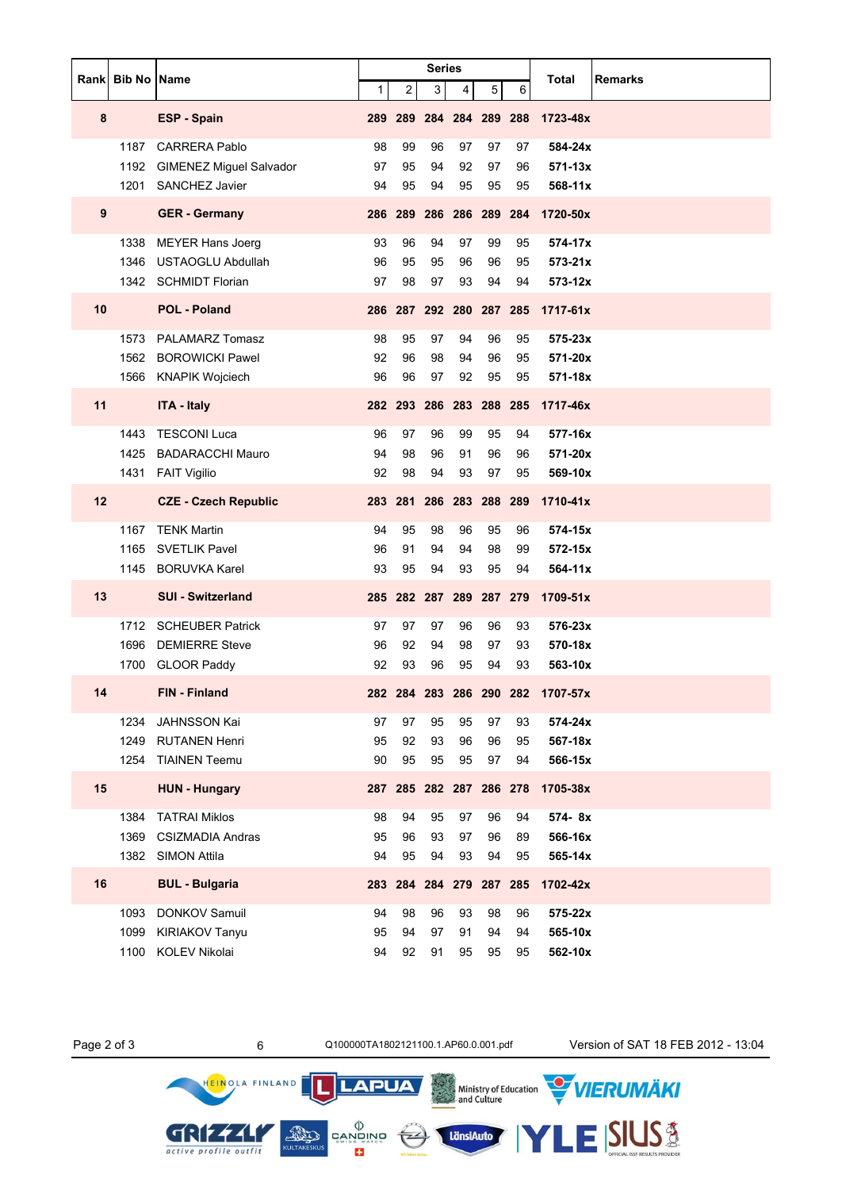|    | Rank Bib No Name |                                |              |         | <b>Series</b> |                         |                |    | Total<br><b>Remarks</b>          |
|----|------------------|--------------------------------|--------------|---------|---------------|-------------------------|----------------|----|----------------------------------|
|    |                  |                                | $\mathbf{1}$ | 2       | 3             | 4                       | 5 <sup>5</sup> | 6  |                                  |
| 8  |                  | <b>ESP - Spain</b>             | 289          |         |               | 289 284 284 289 288     |                |    | 1723-48x                         |
|    | 1187             | <b>CARRERA Pablo</b>           | 98           | 99      | 96            | 97                      | 97             | 97 | 584-24x                          |
|    | 1192             | <b>GIMENEZ Miguel Salvador</b> | 97           | 95      | 94            | 92                      | 97             | 96 | $571 - 13x$                      |
|    | 1201             | <b>SANCHEZ Javier</b>          | 94           | 95      | 94            | 95                      | 95             | 95 | 568-11x                          |
| 9  |                  | <b>GER</b> - Germany           |              |         |               | 286 289 286 286 289 284 |                |    | 1720-50x                         |
|    | 1338             | <b>MEYER Hans Joerg</b>        | 93           | 96      | 94            | 97                      | 99             | 95 | 574-17x                          |
|    | 1346             | <b>USTAOGLU Abdullah</b>       | 96           | 95      | 95            | 96                      | 96             | 95 | $573 - 21x$                      |
|    |                  | 1342 SCHMIDT Florian           | 97           | 98      | 97            | 93                      | 94             | 94 | $573 - 12x$                      |
| 10 |                  | <b>POL - Poland</b>            |              |         |               | 286 287 292 280 287 285 |                |    | 1717-61x                         |
|    | 1573             | <b>PALAMARZ Tomasz</b>         | 98           | 95      | 97            | 94                      | 96             | 95 | 575-23x                          |
|    |                  | 1562 BOROWICKI Pawel           | 92           | 96      | 98            | 94                      | 96             | 95 | 571-20x                          |
|    |                  | 1566 KNAPIK Wojciech           | 96           | 96      | 97            | 92                      | 95             | 95 | 571-18x                          |
| 11 |                  | <b>ITA - Italy</b>             |              |         |               | 282 293 286 283 288 285 |                |    | 1717-46x                         |
|    | 1443             | <b>TESCONI Luca</b>            | 96           | 97      | 96            | 99                      | 95             | 94 | 577-16x                          |
|    | 1425             | <b>BADARACCHI Mauro</b>        | 94           | 98      | 96            | 91                      | 96             | 96 | 571-20x                          |
|    |                  | 1431 FAIT Vigilio              | 92           | 98      | 94            | 93                      | 97             | 95 | 569-10x                          |
| 12 |                  | <b>CZE - Czech Republic</b>    |              | 283 281 |               | 286 283 288 289         |                |    | 1710-41x                         |
|    | 1167             | <b>TENK Martin</b>             | 94           | 95      | 98            | 96                      | 95             | 96 | 574-15x                          |
|    | 1165             | <b>SVETLIK Pavel</b>           | 96           | 91      | 94            | 94                      | 98             | 99 | 572-15x                          |
|    | 1145             | <b>BORUVKA Karel</b>           | 93           | 95      | 94            | 93                      | 95             | 94 | 564-11x                          |
| 13 |                  | <b>SUI - Switzerland</b>       | 285          |         |               | 282 287 289 287 279     |                |    | $1709 - 51x$                     |
|    | 1712             | <b>SCHEUBER Patrick</b>        | 97           | 97      | 97            | 96                      | 96             | 93 | 576-23x                          |
|    | 1696             | <b>DEMIERRE Steve</b>          | 96           | 92      | 94            | 98                      | 97             | 93 | 570-18x                          |
|    | 1700             | <b>GLOOR Paddy</b>             | 92           | 93      | 96            | 95                      | 94             | 93 | 563-10x                          |
| 14 |                  | <b>FIN - Finland</b>           |              |         |               |                         |                |    | 282 284 283 286 290 282 1707-57x |
|    | 1234             | JAHNSSON Kai                   | 97           | 97      | 95            | 95                      | 97             | 93 | 574-24x                          |
|    | 1249             | <b>RUTANEN Henri</b>           | 95           | 92      | 93            | 96                      | 96             | 95 | 567-18x                          |
|    | 1254             | <b>TIAINEN Teemu</b>           | 90           | 95      | 95            | 95                      | 97             | 94 | 566-15x                          |
| 15 |                  | <b>HUN - Hungary</b>           | 287          |         |               | 285 282 287 286 278     |                |    | 1705-38x                         |
|    | 1384             | <b>TATRAI Miklos</b>           | 98           | 94      | 95            | 97                      | 96             | 94 | 574-8x                           |
|    | 1369             | <b>CSIZMADIA Andras</b>        | 95           | 96      | 93            | 97                      | 96             | 89 | 566-16x                          |
|    | 1382             | <b>SIMON Attila</b>            | 94           | 95      | 94            | 93                      | 94             | 95 | 565-14x                          |
| 16 |                  | <b>BUL - Bulgaria</b>          | 283          |         |               | 284 284 279 287 285     |                |    | 1702-42x                         |
|    | 1093             | DONKOV Samuil                  | 94           | 98      | 96            | 93                      | 98             | 96 | 575-22x                          |
|    | 1099             | <b>KIRIAKOV Tanyu</b>          | 95           | 94      | 97            | 91                      | 94             | 94 | 565-10x                          |
|    | 1100             | KOLEV Nikolai                  | 94           | 92      | 91            | 95                      | 95             | 95 | 562-10x                          |

GRIZZLY active profile outfit

HEINOLA FINLAND

תן

LänsiAuto

**LAPUA** 

 $\begin{matrix} \langle \rangle \\ \text{CAND} \\ \text{CAND} \\ \text{SUS} \\ \text{CUS} \end{matrix}$ 

Page 2 of 3 6 6 Q100000TA1802121100.1.AP60.0.001.pdf Version of SAT 18 FEB 2012 - 13:04

ESIUS<sup>3</sup>

Ministry of Education WIERUMÄKI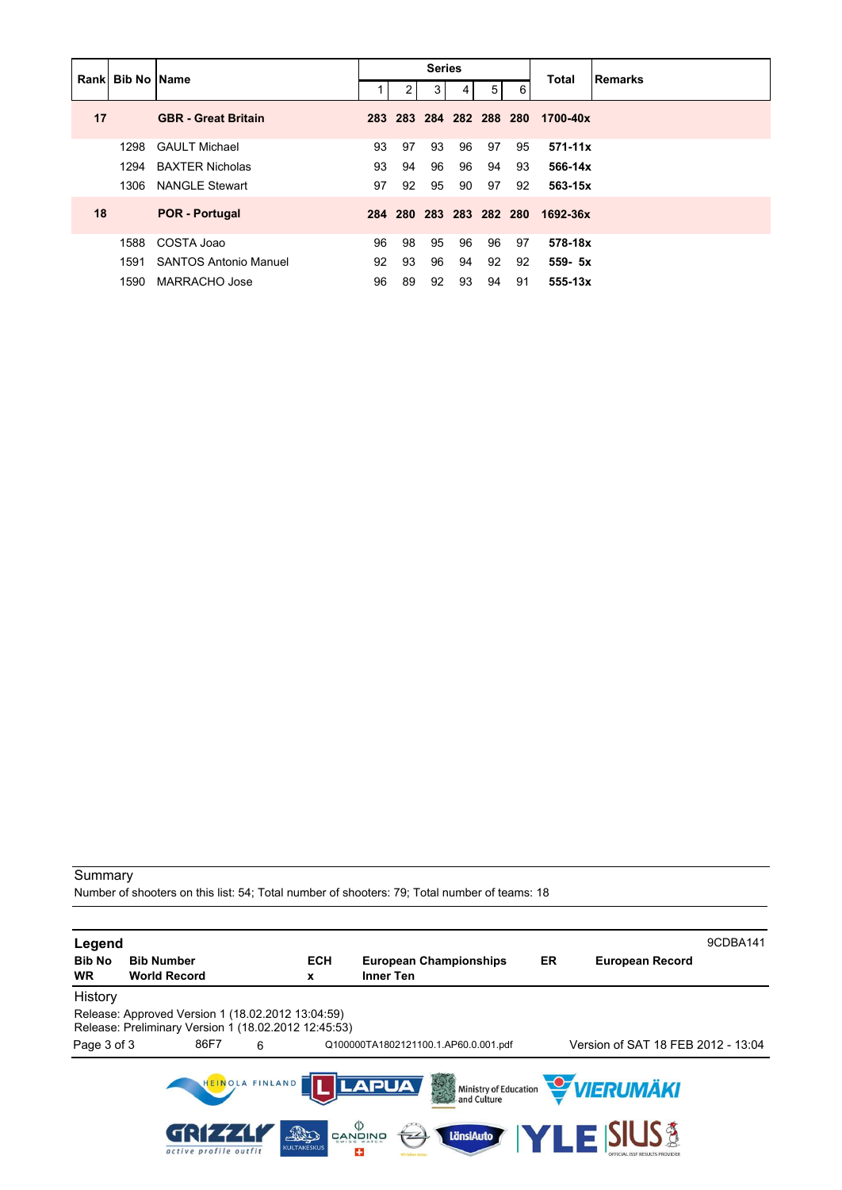| Rank Bib No Name |      |                            |    |         | <b>Series</b>           |    |                |    | <b>Total</b> | <b>Remarks</b> |
|------------------|------|----------------------------|----|---------|-------------------------|----|----------------|----|--------------|----------------|
|                  |      |                            |    | 2       | 3 <sup>1</sup>          | 4  | 5 <sup>5</sup> | 6  |              |                |
| 17               |      | <b>GBR</b> - Great Britain |    |         | 283 283 284 282 288 280 |    |                |    | 1700-40x     |                |
|                  | 1298 | <b>GAULT Michael</b>       | 93 | 97      | 93                      | 96 | 97             | 95 | $571 - 11x$  |                |
|                  | 1294 | <b>BAXTER Nicholas</b>     | 93 | 94      | 96                      | 96 | 94             | 93 | 566-14x      |                |
|                  | 1306 | <b>NANGLE Stewart</b>      | 97 | 92      | 95                      | 90 | 97             | 92 | 563-15x      |                |
| 18               |      | <b>POR - Portugal</b>      |    | 284 280 | 283 283 282 280         |    |                |    | 1692-36x     |                |
|                  | 1588 | COSTA Joao                 | 96 | 98      | 95                      | 96 | 96             | 97 | 578-18x      |                |
|                  | 1591 | SANTOS Antonio Manuel      | 92 | 93      | 96                      | 94 | 92             | 92 | $559 - 5x$   |                |
|                  | 1590 | MARRACHO Jose              | 96 | 89      | 92                      | 93 | 94             | 91 | 555-13x      |                |

Number of shooters on this list: 54; Total number of shooters: 79; Total number of teams: 18

| Legend                     |                                                                                                           |                           |                                                   |    |                                              | 9CDBA141 |
|----------------------------|-----------------------------------------------------------------------------------------------------------|---------------------------|---------------------------------------------------|----|----------------------------------------------|----------|
| <b>Bib No</b><br><b>WR</b> | <b>Bib Number</b><br><b>World Record</b>                                                                  | <b>ECH</b><br>x           | <b>European Championships</b><br><b>Inner Ten</b> | ER | <b>European Record</b>                       |          |
| History                    |                                                                                                           |                           |                                                   |    |                                              |          |
|                            | Release: Approved Version 1 (18.02.2012 13:04:59)<br>Release: Preliminary Version 1 (18.02.2012 12:45:53) |                           |                                                   |    |                                              |          |
| Page 3 of 3                | 86F7<br>6                                                                                                 |                           | Q100000TA1802121100.1.AP60.0.001.pdf              |    | Version of SAT 18 FEB 2012 - 13:04           |          |
|                            | HEINOLA FINLAND                                                                                           |                           | <b>LAPUA</b><br>美                                 |    | Ministry of Education <b>WERUMAKI</b>        |          |
|                            | active profile outfit                                                                                     | AND<br><b>KULTAKESKUS</b> | פֿאַזָטאָפֿ<br>פֿאַזשָט<br>LänsiAuto<br>43        |    | YLE SIUS\$<br>OFFICIAL ISSF RESULTS PROVIDER |          |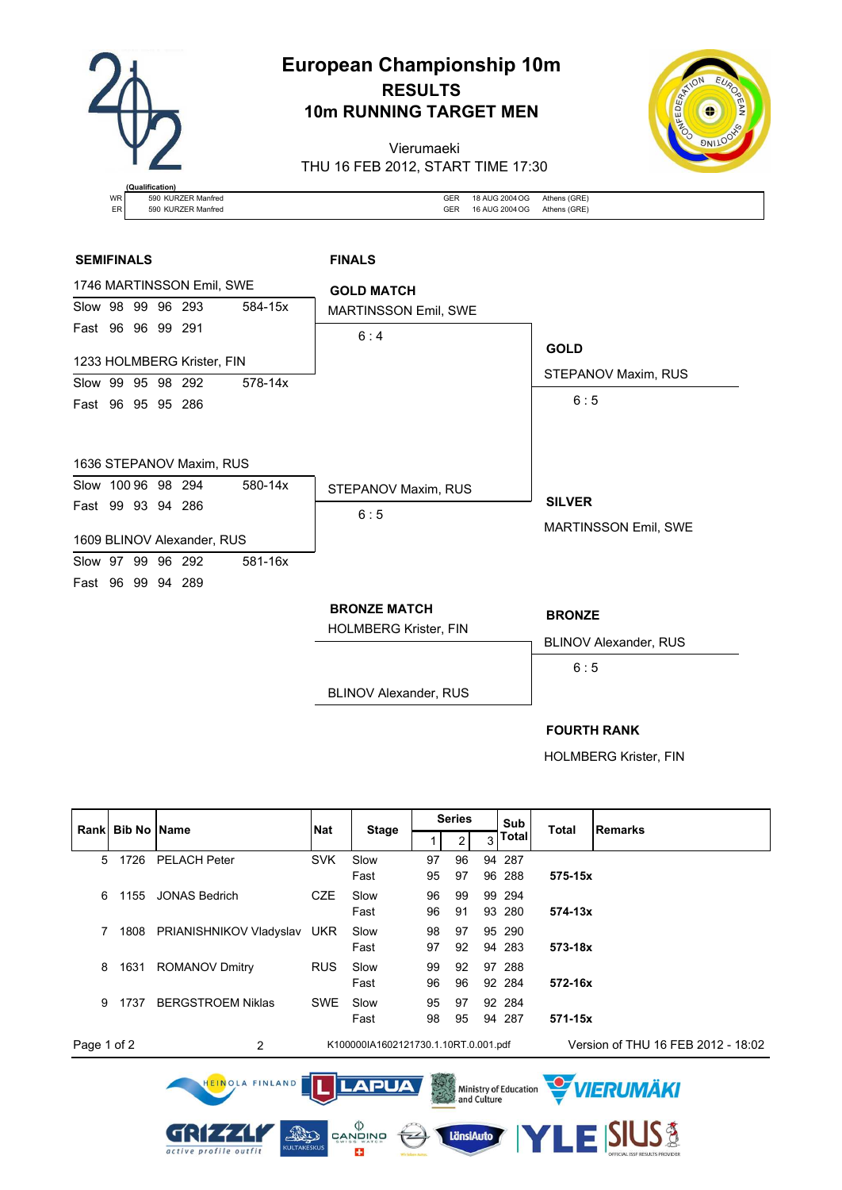

# **European Championship 10m RESULTS 10m RUNNING TARGET MEN**

Vierumaeki THU 16 FEB 2012, START TIME 17:30



|    | (Qualification)    |     |                |              |
|----|--------------------|-----|----------------|--------------|
| WR | 590 KURZER Manfred | GEI | 18 AUG 2004 OG | Athens (GRE) |
| ER | 590 KURZER Manfred | GEF | 16 AUG 2004 OG | Athens (GRE) |

### **SEMIFINALS FINALS**



HOLMBERG Krister, FIN

| Rank                                                                                                      | <b>Bib No Name</b> |                              | <b>Nat</b> |                                      |    | <b>Series</b> |  | Sub    | <b>Total</b>           | <b>Remarks</b>                     |
|-----------------------------------------------------------------------------------------------------------|--------------------|------------------------------|------------|--------------------------------------|----|---------------|--|--------|------------------------|------------------------------------|
|                                                                                                           |                    |                              |            | <b>Stage</b>                         |    | 2             |  | Total  |                        |                                    |
| 5                                                                                                         | 1726               | <b>PELACH Peter</b>          | <b>SVK</b> | Slow                                 | 97 | 96            |  | 94 287 |                        |                                    |
|                                                                                                           |                    |                              |            | Fast                                 | 95 | 97            |  | 96 288 | 575-15x                |                                    |
| 6                                                                                                         | 1155               | <b>JONAS Bedrich</b>         | <b>CZE</b> | Slow                                 | 96 | 99            |  | 99 294 |                        |                                    |
|                                                                                                           |                    |                              |            | Fast                                 | 96 | 91            |  | 93 280 | 574-13x                |                                    |
| 7                                                                                                         |                    | 1808 PRIANISHNIKOV Vladyslav | <b>UKR</b> | Slow                                 | 98 | 97            |  | 95 290 |                        |                                    |
|                                                                                                           |                    |                              |            | Fast                                 | 97 | 92            |  | 94 283 | 573-18x                |                                    |
| 8                                                                                                         | 1631               | <b>ROMANOV Dmitry</b>        | <b>RUS</b> | Slow                                 | 99 | 92            |  | 97 288 |                        |                                    |
|                                                                                                           |                    |                              |            | Fast                                 | 96 | 96            |  | 92 284 | 572-16x                |                                    |
| 9                                                                                                         | 1737               | <b>BERGSTROEM Niklas</b>     | <b>SWE</b> | Slow                                 | 95 | 97            |  | 92 284 |                        |                                    |
|                                                                                                           |                    |                              |            | Fast                                 | 98 | 95            |  | 94 287 | 571-15x                |                                    |
| Page 1 of 2                                                                                               |                    | $\overline{2}$               |            | K100000IA1602121730.1.10RT.0.001.pdf |    |               |  |        |                        | Version of THU 16 FEB 2012 - 18:02 |
| HEINOLA FINLAND<br><b>LAPUA</b><br><b>WERUMÄKI</b><br>2<br>Ministry of Education<br>24 and Culture        |                    |                              |            |                                      |    |               |  |        |                        |                                    |
| <)<br>LänsiAuto<br>CONT<br>CANDINO<br><b>KULTAKESKUS</b><br>active profile outfit<br>æ<br>Wir leben Autos |                    |                              |            |                                      |    |               |  |        | <b>IYLE SIUS &amp;</b> |                                    |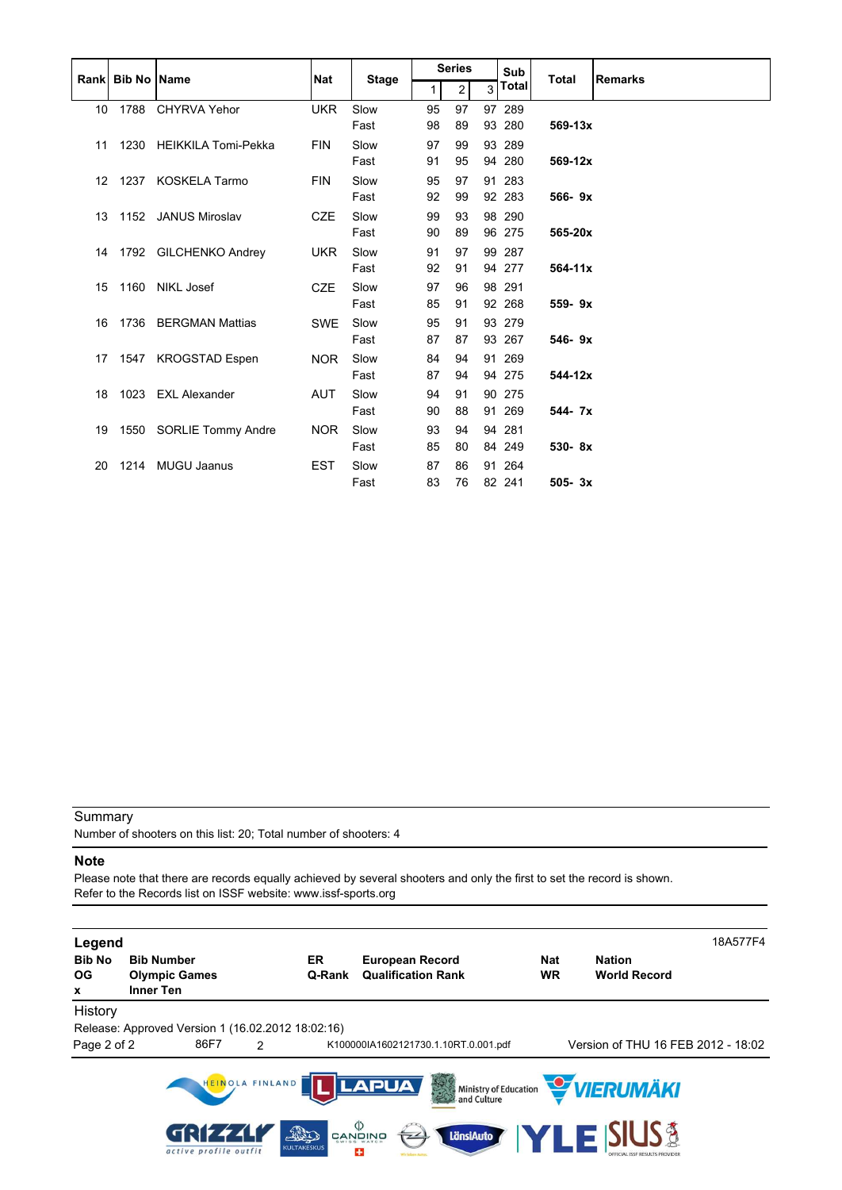|                 |                           |                          |            |              |    | <b>Series</b>  |                | Sub    |              |                |
|-----------------|---------------------------|--------------------------|------------|--------------|----|----------------|----------------|--------|--------------|----------------|
|                 | <b>Rankl Bib No IName</b> |                          | <b>Nat</b> | <b>Stage</b> | 1  | $\overline{2}$ | $\overline{3}$ | Total  | <b>Total</b> | <b>Remarks</b> |
| 10 <sup>°</sup> | 1788                      | <b>CHYRVA Yehor</b>      | <b>UKR</b> | Slow         | 95 | 97             |                | 97 289 |              |                |
|                 |                           |                          |            | Fast         | 98 | 89             |                | 93 280 | $569 - 13x$  |                |
| 11              |                           | 1230 HEIKKILA Tomi-Pekka | <b>FIN</b> | Slow         | 97 | 99             |                | 93 289 |              |                |
|                 |                           |                          |            | Fast         | 91 | 95             |                | 94 280 | 569-12x      |                |
| 12 <sup>7</sup> | 1237                      | <b>KOSKELA Tarmo</b>     | <b>FIN</b> | Slow         | 95 | 97             |                | 91 283 |              |                |
|                 |                           |                          |            | Fast         | 92 | 99             |                | 92 283 | 566-9x       |                |
| 13              |                           | 1152 JANUS Miroslav      | <b>CZE</b> | Slow         | 99 | 93             |                | 98 290 |              |                |
|                 |                           |                          |            | Fast         | 90 | 89             |                | 96 275 | 565-20x      |                |
|                 |                           | 14 1792 GILCHENKO Andrey | <b>UKR</b> | Slow         | 91 | 97             |                | 99 287 |              |                |
|                 |                           |                          |            | Fast         | 92 | 91             |                | 94 277 | 564-11x      |                |
| 15              | 1160                      | <b>NIKL Josef</b>        | <b>CZE</b> | Slow         | 97 | 96             |                | 98 291 |              |                |
|                 |                           |                          |            | Fast         | 85 | 91             |                | 92 268 | 559-9x       |                |
| 16              | 1736                      | <b>BERGMAN Mattias</b>   | <b>SWE</b> | Slow         | 95 | 91             |                | 93 279 |              |                |
|                 |                           |                          |            | Fast         | 87 | 87             |                | 93 267 | 546-9x       |                |
| 17              | 1547                      | <b>KROGSTAD Espen</b>    | <b>NOR</b> | Slow         | 84 | 94             |                | 91 269 |              |                |
|                 |                           |                          |            | Fast         | 87 | 94             |                | 94 275 | 544-12x      |                |
| 18              |                           | 1023 EXL Alexander       | <b>AUT</b> | Slow         | 94 | 91             |                | 90 275 |              |                |
|                 |                           |                          |            | Fast         | 90 | 88             |                | 91 269 | 544- 7x      |                |
| 19              |                           | 1550 SORLIE Tommy Andre  | <b>NOR</b> | Slow         | 93 | 94             | 94             | 281    |              |                |
|                 |                           |                          |            | Fast         | 85 | 80             |                | 84 249 | 530-8x       |                |
| 20              | 1214                      | <b>MUGU Jaanus</b>       | <b>EST</b> | Slow         | 87 | 86             | 91             | 264    |              |                |
|                 |                           |                          |            | Fast         | 83 | 76             |                | 82 241 | $505 - 3x$   |                |

Number of shooters on this list: 20; Total number of shooters: 4

#### **Note**

Please note that there are records equally achieved by several shooters and only the first to set the record is shown. Refer to the Records list on ISSF website: www.issf-sports.org

| Legend<br><b>Bib No</b><br>ОG<br>x | <b>Bib Number</b><br><b>Olympic Games</b><br>Inner Ten |                 | ER<br>Q-Rank              | <b>European Record</b><br><b>Qualification Rank</b> |                                      | <b>Nat</b><br><b>WR</b> | <b>Nation</b><br><b>World Record</b>  | 18A577F4 |
|------------------------------------|--------------------------------------------------------|-----------------|---------------------------|-----------------------------------------------------|--------------------------------------|-------------------------|---------------------------------------|----------|
| History                            |                                                        |                 |                           |                                                     |                                      |                         |                                       |          |
|                                    | Release: Approved Version 1 (16.02.2012 18:02:16)      |                 |                           |                                                     |                                      |                         |                                       |          |
| Page 2 of 2                        | 86F7                                                   | $\mathcal{P}$   |                           |                                                     | K100000IA1602121730.1.10RT.0.001.pdf |                         | Version of THU 16 FEB 2012 - 18:02    |          |
|                                    |                                                        | HEINOLA FINLAND |                           | <b>LAPUA</b>                                        | 美学                                   |                         | Ministry of Education <b>WERUMAKI</b> |          |
|                                    | active profile outfit                                  |                 | FRO<br><b>KULTAKESKUS</b> | פֿאומער פֿ<br>פֿאומע<br>$\overline{z}$<br>÷         | LänsiAuto                            |                         | <b>YLE SIUS &amp;</b>                 |          |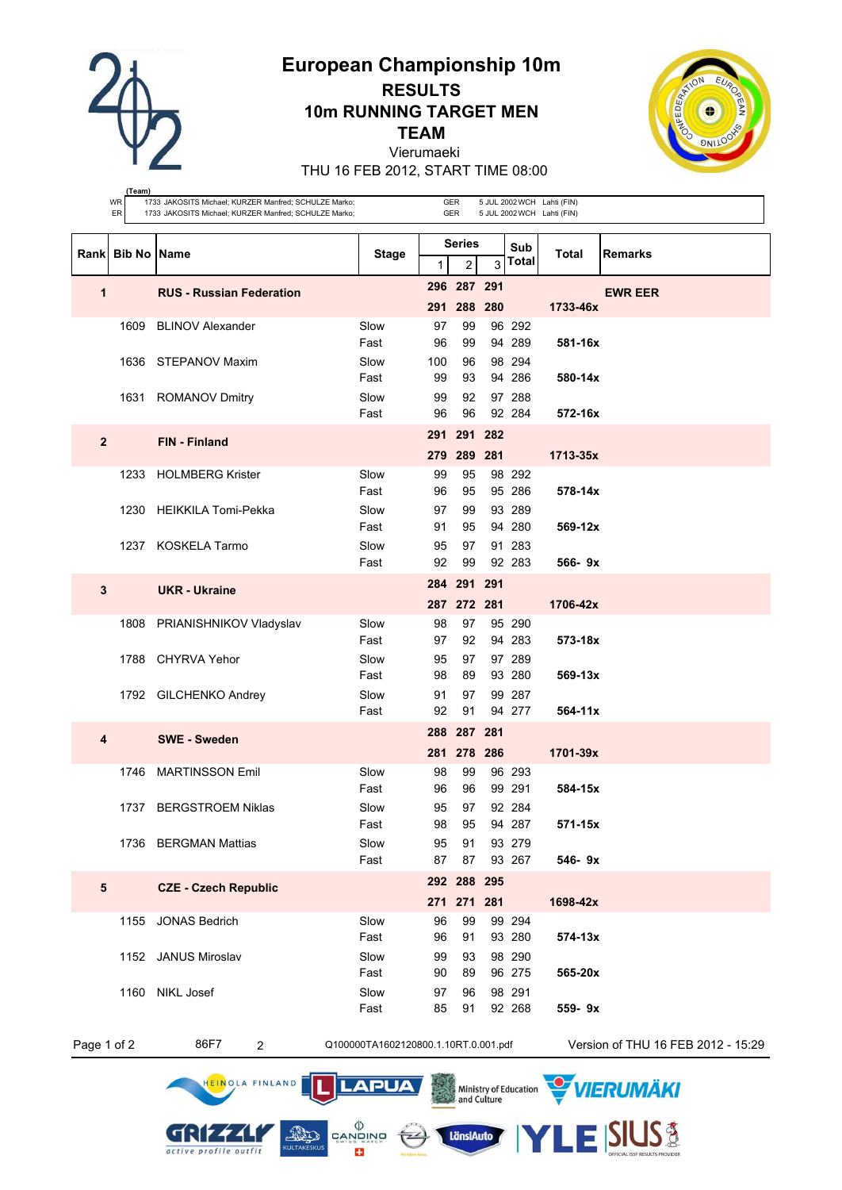**European Championship 10m**



**(Team)**

# **RESULTS 10m RUNNING TARGET MEN TEAM**



Vierumaeki THU 16 FEB 2012, START TIME 08:00

|              | WR<br>ER             | 1733 JAKOSITS Michael; KURZER Manfred; SCHULZE Marko;<br>1733 JAKOSITS Michael; KURZER Manfred; SCHULZE Marko; |                                      |           | GER<br>GER                      |     |                  | 5 JUL 2002 WCH Lahti (FIN)<br>5 JUL 2002 WCH Lahti (FIN) |                                    |
|--------------|----------------------|----------------------------------------------------------------------------------------------------------------|--------------------------------------|-----------|---------------------------------|-----|------------------|----------------------------------------------------------|------------------------------------|
|              | Rank   Bib No   Name |                                                                                                                | <b>Stage</b>                         | 1         | <b>Series</b><br>$\overline{c}$ | 3   | Sub<br>Total     | Total                                                    | <b>Remarks</b>                     |
|              |                      |                                                                                                                |                                      |           | 296 287 291                     |     |                  |                                                          |                                    |
| 1            |                      | <b>RUS - Russian Federation</b>                                                                                |                                      | 291       | 288                             | 280 |                  | 1733-46x                                                 | <b>EWR EER</b>                     |
|              | 1609                 | <b>BLINOV Alexander</b>                                                                                        | Slow                                 | 97        | 99                              |     | 96 292           |                                                          |                                    |
|              |                      |                                                                                                                | Fast                                 | 96        | 99                              |     | 94 289           | 581-16x                                                  |                                    |
|              | 1636                 | STEPANOV Maxim                                                                                                 | Slow<br>Fast                         | 100<br>99 | 96<br>93                        |     | 98 294<br>94 286 | 580-14x                                                  |                                    |
|              |                      | 1631 ROMANOV Dmitry                                                                                            | Slow                                 | 99        | 92                              |     | 97 288           |                                                          |                                    |
|              |                      |                                                                                                                | Fast                                 | 96        | 96                              |     | 92 284           | 572-16x                                                  |                                    |
| $\mathbf{2}$ |                      | <b>FIN</b> - Finland                                                                                           |                                      | 291       | 291                             | 282 |                  |                                                          |                                    |
|              |                      |                                                                                                                |                                      | 279       | 289 281                         |     |                  | 1713-35x                                                 |                                    |
|              | 1233                 | <b>HOLMBERG Krister</b>                                                                                        | Slow                                 | 99        | 95                              |     | 98 292           |                                                          |                                    |
|              | 1230                 | <b>HEIKKILA Tomi-Pekka</b>                                                                                     | Fast<br>Slow                         | 96<br>97  | 95<br>99                        |     | 95 286<br>93 289 | 578-14x                                                  |                                    |
|              |                      |                                                                                                                | Fast                                 | 91        | 95                              |     | 94 280           | $569 - 12x$                                              |                                    |
|              |                      | 1237 KOSKELA Tarmo                                                                                             | Slow                                 | 95        | 97                              |     | 91 283           |                                                          |                                    |
|              |                      |                                                                                                                | Fast                                 | 92        | 99                              |     | 92 283           | $566 - 9x$                                               |                                    |
| 3            |                      | <b>UKR</b> - Ukraine                                                                                           |                                      |           | 284 291 291                     |     |                  |                                                          |                                    |
|              |                      |                                                                                                                |                                      |           | 287 272 281                     |     |                  | 1706-42x                                                 |                                    |
|              | 1808                 | PRIANISHNIKOV Vladyslav                                                                                        | Slow<br>Fast                         | 98<br>97  | 97<br>92                        |     | 95 290<br>94 283 | 573-18x                                                  |                                    |
|              | 1788                 | <b>CHYRVA Yehor</b>                                                                                            | Slow                                 | 95        | 97                              |     | 97 289           |                                                          |                                    |
|              |                      |                                                                                                                | Fast                                 | 98        | 89                              |     | 93 280           | $569 - 13x$                                              |                                    |
|              |                      | 1792 GILCHENKO Andrey                                                                                          | Slow                                 | 91        | 97                              |     | 99 287           |                                                          |                                    |
|              |                      |                                                                                                                | Fast                                 | 92        | 91                              |     | 94 277           | $564 - 11x$                                              |                                    |
| 4            |                      | <b>SWE</b> - Sweden                                                                                            |                                      |           | 288 287 281                     |     |                  |                                                          |                                    |
|              |                      |                                                                                                                |                                      |           | 281 278 286                     |     |                  | 1701-39x                                                 |                                    |
|              | 1746                 | <b>MARTINSSON Emil</b>                                                                                         | Slow<br>Fast                         | 98<br>96  | 99<br>96                        |     | 96 293<br>99 291 | 584-15x                                                  |                                    |
|              | 1737                 | <b>BERGSTROEM Niklas</b>                                                                                       | Slow                                 | 95        | 97                              |     | 92 284           |                                                          |                                    |
|              |                      |                                                                                                                | Fast                                 | 98        | 95                              |     | 94 287           | 571-15x                                                  |                                    |
|              |                      | 1736 BERGMAN Mattias                                                                                           | Slow                                 | 95        | 91                              |     | 93 279           |                                                          |                                    |
|              |                      |                                                                                                                | Fast                                 | 87        | 87                              |     | 93 267           | 546-9x                                                   |                                    |
| 5            |                      | <b>CZE - Czech Republic</b>                                                                                    |                                      | 271       | 292 288 295<br>271 281          |     |                  | 1698-42x                                                 |                                    |
|              | 1155                 | <b>JONAS Bedrich</b>                                                                                           | Slow                                 | 96        | 99                              |     | 99 294           |                                                          |                                    |
|              |                      |                                                                                                                | Fast                                 | 96        | 91                              |     | 93 280           | 574-13x                                                  |                                    |
|              |                      | 1152 JANUS Miroslav                                                                                            | Slow                                 | 99        | 93                              |     | 98 290           |                                                          |                                    |
|              |                      |                                                                                                                | Fast                                 | 90        | 89                              |     | 96 275           | 565-20x                                                  |                                    |
|              | 1160                 | NIKL Josef                                                                                                     | Slow<br>Fast                         | 97<br>85  | 96<br>91                        |     | 98 291<br>92 268 | 559-9x                                                   |                                    |
|              |                      |                                                                                                                |                                      |           |                                 |     |                  |                                                          |                                    |
| Page 1 of 2  |                      | 86F7<br>$\overline{c}$                                                                                         | Q100000TA1602120800.1.10RT.0.001.pdf |           |                                 |     |                  |                                                          | Version of THU 16 FEB 2012 - 15:29 |

GRIZZLI

active profile outfit

HEINOLA FINLAND

**LänsiAuto** 

E SIUS\$

Ministry of Education WIERUMAKI



11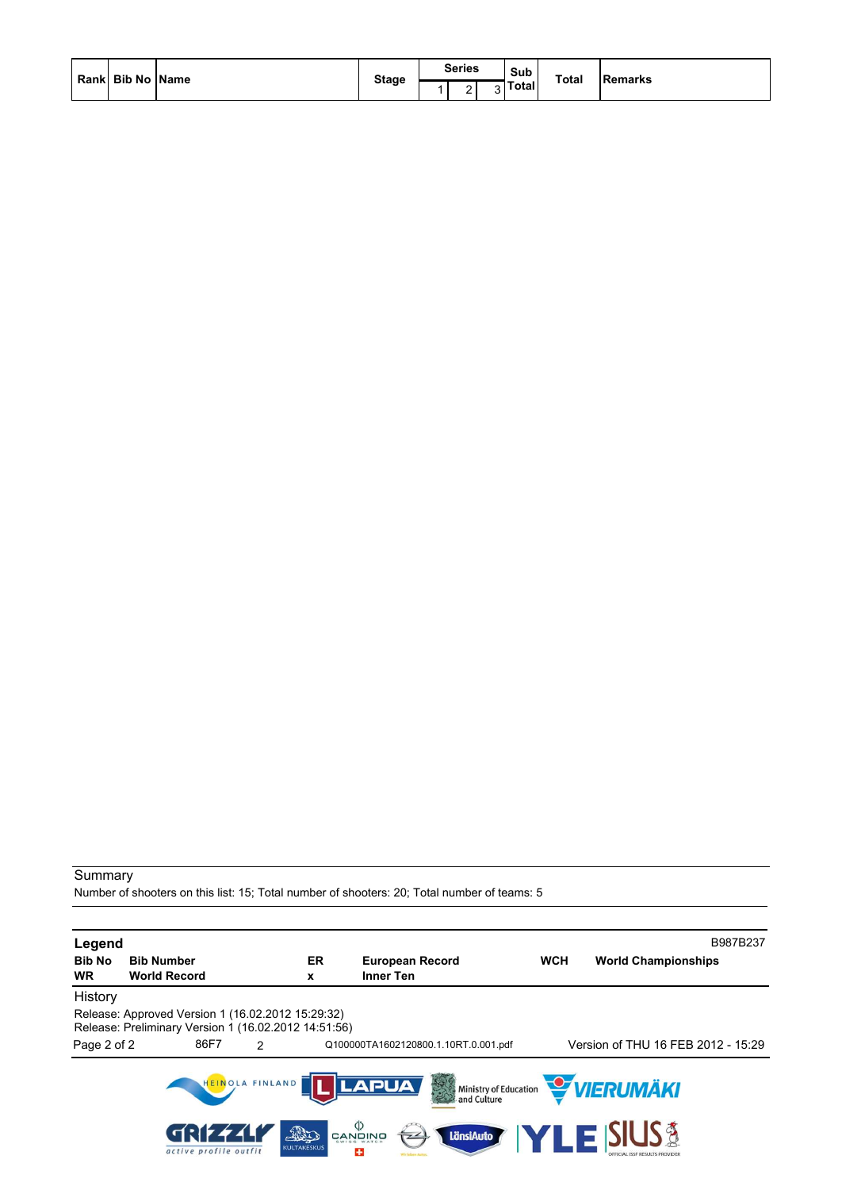| Rank  Bib No   Name |              | <b>Series</b> | Sub<br><b>Total</b><br>$\overline{\phantom{0}}$ |  |                |
|---------------------|--------------|---------------|-------------------------------------------------|--|----------------|
|                     | <b>Stage</b> | -             | <b>otal</b>                                     |  | <b>Remarks</b> |

Number of shooters on this list: 15; Total number of shooters: 20; Total number of teams: 5

| Legend        |                                                                                                           |                                                           |                                      |            | B987B237                                                |
|---------------|-----------------------------------------------------------------------------------------------------------|-----------------------------------------------------------|--------------------------------------|------------|---------------------------------------------------------|
| <b>Bib No</b> | <b>Bib Number</b>                                                                                         | ER                                                        | <b>European Record</b>               | <b>WCH</b> | <b>World Championships</b>                              |
| WR.           | <b>World Record</b>                                                                                       | x                                                         | <b>Inner Ten</b>                     |            |                                                         |
| History       |                                                                                                           |                                                           |                                      |            |                                                         |
|               | Release: Approved Version 1 (16.02.2012 15:29:32)<br>Release: Preliminary Version 1 (16.02.2012 14:51:56) |                                                           |                                      |            |                                                         |
| Page 2 of 2   | 86F7<br>$\mathcal{L}$                                                                                     |                                                           | Q100000TA1602120800.1.10RT.0.001.pdf |            | Version of THU 16 FEB 2012 - 15:29                      |
|               | HEINOLA FINLAND                                                                                           | <b>LAPUA</b>                                              | 美学                                   |            | Ministry of Education <b>WERUMAKI</b>                   |
|               | 7:174.<br>active profile outfit                                                                           | פֿאַזָטאָפֿ<br>פֿאַזשָט<br>The<br><b>KULTAKESKUS</b><br>÷ | LänsiAuto                            |            | <b>ZLE SIUS &amp;</b><br>DEFICIAL ISSE RESULTS PROVIDER |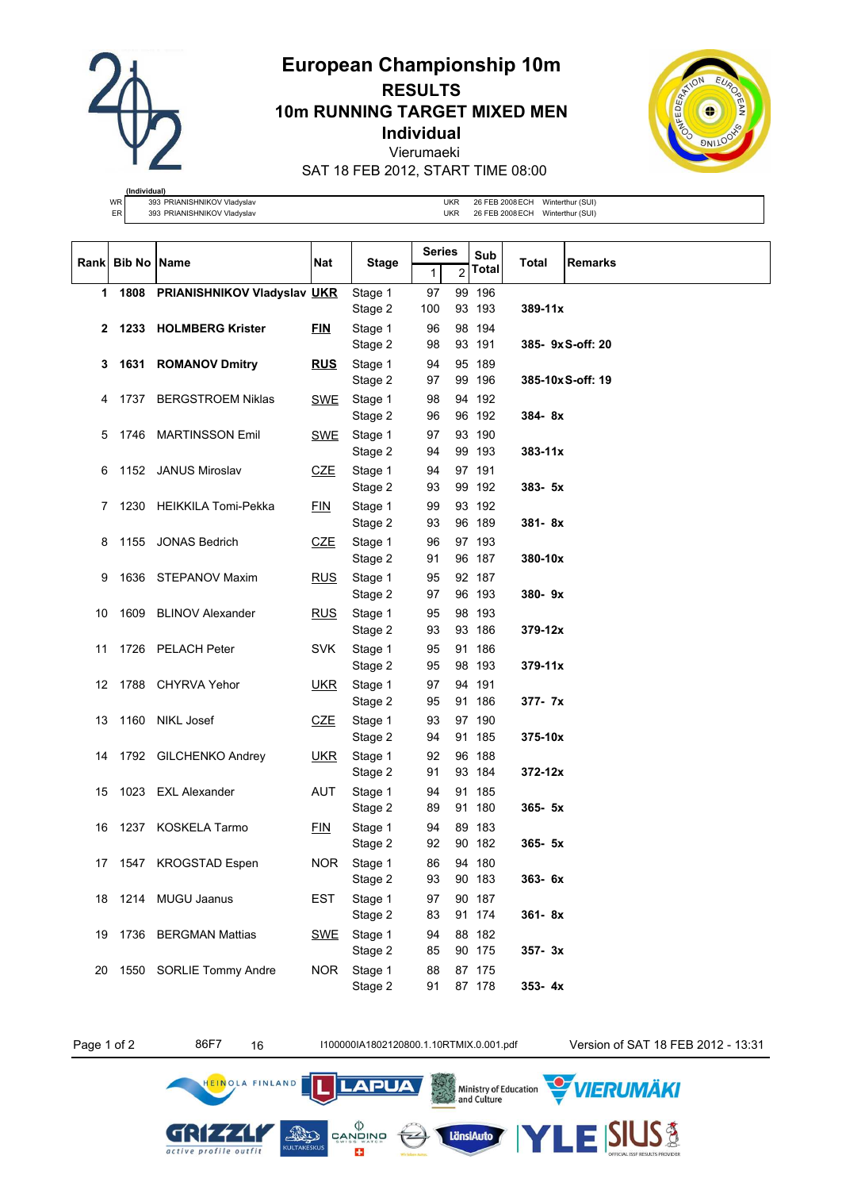

# **European Championship 10m RESULTS 10m RUNNING TARGET MIXED MEN Individual** Vierumaeki SAT 18 FEB 2012, START TIME 08:00



**(Individual)** WR 393 PRIANISHNIKOV Vladyslav UKR 26 FEB 2008 ECH Winterthur (SUI)

ER 393 PRIANISHNIKOV Vladyslav Burgund var at anti- UKR 26 FEB 2008 ECH Winterthur (SUI)

|    |                  |                                  |            |                    | Series   |                | Sub              |             |                   |
|----|------------------|----------------------------------|------------|--------------------|----------|----------------|------------------|-------------|-------------------|
|    | Rank Bib No Name |                                  | Nat        | <b>Stage</b>       | 1        | $\overline{2}$ | <b>Total</b>     | Total       | <b>Remarks</b>    |
| 1  |                  | 1808 PRIANISHNIKOV Vladyslav UKR |            | Stage 1            | 97       |                | 99 196           |             |                   |
|    |                  |                                  |            | Stage 2            | 100      |                | 93 193           | $389 - 11x$ |                   |
| 2  |                  | 1233 HOLMBERG Krister            | <b>FIN</b> | Stage 1            | 96       |                | 98 194           |             |                   |
|    |                  |                                  |            | Stage 2            | 98       |                | 93 191           |             | 385- 9x S-off: 20 |
| 3  |                  | 1631 ROMANOV Dmitry              | <u>RUS</u> | Stage 1            | 94       |                | 95 189           |             |                   |
|    |                  |                                  |            | Stage 2            | 97       |                | 99 196           |             | 385-10x S-off: 19 |
| 4  |                  | 1737 BERGSTROEM Niklas           | SWE        | Stage 1            | 98       |                | 94 192           |             |                   |
|    |                  |                                  |            | Stage 2            | 96       |                | 96 192           | 384-8x      |                   |
| 5  |                  | 1746 MARTINSSON Emil             | SWE        | Stage 1            | 97       |                | 93 190           |             |                   |
|    |                  |                                  |            | Stage 2            | 94       |                | 99 193           | $383 - 11x$ |                   |
| 6  |                  | 1152 JANUS Miroslav              | <b>CZE</b> | Stage 1            | 94       |                | 97 191           |             |                   |
|    |                  |                                  |            | Stage 2            | 93       |                | 99 192           | 383- 5x     |                   |
| 7  |                  | 1230 HEIKKILA Tomi-Pekka         | <b>FIN</b> | Stage 1            | 99       |                | 93 192           |             |                   |
|    |                  |                                  |            | Stage 2            | 93       |                | 96 189           | 381-8x      |                   |
| 8  |                  | 1155 JONAS Bedrich               | CZE        | Stage 1            | 96       |                | 97 193           |             |                   |
|    |                  |                                  |            | Stage 2            | 91       |                | 96 187           | 380-10x     |                   |
| 9  |                  | 1636 STEPANOV Maxim              | <b>RUS</b> | Stage 1            | 95       |                | 92 187           |             |                   |
|    |                  |                                  |            | Stage 2            | 97       |                | 96 193           | 380-9x      |                   |
| 10 |                  | 1609 BLINOV Alexander            | <b>RUS</b> | Stage 1<br>Stage 2 | 95<br>93 |                | 98 193<br>93 186 | 379-12x     |                   |
|    |                  |                                  |            |                    |          |                |                  |             |                   |
| 11 |                  | 1726 PELACH Peter                | <b>SVK</b> | Stage 1<br>Stage 2 | 95<br>95 |                | 91 186<br>98 193 | $379 - 11x$ |                   |
| 12 |                  | 1788 CHYRVA Yehor                | <u>UKR</u> | Stage 1            | 97       |                | 94 191           |             |                   |
|    |                  |                                  |            | Stage 2            | 95       |                | 91 186           | 377- 7x     |                   |
| 13 |                  | 1160 NIKL Josef                  | CZE        | Stage 1            | 93       |                | 97 190           |             |                   |
|    |                  |                                  |            | Stage 2            | 94       |                | 91 185           | 375-10x     |                   |
| 14 |                  | 1792 GILCHENKO Andrey            | <b>UKR</b> | Stage 1            | 92       |                | 96 188           |             |                   |
|    |                  |                                  |            | Stage 2            | 91       |                | 93 184           | $372 - 12x$ |                   |
| 15 |                  | 1023 EXL Alexander               | <b>AUT</b> | Stage 1            | 94       |                | 91 185           |             |                   |
|    |                  |                                  |            | Stage 2            | 89       |                | 91 180           | $365 - 5x$  |                   |
| 16 |                  | 1237 KOSKELA Tarmo               | EIN        | Stage 1            | 94       |                | 89 183           |             |                   |
|    |                  |                                  |            | Stage 2            | 92       |                | 90 182           | $365 - 5x$  |                   |
| 17 |                  | 1547 KROGSTAD Espen              | NOR.       | Stage 1            | 86       |                | 94 180           |             |                   |
|    |                  |                                  |            | Stage 2            | 93       |                | 90 183           | 363-6x      |                   |
|    |                  | 18 1214 MUGU Jaanus              | EST        | Stage 1            | 97       |                | 90 187           |             |                   |
|    |                  |                                  |            | Stage 2            | 83       |                | 91 174           | 361-8x      |                   |
|    |                  | 19 1736 BERGMAN Mattias          | SWE        | Stage 1            | 94       |                | 88 182           |             |                   |
|    |                  |                                  |            | Stage 2            | 85       |                | 90 175           | $357 - 3x$  |                   |
| 20 |                  | 1550 SORLIE Tommy Andre          | <b>NOR</b> | Stage 1            | 88       |                | 87 175           |             |                   |
|    |                  |                                  |            | Stage 2            | 91       |                | 87 178           | $353 - 4x$  |                   |

GRIZZLI

active profile outfit

HEINOLA FINLAND

 $\left(\frac{1}{2}\right)$ 

Ministry of Education<br>and Culture

LänsiAuto

**LAPUA** 

 $\begin{matrix} \langle \rangle \\ \text{CANQING} \end{matrix}$ 

E3

**AND** 

Page 1 of 2 86F7 16 11000001A1802120800.1.10RTMIX.0.001.pdf Version of SAT 18 FEB 2012 - 13:31

.<br>VIERUMÄKI

**SIUS®**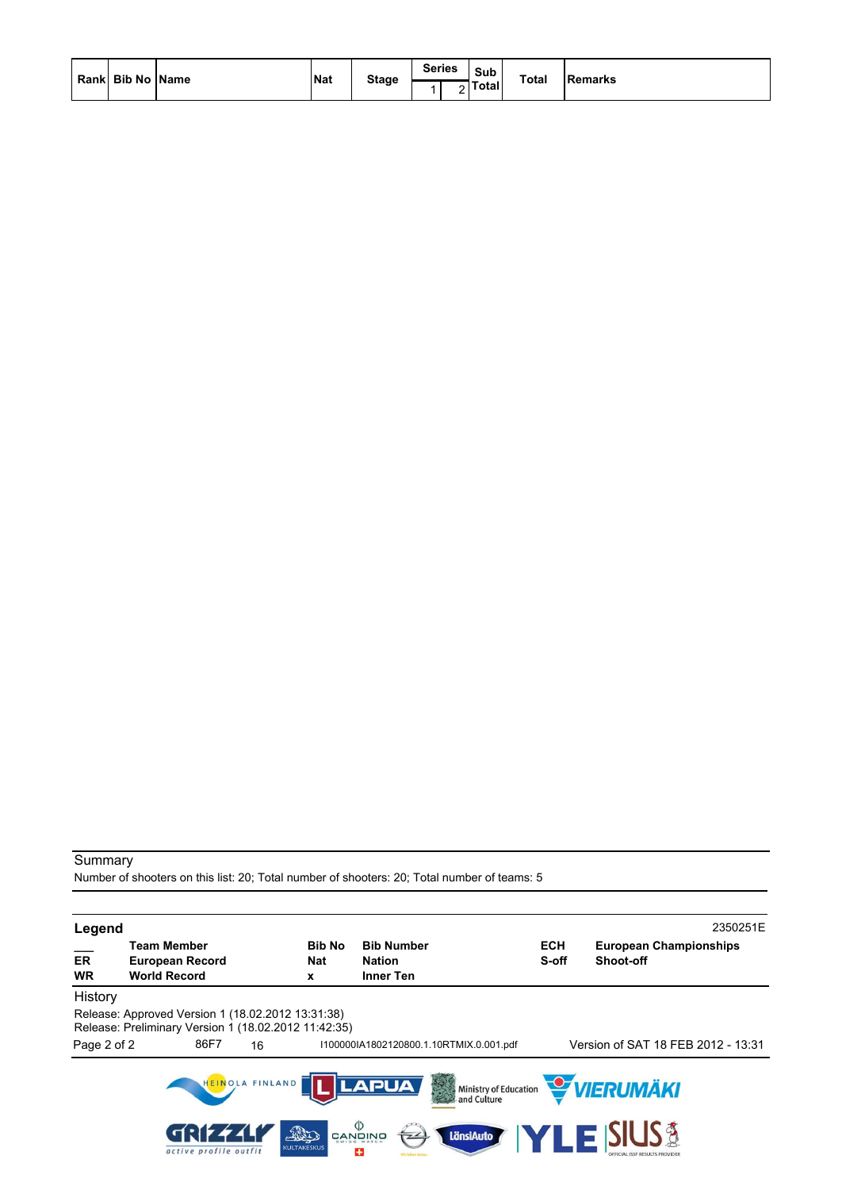| Rank Bib No Name | <b>Nat</b> | <b>Stage</b> | <b>Series</b> | Sub<br>Totall | <b>Total</b> | <b>Remarks</b> |
|------------------|------------|--------------|---------------|---------------|--------------|----------------|
|                  |            |              |               |               |              |                |

Number of shooters on this list: 20; Total number of shooters: 20; Total number of teams: 5

| Legend          |                                                                                                           |                 |                           |                                                                                                      |                                         |                     |                                              | 2350251E |
|-----------------|-----------------------------------------------------------------------------------------------------------|-----------------|---------------------------|------------------------------------------------------------------------------------------------------|-----------------------------------------|---------------------|----------------------------------------------|----------|
| ER<br><b>WR</b> | <b>Team Member</b><br><b>European Record</b><br><b>World Record</b>                                       |                 | <b>Bib No</b><br>Nat<br>x | <b>Bib Number</b><br><b>Nation</b><br><b>Inner Ten</b>                                               |                                         | <b>ECH</b><br>S-off | <b>European Championships</b><br>Shoot-off   |          |
| History         |                                                                                                           |                 |                           |                                                                                                      |                                         |                     |                                              |          |
|                 | Release: Approved Version 1 (18.02.2012 13:31:38)<br>Release: Preliminary Version 1 (18.02.2012 11:42:35) |                 |                           |                                                                                                      |                                         |                     |                                              |          |
| Page 2 of 2     | 86F7                                                                                                      | 16              |                           |                                                                                                      | I100000IA1802120800.1.10RTMIX.0.001.pdf |                     | Version of SAT 18 FEB 2012 - 13:31           |          |
|                 | active profile outfit                                                                                     | HEINOLA FINLAND | The<br><b>KULTAKESKUS</b> | <b>LAPUA</b><br>$\overset{\text{\tiny{(}}\rangle}{\mathop{\mathsf{CANQNNQ}}}$<br>$\overline{z}$<br>æ | and Culture<br>LänsiAuto                |                     | Ministry of Education VIERUMÄKI<br>E ISIUS à |          |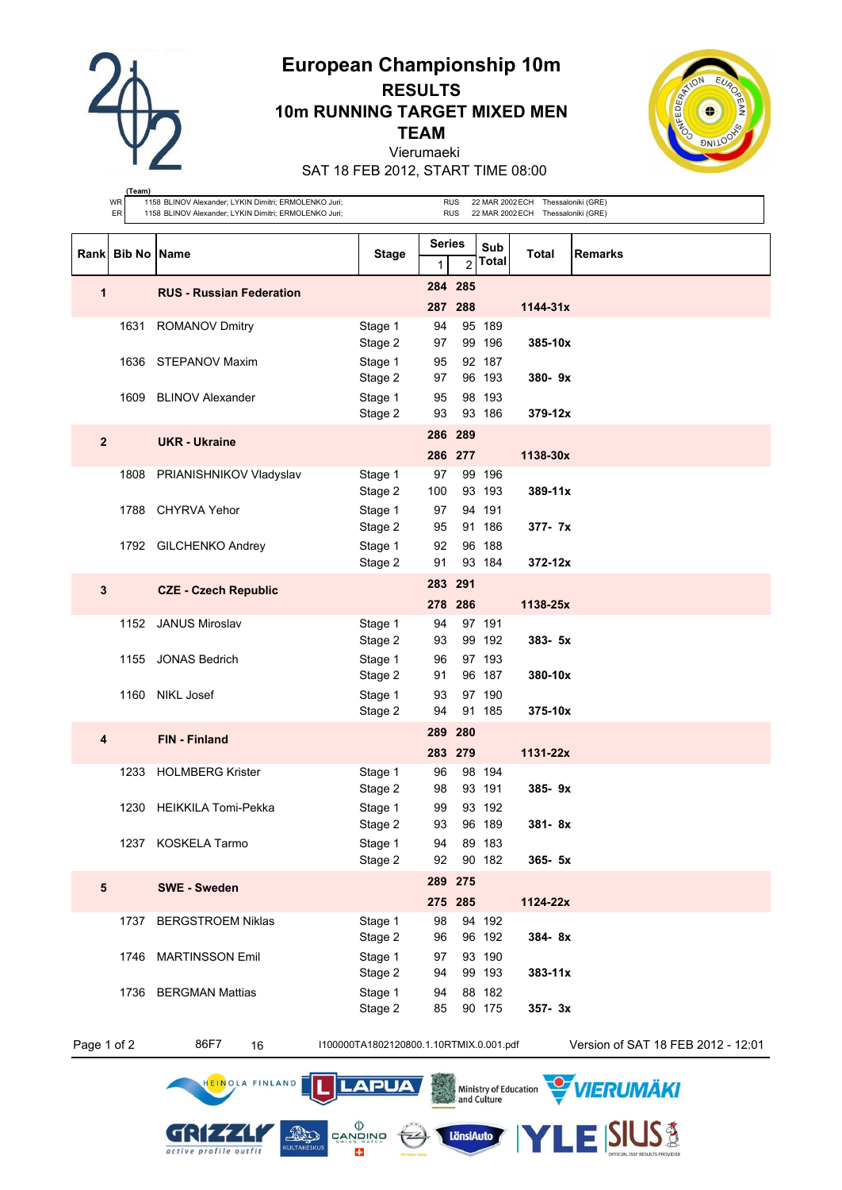

# **European Championship 10m RESULTS 10m RUNNING TARGET MIXED MEN TEAM** Vierumaeki



SAT 18 FEB 2012, START TIME 08:00

|                | (Team)<br>WR<br>ER   | 1158 BLINOV Alexander; LYKIN Dimitri; ERMOLENKO Juri;<br>1158 BLINOV Alexander; LYKIN Dimitri; ERMOLENKO Juri; |                                         |                    | <b>RUS</b><br><b>RUS</b> |                     | 22 MAR 2002 ECH Thessaloniki (GRE)<br>22 MAR 2002 ECH Thessaloniki (GRE) |                                    |
|----------------|----------------------|----------------------------------------------------------------------------------------------------------------|-----------------------------------------|--------------------|--------------------------|---------------------|--------------------------------------------------------------------------|------------------------------------|
| Rank           | <b>Bib No   Name</b> |                                                                                                                | <b>Stage</b>                            | <b>Series</b><br>1 | $\overline{2}$           | Sub<br><b>Total</b> | Total                                                                    | <b>Remarks</b>                     |
| 1              |                      | <b>RUS - Russian Federation</b>                                                                                |                                         |                    | 284 285<br>287 288       |                     | $1144 - 31x$                                                             |                                    |
|                | 1631                 | <b>ROMANOV Dmitry</b>                                                                                          | Stage 1<br>Stage 2                      | 94<br>97           |                          | 95 189<br>99 196    | $385 - 10x$                                                              |                                    |
|                |                      | 1636 STEPANOV Maxim                                                                                            | Stage 1<br>Stage 2                      | 95<br>97           |                          | 92 187<br>96 193    | $380 - 9x$                                                               |                                    |
|                |                      | 1609 BLINOV Alexander                                                                                          | Stage 1<br>Stage 2                      | 95<br>93           |                          | 98 193<br>93 186    | $379 - 12x$                                                              |                                    |
| $\overline{2}$ |                      | <b>UKR</b> - Ukraine                                                                                           |                                         |                    | 286 289<br>286 277       |                     | 1138-30x                                                                 |                                    |
|                |                      | 1808 PRIANISHNIKOV Vladyslav                                                                                   | Stage 1<br>Stage 2                      | 97<br>100          |                          | 99 196<br>93 193    | 389-11x                                                                  |                                    |
|                |                      | 1788 CHYRVA Yehor                                                                                              | Stage 1<br>Stage 2                      | 97<br>95           |                          | 94 191<br>91 186    | $377 - 7x$                                                               |                                    |
|                |                      | 1792 GILCHENKO Andrey                                                                                          | Stage 1<br>Stage 2                      | 92<br>91           |                          | 96 188<br>93 184    | $372 - 12x$                                                              |                                    |
| 3              |                      | <b>CZE - Czech Republic</b>                                                                                    |                                         | 283 291            | 278 286                  |                     | 1138-25x                                                                 |                                    |
|                | 1152                 | <b>JANUS Miroslav</b>                                                                                          | Stage 1<br>Stage 2                      | 94<br>93           |                          | 97 191<br>99 192    | $383 - 5x$                                                               |                                    |
|                |                      | 1155 JONAS Bedrich                                                                                             | Stage 1<br>Stage 2                      | 96<br>91           |                          | 97 193<br>96 187    | 380-10x                                                                  |                                    |
|                | 1160                 | <b>NIKL Josef</b>                                                                                              | Stage 1<br>Stage 2                      | 93<br>94           |                          | 97 190<br>91 185    | 375-10x                                                                  |                                    |
| 4              |                      | FIN - Finland                                                                                                  |                                         |                    | 289 280<br>283 279       |                     | $1131 - 22x$                                                             |                                    |
|                |                      | 1233 HOLMBERG Krister                                                                                          | Stage 1<br>Stage 2                      | 96<br>98           |                          | 98 194<br>93 191    | $385 - 9x$                                                               |                                    |
|                |                      | 1230 HEIKKILA Tomi-Pekka                                                                                       | Stage 1<br>Stage 2                      | 99<br>93           |                          | 93 192<br>96 189    | 381-8x                                                                   |                                    |
|                |                      | 1237 KOSKELA Tarmo                                                                                             | Stage 1<br>Stage 2                      | 94<br>92           |                          | 89 183<br>90 182    | 365- 5x                                                                  |                                    |
| 5              |                      | <b>SWE - Sweden</b>                                                                                            |                                         |                    | 289 275<br>275 285       |                     | 1124-22x                                                                 |                                    |
|                | 1737                 | <b>BERGSTROEM Niklas</b>                                                                                       | Stage 1<br>Stage 2                      | 98<br>96           |                          | 94 192<br>96 192    | 384-8x                                                                   |                                    |
|                | 1746                 | <b>MARTINSSON Emil</b>                                                                                         | Stage 1<br>Stage 2                      | 97<br>94           |                          | 93 190<br>99 193    | $383 - 11x$                                                              |                                    |
|                | 1736                 | <b>BERGMAN Mattias</b>                                                                                         | Stage 1<br>Stage 2                      | 94<br>85           |                          | 88 182<br>90 175    | $357 - 3x$                                                               |                                    |
| Page 1 of 2    |                      | 86F7<br>16                                                                                                     | I100000TA1802120800.1.10RTMIX.0.001.pdf |                    |                          |                     |                                                                          | Version of SAT 18 FEB 2012 - 12:01 |

HEINOLA FINLAND

GRIZZLI

active profile outfit

**LAPUA** 

 $\leftarrow$ 

LänsiAuto

cvvěivo<br>| dvinčívo

E3

11

**AND** 

Ministry of Education WIERUMAKI

**E SIUS &**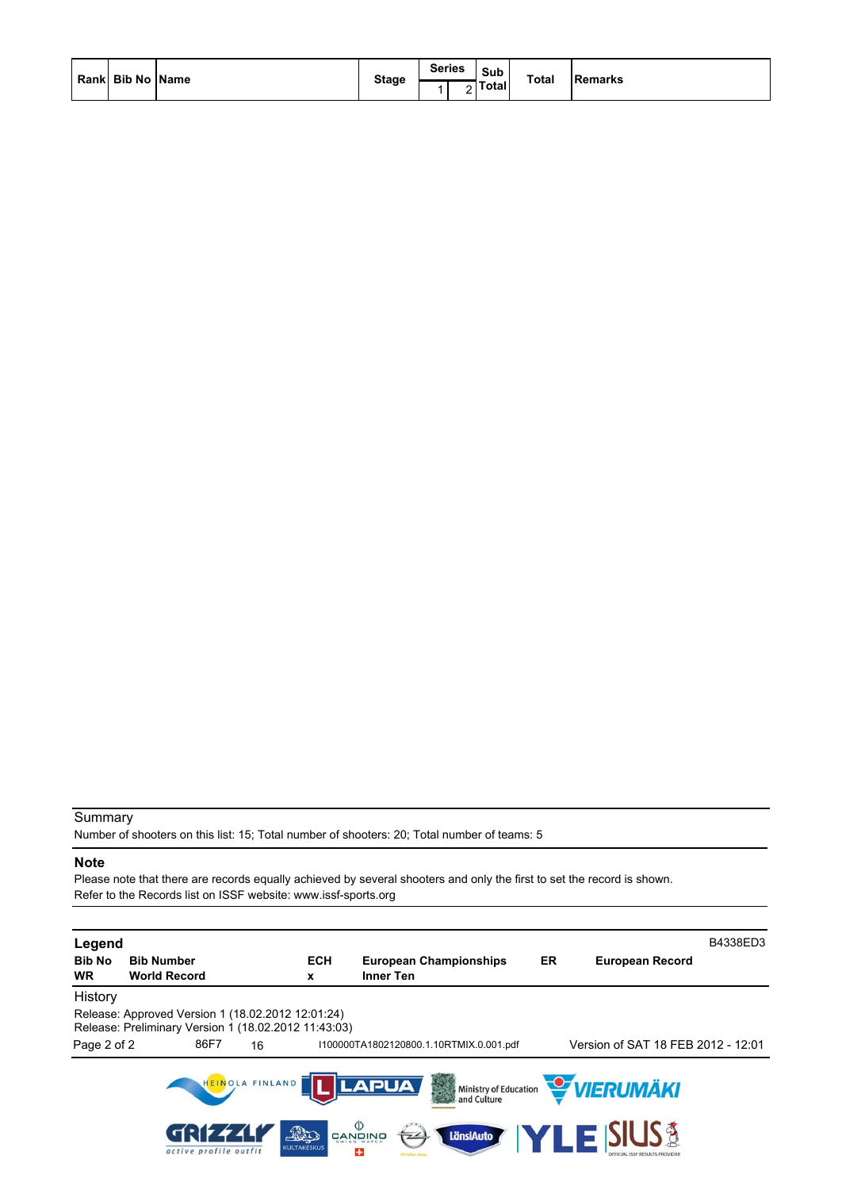| Rank Bib No Name | <b>Stage</b> | <b>Series</b><br>- | Sub<br><b>Total</b> | <b>Total</b> | Remarks |
|------------------|--------------|--------------------|---------------------|--------------|---------|
|                  |              |                    |                     |              |         |

Number of shooters on this list: 15; Total number of shooters: 20; Total number of teams: 5

## **Note**

Please note that there are records equally achieved by several shooters and only the first to set the record is shown. Refer to the Records list on ISSF website: www.issf-sports.org

| Legend                     |                                                                                                           |                               |                    |                                                                                                               |    |                                                           | B4338ED3 |
|----------------------------|-----------------------------------------------------------------------------------------------------------|-------------------------------|--------------------|---------------------------------------------------------------------------------------------------------------|----|-----------------------------------------------------------|----------|
| <b>Bib No</b><br><b>WR</b> | <b>Bib Number</b><br><b>World Record</b>                                                                  |                               | <b>ECH</b><br>x    | <b>European Championships</b><br>Inner Ten                                                                    | ER | <b>European Record</b>                                    |          |
| History                    |                                                                                                           |                               |                    |                                                                                                               |    |                                                           |          |
|                            | Release: Approved Version 1 (18.02.2012 12:01:24)<br>Release: Preliminary Version 1 (18.02.2012 11:43:03) |                               |                    |                                                                                                               |    |                                                           |          |
| Page 2 of 2                | 86F7                                                                                                      | 16                            |                    | 1100000TA1802120800.1.10RTMIX.0.001.pdf                                                                       |    | Version of SAT 18 FEB 2012 - 12:01                        |          |
|                            | active profile outfit                                                                                     | HEINOLA FINLAND<br><b>AND</b> | <b>KULTAKESKUS</b> | <b>LAPUA</b><br>美学<br>Ministry of Education<br>and Culture<br>פֿאוריפֿאַפֿ<br>פֿאַזי<br><b>LänsiAuto</b><br>÷ |    | <b>WERUMÄKI</b><br><b>/LEX</b><br><b>SIUS<sup>§</sup></b> |          |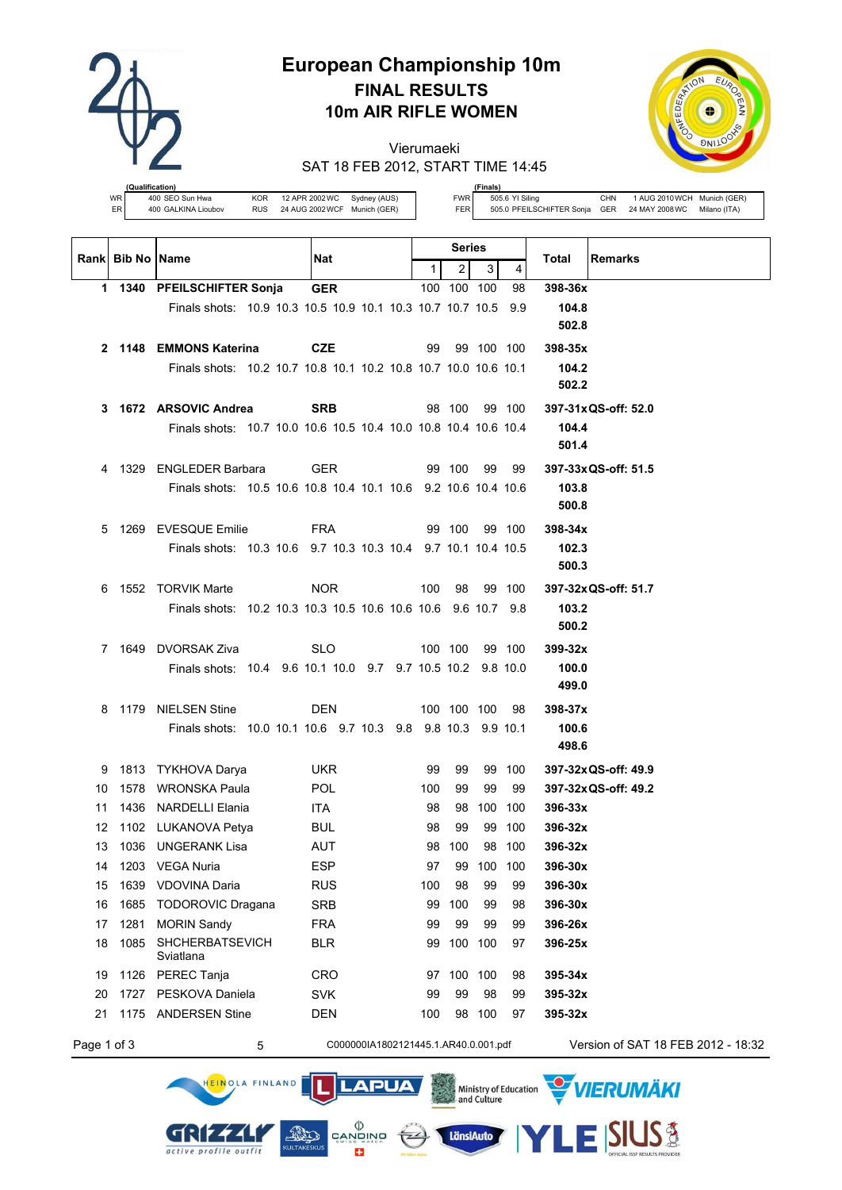

# **European Championship 10m FINAL RESULTS 10m AIR RIFLE WOMEN**

Vierumaeki SAT 18 FEB 2012, START TIME 14:45



**(fication)**<br>400 SEO Sun Hwa WR  $\begin{array}{c|cc}\n\text{WR} & \text{400} & \text{SED Sun Hwa} \\
\text{ER} & \text{400} & \text{GALKINA Lioubov} & \text{RUS} & \text{24 AUG 2002WCF} & \text{Munich (GER)}\n\end{array}$ 

HEINOLA FINLAND

GRIZZLI

active profile outfit

**(Finals)** FWR 505.6 YI Siling CHN 1 AUG 2010WCH Munich (GER) FER 505.0 PFEILSCHIFTER Sonja GER 24 MAY 2008WC Milano (ITA)

|             | Rank Bib No Name |                                                                 | Nat                                  |     | Series         |            |                  | <b>Remarks</b><br>Total            |
|-------------|------------------|-----------------------------------------------------------------|--------------------------------------|-----|----------------|------------|------------------|------------------------------------|
|             |                  |                                                                 |                                      | 1   | $\overline{2}$ | 3          | 4                |                                    |
|             |                  | 1 1340 PFEILSCHIFTER Sonja                                      | <b>GER</b>                           |     | 100 100 100    |            | 98               | 398-36x                            |
|             |                  | Finals shots: 10.9 10.3 10.5 10.9 10.1 10.3 10.7 10.7 10.5 9.9  |                                      |     |                |            |                  | 104.8                              |
|             |                  |                                                                 |                                      |     |                |            |                  | 502.8                              |
|             |                  | 2 1148 EMMONS Katerina                                          | <b>CZE</b>                           | 99  |                | 99 100 100 |                  | 398-35x                            |
|             |                  | Finals shots: 10.2 10.7 10.8 10.1 10.2 10.8 10.7 10.0 10.6 10.1 |                                      |     |                |            |                  | 104.2                              |
|             |                  |                                                                 |                                      |     |                |            |                  | 502.2                              |
| 3           |                  | 1672 ARSOVIC Andrea                                             | <b>SRB</b>                           |     | 98 100         |            | 99 100           | 397-31x QS-off: 52.0               |
|             |                  | Finals shots: 10.7 10.0 10.6 10.5 10.4 10.0 10.8 10.4 10.6 10.4 |                                      |     |                |            |                  | 104.4                              |
|             |                  |                                                                 |                                      |     |                |            |                  | 501.4                              |
| 4           |                  | 1329 ENGLEDER Barbara                                           | <b>GER</b>                           |     | 99 100         | 99         | 99               | 397-33x QS-off: 51.5               |
|             |                  | Finals shots: 10.5 10.6 10.8 10.4 10.1 10.6 9.2 10.6 10.4 10.6  |                                      |     |                |            |                  | 103.8                              |
|             |                  |                                                                 |                                      |     |                |            |                  | 500.8                              |
| 5           |                  | 1269 EVESQUE Emilie                                             | FRA                                  |     | 99 100         |            | 99 100           | $398 - 34x$                        |
|             |                  | Finals shots: 10.3 10.6 9.7 10.3 10.3 10.4 9.7 10.1 10.4 10.5   |                                      |     |                |            |                  | 102.3                              |
|             |                  |                                                                 |                                      |     |                |            |                  | 500.3                              |
| 6           |                  | 1552 TORVIK Marte                                               | NOR.                                 | 100 | 98             |            | 99 100           | 397-32x QS-off: 51.7               |
|             |                  | Finals shots: 10.2 10.3 10.3 10.5 10.6 10.6 10.6 9.6 10.7 9.8   |                                      |     |                |            |                  | 103.2                              |
|             |                  |                                                                 |                                      |     |                |            |                  | 500.2                              |
|             |                  | 7 1649 DVORSAK Ziva                                             | SLO                                  |     | 100 100        |            | 99 100           | $399-32x$                          |
|             |                  | Finals shots: 10.4 9.6 10.1 10.0 9.7 9.7 10.5 10.2 9.8 10.0     |                                      |     |                |            |                  | 100.0                              |
|             |                  |                                                                 |                                      |     |                |            |                  | 499.0                              |
|             |                  | 8 1179 NIELSEN Stine                                            | DEN                                  |     | 100 100 100    |            | -98              | 398-37x                            |
|             |                  | Finals shots: 10.0 10.1 10.6 9.7 10.3 9.8 9.8 10.3 9.9 10.1     |                                      |     |                |            |                  | 100.6                              |
|             |                  |                                                                 |                                      |     |                |            |                  | 498.6                              |
| 9           |                  | 1813 TYKHOVA Darya                                              | <b>UKR</b>                           | 99  | 99             |            | 99 100           | 397-32x QS-off: 49.9               |
| 10          |                  | 1578 WRONSKA Paula                                              | <b>POL</b>                           | 100 | 99             | 99         | 99               | 397-32x QS-off: 49.2               |
| 11          |                  | 1436 NARDELLI Elania                                            | <b>ITA</b>                           | 98  | 98             |            | 100 100          | 396-33x                            |
| 12<br>13    |                  | 1102 LUKANOVA Petya<br>1036 UNGERANK Lisa                       | <b>BUL</b><br>AUT                    | 98  | 99<br>98 100   |            | 99 100<br>98 100 | 396-32x<br>396-32x                 |
| 14          |                  | 1203 VEGA Nuria                                                 | <b>ESP</b>                           | 97  |                | 99 100 100 |                  | 396-30x                            |
| 15          |                  | 1639 VDOVINA Daria                                              | <b>RUS</b>                           | 100 | 98             | 99         | 99               | 396-30x                            |
| 16          | 1685             | <b>TODOROVIC Dragana</b>                                        | SRB                                  |     | 99 100         | 99         | 98               | 396-30x                            |
| 17          | 1281             | <b>MORIN Sandy</b>                                              | <b>FRA</b>                           | 99  | 99             | 99         | 99               | 396-26x                            |
| 18          |                  | 1085 SHCHERBATSEVICH                                            | <b>BLR</b>                           |     | 99 100 100     |            | 97               | 396-25x                            |
|             |                  | Sviatlana                                                       |                                      |     |                |            |                  |                                    |
| 19          |                  | 1126 PEREC Tanja                                                | <b>CRO</b>                           |     | 97 100         | 100        | 98               | 395-34x                            |
| 20          |                  | 1727 PESKOVA Daniela                                            | <b>SVK</b>                           | 99  | 99             | 98         | 99               | 395-32x                            |
| 21          |                  | 1175 ANDERSEN Stine                                             | <b>DEN</b>                           | 100 |                | 98 100     | 97               | 395-32x                            |
| Page 1 of 3 |                  | 5                                                               | C000000IA1802121445.1.AR40.0.001.pdf |     |                |            |                  | Version of SAT 18 FEB 2012 - 18:32 |

**LAPUA** 

 $\left(\frac{1}{2}\right)$ 

 $\begin{matrix} \langle \rangle \\ \texttt{CANDING} \\ \texttt{SUNBS} \\ \end{matrix}$ 

E3

11

**AND** 



**SIUS®** 

VIERUMÄKI

Ministry of Education

**LänsiAuto**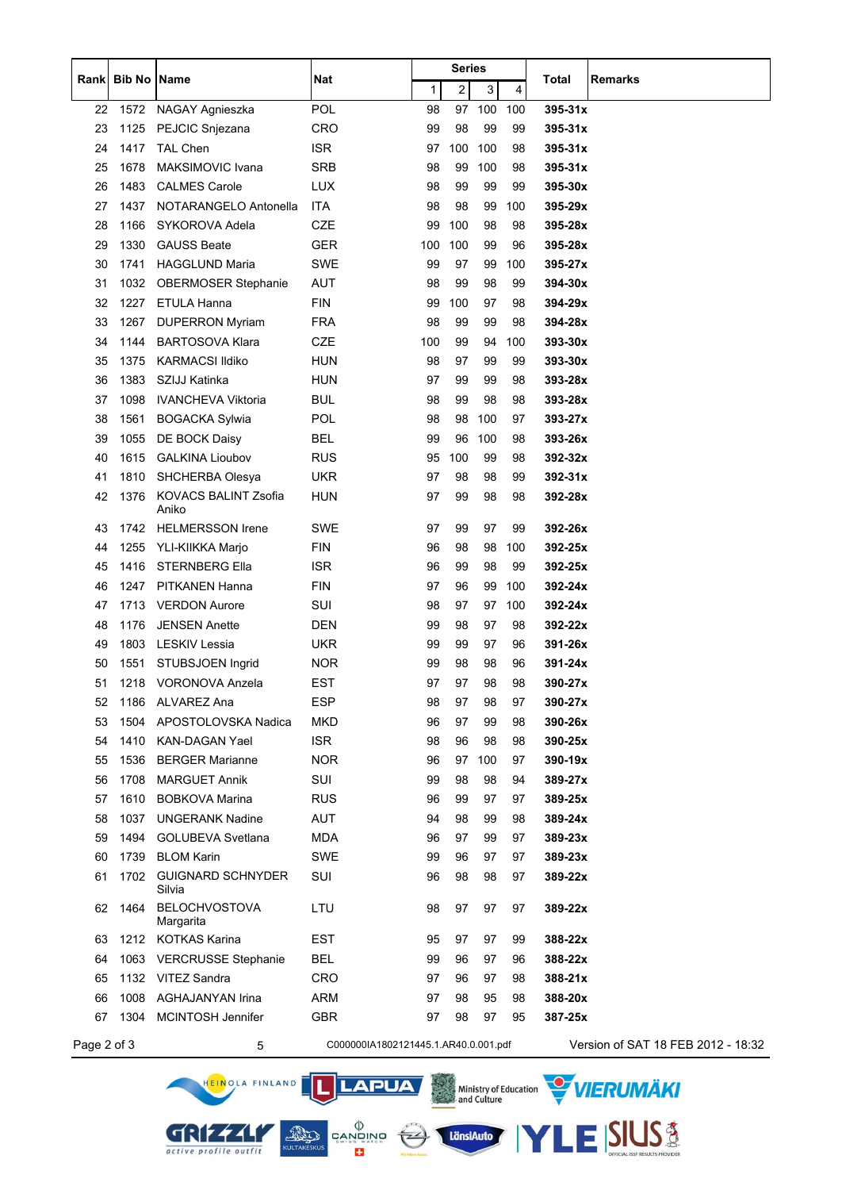|             |        |                                      |                                      |     | Series |     |     |             | <b>Remarks</b>                     |
|-------------|--------|--------------------------------------|--------------------------------------|-----|--------|-----|-----|-------------|------------------------------------|
| Rank        | Bib No | Name                                 | Nat                                  | 1   | 2      | 3   | 4   | Total       |                                    |
| 22          | 1572   | NAGAY Agnieszka                      | <b>POL</b>                           | 98  | 97     | 100 | 100 | $395 - 31x$ |                                    |
| 23          | 1125   | PEJCIC Snjezana                      | <b>CRO</b>                           | 99  | 98     | 99  | 99  | 395-31x     |                                    |
| 24          | 1417   | <b>TAL Chen</b>                      | <b>ISR</b>                           | 97  | 100    | 100 | 98  | 395-31x     |                                    |
| 25          | 1678   | <b>MAKSIMOVIC Ivana</b>              | <b>SRB</b>                           | 98  | 99     | 100 | 98  | 395-31x     |                                    |
| 26          | 1483   | <b>CALMES Carole</b>                 | <b>LUX</b>                           | 98  | 99     | 99  | 99  | 395-30x     |                                    |
| 27          | 1437   | NOTARANGELO Antonella                | ITA                                  | 98  | 98     | 99  | 100 | 395-29x     |                                    |
| 28          | 1166   | SYKOROVA Adela                       | CZE                                  | 99  | 100    | 98  | 98  | 395-28x     |                                    |
| 29          | 1330   | <b>GAUSS Beate</b>                   | <b>GER</b>                           | 100 | 100    | 99  | 96  | 395-28x     |                                    |
| 30          | 1741   | <b>HAGGLUND Maria</b>                | <b>SWE</b>                           | 99  | 97     | 99  | 100 | 395-27x     |                                    |
| 31          | 1032   | <b>OBERMOSER Stephanie</b>           | <b>AUT</b>                           | 98  | 99     | 98  | 99  | 394-30x     |                                    |
| 32          | 1227   | ETULA Hanna                          | <b>FIN</b>                           | 99  | 100    | 97  | 98  | 394-29x     |                                    |
| 33          | 1267   | <b>DUPERRON Myriam</b>               | <b>FRA</b>                           | 98  | 99     | 99  | 98  | 394-28x     |                                    |
| 34          | 1144   | <b>BARTOSOVA Klara</b>               | CZE                                  | 100 | 99     | 94  | 100 | 393-30x     |                                    |
| 35          | 1375   | <b>KARMACSI Ildiko</b>               | <b>HUN</b>                           | 98  | 97     | 99  | 99  | 393-30x     |                                    |
| 36          | 1383   | SZIJJ Katinka                        | <b>HUN</b>                           | 97  | 99     | 99  | 98  | 393-28x     |                                    |
| 37          | 1098   | <b>IVANCHEVA Viktoria</b>            | <b>BUL</b>                           | 98  | 99     | 98  | 98  | 393-28x     |                                    |
| 38          | 1561   | <b>BOGACKA Sylwia</b>                | <b>POL</b>                           | 98  | 98     | 100 | 97  | 393-27x     |                                    |
| 39          | 1055   | DE BOCK Daisy                        | <b>BEL</b>                           | 99  | 96     | 100 | 98  | 393-26x     |                                    |
| 40          | 1615   | <b>GALKINA Lioubov</b>               | <b>RUS</b>                           | 95  | 100    | 99  | 98  | 392-32x     |                                    |
| 41          | 1810   | SHCHERBA Olesya                      | <b>UKR</b>                           | 97  | 98     | 98  | 99  | $392 - 31x$ |                                    |
| 42          | 1376   | <b>KOVACS BALINT Zsofia</b><br>Aniko | <b>HUN</b>                           | 97  | 99     | 98  | 98  | 392-28x     |                                    |
| 43          | 1742   | <b>HELMERSSON Irene</b>              | <b>SWE</b>                           | 97  | 99     | 97  | 99  | 392-26x     |                                    |
| 44          | 1255   | YLI-KIIKKA Marjo                     | <b>FIN</b>                           | 96  | 98     | 98  | 100 | 392-25x     |                                    |
| 45          | 1416   | <b>STERNBERG Ella</b>                | <b>ISR</b>                           | 96  | 99     | 98  | 99  | 392-25x     |                                    |
| 46          | 1247   | PITKANEN Hanna                       | <b>FIN</b>                           | 97  | 96     | 99  | 100 | 392-24x     |                                    |
| 47          | 1713   | <b>VERDON Aurore</b>                 | SUI                                  | 98  | 97     | 97  | 100 | 392-24x     |                                    |
| 48          | 1176   | <b>JENSEN Anette</b>                 | DEN                                  | 99  | 98     | 97  | 98  | 392-22x     |                                    |
| 49          | 1803   | <b>LESKIV Lessia</b>                 | <b>UKR</b>                           | 99  | 99     | 97  | 96  | 391-26x     |                                    |
| 50          | 1551   | STUBSJOEN Ingrid                     | <b>NOR</b>                           | 99  | 98     | 98  | 96  | 391-24x     |                                    |
| 51          | 1218   | <b>VORONOVA Anzela</b>               | EST                                  | 97  | 97     | 98  | 98  | 390-27x     |                                    |
| 52          | 1186   | <b>ALVAREZ Ana</b>                   | <b>ESP</b>                           | 98  | 97     | 98  | 97  | 390-27x     |                                    |
| 53          | 1504   | APOSTOLOVSKA Nadica                  | <b>MKD</b>                           | 96  | 97     | 99  | 98  | 390-26x     |                                    |
| 54          | 1410   | <b>KAN-DAGAN Yael</b>                | <b>ISR</b>                           | 98  | 96     | 98  | 98  | 390-25x     |                                    |
| 55          | 1536   | <b>BERGER Marianne</b>               | <b>NOR</b>                           | 96  | 97     | 100 | 97  | 390-19x     |                                    |
| 56          | 1708   | <b>MARGUET Annik</b>                 | SUI                                  | 99  | 98     | 98  | 94  | 389-27x     |                                    |
| 57          | 1610   | <b>BOBKOVA Marina</b>                | <b>RUS</b>                           | 96  | 99     | 97  | 97  | 389-25x     |                                    |
| 58          | 1037   | <b>UNGERANK Nadine</b>               | <b>AUT</b>                           | 94  | 98     | 99  | 98  | 389-24x     |                                    |
| 59          | 1494   | <b>GOLUBEVA Svetlana</b>             | <b>MDA</b>                           | 96  | 97     | 99  | 97  | 389-23x     |                                    |
| 60          | 1739   | <b>BLOM Karin</b>                    | <b>SWE</b>                           | 99  | 96     | 97  | 97  | 389-23x     |                                    |
| 61          | 1702   | <b>GUIGNARD SCHNYDER</b><br>Silvia   | SUI                                  | 96  | 98     | 98  | 97  | 389-22x     |                                    |
| 62          | 1464   | <b>BELOCHVOSTOVA</b><br>Margarita    | LTU                                  | 98  | 97     | 97  | 97  | 389-22x     |                                    |
| 63          | 1212   | <b>KOTKAS Karina</b>                 | EST                                  | 95  | 97     | 97  | 99  | 388-22x     |                                    |
| 64          | 1063   | <b>VERCRUSSE Stephanie</b>           | <b>BEL</b>                           | 99  | 96     | 97  | 96  | 388-22x     |                                    |
| 65          |        | 1132 VITEZ Sandra                    | <b>CRO</b>                           | 97  | 96     | 97  | 98  | 388-21x     |                                    |
| 66          | 1008   | AGHAJANYAN Irina                     | <b>ARM</b>                           | 97  | 98     | 95  | 98  | 388-20x     |                                    |
| 67          | 1304   | <b>MCINTOSH Jennifer</b>             | <b>GBR</b>                           | 97  | 98     | 97  | 95  | 387-25x     |                                    |
| Page 2 of 3 |        | 5                                    | C000000IA1802121445.1.AR40.0.001.pdf |     |        |     |     |             | Version of SAT 18 FEB 2012 - 18:32 |

EN CANDING

**YLE SIUS &** 



**GRIZZI**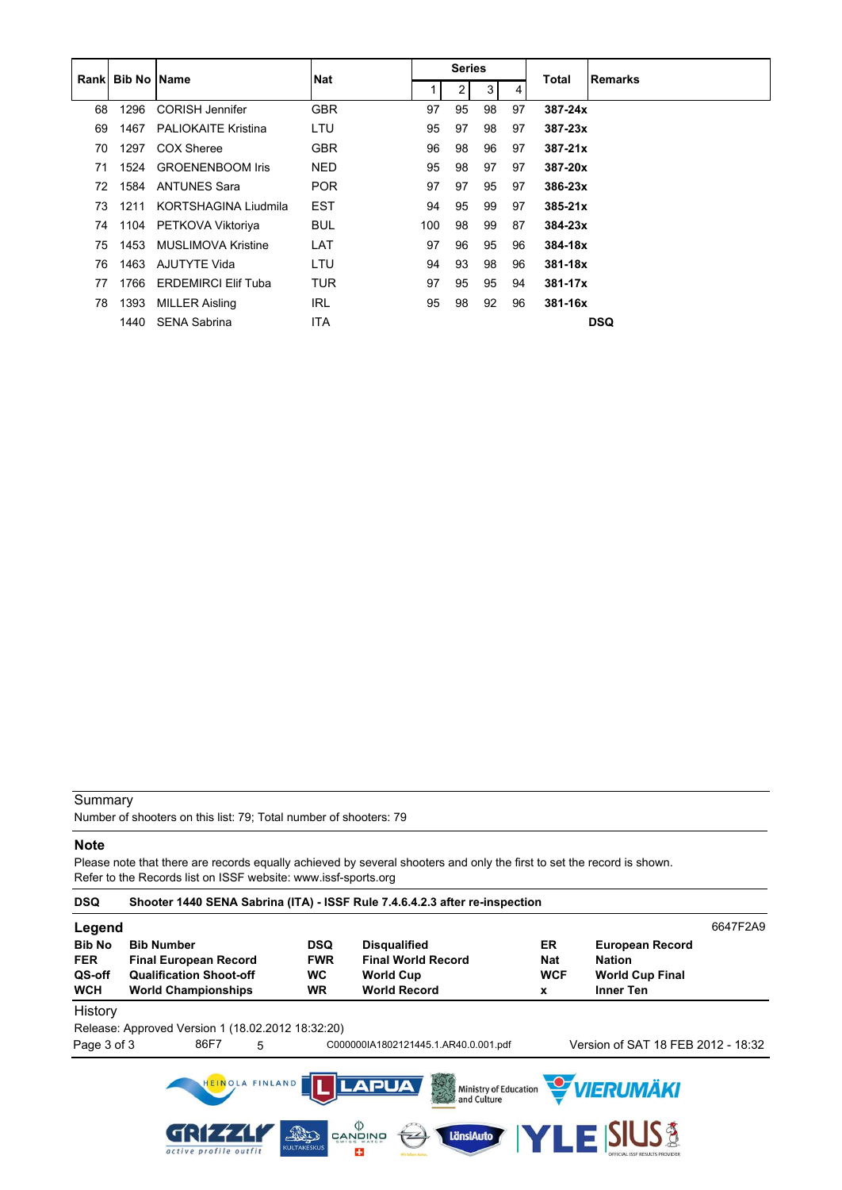|    | <b>Rankl Bib No IName</b> |                            | <b>Nat</b> |     | <b>Series</b> |    |    | Total       | Remarks    |
|----|---------------------------|----------------------------|------------|-----|---------------|----|----|-------------|------------|
|    |                           |                            |            |     | 2             | 3  | 4  |             |            |
| 68 | 1296                      | <b>CORISH Jennifer</b>     | <b>GBR</b> | 97  | 95            | 98 | 97 | 387-24x     |            |
| 69 | 1467                      | <b>PALIOKAITE Kristina</b> | LTU        | 95  | 97            | 98 | 97 | $387 - 23x$ |            |
| 70 | 1297                      | COX Sheree                 | <b>GBR</b> | 96  | 98            | 96 | 97 | $387 - 21x$ |            |
| 71 | 1524                      | <b>GROENENBOOM Iris</b>    | NED.       | 95  | 98            | 97 | 97 | 387-20x     |            |
| 72 | 1584                      | <b>ANTUNES Sara</b>        | <b>POR</b> | 97  | 97            | 95 | 97 | $386 - 23x$ |            |
| 73 | 1211                      | KORTSHAGINA Liudmila       | <b>EST</b> | 94  | 95            | 99 | 97 | $385 - 21x$ |            |
| 74 |                           | 1104 PETKOVA Viktoriya     | <b>BUL</b> | 100 | 98            | 99 | 87 | $384 - 23x$ |            |
| 75 | 1453                      | MUSLIMOVA Kristine         | LAT        | 97  | 96            | 95 | 96 | 384-18x     |            |
| 76 | 1463                      | AJUTYTE Vida               | LTU        | 94  | 93            | 98 | 96 | $381 - 18x$ |            |
| 77 | 1766                      | <b>ERDEMIRCI Elif Tuba</b> | <b>TUR</b> | 97  | 95            | 95 | 94 | $381 - 17x$ |            |
| 78 | 1393                      | MILLER Aisling             | IRL        | 95  | 98            | 92 | 96 | $381 - 16x$ |            |
|    | 1440                      | <b>SENA Sabrina</b>        | <b>ITA</b> |     |               |    |    |             | <b>DSQ</b> |

Number of shooters on this list: 79; Total number of shooters: 79

#### **Note**

Please note that there are records equally achieved by several shooters and only the first to set the record is shown. Refer to the Records list on ISSF website: www.issf-sports.org

| <b>DSQ</b>                                          |                                                                                                                   |                                                    | Shooter 1440 SENA Sabrina (ITA) - ISSF Rule 7.4.6.4.2.3 after re-inspection                            |                                     |                                                                                       |          |
|-----------------------------------------------------|-------------------------------------------------------------------------------------------------------------------|----------------------------------------------------|--------------------------------------------------------------------------------------------------------|-------------------------------------|---------------------------------------------------------------------------------------|----------|
| Legend                                              |                                                                                                                   |                                                    |                                                                                                        |                                     |                                                                                       | 6647F2A9 |
| <b>Bib No</b><br><b>FER</b><br>QS-off<br><b>WCH</b> | <b>Bib Number</b><br><b>Final European Record</b><br><b>Qualification Shoot-off</b><br><b>World Championships</b> | <b>DSQ</b><br><b>FWR</b><br><b>WC</b><br><b>WR</b> | <b>Disqualified</b><br><b>Final World Record</b><br><b>World Cup</b><br><b>World Record</b>            | ER<br><b>Nat</b><br><b>WCF</b><br>X | <b>European Record</b><br><b>Nation</b><br><b>World Cup Final</b><br><b>Inner Ten</b> |          |
| History                                             |                                                                                                                   |                                                    |                                                                                                        |                                     |                                                                                       |          |
|                                                     | Release: Approved Version 1 (18.02.2012 18:32:20)                                                                 |                                                    |                                                                                                        |                                     |                                                                                       |          |
| Page 3 of 3                                         | 86F7<br>5                                                                                                         |                                                    | C000000IA1802121445.1.AR40.0.001.pdf                                                                   |                                     | Version of SAT 18 FEB 2012 - 18:32                                                    |          |
|                                                     | HEINOLA FINLAND<br>active profile outfit                                                                          | App<br><b>KULTAKESKUS</b>                          | LAPUA<br>大学<br>Ministry of Education<br>and Culture<br>$\langle \rangle$<br>LänsiAuto<br>CANDINO<br>25 | YLEI                                | <b>WERUMÄKI</b><br><b>SIUS<sup>3</sup></b><br><b>DEFICIAL ISSE RESULTS PROVIDER</b>   |          |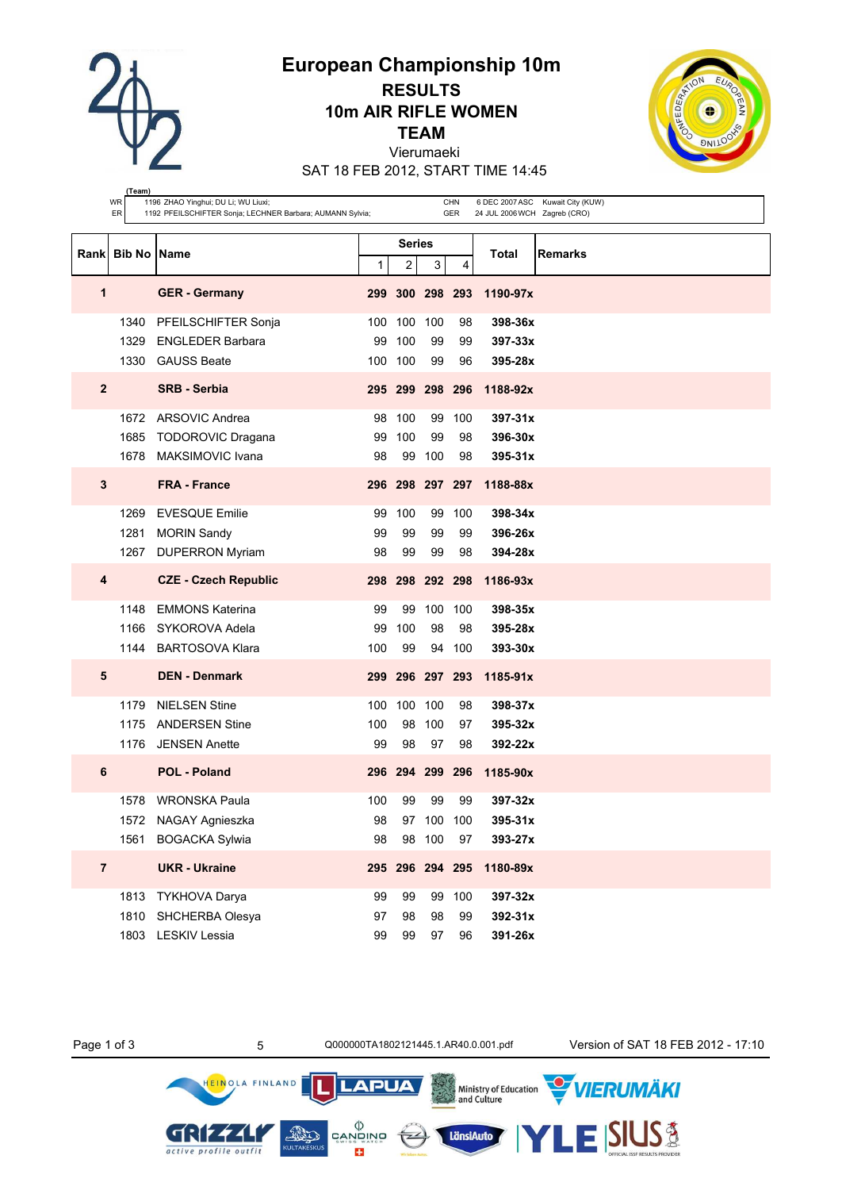**European Championship 10m**

**RESULTS 10m AIR RIFLE WOMEN**

**TEAM**

Vierumaeki

SAT 18 FEB 2012, START TIME 14:45

|                | (Team)              |                                                                                                  |     |                 |             |            |                              |                                  |
|----------------|---------------------|--------------------------------------------------------------------------------------------------|-----|-----------------|-------------|------------|------------------------------|----------------------------------|
|                | WR<br>ER            | 1196 ZHAO Yinghui; DU Li; WU Liuxi;<br>1192 PFEILSCHIFTER Sonja; LECHNER Barbara; AUMANN Sylvia; |     |                 |             | CHN<br>GER | 24 JUL 2006 WCH Zagreb (CRO) | 6 DEC 2007 ASC Kuwait City (KUW) |
|                |                     |                                                                                                  |     |                 |             |            |                              |                                  |
|                |                     |                                                                                                  |     | <b>Series</b>   |             |            |                              |                                  |
| Rank           | <b>Bib No IName</b> |                                                                                                  | 1   | 2               | 3           | 4          | Total                        | Remarks                          |
| 1              |                     | <b>GER</b> - Germany                                                                             |     | 299 300 298 293 |             |            | 1190-97x                     |                                  |
|                | 1340                | PFEILSCHIFTER Sonja                                                                              |     | 100 100         | 100         | 98         | 398-36x                      |                                  |
|                | 1329                | <b>ENGLEDER Barbara</b>                                                                          | 99  | 100             | 99          | 99         | 397-33x                      |                                  |
|                |                     | 1330 GAUSS Beate                                                                                 |     | 100 100         | 99          | 96         | 395-28x                      |                                  |
| $\overline{2}$ |                     | <b>SRB - Serbia</b>                                                                              |     | 295 299 298 296 |             |            | 1188-92x                     |                                  |
|                | 1672                | <b>ARSOVIC Andrea</b>                                                                            | 98  | 100             | 99          | 100        | 397-31x                      |                                  |
|                | 1685                | <b>TODOROVIC Dragana</b>                                                                         | 99  | 100             | 99          | 98         | 396-30x                      |                                  |
|                | 1678                | MAKSIMOVIC Ivana                                                                                 | 98  | 99              | 100         | 98         | 395-31x                      |                                  |
| 3              |                     | <b>FRA - France</b>                                                                              |     | 296 298 297 297 |             |            | 1188-88x                     |                                  |
|                | 1269                | <b>EVESQUE Emilie</b>                                                                            | 99  | 100             | 99          | 100        | 398-34x                      |                                  |
|                | 1281                | <b>MORIN Sandy</b>                                                                               | 99  | 99              | 99          | 99         | 396-26x                      |                                  |
|                | 1267                | <b>DUPERRON Myriam</b>                                                                           | 98  | 99              | 99          | 98         | 394-28x                      |                                  |
| 4              |                     | <b>CZE - Czech Republic</b>                                                                      |     | 298 298 292 298 |             |            | 1186-93x                     |                                  |
|                | 1148                | <b>EMMONS Katerina</b>                                                                           | 99  | 99              | 100         | 100        | 398-35x                      |                                  |
|                | 1166                | SYKOROVA Adela                                                                                   | 99  | 100             | 98          | 98         | 395-28x                      |                                  |
|                |                     | 1144 BARTOSOVA Klara                                                                             | 100 | 99              |             | 94 100     | $393 - 30x$                  |                                  |
| 5              |                     | <b>DEN - Denmark</b>                                                                             |     | 299 296 297 293 |             |            | $1185 - 91x$                 |                                  |
|                | 1179                | <b>NIELSEN Stine</b>                                                                             | 100 | 100 100         |             | 98         | 398-37x                      |                                  |
|                | 1175                | <b>ANDERSEN Stine</b>                                                                            | 100 | 98              | 100         | 97         | $395 - 32x$                  |                                  |
|                | 1176                | <b>JENSEN Anette</b>                                                                             | 99  | 98              | 97          | 98         | 392-22x                      |                                  |
| 6              |                     | <b>POL - Poland</b>                                                                              |     |                 |             |            | 296 294 299 296 1185-90x     |                                  |
|                |                     | 1578 WRONSKA Paula                                                                               | 100 | 99              | 99          | 99         | $397 - 32x$                  |                                  |
|                |                     | 1572 NAGAY Agnieszka                                                                             | 98  |                 | 97 100 100  |            | 395-31x                      |                                  |
|                | 1561                | <b>BOGACKA Sylwia</b>                                                                            | 98  |                 | 98 100      | 97         | 393-27x                      |                                  |
| $\overline{7}$ |                     | <b>UKR - Ukraine</b>                                                                             | 295 |                 | 296 294 295 |            | 1180-89x                     |                                  |
|                | 1813                | <b>TYKHOVA Darya</b>                                                                             | 99  | 99              | 99          | 100        | 397-32x                      |                                  |
|                | 1810                | SHCHERBA Olesya                                                                                  | 97  | 98              | 98          | 99         | 392-31x                      |                                  |
|                | 1803                | LESKIV Lessia                                                                                    | 99  | 99              | 97          | 96         | 391-26x                      |                                  |



 $\left( -\right)$ 

**LAPUA** 

 $\begin{matrix} \langle \rangle \\ \texttt{CANDING} \\ \texttt{SWISS WATE} \end{matrix}$ 

E3

Ministry of Education<br>and Culture

LänsiAuto

Page 1 of 3 5 Q000000TA1802121445.1.AR40.0.001.pdf Version of SAT 18 FEB 2012 - 17:10

.<br>VIERUMÄKI

**SIUS®** 

HEINOLA FINLAND

GRIZZLI

active profile outfit

KULTAKESKL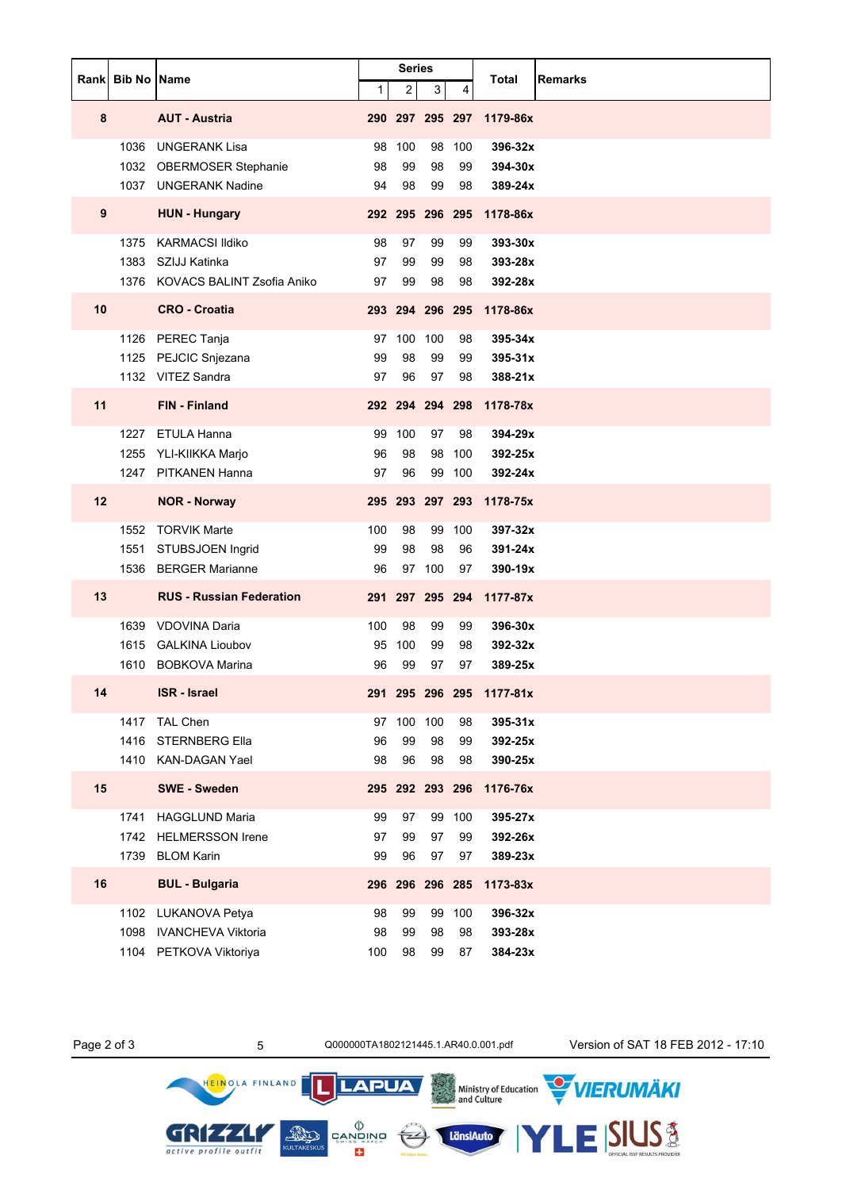|    | Rank Bib No Name |                                 |     | <b>Series</b>   |     |        | Total<br><b>Remarks</b>  |
|----|------------------|---------------------------------|-----|-----------------|-----|--------|--------------------------|
|    |                  |                                 | 1   | $\overline{a}$  | 3   | 4      |                          |
| 8  |                  | <b>AUT - Austria</b>            |     | 290 297 295 297 |     |        | 1179-86x                 |
|    | 1036             | <b>UNGERANK Lisa</b>            | 98  | 100             | 98  | 100    | 396-32x                  |
|    |                  | 1032 OBERMOSER Stephanie        | 98  | 99              | 98  | 99     | 394-30x                  |
|    |                  | 1037 UNGERANK Nadine            | 94  | 98              | 99  | 98     | 389-24x                  |
| 9  |                  | <b>HUN - Hungary</b>            |     | 292 295 296 295 |     |        | 1178-86x                 |
|    | 1375             | <b>KARMACSI Ildiko</b>          | 98  | 97              | 99  | 99     | 393-30x                  |
|    | 1383             | SZIJJ Katinka                   | 97  | 99              | 99  | 98     | 393-28x                  |
|    |                  | 1376 KOVACS BALINT Zsofia Aniko | 97  | 99              | 98  | 98     | 392-28x                  |
| 10 |                  | <b>CRO - Croatia</b>            |     | 293 294 296 295 |     |        | 1178-86x                 |
|    |                  | 1126 PEREC Tanja                | 97  | 100             | 100 | 98     | 395-34x                  |
|    |                  | 1125 PEJCIC Snjezana            | 99  | 98              | 99  | 99     | 395-31x                  |
|    |                  | 1132 VITEZ Sandra               | 97  | 96              | 97  | 98     | 388-21x                  |
| 11 |                  | <b>FIN - Finland</b>            |     | 292 294 294 298 |     |        | 1178-78x                 |
|    | 1227             | ETULA Hanna                     | 99  | 100             | 97  | 98     | 394-29x                  |
|    | 1255             | YLI-KIIKKA Marjo                | 96  | 98              | 98  | 100    | 392-25x                  |
|    |                  | 1247 PITKANEN Hanna             | 97  | 96              |     | 99 100 | 392-24x                  |
| 12 |                  | <b>NOR - Norway</b>             |     |                 |     |        | 295 293 297 293 1178-75x |
|    | 1552             | <b>TORVIK Marte</b>             | 100 | 98              | 99  | 100    | 397-32x                  |
|    | 1551             | STUBSJOEN Ingrid                | 99  | 98              | 98  | 96     | 391-24x                  |
|    | 1536             | <b>BERGER Marianne</b>          | 96  | 97              | 100 | 97     | 390-19x                  |
| 13 |                  | <b>RUS - Russian Federation</b> |     | 291 297 295 294 |     |        | 1177-87x                 |
|    | 1639             | <b>VDOVINA Daria</b>            | 100 | 98              | 99  | 99     | 396-30x                  |
|    | 1615             | <b>GALKINA Lioubov</b>          | 95  | 100             | 99  | 98     | 392-32x                  |
|    | 1610             | <b>BOBKOVA Marina</b>           | 96  | 99              | 97  | 97     | 389-25x                  |
| 14 |                  | <b>ISR</b> - Israel             |     |                 |     |        | 291 295 296 295 1177-81x |
|    | 1417             | TAL Chen                        | 97  | 100             | 100 | 98     | 395-31x                  |
|    | 1416             | <b>STERNBERG Ella</b>           | 96  | 99              | 98  | 99     | 392-25x                  |
|    |                  | 1410 KAN-DAGAN Yael             | 98  | 96              | 98  | 98     | 390-25x                  |
| 15 |                  | <b>SWE - Sweden</b>             |     | 295 292 293 296 |     |        | 1176-76x                 |
|    | 1741             | <b>HAGGLUND Maria</b>           | 99  | 97              | 99  | 100    | 395-27x                  |
|    | 1742             | <b>HELMERSSON Irene</b>         | 97  | 99              | 97  | 99     | 392-26x                  |
|    | 1739             | <b>BLOM Karin</b>               | 99  | 96              | 97  | 97     | 389-23x                  |
| 16 |                  | <b>BUL - Bulgaria</b>           |     | 296 296 296 285 |     |        | 1173-83x                 |
|    | 1102             | LUKANOVA Petya                  | 98  | 99              | 99  | 100    | 396-32x                  |
|    | 1098             | <b>IVANCHEVA Viktoria</b>       | 98  | 99              | 98  | 98     | 393-28x                  |
|    |                  | 1104 PETKOVA Viktoriya          | 100 | 98              | 99  | 87     | 384-23x                  |

GRIZZLY active profile outfit

HEINOLA FINLAND

LänsiAuto

**LAPUA** 

 $\begin{matrix} \langle \rangle \\ \text{CAND} \\ \text{CAND} \\ \text{SUS} \\ \text{CUS} \end{matrix}$ 

Page 2 of 3 5 0000000TA1802121445.1.AR40.0.001.pdf Version of SAT 18 FEB 2012 - 17:10

ESIUS<sup>3</sup>

Ministry of Education WIERUMÄKI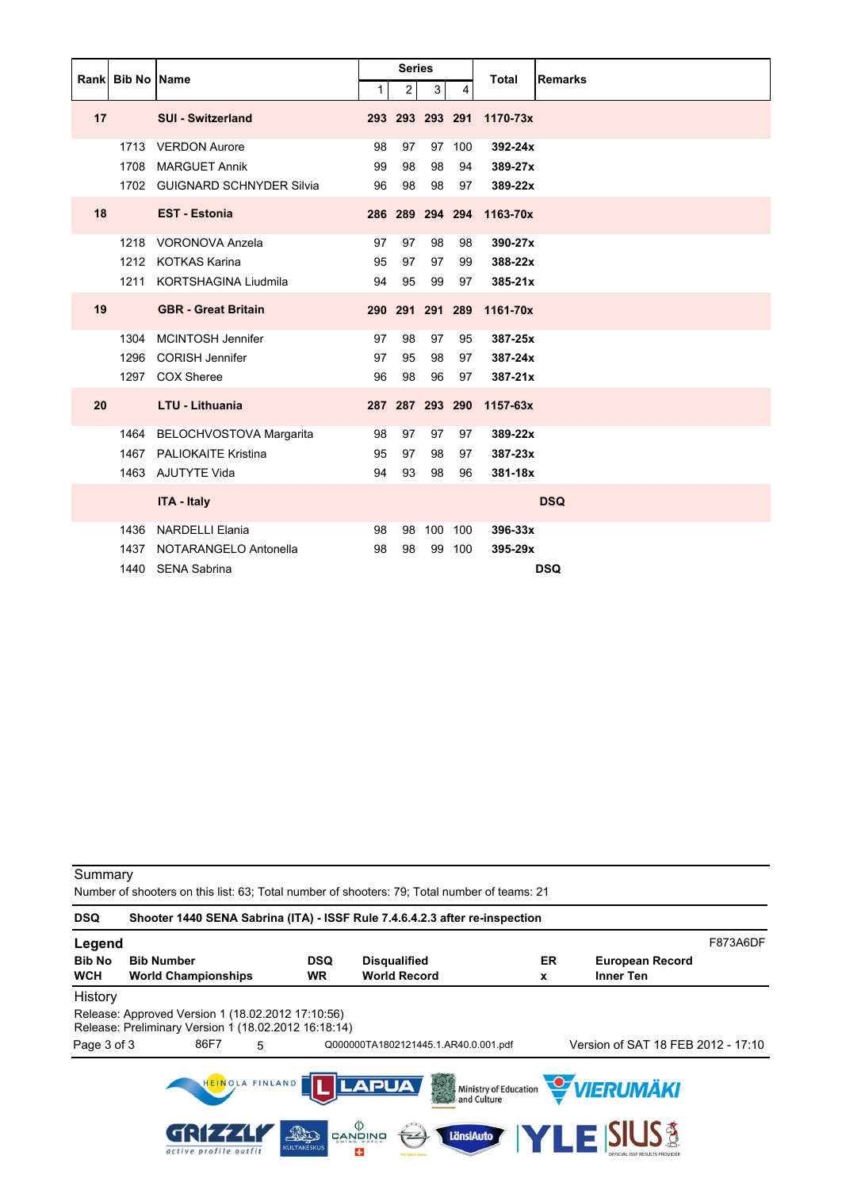|      | <b>Bib No Name</b> |                               |             | <b>Series</b>  |                 |                |              |                |
|------|--------------------|-------------------------------|-------------|----------------|-----------------|----------------|--------------|----------------|
| Rank |                    |                               | $\mathbf 1$ | $\overline{2}$ | 3               | $\overline{4}$ | <b>Total</b> | <b>Remarks</b> |
| 17   |                    | <b>SUI - Switzerland</b>      |             |                | 293 293 293 291 |                | 1170-73x     |                |
|      | 1713               | <b>VERDON Aurore</b>          | 98          | 97             | 97              | 100            | 392-24x      |                |
|      | 1708               | <b>MARGUET Annik</b>          | 99          | 98             | 98              | 94             | 389-27x      |                |
|      |                    | 1702 GUIGNARD SCHNYDER Silvia | 96          | 98             | 98              | 97             | 389-22x      |                |
| 18   |                    | <b>EST - Estonia</b>          |             |                | 286 289 294 294 |                | 1163-70x     |                |
|      | 1218               | <b>VORONOVA Anzela</b>        | 97          | 97             | 98              | 98             | 390-27x      |                |
|      |                    | 1212 KOTKAS Karina            | 95          | 97             | 97              | 99             | 388-22x      |                |
|      | 1211               | <b>KORTSHAGINA Liudmila</b>   | 94          | 95             | 99              | 97             | 385-21x      |                |
| 19   |                    | <b>GBR - Great Britain</b>    |             |                | 290 291 291 289 |                | 1161-70x     |                |
|      | 1304               | MCINTOSH Jennifer             | 97          | 98             | 97              | 95             | 387-25x      |                |
|      | 1296               | <b>CORISH Jennifer</b>        | 97          | 95             | 98              | 97             | $387 - 24x$  |                |
|      | 1297               | <b>COX Sheree</b>             | 96          | 98             | 96              | 97             | $387 - 21x$  |                |
| 20   |                    | <b>LTU - Lithuania</b>        |             |                | 287 287 293 290 |                | $1157 - 63x$ |                |
|      | 1464               | BELOCHVOSTOVA Margarita       | 98          | 97             | 97              | 97             | 389-22x      |                |
|      | 1467               | <b>PALIOKAITE Kristina</b>    | 95          | 97             | 98              | 97             | 387-23x      |                |
|      |                    | 1463 AJUTYTE Vida             | 94          | 93             | 98              | 96             | 381-18x      |                |
|      |                    | <b>ITA - Italy</b>            |             |                |                 |                |              | <b>DSQ</b>     |
|      | 1436               | <b>NARDELLI Elania</b>        | 98          | 98             | 100 100         |                | 396-33x      |                |
|      | 1437               | NOTARANGELO Antonella         | 98          | 98             | 99              | 100            | 395-29x      |                |
|      | 1440               | <b>SENA Sabrina</b>           |             |                |                 |                |              | <b>DSQ</b>     |

Number of shooters on this list: 63; Total number of shooters: 79; Total number of teams: 21

| <b>DSQ</b>    | Shooter 1440 SENA Sabrina (ITA) - ISSF Rule 7.4.6.4.2.3 after re-inspection                               |                       |                    |                                                                                                        |                                |    |                                                          |          |
|---------------|-----------------------------------------------------------------------------------------------------------|-----------------------|--------------------|--------------------------------------------------------------------------------------------------------|--------------------------------|----|----------------------------------------------------------|----------|
| Legend        |                                                                                                           |                       |                    |                                                                                                        |                                |    |                                                          | F873A6DF |
| <b>Bib No</b> | <b>Bib Number</b>                                                                                         |                       | <b>DSQ</b>         | <b>Disqualified</b>                                                                                    |                                | ER | <b>European Record</b>                                   |          |
| <b>WCH</b>    | <b>World Championships</b>                                                                                |                       | <b>WR</b>          | <b>World Record</b>                                                                                    |                                | x  | <b>Inner Ten</b>                                         |          |
| History       |                                                                                                           |                       |                    |                                                                                                        |                                |    |                                                          |          |
|               | Release: Approved Version 1 (18.02.2012 17:10:56)<br>Release: Preliminary Version 1 (18.02.2012 16:18:14) |                       |                    |                                                                                                        |                                |    |                                                          |          |
| Page 3 of 3   | 86F7                                                                                                      | 5                     |                    | Q000000TA1802121445.1.AR40.0.001.pdf                                                                   |                                |    | Version of SAT 18 FEB 2012 - 17:10                       |          |
|               | active profile outfit                                                                                     | HEINOLA FINLAND<br>20 | <b>KULTAKESKUS</b> | <b>LAPUA</b><br>$\overset{\text{\tiny{(1)}}}{\approx}$ and $\overset{\text{\tiny{(2)}}}{\approx}$<br>÷ | 美国<br>and Culture<br>LänsiAuto |    | Ministry of Education WIERUMAKI<br><b>TLE SIUS &amp;</b> |          |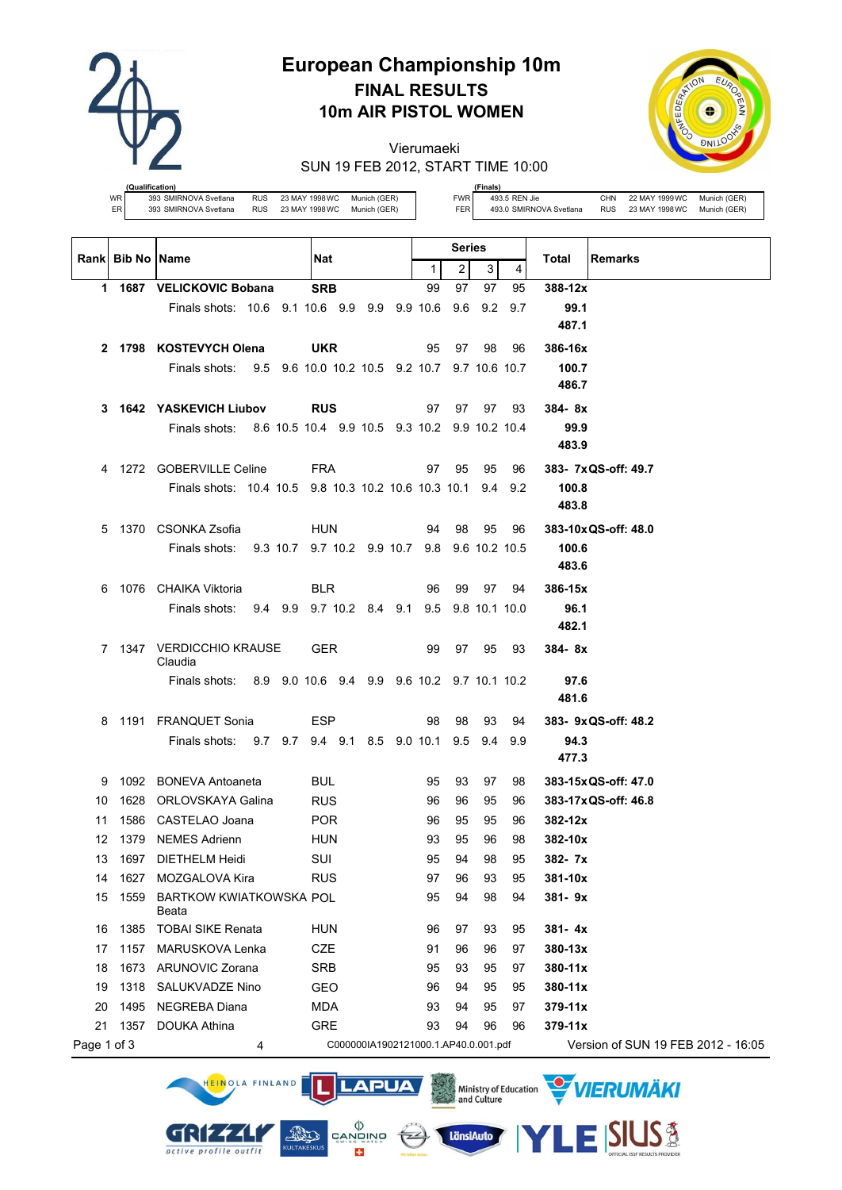

# **European Championship 10m FINAL RESULTS 10m AIR PISTOL WOMEN**

Vierumaeki SUN 19 FEB 2012, START TIME 10:00



**(Qualification)** WR 393 SMIRNOVA Svetlana RUS 23 MAY 1998 WC Munich (GER) ER 393 SMIRNOVA Svetlana RUS 23 MAY 1998 WC Munich (GER)

**(Finals)** FWR 493.5 REN Jie CHN 22 MAY 1999 WC Munich (GER)

FER 493.0 SMIRNOVA Svetlana RUS 23 MAY 1998WC Munich (GER)

|             |                  |                                                             |                                               |              | Series |     |             |                                    |
|-------------|------------------|-------------------------------------------------------------|-----------------------------------------------|--------------|--------|-----|-------------|------------------------------------|
|             | Rank Bib No Name |                                                             | Nat                                           | $\mathbf{1}$ | 2      | 3   | 4           | Total<br><b>Remarks</b>            |
|             |                  | 1 1687 VELICKOVIC Bobana                                    | <b>SRB</b>                                    | 99           | 97     | 97  | 95          | 388-12x                            |
|             |                  | Finals shots: 10.6 9.1 10.6 9.9 9.9 9.9 10.6                |                                               |              | 9.6    | 9.2 | 9.7         | 99.1                               |
|             |                  |                                                             |                                               |              |        |     |             | 487.1                              |
|             |                  | 2 1798 KOSTEVYCH Olena                                      | <b>UKR</b>                                    | 95           | 97     | 98  | 96          | 386-16x                            |
|             |                  | Finals shots:                                               | 9.5 9.6 10.0 10.2 10.5 9.2 10.7 9.7 10.6 10.7 |              |        |     |             | 100.7                              |
|             |                  |                                                             |                                               |              |        |     |             | 486.7                              |
| 3           |                  | <b>1642 YASKEVICH Liubov</b>                                | <b>RUS</b>                                    | 97           | 97     | 97  | 93          | $384 - 8x$                         |
|             |                  | Finals shots: 8.6 10.5 10.4 9.9 10.5 9.3 10.2 9.9 10.2 10.4 |                                               |              |        |     |             | 99.9                               |
|             |                  |                                                             |                                               |              |        |     |             | 483.9                              |
| 4           |                  | 1272 GOBERVILLE Celine                                      | <b>FRA</b>                                    | 97           | 95     | 95  | 96          | 383- 7x QS-off: 49.7               |
|             |                  | Finals shots: 10.4 10.5 9.8 10.3 10.2 10.6 10.3 10.1        |                                               |              |        |     | $9.4$ $9.2$ | 100.8                              |
|             |                  |                                                             |                                               |              |        |     |             | 483.8                              |
| 5           |                  | 1370 CSONKA Zsofia                                          | <b>HUN</b>                                    | 94           | 98     | 95  | 96          | 383-10x QS-off: 48.0               |
|             |                  | Finals shots:                                               | 9.3 10.7 9.7 10.2 9.9 10.7 9.8 9.6 10.2 10.5  |              |        |     |             | 100.6                              |
|             |                  |                                                             |                                               |              |        |     |             | 483.6                              |
| 6           |                  | 1076 CHAIKA Viktoria                                        | <b>BLR</b>                                    | 96           | 99     | 97  | 94          | 386-15x                            |
|             |                  | Finals shots: 9.4 9.9 9.7 10.2 8.4 9.1 9.5 9.8 10.1 10.0    |                                               |              |        |     |             | 96.1                               |
|             |                  |                                                             |                                               |              |        |     |             | 482.1                              |
| 7           |                  | 1347 VERDICCHIO KRAUSE<br>Claudia                           | <b>GER</b>                                    | 99           | 97     | 95  | 93          | $384 - 8x$                         |
|             |                  | Finals shots: 8.9 9.0 10.6 9.4 9.9 9.6 10.2 9.7 10.1 10.2   |                                               |              |        |     |             | 97.6                               |
|             |                  |                                                             |                                               |              |        |     |             | 481.6                              |
| 8           |                  | 1191 FRANQUET Sonia                                         | ESP                                           | 98           | 98     | 93  | 94          | 383- 9x QS-off: 48.2               |
|             |                  | Finals shots: 9.7 9.7 9.4 9.1 8.5 9.0 10.1                  |                                               |              | 9.5    | 9.4 | 9.9         | 94.3                               |
|             |                  |                                                             |                                               |              |        |     |             | 477.3                              |
| 9           |                  | 1092 BONEVA Antoaneta                                       | BUL                                           | 95           | 93     | 97  | 98          | 383-15x QS-off: 47.0               |
| 10          |                  | 1628 ORLOVSKAYA Galina                                      | <b>RUS</b>                                    | 96           | 96     | 95  | 96          | 383-17x QS-off: 46.8               |
| 11          | 1586             | CASTELAO Joana                                              | <b>POR</b>                                    | 96           | 95     | 95  | 96          | $382 - 12x$                        |
| 12          | 1379             | <b>NEMES Adrienn</b>                                        | HUN                                           | 93           | 95     | 96  | 98          | 382-10x                            |
| 13          |                  | 1697 DIETHELM Heidi                                         | SUI                                           | 95           | 94     | 98  | 95          | 382- 7x                            |
| 14          | 1627             | MOZGALOVA Kira                                              | <b>RUS</b>                                    | 97           | 96     | 93  | 95          | 381-10x                            |
| 15          | 1559             | <b>BARTKOW KWIATKOWSKA POL</b><br>Beata                     |                                               | 95           | 94     | 98  | 94          | 381-9x                             |
| 16          | 1385             | <b>TOBAI SIKE Renata</b>                                    | <b>HUN</b>                                    | 96           | 97     | 93  | 95          | $381 - 4x$                         |
| 17          | 1157             | <b>MARUSKOVA Lenka</b>                                      | CZE                                           | 91           | 96     | 96  | 97          | 380-13x                            |
| 18          | 1673             | ARUNOVIC Zorana                                             | <b>SRB</b>                                    | 95           | 93     | 95  | 97          | 380-11x                            |
| 19          | 1318             | SALUKVADZE Nino                                             | GEO                                           | 96           | 94     | 95  | 95          | 380-11x                            |
| 20          | 1495             | NEGREBA Diana                                               | MDA                                           | 93           | 94     | 95  | 97          | $379 - 11x$                        |
| 21          | 1357             | <b>DOUKA Athina</b>                                         | GRE                                           | 93           | 94     | 96  | 96          | $379 - 11x$                        |
| Page 1 of 3 |                  | 4                                                           | C000000IA1902121000.1.AP40.0.001.pdf          |              |        |     |             | Version of SUN 19 FEB 2012 - 16:05 |





**SIUS®**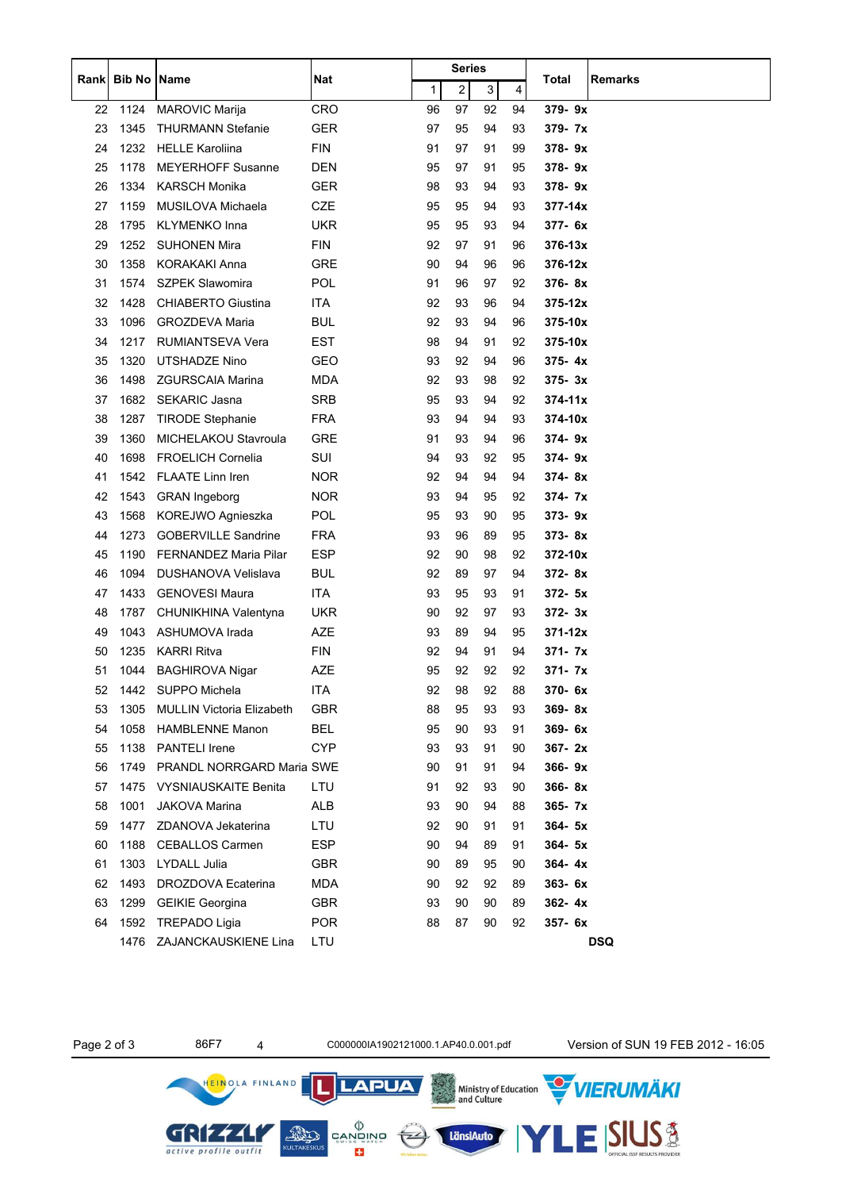|       |                    |                                  |            |    | Series |    |    |                         |  |
|-------|--------------------|----------------------------------|------------|----|--------|----|----|-------------------------|--|
| Rankl | <b>Bib No Name</b> |                                  | Nat        | 1  | 2      | 3  | 4  | <b>Remarks</b><br>Total |  |
| 22    | 1124               | <b>MAROVIC Marija</b>            | <b>CRO</b> | 96 | 97     | 92 | 94 | 379-9x                  |  |
| 23    | 1345               | <b>THURMANN Stefanie</b>         | <b>GER</b> | 97 | 95     | 94 | 93 | $379 - 7x$              |  |
| 24    | 1232               | <b>HELLE Karoliina</b>           | <b>FIN</b> | 91 | 97     | 91 | 99 | 378-9x                  |  |
| 25    | 1178               | <b>MEYERHOFF Susanne</b>         | DEN        | 95 | 97     | 91 | 95 | $378 - 9x$              |  |
| 26    | 1334               | <b>KARSCH Monika</b>             | <b>GER</b> | 98 | 93     | 94 | 93 | 378-9x                  |  |
| 27    | 1159               | MUSILOVA Michaela                | CZE        | 95 | 95     | 94 | 93 | 377-14x                 |  |
| 28    | 1795               | <b>KLYMENKO Inna</b>             | <b>UKR</b> | 95 | 95     | 93 | 94 | 377-6x                  |  |
| 29    | 1252               | <b>SUHONEN Mira</b>              | <b>FIN</b> | 92 | 97     | 91 | 96 | $376 - 13x$             |  |
| 30    | 1358               | <b>KORAKAKI Anna</b>             | GRE        | 90 | 94     | 96 | 96 | $376 - 12x$             |  |
| 31    | 1574               | <b>SZPEK Slawomira</b>           | POL        | 91 | 96     | 97 | 92 | 376-8x                  |  |
| 32    | 1428               | <b>CHIABERTO Giustina</b>        | ITA        | 92 | 93     | 96 | 94 | $375 - 12x$             |  |
| 33    | 1096               | <b>GROZDEVA Maria</b>            | <b>BUL</b> | 92 | 93     | 94 | 96 | $375 - 10x$             |  |
| 34    | 1217               | <b>RUMIANTSEVA Vera</b>          | EST        | 98 | 94     | 91 | 92 | $375 - 10x$             |  |
| 35    | 1320               | <b>UTSHADZE Nino</b>             | GEO        | 93 | 92     | 94 | 96 | $375 - 4x$              |  |
| 36    | 1498               | <b>ZGURSCAIA Marina</b>          | <b>MDA</b> | 92 | 93     | 98 | 92 | 375-3x                  |  |
| 37    | 1682               | <b>SEKARIC Jasna</b>             | <b>SRB</b> | 95 | 93     | 94 | 92 | $374 - 11x$             |  |
| 38    | 1287               | <b>TIRODE Stephanie</b>          | <b>FRA</b> | 93 | 94     | 94 | 93 | 374-10x                 |  |
| 39    | 1360               | MICHELAKOU Stavroula             | GRE        | 91 | 93     | 94 | 96 | $374 - 9x$              |  |
| 40    | 1698               | <b>FROELICH Cornelia</b>         | SUI        | 94 | 93     | 92 | 95 | $374 - 9x$              |  |
| 41    | 1542               | FLAATE Linn Iren                 | NOR        | 92 | 94     | 94 | 94 | $374 - 8x$              |  |
| 42    | 1543               | <b>GRAN</b> Ingeborg             | <b>NOR</b> | 93 | 94     | 95 | 92 | $374 - 7x$              |  |
| 43    | 1568               | KOREJWO Agnieszka                | <b>POL</b> | 95 | 93     | 90 | 95 | 373-9x                  |  |
| 44    | 1273               | <b>GOBERVILLE Sandrine</b>       | <b>FRA</b> | 93 | 96     | 89 | 95 | 373-8x                  |  |
| 45    | 1190               | <b>FERNANDEZ Maria Pilar</b>     | ESP        | 92 | 90     | 98 | 92 | $372 - 10x$             |  |
| 46    | 1094               | DUSHANOVA Velislava              | <b>BUL</b> | 92 | 89     | 97 | 94 | 372-8x                  |  |
| 47    | 1433               | <b>GENOVESI Maura</b>            | ITA        | 93 | 95     | 93 | 91 | $372 - 5x$              |  |
| 48    | 1787               | CHUNIKHINA Valentyna             | <b>UKR</b> | 90 | 92     | 97 | 93 | $372 - 3x$              |  |
| 49    | 1043               | ASHUMOVA Irada                   | AZE        | 93 | 89     | 94 | 95 | $371 - 12x$             |  |
| 50    | 1235               | <b>KARRI Ritva</b>               | <b>FIN</b> | 92 | 94     | 91 | 94 | $371 - 7x$              |  |
| 51    | 1044               | <b>BAGHIROVA Nigar</b>           | AZE        | 95 | 92     | 92 | 92 | 371- 7x                 |  |
| 52    |                    | 1442 SUPPO Michela               | <b>ITA</b> | 92 | 98     | 92 | 88 | 370-6x                  |  |
| 53    | 1305               | <b>MULLIN Victoria Elizabeth</b> | <b>GBR</b> | 88 | 95     | 93 | 93 | $369 - 8x$              |  |
| 54    | 1058               | <b>HAMBLENNE Manon</b>           | <b>BEL</b> | 95 | 90     | 93 | 91 | 369-6x                  |  |
| 55    | 1138               | <b>PANTELI</b> Irene             | <b>CYP</b> | 93 | 93     | 91 | 90 | $367 - 2x$              |  |
| 56    | 1749               | PRANDL NORRGARD Maria SWE        |            | 90 | 91     | 91 | 94 | 366-9x                  |  |
| 57    | 1475               | <b>VYSNIAUSKAITE Benita</b>      | LTU        | 91 | 92     | 93 | 90 | 366-8x                  |  |
| 58    | 1001               | <b>JAKOVA Marina</b>             | ALB        | 93 | 90     | 94 | 88 | 365- 7x                 |  |
| 59    | 1477               | ZDANOVA Jekaterina               | LTU        | 92 | 90     | 91 | 91 | $364 - 5x$              |  |
| 60    | 1188               | <b>CEBALLOS Carmen</b>           | ESP        | 90 | 94     | 89 | 91 | $364 - 5x$              |  |
| 61    | 1303               | LYDALL Julia                     | <b>GBR</b> | 90 | 89     | 95 | 90 | $364 - 4x$              |  |
| 62    | 1493               | DROZDOVA Ecaterina               | <b>MDA</b> | 90 | 92     | 92 | 89 | $363 - 6x$              |  |
| 63    | 1299               | <b>GEIKIE Georgina</b>           | GBR        | 93 | 90     | 90 | 89 | $362 - 4x$              |  |
| 64    | 1592               | <b>TREPADO Ligia</b>             | <b>POR</b> | 88 | 87     | 90 | 92 | 357- 6x                 |  |
|       | 1476               | ZAJANCKAUSKIENE Lina             | LTU        |    |        |    |    | <b>DSQ</b>              |  |

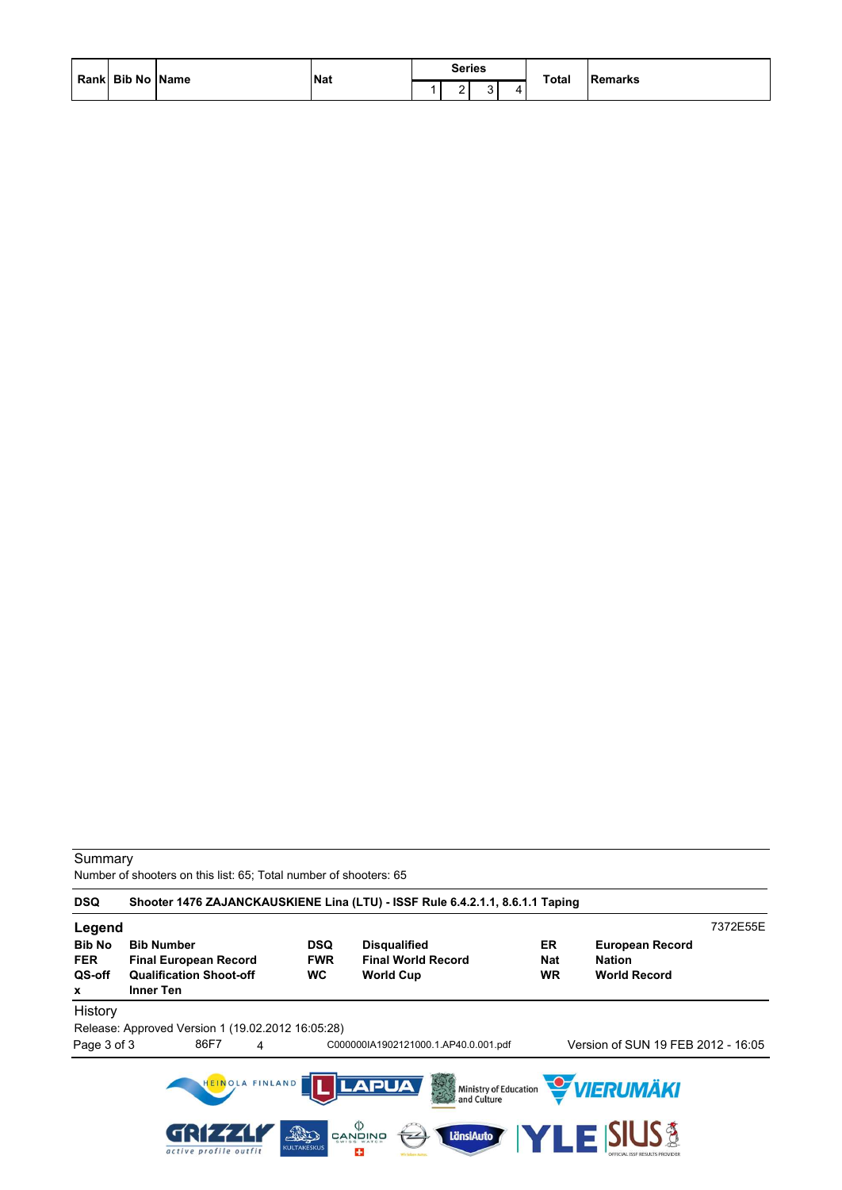| Rank Bib No Name | Nat | <b>Series</b> |  | Total | <b>Remarks</b> |
|------------------|-----|---------------|--|-------|----------------|
|                  |     |               |  |       |                |

Number of shooters on this list: 65; Total number of shooters: 65

| <b>DSQ</b>                                 |                                                                                                         |                                 | Shooter 1476 ZAJANCKAUSKIENE Lina (LTU) - ISSF Rule 6.4.2.1.1, 8.6.1.1 Taping                                                   |                        |                                                                |          |
|--------------------------------------------|---------------------------------------------------------------------------------------------------------|---------------------------------|---------------------------------------------------------------------------------------------------------------------------------|------------------------|----------------------------------------------------------------|----------|
| Legend                                     |                                                                                                         |                                 |                                                                                                                                 |                        |                                                                | 7372E55E |
| <b>Bib No</b><br><b>FER</b><br>QS-off<br>x | <b>Bib Number</b><br><b>Final European Record</b><br><b>Qualification Shoot-off</b><br><b>Inner Ten</b> | <b>DSQ</b><br><b>FWR</b><br>WC. | <b>Disqualified</b><br><b>Final World Record</b><br><b>World Cup</b>                                                            | ER<br><b>Nat</b><br>WR | <b>European Record</b><br><b>Nation</b><br><b>World Record</b> |          |
| History                                    |                                                                                                         |                                 |                                                                                                                                 |                        |                                                                |          |
|                                            | Release: Approved Version 1 (19.02.2012 16:05:28)                                                       |                                 |                                                                                                                                 |                        |                                                                |          |
| Page 3 of 3                                | 86F7<br>4                                                                                               |                                 | C000000IA1902121000.1.AP40.0.001.pdf                                                                                            |                        | Version of SUN 19 FEB 2012 - 16:05                             |          |
|                                            | HEINOLA FINLAND<br>active profile outfit                                                                | AD<br><b>KULTAKESKUS</b>        | <b>LAPUA</b><br>Ministry of Education<br>and Culture<br>$\langle \rangle$<br><b>LänsiAuto</b><br>CANQINO<br>7 <sup>2</sup><br>÷ |                        | <b>WERUMÄKI</b><br><b>LE SIUS &amp;</b>                        |          |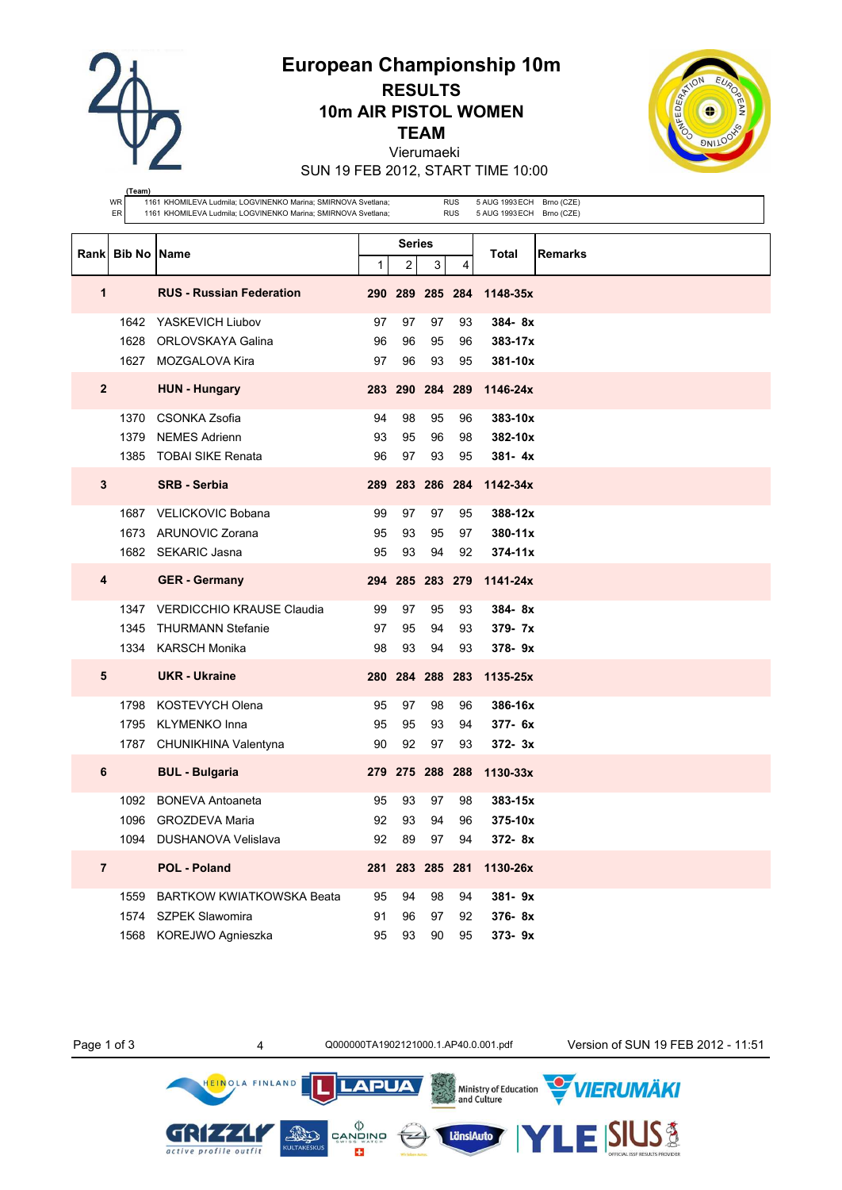**European Championship 10m**

**RESULTS 10m AIR PISTOL WOMEN**

**TEAM**

Vierumaeki

SUN 19 FEB 2012, START TIME 10:00

|                | (Team)           |                                                                                                                                |    |        |                 |                          |                                                        |         |
|----------------|------------------|--------------------------------------------------------------------------------------------------------------------------------|----|--------|-----------------|--------------------------|--------------------------------------------------------|---------|
|                | WR<br>ER         | 1161 KHOMILEVA Ludmila; LOGVINENKO Marina; SMIRNOVA Svetlana;<br>1161 KHOMILEVA Ludmila; LOGVINENKO Marina; SMIRNOVA Svetlana; |    |        |                 | <b>RUS</b><br><b>RUS</b> | 5 AUG 1993 ECH Brno (CZE)<br>5 AUG 1993 ECH Brno (CZE) |         |
|                |                  |                                                                                                                                |    |        |                 |                          |                                                        |         |
|                |                  |                                                                                                                                |    | Series |                 |                          |                                                        |         |
|                | Rank Bib No Name |                                                                                                                                | 1  | 2      | 3               | 4                        | Total                                                  | Remarks |
| 1              |                  | <b>RUS - Russian Federation</b>                                                                                                |    |        | 290 289 285 284 |                          | 1148-35x                                               |         |
|                |                  |                                                                                                                                |    |        |                 |                          |                                                        |         |
|                | 1642             | YASKEVICH Liubov                                                                                                               | 97 | 97     | 97              | 93                       | $384 - 8x$                                             |         |
|                | 1628             | ORLOVSKAYA Galina                                                                                                              | 96 | 96     | 95              | 96                       | $383 - 17x$                                            |         |
|                | 1627             | MOZGALOVA Kira                                                                                                                 | 97 | 96     | 93              | 95                       | 381-10x                                                |         |
| $\mathbf{2}$   |                  | <b>HUN - Hungary</b>                                                                                                           |    |        | 283 290 284 289 |                          | 1146-24x                                               |         |
|                | 1370             | CSONKA Zsofia                                                                                                                  | 94 | 98     | 95              | 96                       | 383-10x                                                |         |
|                | 1379             | <b>NEMES Adrienn</b>                                                                                                           | 93 | 95     | 96              | 98                       | 382-10x                                                |         |
|                | 1385             | TOBAI SIKE Renata                                                                                                              | 96 | 97     | 93              | 95                       | $381 - 4x$                                             |         |
| $\mathbf 3$    |                  | <b>SRB - Serbia</b>                                                                                                            |    |        | 289 283 286 284 |                          | 1142-34x                                               |         |
|                | 1687             | <b>VELICKOVIC Bobana</b>                                                                                                       | 99 | 97     | 97              | 95                       | 388-12x                                                |         |
|                |                  | 1673 ARUNOVIC Zorana                                                                                                           | 95 | 93     | 95              | 97                       | 380-11x                                                |         |
|                |                  | 1682 SEKARIC Jasna                                                                                                             | 95 | 93     | 94              | 92                       | $374 - 11x$                                            |         |
| 4              |                  | <b>GER</b> - Germany                                                                                                           |    |        |                 |                          | 294 285 283 279 1141-24x                               |         |
|                | 1347             | <b>VERDICCHIO KRAUSE Claudia</b>                                                                                               | 99 | 97     | 95              | 93                       | $384 - 8x$                                             |         |
|                | 1345             | <b>THURMANN Stefanie</b>                                                                                                       | 97 | 95     | 94              | 93                       | 379- 7x                                                |         |
|                |                  | 1334 KARSCH Monika                                                                                                             | 98 | 93     | 94              | 93                       | 378-9x                                                 |         |
| 5              |                  | <b>UKR - Ukraine</b>                                                                                                           |    |        | 280 284 288 283 |                          | 1135-25x                                               |         |
|                | 1798             | <b>KOSTEVYCH Olena</b>                                                                                                         | 95 | 97     | 98              | 96                       | 386-16x                                                |         |
|                | 1795             | <b>KLYMENKO Inna</b>                                                                                                           | 95 | 95     | 93              | 94                       | $377 - 6x$                                             |         |
|                |                  | 1787 CHUNIKHINA Valentyna                                                                                                      | 90 | 92     | 97              | 93                       | $372 - 3x$                                             |         |
| 6              |                  | <b>BUL - Bulgaria</b>                                                                                                          |    |        | 279 275 288 288 |                          | 1130-33x                                               |         |
|                |                  | 1092 BONEVA Antoaneta                                                                                                          | 95 | 93     | 97              | 98                       | $383 - 15x$                                            |         |
|                |                  | 1096 GROZDEVA Maria                                                                                                            | 92 | 93     | 94              | 96                       | 375-10x                                                |         |
|                |                  | 1094 DUSHANOVA Velislava                                                                                                       | 92 | 89     | 97              | 94                       | 372-8x                                                 |         |
| $\overline{7}$ |                  | <b>POL - Poland</b>                                                                                                            |    |        | 281 283 285 281 |                          | 1130-26x                                               |         |
|                |                  | 1559 BARTKOW KWIATKOWSKA Beata                                                                                                 | 95 | 94     | 98              | 94                       | 381-9x                                                 |         |
|                |                  | 1574 SZPEK Slawomira                                                                                                           | 91 | 96     | 97              | 92                       | 376-8x                                                 |         |
|                |                  | 1568 KOREJWO Agnieszka                                                                                                         | 95 | 93     | 90              | 95                       | 373-9x                                                 |         |

HEINOLA FINLAND

GRIZZA

active profile outfit

 $\left(\frac{1}{2}\right)$ 

**LAPUA** 

 $\begin{matrix} \langle \rangle \\ \texttt{CANDING} \\ \texttt{SUNBS} \\ \end{matrix}$ 

E3

**AND** 

**Ministry of Education**<br>**Ministry of Education** 

LänsiAuto

Page 1 of 3 4 Q000000TA1902121000.1.AP40.0.001.pdf Version of SUN 19 FEB 2012 - 11:51

.<br>VIERUMÄKI

**SIUS®**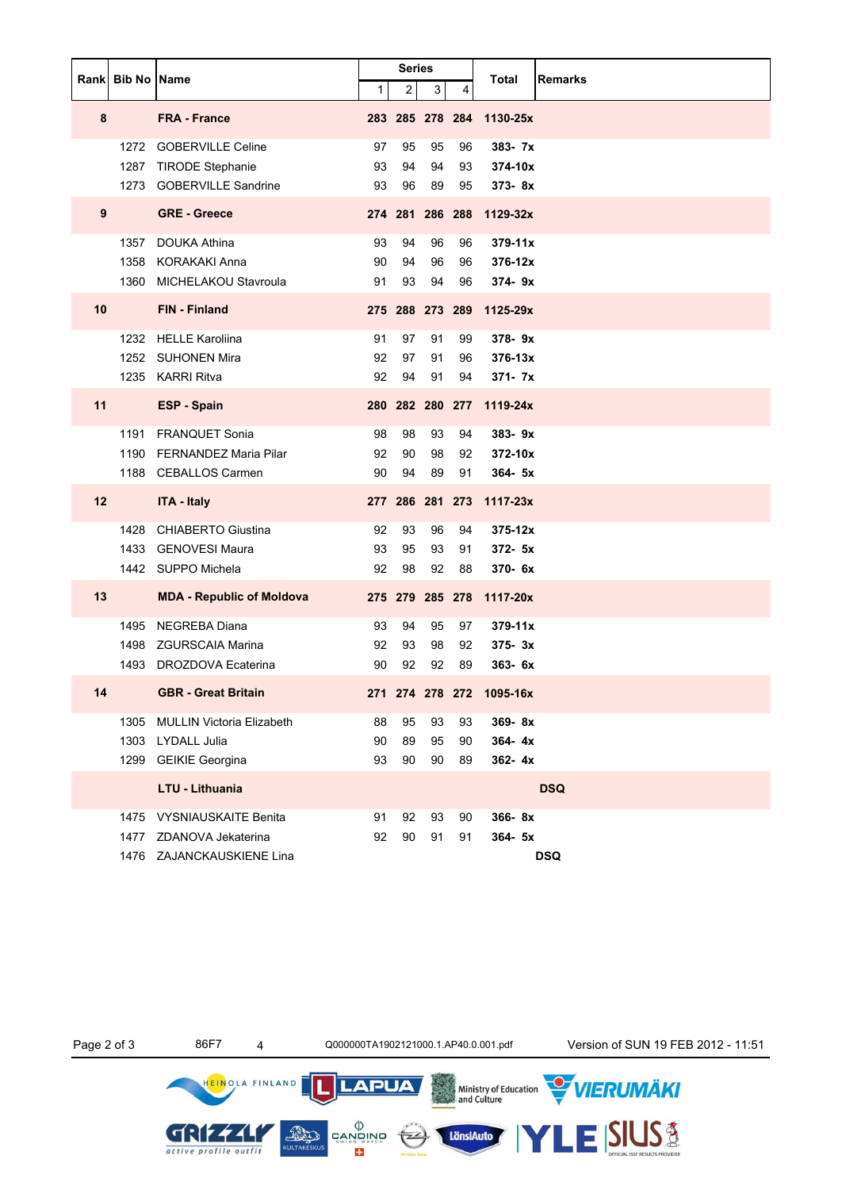|    |                           |                                  |                | <b>Series</b> |                 |    |                          |            |  |
|----|---------------------------|----------------------------------|----------------|---------------|-----------------|----|--------------------------|------------|--|
|    | <b>Rankl Bib No IName</b> |                                  | 1 <sup>1</sup> | $2\vert$      | 3 <sup>1</sup>  | 4  | Total<br>Remarks         |            |  |
| 8  |                           | <b>FRA - France</b>              |                |               |                 |    | 283 285 278 284 1130-25x |            |  |
|    | 1272                      | <b>GOBERVILLE Celine</b>         | 97             | 95            | 95              | 96 | 383- 7x                  |            |  |
|    | 1287                      | <b>TIRODE Stephanie</b>          | 93             | 94            | 94              | 93 | 374-10x                  |            |  |
|    | 1273                      | <b>GOBERVILLE Sandrine</b>       | 93             | 96            | 89              | 95 | $373 - 8x$               |            |  |
| 9  |                           | <b>GRE - Greece</b>              |                |               | 274 281 286 288 |    | 1129-32x                 |            |  |
|    | 1357                      | <b>DOUKA Athina</b>              | 93             | 94            | 96              | 96 | $379 - 11x$              |            |  |
|    |                           | 1358 KORAKAKI Anna               | 90             | 94            | 96              | 96 | 376-12x                  |            |  |
|    |                           | 1360 MICHELAKOU Stavroula        | 91             | 93            | 94              | 96 | 374-9x                   |            |  |
| 10 |                           | FIN - Finland                    |                |               | 275 288 273 289 |    | 1125-29x                 |            |  |
|    |                           | 1232 HELLE Karoliina             | 91             | 97            | 91              | 99 | $378 - 9x$               |            |  |
|    |                           | 1252 SUHONEN Mira                | 92             | 97            | 91              | 96 | $376 - 13x$              |            |  |
|    |                           | 1235 KARRI Ritva                 | 92             | 94            | 91              | 94 | $371 - 7x$               |            |  |
| 11 |                           | <b>ESP - Spain</b>               |                |               |                 |    | 280 282 280 277 1119-24x |            |  |
|    |                           | 1191 FRANQUET Sonia              | 98             | 98            | 93              | 94 | 383-9x                   |            |  |
|    |                           | 1190 FERNANDEZ Maria Pilar       | 92             | 90            | 98              | 92 | 372-10x                  |            |  |
|    |                           | 1188 CEBALLOS Carmen             | 90             | 94            | 89              | 91 | $364 - 5x$               |            |  |
| 12 |                           | <b>ITA - Italy</b>               |                |               |                 |    | 277 286 281 273 1117-23x |            |  |
|    | 1428                      | <b>CHIABERTO Giustina</b>        | 92             | 93            | 96              | 94 | $375 - 12x$              |            |  |
|    |                           | 1433 GENOVESI Maura              | 93             | 95            | 93              | 91 | $372 - 5x$               |            |  |
|    |                           | 1442 SUPPO Michela               | 92             | 98            | 92              | 88 | 370- 6x                  |            |  |
| 13 |                           | <b>MDA - Republic of Moldova</b> |                |               | 275 279 285 278 |    | 1117-20x                 |            |  |
|    |                           | 1495 NEGREBA Diana               | 93             | 94            | 95              | 97 | $379 - 11x$              |            |  |
|    |                           | 1498 ZGURSCAIA Marina            | 92             | 93            | 98              | 92 | $375 - 3x$               |            |  |
|    | 1493                      | DROZDOVA Ecaterina               | 90             | 92            | 92              | 89 | 363-6x                   |            |  |
| 14 |                           | <b>GBR - Great Britain</b>       |                |               |                 |    | 271 274 278 272 1095-16x |            |  |
|    | 1305                      | <b>MULLIN Victoria Elizabeth</b> | 88             | 95            | 93              | 93 | 369-8x                   |            |  |
|    | 1303                      | <b>LYDALL Julia</b>              | 90             | 89            | 95              | 90 | $364 - 4x$               |            |  |
|    | 1299                      | <b>GEIKIE Georgina</b>           | 93             | 90            | 90              | 89 | 362-4x                   |            |  |
|    |                           | LTU - Lithuania                  |                |               |                 |    | <b>DSQ</b>               |            |  |
|    | 1475                      | <b>VYSNIAUSKAITE Benita</b>      | 91             | 92            | 93              | 90 | 366-8x                   |            |  |
|    | 1477                      | ZDANOVA Jekaterina               | 92             | 90            | 91              | 91 | $364 - 5x$               |            |  |
|    |                           | 1476 ZAJANCKAUSKIENE Lina        |                |               |                 |    |                          | <b>DSQ</b> |  |

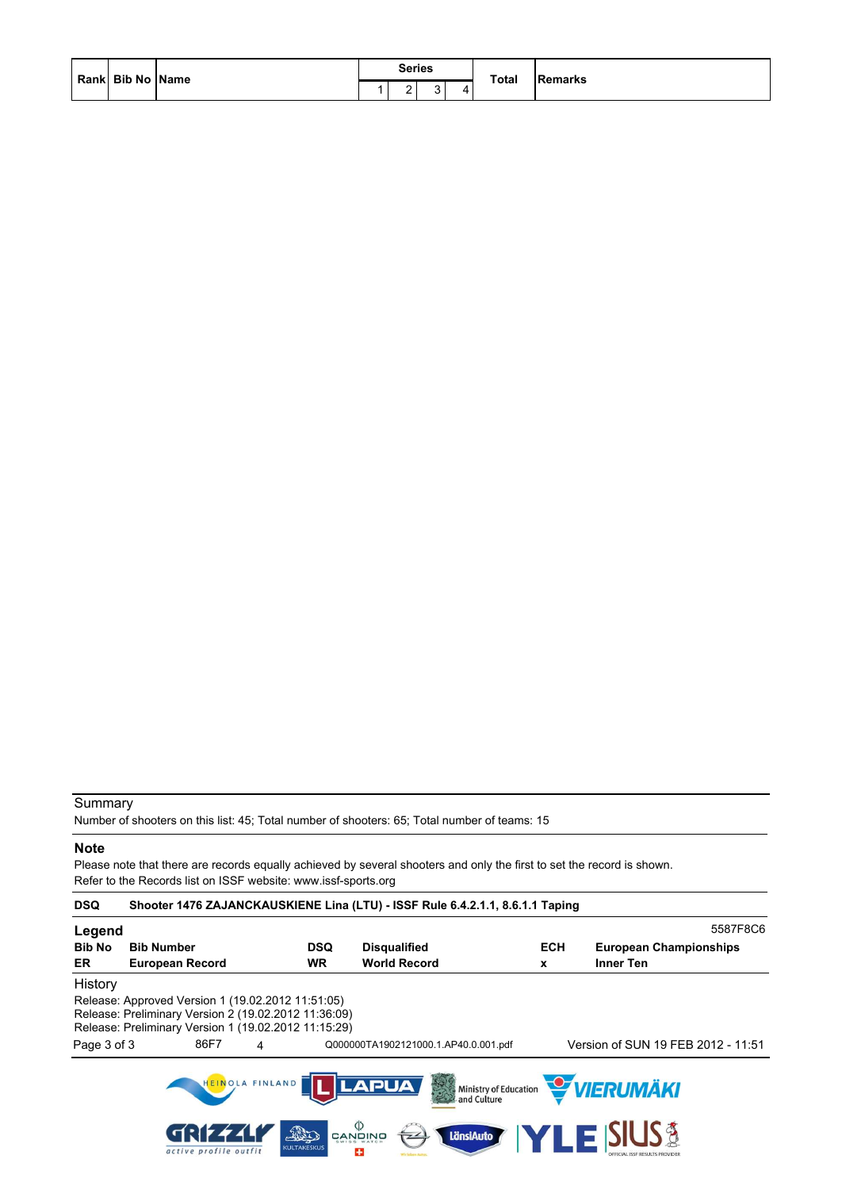|                  | <b>Series</b> |              | Remarks |
|------------------|---------------|--------------|---------|
| Rank Bib No Name |               | <b>Total</b> | ______  |

Number of shooters on this list: 45; Total number of shooters: 65; Total number of teams: 15

#### **Note**

Please note that there are records equally achieved by several shooters and only the first to set the record is shown. Refer to the Records list on ISSF website: www.issf-sports.org

| <b>DSQ</b>          | Shooter 1476 ZAJANCKAUSKIENE Lina (LTU) - ISSF Rule 6.4.2.1.1, 8.6.1.1 Taping                                                                                                  |                         |                                                            |                 |                                            |
|---------------------|--------------------------------------------------------------------------------------------------------------------------------------------------------------------------------|-------------------------|------------------------------------------------------------|-----------------|--------------------------------------------|
| Legend              |                                                                                                                                                                                |                         |                                                            |                 | 5587F8C6                                   |
| <b>Bib No</b><br>ER | <b>Bib Number</b><br><b>European Record</b>                                                                                                                                    | <b>DSQ</b><br><b>WR</b> | <b>Disqualified</b><br><b>World Record</b>                 | <b>ECH</b><br>x | <b>European Championships</b><br>Inner Ten |
| History             |                                                                                                                                                                                |                         |                                                            |                 |                                            |
| Page 3 of 3         | Release: Approved Version 1 (19.02.2012 11:51:05)<br>Release: Preliminary Version 2 (19.02.2012 11:36:09)<br>Release: Preliminary Version 1 (19.02.2012 11:15:29)<br>86F7<br>4 |                         | Q000000TA1902121000.1.AP40.0.001.pdf                       |                 | Version of SUN 19 FEB 2012 - 11:51         |
|                     | HEINOLA FINLAND                                                                                                                                                                |                         | <b>LAPUA</b><br>Ministry of Education<br>and Culture<br>美国 |                 | <b>WERUMÄKI</b>                            |
|                     | <b>AND</b><br>active profile outfit                                                                                                                                            | <b>KULTAKESKUS</b>      | <)<br>LänsiAuto<br>CANQINO<br>7 <sup>2</sup><br>æ          |                 | YLE SIUS §                                 |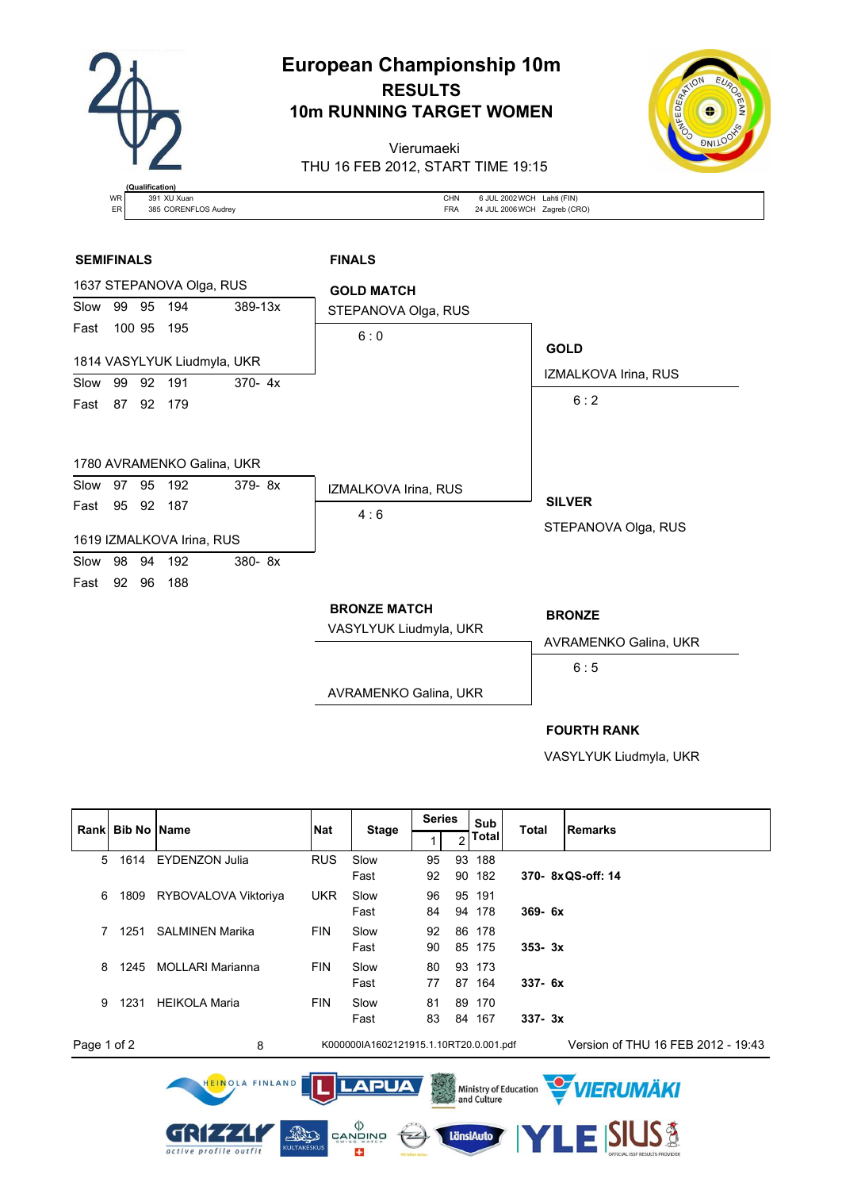

# **European Championship 10m RESULTS 10m RUNNING TARGET WOMEN**

Vierumaeki THU 16 FEB 2012, START TIME 19:15



| <b>WR</b> | 391 XU Xuan          | CHN        | 6 JUL 2002 WCH Lahti (FIN)   |
|-----------|----------------------|------------|------------------------------|
| ER        | 385 CORENFLOS Audrey | <b>FRA</b> | 24 JUL 2006 WCH Zagreb (CRO) |

### **SEMIFINALS FINALS**



#### **FOURTH RANK**

VASYLYUK Liudmyla, UKR

|             | Rank Bib No Name |                                                    | <b>Nat</b> |                                        | <b>Series</b>  |    | Sub       | <b>Total</b>                            | <b>Remarks</b>                     |
|-------------|------------------|----------------------------------------------------|------------|----------------------------------------|----------------|----|-----------|-----------------------------------------|------------------------------------|
|             |                  |                                                    |            | <b>Stage</b>                           |                | 2  | Total     |                                         |                                    |
| 5           | 1614             | <b>EYDENZON Julia</b>                              | <b>RUS</b> | Slow                                   | 95             | 93 | 188       |                                         |                                    |
|             |                  |                                                    |            | Fast                                   | 92             | 90 | 182       |                                         | 370-8xQS-off: 14                   |
| 6           | 1809             | RYBOVALOVA Viktoriya                               | <b>UKR</b> | Slow                                   | 96             |    | 95 191    |                                         |                                    |
|             |                  |                                                    |            | Fast                                   | 84             |    | 94 178    | $369 - 6x$                              |                                    |
| 7           | 1251             | <b>SALMINEN Marika</b>                             | <b>FIN</b> | Slow                                   | 92             |    | 86 178    |                                         |                                    |
|             |                  |                                                    |            | Fast                                   | 90             |    | 85 175    | $353 - 3x$                              |                                    |
| 8           | 1245             | <b>MOLLARI Marianna</b>                            | <b>FIN</b> | Slow                                   | 80             |    | 93 173    |                                         |                                    |
|             |                  |                                                    |            | Fast                                   | 77             |    | 87 164    | $337 - 6x$                              |                                    |
| 9           | 1231             | <b>HEIKOLA Maria</b>                               | <b>FIN</b> | Slow                                   | 81             |    | 89 170    |                                         |                                    |
|             |                  |                                                    |            | Fast                                   | 83             |    | 84 167    | $337 - 3x$                              |                                    |
| Page 1 of 2 |                  | 8                                                  |            | K000000IA1602121915.1.10RT20.0.001.pdf |                |    |           |                                         | Version of THU 16 FEB 2012 - 19:43 |
|             |                  | HEINOLA FINLAND                                    |            | <b>LAPUA</b>                           | <b>COLLEGE</b> |    |           | Ministry of Education<br>2. and Culture | <b>WERUMÄKI</b>                    |
|             |                  | ALL<br><b>KULTAKESKUS</b><br>active profile outfit |            | פֿאוריפֿאַפֿ<br>פֿאַזי<br>25           |                |    | LänsiAuto |                                         | <b>IUS3</b><br>LED                 |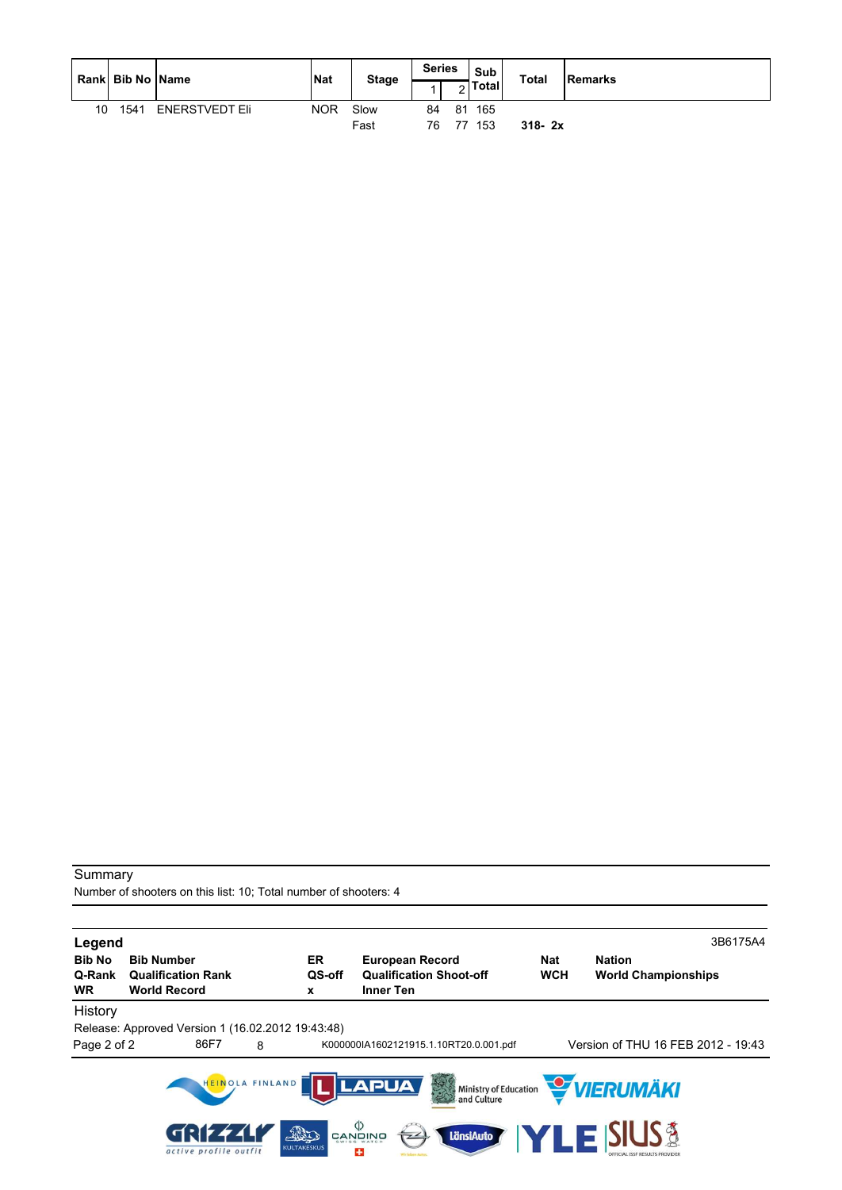|    | Rank Bib No Name |                       | <b>INat</b> | <b>Stage</b> | <b>Series</b> | <u>.</u> | Sub<br><b>Total</b> | <b>Total</b> | Remarks |
|----|------------------|-----------------------|-------------|--------------|---------------|----------|---------------------|--------------|---------|
| 10 | 1541             | <b>ENERSTVEDT Eli</b> | <b>NOR</b>  | Slow<br>Fast | 84<br>76      | . 77     | 81 165<br>- 153     | $318 - 2x$   |         |

Number of shooters on this list: 10; Total number of shooters: 4

| Legend                               |                                                                       |                           |                                                                              |                          | 3B6175A4                                    |
|--------------------------------------|-----------------------------------------------------------------------|---------------------------|------------------------------------------------------------------------------|--------------------------|---------------------------------------------|
| <b>Bib No</b><br>Q-Rank<br><b>WR</b> | <b>Bib Number</b><br><b>Qualification Rank</b><br><b>World Record</b> | ER<br>QS-off<br>x         | <b>European Record</b><br><b>Qualification Shoot-off</b><br><b>Inner Ten</b> | <b>Nat</b><br><b>WCH</b> | <b>Nation</b><br><b>World Championships</b> |
| History<br>Page 2 of 2               | Release: Approved Version 1 (16.02.2012 19:43:48)<br>86F7             | 8                         | K000000IA1602121915.1.10RT20.0.001.pdf                                       |                          | Version of THU 16 FEB 2012 - 19:43          |
|                                      |                                                                       | HEINOLA FINLAND           | <b>LAPUA</b><br>大学<br>and Culture                                            |                          | Ministry of Education VIERUMÄKI             |
|                                      | GRIF445<br>active profile outfit                                      | The<br><b>KULTAKESKUS</b> | פֿאוריפֿאַפֿ<br>פֿאַזי<br>LänsiAuto<br>$\overline{z}$<br>25                  |                          | <b>ZLE SIUS &amp;</b>                       |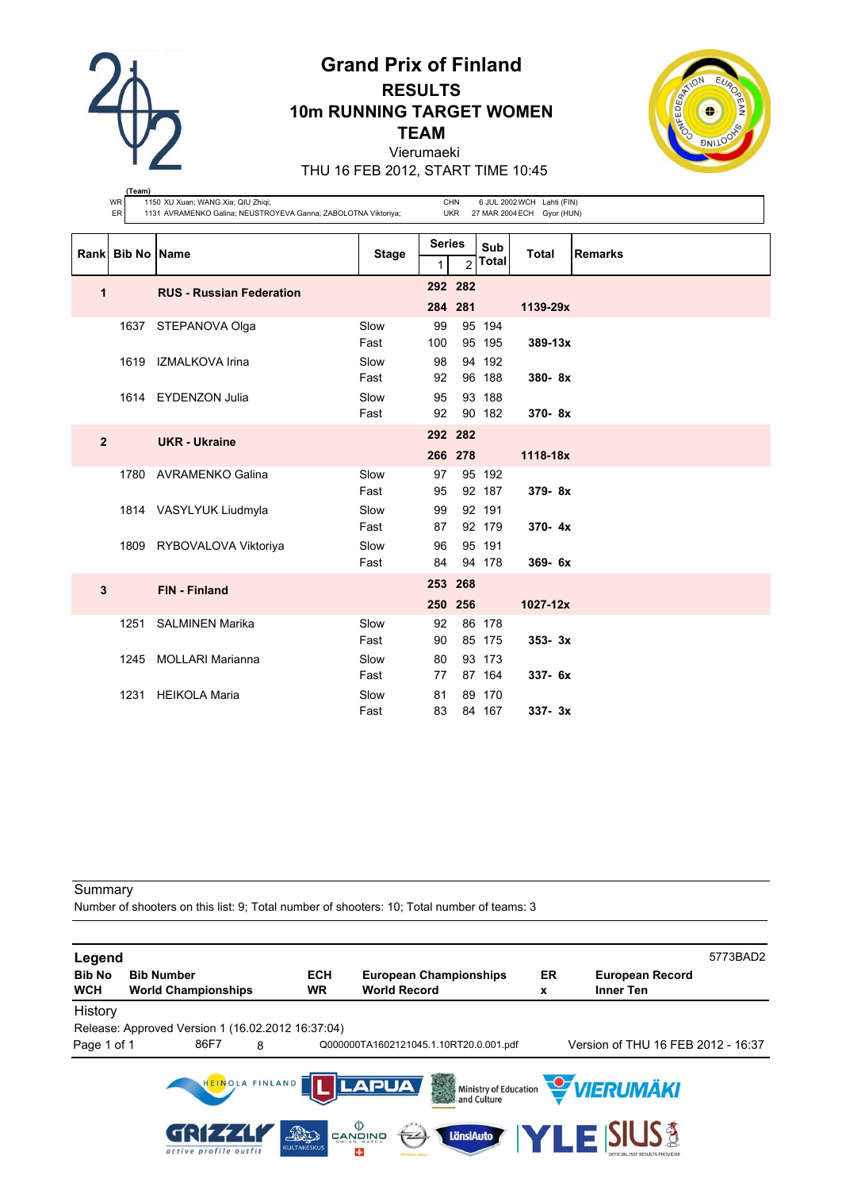

**(Team)**

# **Grand Prix of Finland RESULTS 10m RUNNING TARGET WOMEN TEAM** Vierumaeki



THU 16 FEB 2012, START TIME 10:45

|                | WR<br>ER            | 1150 XU Xuan; WANG Xia; QIU Zhiqi;<br>1131 AVRAMENKO Galina; NEUSTROYEVA Ganna; ZABOLOTNA Viktoriya; |              |                    | <b>CHN</b><br><b>UKR</b> |                     | 6 JUL 2002 WCH Lahti (FIN)<br>27 MAR 2004 ECH Gyor (HUN) |                |
|----------------|---------------------|------------------------------------------------------------------------------------------------------|--------------|--------------------|--------------------------|---------------------|----------------------------------------------------------|----------------|
| Rankl          | <b>Bib No IName</b> |                                                                                                      | <b>Stage</b> | <b>Series</b><br>1 | $\overline{2}$           | Sub<br><b>Total</b> | <b>Total</b>                                             | <b>Remarks</b> |
| 1              |                     | <b>RUS - Russian Federation</b>                                                                      |              |                    | 292 282                  |                     |                                                          |                |
|                |                     |                                                                                                      |              | 284 281            |                          |                     | 1139-29x                                                 |                |
|                |                     | 1637 STEPANOVA Olga                                                                                  | Slow         | 99                 |                          | 95 194              |                                                          |                |
|                |                     |                                                                                                      | Fast         | 100                |                          | 95 195              | $389 - 13x$                                              |                |
|                |                     | 1619 IZMALKOVA Irina                                                                                 | Slow         | 98                 |                          | 94 192              |                                                          |                |
|                |                     |                                                                                                      | Fast         | 92                 |                          | 96 188              | 380-8x                                                   |                |
|                |                     | 1614 EYDENZON Julia                                                                                  | Slow         | 95                 |                          | 93 188              |                                                          |                |
|                |                     |                                                                                                      | Fast         | 92                 |                          | 90 182              | 370-8x                                                   |                |
| $\overline{2}$ |                     | <b>UKR</b> - Ukraine                                                                                 |              | 292 282            |                          |                     |                                                          |                |
|                |                     |                                                                                                      |              |                    | 266 278                  |                     | 1118-18x                                                 |                |
|                |                     | 1780 AVRAMENKO Galina                                                                                | Slow         | 97                 |                          | 95 192              |                                                          |                |
|                |                     |                                                                                                      | Fast         | 95                 |                          | 92 187              | 379-8x                                                   |                |
|                |                     | 1814 VASYLYUK Liudmyla                                                                               | Slow         | 99                 |                          | 92 191              |                                                          |                |
|                |                     |                                                                                                      | Fast         | 87                 |                          | 92 179              | $370 - 4x$                                               |                |
|                |                     | 1809 RYBOVALOVA Viktoriya                                                                            | Slow         | 96                 |                          | 95 191              |                                                          |                |
|                |                     |                                                                                                      | Fast         | 84                 |                          | 94 178              | 369-6x                                                   |                |
| 3              |                     | <b>FIN - Finland</b>                                                                                 |              | 253 268            |                          |                     |                                                          |                |
|                |                     |                                                                                                      |              |                    | 250 256                  |                     | 1027-12x                                                 |                |
|                | 1251                | <b>SALMINEN Marika</b>                                                                               | Slow         | 92                 |                          | 86 178              |                                                          |                |
|                |                     |                                                                                                      | Fast         | 90                 |                          | 85 175              | $353 - 3x$                                               |                |
|                | 1245                | <b>MOLLARI Marianna</b>                                                                              | Slow         | 80                 |                          | 93 173              |                                                          |                |
|                |                     |                                                                                                      | Fast         | 77                 |                          | 87 164              | 337- 6x                                                  |                |
|                | 1231                | <b>HEIKOLA Maria</b>                                                                                 | Slow         | 81                 |                          | 89 170              |                                                          |                |
|                |                     |                                                                                                      | Fast         | 83                 |                          | 84 167              | $337 - 3x$                                               |                |

#### Summary

Number of shooters on this list: 9; Total number of shooters: 10; Total number of teams: 3

| Legend                      |                                                   |                 |                          |                                                                                                                            |         |                                                    | 5773BAD2 |
|-----------------------------|---------------------------------------------------|-----------------|--------------------------|----------------------------------------------------------------------------------------------------------------------------|---------|----------------------------------------------------|----------|
| <b>Bib No</b><br><b>WCH</b> | <b>Bib Number</b><br><b>World Championships</b>   |                 | <b>ECH</b><br><b>WR</b>  | <b>European Championships</b><br><b>World Record</b>                                                                       | ER<br>x | <b>European Record</b><br><b>Inner Ten</b>         |          |
| History                     |                                                   |                 |                          |                                                                                                                            |         |                                                    |          |
|                             | Release: Approved Version 1 (16.02.2012 16:37:04) |                 |                          |                                                                                                                            |         |                                                    |          |
| Page 1 of 1                 | 86F7                                              | 8               |                          | Q000000TA1602121045.1.10RT20.0.001.pdf                                                                                     |         | Version of THU 16 FEB 2012 - 16:37                 |          |
|                             | GRIF444<br>active profile outfit                  | HEINOLA FINLAND | BO<br><b>KULTAKESKUS</b> | <b>LAPUA</b><br>大学<br>$\overset{\text{\tiny{(1)}}}{\approx}$ and $\overset{\text{\tiny{(2)}}}{\approx}$<br>LänsiAuto<br>25 |         | Ministry of Education <b>WERUMAKI</b><br>E ISIUS 3 |          |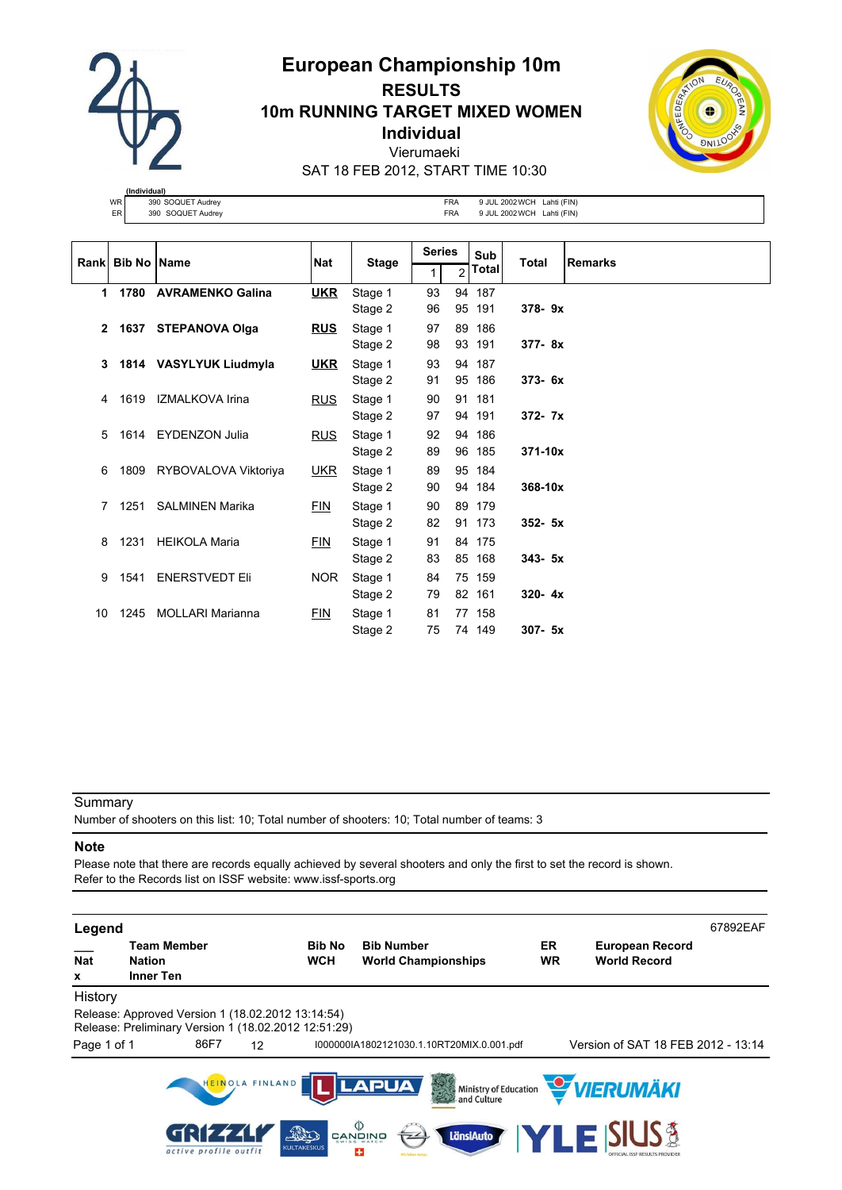

# **European Championship 10m RESULTS 10m RUNNING TARGET MIXED WOMEN Individual** Vierumaeki SAT 18 FEB 2012, START TIME 10:30



**(Individual)** WR 390 SOQUET Audrey CHA SUN ERA 9 JUL 2002 WCH Lahti (FIN)<br>ER 390 SOQUET Audrey FRA 9 JUL 2002 WCH Lahti (FIN) ER 390 SOQUET Audrey **FRA** 9 JUL 2002 WCH Lahti (FIN)

|              |      |                         | Rank Bib No Name | <b>Nat</b><br><b>Stage</b> |    | <b>Series</b>  |        | Sub        | Total | <b>Remarks</b> |
|--------------|------|-------------------------|------------------|----------------------------|----|----------------|--------|------------|-------|----------------|
|              |      |                         |                  |                            | 1  | $\mathfrak{p}$ | Total  |            |       |                |
| $\mathbf 1$  | 1780 | <b>AVRAMENKO Galina</b> | <b>UKR</b>       | Stage 1                    | 93 |                | 94 187 |            |       |                |
|              |      |                         |                  | Stage 2                    | 96 |                | 95 191 | 378-9x     |       |                |
| $\mathbf{2}$ |      | 1637 STEPANOVA Olga     | <b>RUS</b>       | Stage 1                    | 97 |                | 89 186 |            |       |                |
|              |      |                         |                  | Stage 2                    | 98 |                | 93 191 | 377-8x     |       |                |
| $3^{\circ}$  |      | 1814 VASYLYUK Liudmyla  | <u>UKR</u>       | Stage 1                    | 93 |                | 94 187 |            |       |                |
|              |      |                         |                  | Stage 2                    | 91 |                | 95 186 | $373 - 6x$ |       |                |
| 4            | 1619 | IZMALKOVA Irina         | <u>RUS</u>       | Stage 1                    | 90 |                | 91 181 |            |       |                |
|              |      |                         |                  | Stage 2                    | 97 |                | 94 191 | $372 - 7x$ |       |                |
| 5            |      | 1614 EYDENZON Julia     | <b>RUS</b>       | Stage 1                    | 92 |                | 94 186 |            |       |                |
|              |      |                         |                  | Stage 2                    | 89 |                | 96 185 | 371-10x    |       |                |
| 6            | 1809 | RYBOVALOVA Viktoriya    | <u>UKR</u>       | Stage 1                    | 89 |                | 95 184 |            |       |                |
|              |      |                         |                  | Stage 2                    | 90 |                | 94 184 | 368-10x    |       |                |
| 7            | 1251 | <b>SALMINEN Marika</b>  | <u>FIN</u>       | Stage 1                    | 90 |                | 89 179 |            |       |                |
|              |      |                         |                  | Stage 2                    | 82 |                | 91 173 | $352 - 5x$ |       |                |
| 8            | 1231 | <b>HEIKOLA Maria</b>    | <b>FIN</b>       | Stage 1                    | 91 |                | 84 175 |            |       |                |
|              |      |                         |                  | Stage 2                    | 83 |                | 85 168 | $343 - 5x$ |       |                |
| 9            | 1541 | <b>ENERSTVEDT Eli</b>   | NOR.             | Stage 1                    | 84 |                | 75 159 |            |       |                |
|              |      |                         |                  | Stage 2                    | 79 |                | 82 161 | $320 - 4x$ |       |                |
| 10           | 1245 | MOLLARI Marianna        | <b>FIN</b>       | Stage 1                    | 81 |                | 77 158 |            |       |                |
|              |      |                         |                  | Stage 2                    | 75 |                | 74 149 | $307 - 5x$ |       |                |

### **Summary**

Number of shooters on this list: 10; Total number of shooters: 10; Total number of teams: 3

#### **Note**

Please note that there are records equally achieved by several shooters and only the first to set the record is shown. Refer to the Records list on ISSF website: www.issf-sports.org

| Legend          |                                                                                                           |                             |                                                 |                 |                                               | 67892EAF |
|-----------------|-----------------------------------------------------------------------------------------------------------|-----------------------------|-------------------------------------------------|-----------------|-----------------------------------------------|----------|
| <b>Nat</b><br>x | <b>Team Member</b><br><b>Nation</b><br><b>Inner Ten</b>                                                   | <b>Bib No</b><br><b>WCH</b> | <b>Bib Number</b><br><b>World Championships</b> | ER<br><b>WR</b> | <b>European Record</b><br><b>World Record</b> |          |
| History         |                                                                                                           |                             |                                                 |                 |                                               |          |
|                 | Release: Approved Version 1 (18.02.2012 13:14:54)<br>Release: Preliminary Version 1 (18.02.2012 12:51:29) |                             |                                                 |                 |                                               |          |
| Page 1 of 1     | 86F7                                                                                                      | 12                          | I000000IA1802121030.1.10RT20MIX.0.001.pdf       |                 | Version of SAT 18 FEB 2012 - 13:14            |          |
|                 | HEINOLA FINLAND                                                                                           |                             | LAPUA<br>3<br>Ministry of Education             |                 | VIERUMÄKI                                     |          |
|                 | active profile outfit                                                                                     | AD<br><b>KULTAKESKUS</b>    | פֿאַזֶטֶאָם<br>פּאָזֶטֶאָם<br>LänsiAuto<br>÷    |                 | <b>SIGNER</b>                                 |          |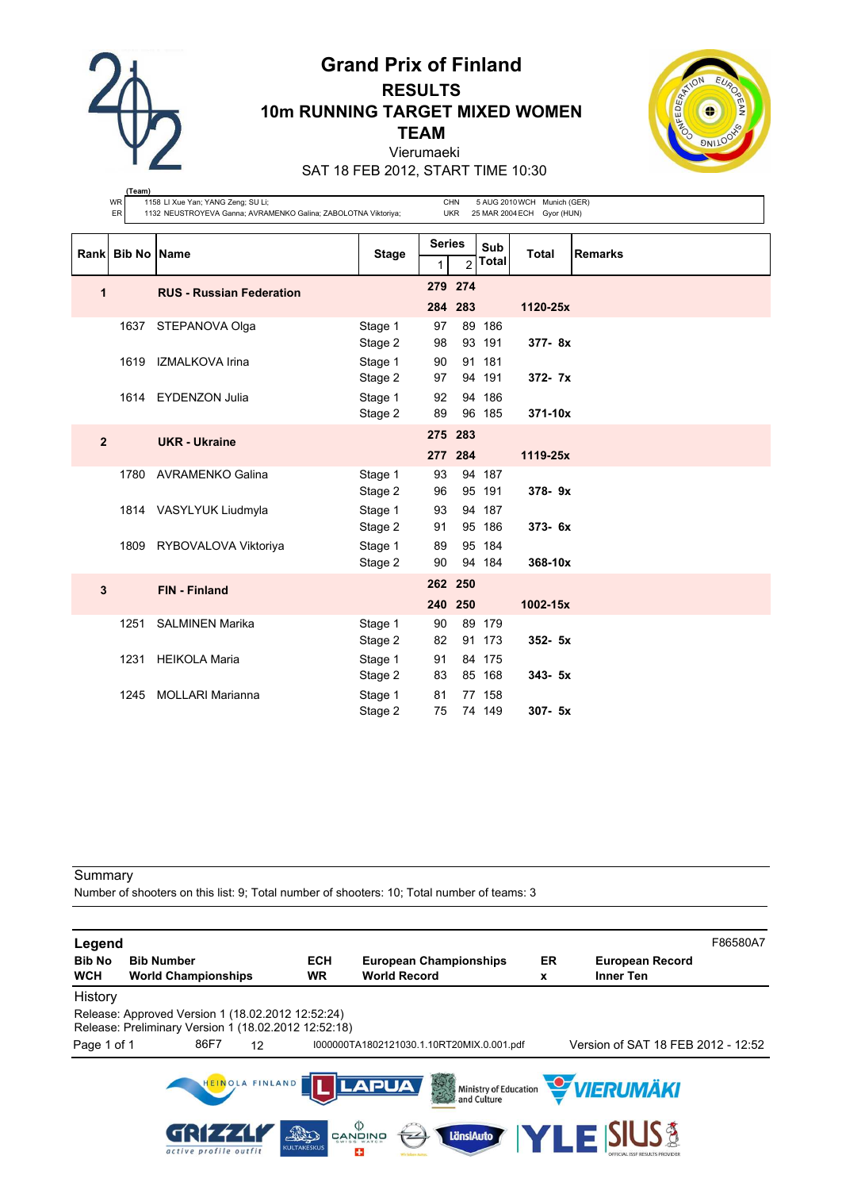

**(Team)**

# **Grand Prix of Finland RESULTS 10m RUNNING TARGET MIXED WOMEN TEAM** Vierumaeki



SAT 18 FEB 2012, START TIME 10:30

|                | WR<br>ER    | 1158 LI Xue Yan; YANG Zeng; SU Li;<br>1132 NEUSTROYEVA Ganna; AVRAMENKO Galina; ZABOLOTNA Viktoriya; |              |                    | CHN<br><b>UKR</b> |                     | 5 AUG 2010 WCH Munich (GER)<br>25 MAR 2004 ECH Gyor (HUN) |                |
|----------------|-------------|------------------------------------------------------------------------------------------------------|--------------|--------------------|-------------------|---------------------|-----------------------------------------------------------|----------------|
|                | Rank Bib No | <b>Name</b>                                                                                          | <b>Stage</b> | <b>Series</b><br>1 | $\overline{2}$    | Sub<br><b>Total</b> | <b>Total</b>                                              | <b>Remarks</b> |
| 1              |             | <b>RUS - Russian Federation</b>                                                                      |              |                    | 279 274           |                     |                                                           |                |
|                |             |                                                                                                      |              |                    | 284 283           |                     | 1120-25x                                                  |                |
|                | 1637        | STEPANOVA Olga                                                                                       | Stage 1      | 97                 |                   | 89 186              |                                                           |                |
|                |             |                                                                                                      | Stage 2      | 98                 |                   | 93 191              | $377 - 8x$                                                |                |
|                | 1619        | IZMALKOVA Irina                                                                                      | Stage 1      | 90                 |                   | 91 181              |                                                           |                |
|                |             |                                                                                                      | Stage 2      | 97                 |                   | 94 191              | 372- 7x                                                   |                |
|                |             | 1614 EYDENZON Julia                                                                                  | Stage 1      | 92                 |                   | 94 186<br>96 185    |                                                           |                |
|                |             |                                                                                                      | Stage 2      | 89                 |                   |                     | 371-10x                                                   |                |
| $\overline{2}$ |             | <b>UKR</b> - Ukraine                                                                                 |              | 275 283            |                   |                     |                                                           |                |
|                |             |                                                                                                      |              |                    | 277 284           |                     | 1119-25x                                                  |                |
|                | 1780        | <b>AVRAMENKO Galina</b>                                                                              | Stage 1      | 93                 |                   | 94 187              |                                                           |                |
|                |             |                                                                                                      | Stage 2      | 96                 |                   | 95 191              | 378-9x                                                    |                |
|                |             | 1814 VASYLYUK Liudmyla                                                                               | Stage 1      | 93                 |                   | 94 187              |                                                           |                |
|                |             |                                                                                                      | Stage 2      | 91                 |                   | 95 186              | 373-6x                                                    |                |
|                |             | 1809 RYBOVALOVA Viktoriya                                                                            | Stage 1      | 89                 |                   | 95 184              |                                                           |                |
|                |             |                                                                                                      | Stage 2      | 90                 |                   | 94 184              | 368-10x                                                   |                |
| 3              |             | <b>FIN - Finland</b>                                                                                 |              |                    | 262 250           |                     |                                                           |                |
|                |             |                                                                                                      |              |                    | 240 250           |                     | 1002-15x                                                  |                |
|                | 1251        | <b>SALMINEN Marika</b>                                                                               | Stage 1      | 90                 |                   | 89 179              |                                                           |                |
|                |             |                                                                                                      | Stage 2      | 82                 |                   | 91 173              | $352 - 5x$                                                |                |
|                | 1231        | <b>HEIKOLA Maria</b>                                                                                 | Stage 1      | 91                 |                   | 84 175              |                                                           |                |
|                |             |                                                                                                      | Stage 2      | 83                 |                   | 85 168              | $343 - 5x$                                                |                |
|                | 1245        | <b>MOLLARI Marianna</b>                                                                              | Stage 1      | 81                 |                   | 77 158              |                                                           |                |
|                |             |                                                                                                      | Stage 2      | 75                 |                   | 74 149              | 307- 5x                                                   |                |

### **Summary**

Number of shooters on this list: 9; Total number of shooters: 10; Total number of teams: 3

| Legend                      |                                                                                                           |                          |                                                      |         |                                            | F86580A7 |
|-----------------------------|-----------------------------------------------------------------------------------------------------------|--------------------------|------------------------------------------------------|---------|--------------------------------------------|----------|
| <b>Bib No</b><br><b>WCH</b> | <b>Bib Number</b><br><b>World Championships</b>                                                           | <b>ECH</b><br><b>WR</b>  | <b>European Championships</b><br><b>World Record</b> | ER<br>x | <b>European Record</b><br><b>Inner Ten</b> |          |
| History                     |                                                                                                           |                          |                                                      |         |                                            |          |
|                             | Release: Approved Version 1 (18.02.2012 12:52:24)<br>Release: Preliminary Version 1 (18.02.2012 12:52:18) |                          |                                                      |         |                                            |          |
| Page 1 of 1                 | 86F7<br>12                                                                                                |                          | I000000TA1802121030.1.10RT20MIX.0.001.pdf            |         | Version of SAT 18 FEB 2012 - 12:52         |          |
|                             | HEINOLA FINLAND                                                                                           |                          | <b>LAPUA</b><br>3                                    |         | Ministry of Education <b>WERUMAKI</b>      |          |
|                             | GRIF444<br>active profile outfit                                                                          | AD<br><b>KULTAKESKUS</b> | $\langle \rangle$<br>LänsiAuto<br>CANDINO<br>45      |         | <b>ZLE SIUS &amp;</b>                      |          |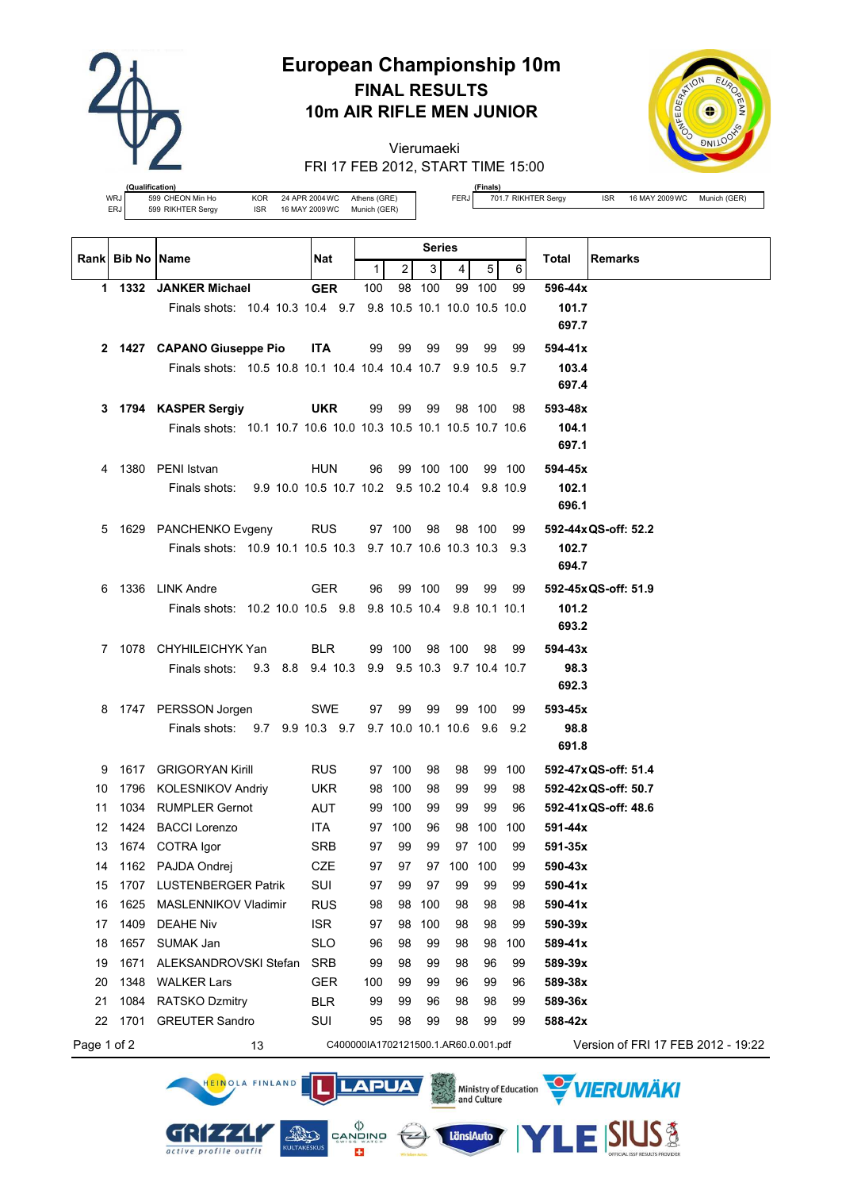

# **European Championship 10m FINAL RESULTS 10m AIR RIFLE MEN JUNIOR**

Vierumaeki FRI 17 FEB 2012, START TIME 15:00



**(Qualification)** WRJ 599 CHEON Min Ho KOR 24 APR 2004 WC Athens (GRE)<br>ERJ 599 RIKHTER Sergy ISR 16 MAY 2009 WC Munich (GER) ERJ 599 RIKHTER Sergy ISR 16 MAY 2009 WC

HEINOLA FINLAND

GRIZZLI

active profile outfit

**LAPUA** 

 $\left(\frac{1}{2}\right)$ 

 $\begin{matrix} \langle \rangle \\ \texttt{CANDING} \\ \texttt{SUNBS} \\ \end{matrix}$ 

÷

**AND** 

**(Finals)**

FERJ 701.7 RIKHTER Sergy ISR 16 MAY 2009 WC Munich (GER)

|             | <b>Rankl Bib No IName</b> |                                                                 | Nat        |                                      |                | <b>Series</b>              |            |        |        | <b>Remarks</b><br>Total            |
|-------------|---------------------------|-----------------------------------------------------------------|------------|--------------------------------------|----------------|----------------------------|------------|--------|--------|------------------------------------|
|             |                           |                                                                 |            | $\mathbf{1}$                         | $\overline{2}$ | 3                          | 4          | 5      | 6      |                                    |
|             |                           | 1 1332 JANKER Michael                                           | <b>GER</b> | 100                                  |                | 98 100                     |            | 99 100 | 99     | 596-44x                            |
|             |                           | Finals shots: 10.4 10.3 10.4 9.7 9.8 10.5 10.1 10.0 10.5 10.0   |            |                                      |                |                            |            |        |        | 101.7                              |
|             |                           |                                                                 |            |                                      |                |                            |            |        |        | 697.7                              |
| 2           |                           | 1427 CAPANO Giuseppe Pio                                        | <b>ITA</b> | 99                                   | 99             | 99                         | 99         | 99     | 99     | 594-41x                            |
|             |                           | Finals shots: 10.5 10.8 10.1 10.4 10.4 10.4 10.7 9.9 10.5 9.7   |            |                                      |                |                            |            |        |        | 103.4                              |
|             |                           |                                                                 |            |                                      |                |                            |            |        |        | 697.4                              |
| 3.          |                           | 1794 KASPER Sergiy                                              | <b>UKR</b> | 99                                   | 99             | 99                         |            | 98 100 | 98     | 593-48x                            |
|             |                           | Finals shots: 10.1 10.7 10.6 10.0 10.3 10.5 10.1 10.5 10.7 10.6 |            |                                      |                |                            |            |        |        | 104.1                              |
|             |                           |                                                                 |            |                                      |                |                            |            |        |        | 697.1                              |
| 4           |                           | 1380 PENI Istvan                                                | <b>HUN</b> | 96                                   |                | 99 100 100                 |            |        | 99 100 | 594-45x                            |
|             |                           | 9.9 10.0 10.5 10.7 10.2 9.5 10.2 10.4 9.8 10.9<br>Finals shots: |            |                                      |                |                            |            |        |        | 102.1                              |
|             |                           |                                                                 |            |                                      |                |                            |            |        |        | 696.1                              |
| 5           |                           | 1629 PANCHENKO Evgeny                                           | <b>RUS</b> |                                      | 97 100         | 98                         |            | 98 100 | 99     | 592-44x QS-off: 52.2               |
|             |                           | Finals shots: 10.9 10.1 10.5 10.3 9.7 10.7 10.6 10.3 10.3 9.3   |            |                                      |                |                            |            |        |        | 102.7                              |
|             |                           |                                                                 |            |                                      |                |                            |            |        |        | 694.7                              |
| 6           |                           | 1336 LINK Andre                                                 | <b>GER</b> | 96                                   |                | 99 100                     | 99         | 99     | 99     | 592-45x QS-off: 51.9               |
|             |                           | Finals shots: 10.2 10.0 10.5 9.8 9.8 10.5 10.4 9.8 10.1 10.1    |            |                                      |                |                            |            |        |        | 101.2                              |
|             |                           |                                                                 |            |                                      |                |                            |            |        |        | 693.2                              |
|             |                           | 7 1078 CHYHILEICHYK Yan                                         | <b>BLR</b> |                                      | 99 100         |                            | 98 100     | 98     | 99     | 594-43x                            |
|             |                           | Finals shots:<br>9.3 8.8 9.4 10.3                               |            |                                      |                | 9.9 9.5 10.3 9.7 10.4 10.7 |            |        |        | 98.3                               |
|             |                           |                                                                 |            |                                      |                |                            |            |        |        | 692.3                              |
| 8           |                           | 1747 PERSSON Jorgen                                             | <b>SWE</b> | 97                                   | 99             | 99                         |            | 99 100 | 99     | 593-45x                            |
|             |                           | Finals shots: 9.7 9.9 10.3 9.7 9.7 10.0 10.1 10.6 9.6 9.2       |            |                                      |                |                            |            |        |        | 98.8                               |
|             |                           |                                                                 |            |                                      |                |                            |            |        |        | 691.8                              |
| 9           |                           | 1617 GRIGORYAN Kirill                                           | <b>RUS</b> |                                      | 97 100         | 98                         | 98         |        | 99 100 | 592-47x QS-off: 51.4               |
| 10          |                           | 1796 KOLESNIKOV Andriy                                          | <b>UKR</b> |                                      | 98 100         | 98                         | 99         | 99     | 98     | 592-42x QS-off: 50.7               |
| 11          |                           | 1034 RUMPLER Gernot                                             | AUT        |                                      | 99 100         | 99                         | 99         | 99     | 96     | 592-41x QS-off: 48.6               |
| 12          |                           | 1424 BACCI Lorenzo                                              | ITA.       |                                      | 97 100         | 96                         | 98         | 100    | 100    | 591-44x                            |
| 13          |                           | 1674 COTRA Igor                                                 | SRB        | 97                                   | 99             | 99                         |            | 97 100 | 99     | 591-35x                            |
| 14          |                           | 1162 PAJDA Ondrej                                               | CZE        | 97                                   | 97             |                            | 97 100 100 |        | 99     | 590-43x                            |
| 15          |                           | 1707 LUSTENBERGER Patrik                                        | SUI        | 97                                   | 99             | 97                         | 99         | 99     | 99     | 590-41x                            |
| 16          | 1625                      | MASLENNIKOV Vladimir                                            | <b>RUS</b> | 98                                   | 98             | 100                        | 98         | 98     | 98     | 590-41x                            |
| 17          | 1409                      | <b>DEAHE Niv</b>                                                | <b>ISR</b> | 97                                   | 98             | 100                        | 98         | 98     | 99     | 590-39x                            |
| 18          | 1657                      | SUMAK Jan                                                       | <b>SLO</b> | 96                                   | 98             | 99                         | 98         | 98     | 100    | 589-41x                            |
| 19          | 1671                      | ALEKSANDROVSKI Stefan                                           | <b>SRB</b> | 99                                   | 98             | 99                         | 98         | 96     | 99     | 589-39x                            |
| 20          | 1348                      | <b>WALKER Lars</b>                                              | <b>GER</b> | 100                                  | 99             | 99                         | 96         | 99     | 96     | 589-38x                            |
| 21          | 1084                      | <b>RATSKO Dzmitry</b>                                           | <b>BLR</b> | 99                                   | 99             | 96                         | 98         | 98     | 99     | 589-36x                            |
| 22          | 1701                      | <b>GREUTER Sandro</b>                                           | SUI        | 95                                   | 98             | 99                         | 98         | 99     | 99     | 588-42x                            |
| Page 1 of 2 |                           | 13                                                              |            | C400000IA1702121500.1.AR60.0.001.pdf |                |                            |            |        |        | Version of FRI 17 FEB 2012 - 19:22 |

Ministry of Education WIERUMAKI

**LänsiAuto** 

**SIUS®**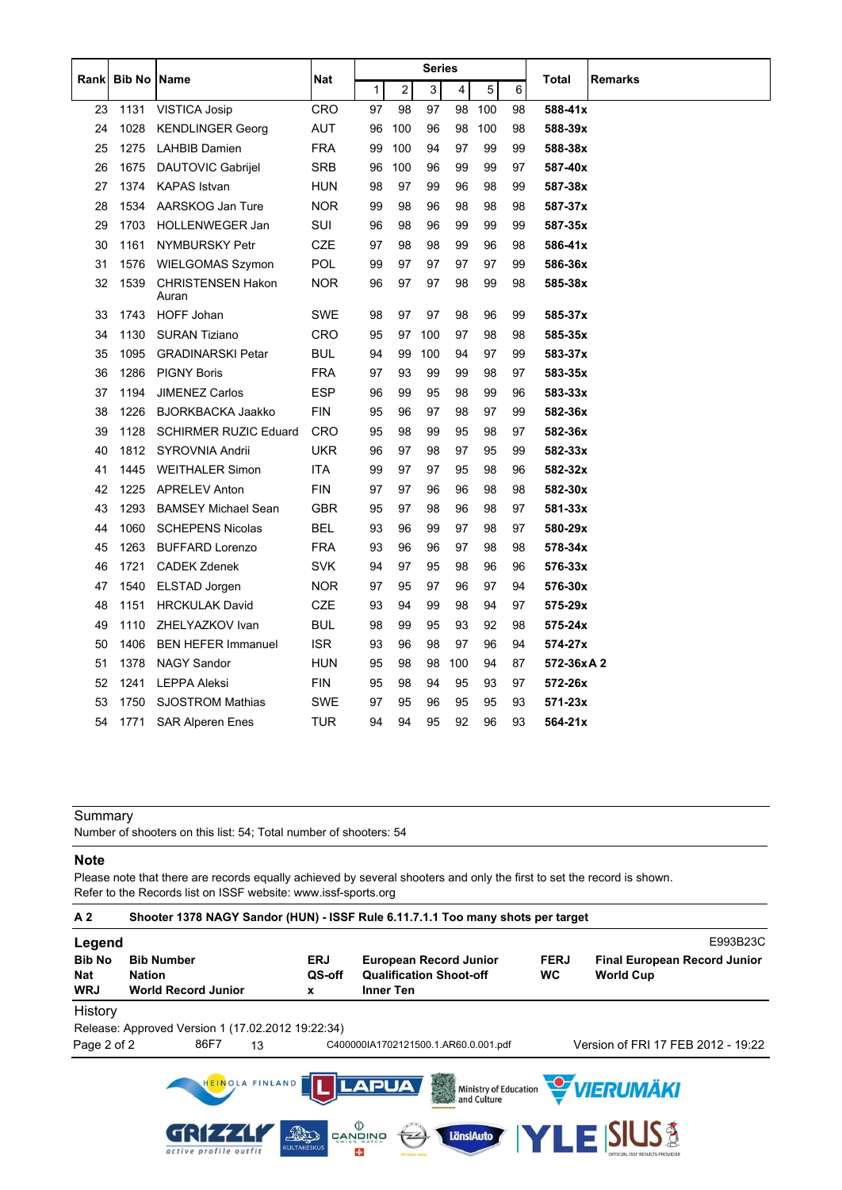|      |                    |                                   |            |    |     | <b>Series</b> |     |     |    |             |         |
|------|--------------------|-----------------------------------|------------|----|-----|---------------|-----|-----|----|-------------|---------|
| Rank | <b>Bib No Name</b> |                                   | Nat        | 1  | 2   | 3             | 4   | 5   | 6  | Total       | Remarks |
| 23   | 1131               | VISTICA Josip                     | CRO        | 97 | 98  | 97            | 98  | 100 | 98 | 588-41x     |         |
| 24   | 1028               | <b>KENDLINGER Georg</b>           | AUT        | 96 | 100 | 96            | 98  | 100 | 98 | 588-39x     |         |
| 25   | 1275               | <b>LAHBIB Damien</b>              | <b>FRA</b> | 99 | 100 | 94            | 97  | 99  | 99 | 588-38x     |         |
| 26   | 1675               | <b>DAUTOVIC Gabrijel</b>          | SRB        | 96 | 100 | 96            | 99  | 99  | 97 | 587-40x     |         |
| 27   | 1374               | <b>KAPAS</b> Istvan               | <b>HUN</b> | 98 | 97  | 99            | 96  | 98  | 99 | 587-38x     |         |
| 28   | 1534               | AARSKOG Jan Ture                  | <b>NOR</b> | 99 | 98  | 96            | 98  | 98  | 98 | 587-37x     |         |
| 29   | 1703               | HOLLENWEGER Jan                   | SUI        | 96 | 98  | 96            | 99  | 99  | 99 | 587-35x     |         |
| 30   | 1161               | <b>NYMBURSKY Petr</b>             | <b>CZE</b> | 97 | 98  | 98            | 99  | 96  | 98 | 586-41x     |         |
| 31   | 1576               | <b>WIELGOMAS Szymon</b>           | <b>POL</b> | 99 | 97  | 97            | 97  | 97  | 99 | 586-36x     |         |
| 32   | 1539               | <b>CHRISTENSEN Hakon</b><br>Auran | <b>NOR</b> | 96 | 97  | 97            | 98  | 99  | 98 | 585-38x     |         |
| 33   | 1743               | HOFF Johan                        | <b>SWE</b> | 98 | 97  | 97            | 98  | 96  | 99 | 585-37x     |         |
| 34   | 1130               | <b>SURAN Tiziano</b>              | <b>CRO</b> | 95 | 97  | 100           | 97  | 98  | 98 | 585-35x     |         |
| 35   | 1095               | <b>GRADINARSKI Petar</b>          | <b>BUL</b> | 94 | 99  | 100           | 94  | 97  | 99 | 583-37x     |         |
| 36   | 1286               | <b>PIGNY Boris</b>                | <b>FRA</b> | 97 | 93  | 99            | 99  | 98  | 97 | 583-35x     |         |
| 37   | 1194               | <b>JIMENEZ Carlos</b>             | ESP        | 96 | 99  | 95            | 98  | 99  | 96 | $583 - 33x$ |         |
| 38   | 1226               | <b>BJORKBACKA Jaakko</b>          | <b>FIN</b> | 95 | 96  | 97            | 98  | 97  | 99 | 582-36x     |         |
| 39   | 1128               | <b>SCHIRMER RUZIC Eduard</b>      | CRO        | 95 | 98  | 99            | 95  | 98  | 97 | 582-36x     |         |
| 40   | 1812               | SYROVNIA Andrii                   | UKR        | 96 | 97  | 98            | 97  | 95  | 99 | 582-33x     |         |
| 41   | 1445               | <b>WEITHALER Simon</b>            | ITA        | 99 | 97  | 97            | 95  | 98  | 96 | 582-32x     |         |
| 42   | 1225               | <b>APRELEV Anton</b>              | <b>FIN</b> | 97 | 97  | 96            | 96  | 98  | 98 | 582-30x     |         |
| 43   | 1293               | <b>BAMSEY Michael Sean</b>        | <b>GBR</b> | 95 | 97  | 98            | 96  | 98  | 97 | 581-33x     |         |
| 44   | 1060               | <b>SCHEPENS Nicolas</b>           | BEL        | 93 | 96  | 99            | 97  | 98  | 97 | 580-29x     |         |
| 45   | 1263               | <b>BUFFARD Lorenzo</b>            | <b>FRA</b> | 93 | 96  | 96            | 97  | 98  | 98 | 578-34x     |         |
| 46   | 1721               | <b>CADEK Zdenek</b>               | <b>SVK</b> | 94 | 97  | 95            | 98  | 96  | 96 | 576-33x     |         |
| 47   | 1540               | ELSTAD Jorgen                     | <b>NOR</b> | 97 | 95  | 97            | 96  | 97  | 94 | 576-30x     |         |
| 48   | 1151               | <b>HRCKULAK David</b>             | CZE        | 93 | 94  | 99            | 98  | 94  | 97 | 575-29x     |         |
| 49   | 1110               | ZHELYAZKOV Ivan                   | <b>BUL</b> | 98 | 99  | 95            | 93  | 92  | 98 | 575-24x     |         |
| 50   | 1406               | <b>BEN HEFER Immanuel</b>         | <b>ISR</b> | 93 | 96  | 98            | 97  | 96  | 94 | 574-27x     |         |
| 51   | 1378               | <b>NAGY Sandor</b>                | <b>HUN</b> | 95 | 98  | 98            | 100 | 94  | 87 | 572-36xA2   |         |
| 52   | 1241               | <b>LEPPA Aleksi</b>               | <b>FIN</b> | 95 | 98  | 94            | 95  | 93  | 97 | 572-26x     |         |
| 53   | 1750               | <b>SJOSTROM Mathias</b>           | SWE        | 97 | 95  | 96            | 95  | 95  | 93 | $571 - 23x$ |         |
| 54   | 1771               | <b>SAR Alperen Enes</b>           | TUR        | 94 | 94  | 95            | 92  | 96  | 93 | 564-21x     |         |

Number of shooters on this list: 54; Total number of shooters: 54

#### **Note**

Please note that there are records equally achieved by several shooters and only the first to set the record is shown. Refer to the Records list on ISSF website: www.issf-sports.org

| A <sub>2</sub>                     | Shooter 1378 NAGY Sandor (HUN) - ISSF Rule 6.11.7.1.1 Too many shots per target |                            |                                                                                     |                          |                                                          |          |  |
|------------------------------------|---------------------------------------------------------------------------------|----------------------------|-------------------------------------------------------------------------------------|--------------------------|----------------------------------------------------------|----------|--|
| Legend                             |                                                                                 |                            |                                                                                     |                          |                                                          | E993B23C |  |
| <b>Bib No</b><br>Nat<br><b>WRJ</b> | <b>Bib Number</b><br><b>Nation</b><br><b>World Record Junior</b>                | <b>ERJ</b><br>QS-off<br>x  | <b>European Record Junior</b><br><b>Qualification Shoot-off</b><br><b>Inner Ten</b> | <b>FERJ</b><br><b>WC</b> | <b>Final European Record Junior</b><br><b>World Cup</b>  |          |  |
| History                            |                                                                                 |                            |                                                                                     |                          |                                                          |          |  |
|                                    | Release: Approved Version 1 (17.02.2012 19:22:34)                               |                            |                                                                                     |                          |                                                          |          |  |
| Page 2 of 2                        | 86F7<br>13                                                                      |                            | C400000IA1702121500.1.AR60.0.001.pdf                                                |                          | Version of FRI 17 FEB 2012 - 19:22                       |          |  |
|                                    | HEINOLA FINLAND<br>active profile outfit                                        | This<br><b>KULTAKESKUS</b> | <b>LAPUA</b><br>33<br>$\overset{\text{()}\Diamond}{}$ canowo<br>LänsiAuto<br>æ      |                          | Ministry of Education WIERUMAKI<br><b>YLE SIUS &amp;</b> |          |  |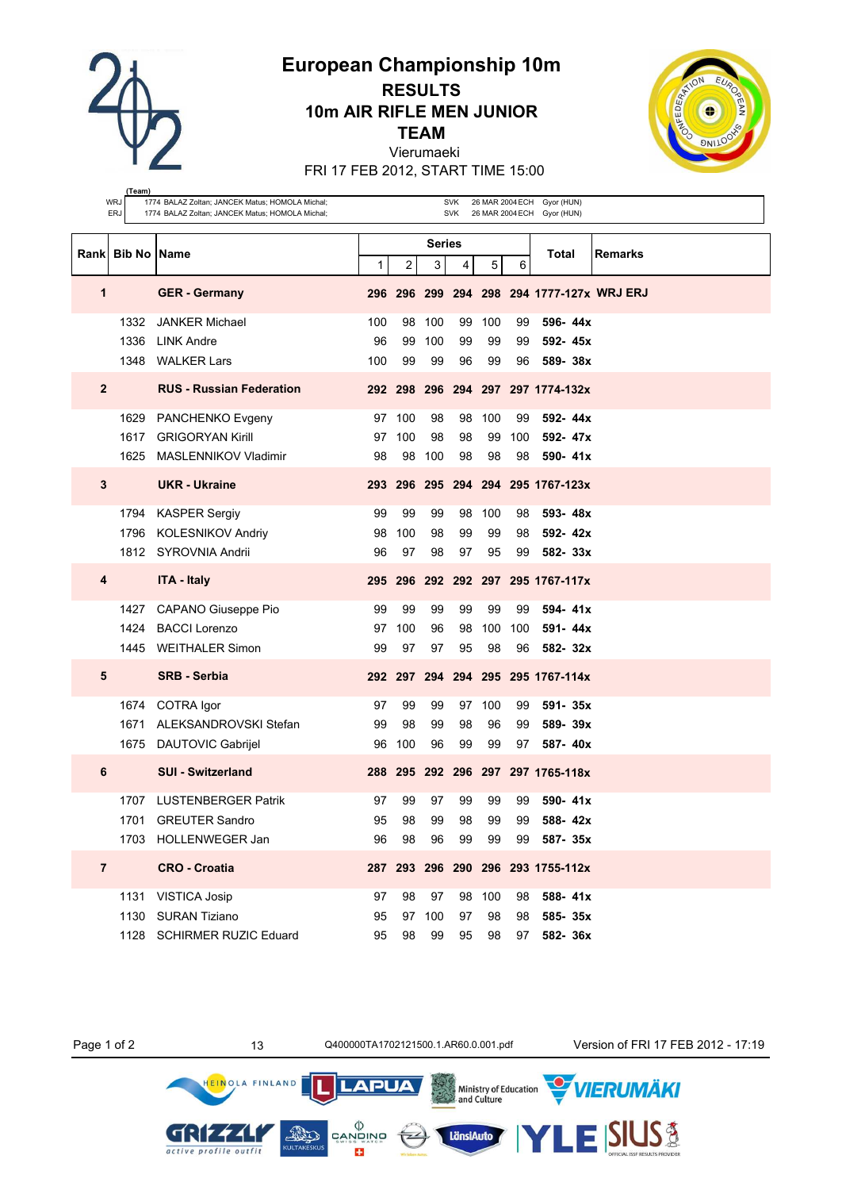**European Championship 10m**

**RESULTS 10m AIR RIFLE MEN JUNIOR**

**TEAM**

Vierumaeki

FRI 17 FEB 2012, START TIME 15:00



|                | (Team)<br>WRJ<br>1774 BALAZ Zoltan; JANCEK Matus; HOMOLA Michal;<br><b>SVK</b><br>26 MAR 2004 ECH Gyor (HUN) |                                                 |             |                         |                |                |        |     |                                           |         |  |
|----------------|--------------------------------------------------------------------------------------------------------------|-------------------------------------------------|-------------|-------------------------|----------------|----------------|--------|-----|-------------------------------------------|---------|--|
|                | <b>ERJ</b>                                                                                                   | 1774 BALAZ Zoltan; JANCEK Matus; HOMOLA Michal; |             |                         |                | <b>SVK</b>     |        |     | 26 MAR 2004 ECH Gyor (HUN)                |         |  |
|                |                                                                                                              |                                                 |             |                         | <b>Series</b>  |                |        |     |                                           |         |  |
| Rankl          | <b>Bib No Name</b>                                                                                           |                                                 | $\mathbf 1$ | $\overline{\mathbf{c}}$ | 3 <sup>1</sup> | $\overline{4}$ | 5      | 6   | Total                                     | Remarks |  |
| 1              |                                                                                                              | <b>GER</b> - Germany                            |             |                         |                |                |        |     | 296 296 299 294 298 294 1777-127x WRJ ERJ |         |  |
|                | 1332                                                                                                         | <b>JANKER Michael</b>                           | 100         | 98                      | 100            | 99             | 100    | 99  | 596-44x                                   |         |  |
|                | 1336                                                                                                         | <b>LINK Andre</b>                               | 96          | 99                      | 100            | 99             | 99     | 99  | 592-45x                                   |         |  |
|                | 1348                                                                                                         | <b>WALKER Lars</b>                              | 100         | 99                      | 99             | 96             | 99     | 96  | 589-38x                                   |         |  |
| $\mathbf{2}$   |                                                                                                              | <b>RUS - Russian Federation</b>                 |             |                         |                |                |        |     | 292 298 296 294 297 297 1774-132x         |         |  |
|                | 1629                                                                                                         | PANCHENKO Evgeny                                |             | 97 100                  | 98             | 98             | 100    | 99  | 592-44x                                   |         |  |
|                | 1617                                                                                                         | <b>GRIGORYAN Kirill</b>                         | 97          | 100                     | 98             | 98             | 99     | 100 | 592-47x                                   |         |  |
|                | 1625                                                                                                         | MASLENNIKOV Vladimir                            | 98          | 98                      | 100            | 98             | 98     | 98  | 590-41x                                   |         |  |
| 3              |                                                                                                              | <b>UKR</b> - Ukraine                            |             |                         |                |                |        |     | 293 296 295 294 294 295 1767-123x         |         |  |
|                | 1794                                                                                                         | <b>KASPER Sergiy</b>                            | 99          | 99                      | 99             | 98             | 100    | 98  | 593-48x                                   |         |  |
|                | 1796                                                                                                         | <b>KOLESNIKOV Andriy</b>                        | 98          | 100                     | 98             | 99             | 99     | 98  | 592-42x                                   |         |  |
|                |                                                                                                              | 1812 SYROVNIA Andrii                            | 96          | 97                      | 98             | 97             | 95     | 99  | 582-33x                                   |         |  |
| 4              |                                                                                                              | <b>ITA - Italy</b>                              |             |                         |                |                |        |     | 295 296 292 292 297 295 1767-117x         |         |  |
|                | 1427                                                                                                         | CAPANO Giuseppe Pio                             | 99          | 99                      | 99             | 99             | 99     | 99  | 594-41x                                   |         |  |
|                | 1424                                                                                                         | <b>BACCI Lorenzo</b>                            | 97          | 100                     | 96             | 98             | 100    | 100 | 591-44x                                   |         |  |
|                | 1445                                                                                                         | <b>WEITHALER Simon</b>                          | 99          | 97                      | 97             | 95             | 98     | 96  | 582-32x                                   |         |  |
| 5              |                                                                                                              | <b>SRB - Serbia</b>                             |             |                         |                |                |        |     | 292 297 294 294 295 295 1767-114x         |         |  |
|                | 1674                                                                                                         | COTRA Igor                                      | 97          | 99                      | 99             |                | 97 100 | 99  | 591-35x                                   |         |  |
|                | 1671                                                                                                         | ALEKSANDROVSKI Stefan                           | 99          | 98                      | 99             | 98             | 96     | 99  | 589-39x                                   |         |  |
|                | 1675                                                                                                         | <b>DAUTOVIC Gabrijel</b>                        | 96          | 100                     | 96             | 99             | 99     | 97  | 587-40x                                   |         |  |
| 6              |                                                                                                              | <b>SUI - Switzerland</b>                        |             |                         |                |                |        |     | 288 295 292 296 297 297 1765-118x         |         |  |
|                |                                                                                                              | 1707 LUSTENBERGER Patrik                        | 97          | 99                      | 97             | 99             | 99     | 99  | 590-41x                                   |         |  |
|                |                                                                                                              | 1701 GREUTER Sandro                             | 95          | 98                      | 99             | 98             | 99     | 99  | 588-42x                                   |         |  |
|                |                                                                                                              | 1703 HOLLENWEGER Jan                            | 96          | 98                      | 96             | 99             | 99     | 99  | 587-35x                                   |         |  |
| $\overline{7}$ |                                                                                                              | <b>CRO - Croatia</b>                            |             |                         |                |                |        |     | 287 293 296 290 296 293 1755-112x         |         |  |
|                | 1131                                                                                                         | <b>VISTICA Josip</b>                            | 97          | 98                      | 97             |                | 98 100 | 98  | 588-41x                                   |         |  |
|                |                                                                                                              | 1130 SURAN Tiziano                              | 95          |                         | 97 100         | 97             | 98     | 98  | 585-35x                                   |         |  |
|                |                                                                                                              | 1128 SCHIRMER RUZIC Eduard                      | 95          |                         | 98 99          |                | 95 98  |     | 97 582-36x                                |         |  |

Page 1 of 2 13 13 Q400000TA1702121500.1.AR60.0.001.pdf Version of FRI 17 FEB 2012 - 17:19

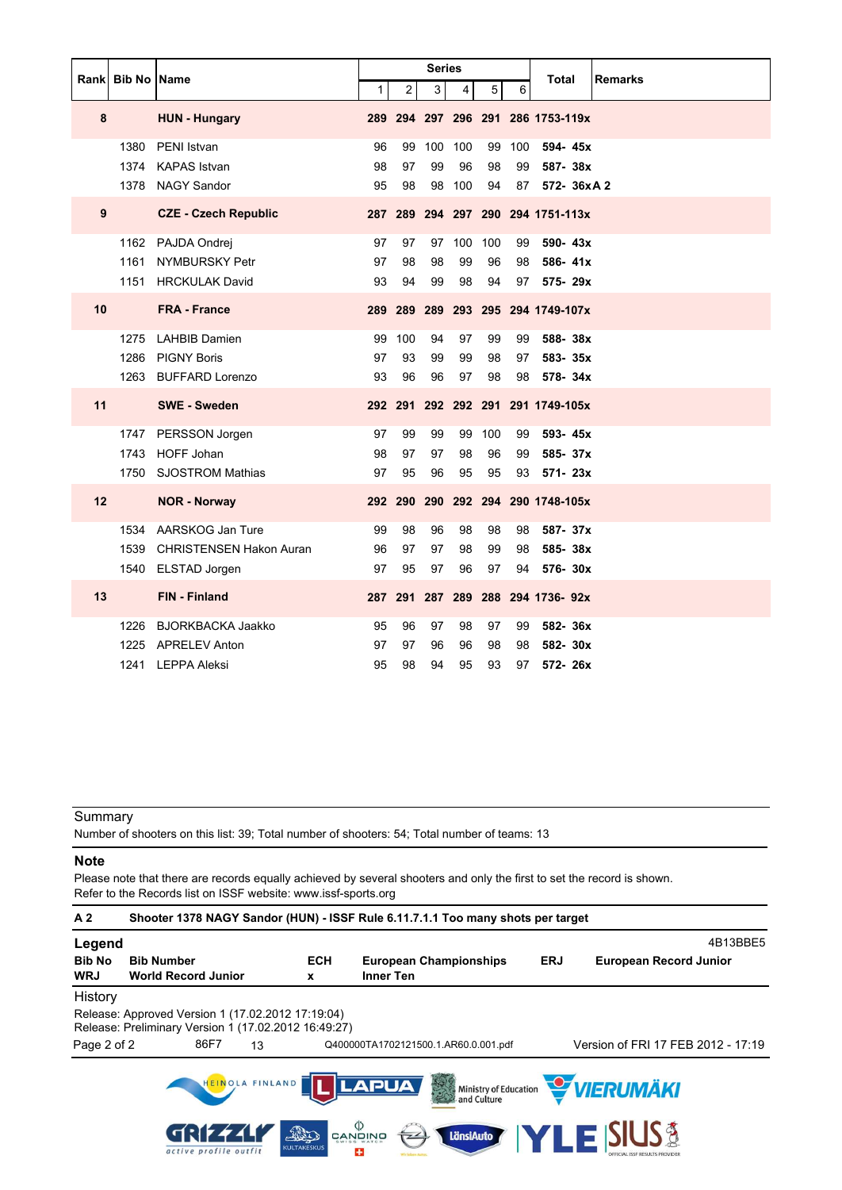|    |                      |                                                                          |                |                 | Series         |                 |                 |                | Total<br><b>Remarks</b>                         |
|----|----------------------|--------------------------------------------------------------------------|----------------|-----------------|----------------|-----------------|-----------------|----------------|-------------------------------------------------|
|    | Rank   Bib No   Name |                                                                          | 1              | $\overline{2}$  | 3              | $\overline{4}$  | 5               | 6              |                                                 |
| 8  |                      | <b>HUN - Hungary</b>                                                     |                |                 |                |                 |                 |                | 289 294 297 296 291 286 1753-119x               |
|    | 1380<br>1374         | PENI Istvan<br><b>KAPAS Istvan</b>                                       | 96<br>98       | 99<br>97        | 100<br>99      | 100<br>96       | 99<br>98        | 100<br>99      | 594-45x<br>587-38x                              |
| 9  |                      | 1378 NAGY Sandor<br><b>CZE - Czech Republic</b>                          | 95             | 98              | 98             | 100             | 94              | 87             | 572- 36xA2<br>287 289 294 297 290 294 1751-113x |
|    | 1161                 | 1162 PAJDA Ondrej<br>NYMBURSKY Petr<br>1151 HRCKULAK David               | 97<br>97<br>93 | 97<br>98<br>94  | 97<br>98<br>99 | 100<br>99<br>98 | 100<br>96<br>94 | 99<br>98<br>97 | 590-43x<br>586-41x<br>575-29x                   |
| 10 |                      | <b>FRA - France</b>                                                      |                |                 |                |                 |                 |                | 289 289 289 293 295 294 1749-107x               |
|    | 1275<br>1286         | <b>LAHBIB Damien</b><br><b>PIGNY Boris</b><br>1263 BUFFARD Lorenzo       | 99<br>97<br>93 | 100<br>93<br>96 | 94<br>99<br>96 | 97<br>99<br>97  | 99<br>98<br>98  | 99<br>97<br>98 | 588-38x<br>583-35x<br>578-34x                   |
| 11 |                      | <b>SWE - Sweden</b>                                                      |                |                 |                |                 |                 |                | 292 291 292 292 291 291 1749-105x               |
|    | 1750                 | 1747 PERSSON Jorgen<br>1743 HOFF Johan<br><b>SJOSTROM Mathias</b>        | 97<br>98<br>97 | 99<br>97<br>95  | 99<br>97<br>96 | 99<br>98<br>95  | 100<br>96<br>95 | 99<br>99<br>93 | 593-45x<br>585-37x<br>571- 23x                  |
| 12 |                      | <b>NOR - Norway</b>                                                      |                |                 |                |                 |                 |                | 292 290 290 292 294 290 1748-105x               |
|    | 1534<br>1539         | AARSKOG Jan Ture<br><b>CHRISTENSEN Hakon Auran</b><br>1540 ELSTAD Jorgen | 99<br>96<br>97 | 98<br>97<br>95  | 96<br>97<br>97 | 98<br>98<br>96  | 98<br>99<br>97  | 98<br>98<br>94 | 587-37x<br>585-38x<br>576-30x                   |
| 13 |                      | <b>FIN - Finland</b>                                                     |                |                 |                |                 |                 |                | 287 291 287 289 288 294 1736- 92x               |
|    | 1226<br>1225         | BJORKBACKA Jaakko<br><b>APRELEV Anton</b><br>1241 LEPPA Aleksi           | 95<br>97<br>95 | 96<br>97<br>98  | 97<br>96<br>94 | 98<br>96<br>95  | 97<br>98<br>93  | 99<br>98<br>97 | 582-36x<br>582-30x<br>572-26x                   |

Number of shooters on this list: 39; Total number of shooters: 54; Total number of teams: 13

### **Note**

Please note that there are records equally achieved by several shooters and only the first to set the record is shown. Refer to the Records list on ISSF website: www.issf-sports.org

| A 2                         | Shooter 1378 NAGY Sandor (HUN) - ISSF Rule 6.11.7.1.1 Too many shots per target                           |                                                  |                 |                                                            |                                      |            |                                                      |          |
|-----------------------------|-----------------------------------------------------------------------------------------------------------|--------------------------------------------------|-----------------|------------------------------------------------------------|--------------------------------------|------------|------------------------------------------------------|----------|
| Legend                      |                                                                                                           |                                                  |                 |                                                            |                                      |            |                                                      | 4B13BBE5 |
| <b>Bib No</b><br><b>WRJ</b> | <b>Bib Number</b><br><b>World Record Junior</b>                                                           |                                                  | <b>ECH</b><br>x | <b>Inner Ten</b>                                           | <b>European Championships</b>        | <b>ERJ</b> | <b>European Record Junior</b>                        |          |
| History                     |                                                                                                           |                                                  |                 |                                                            |                                      |            |                                                      |          |
|                             | Release: Approved Version 1 (17.02.2012 17:19:04)<br>Release: Preliminary Version 1 (17.02.2012 16:49:27) |                                                  |                 |                                                            |                                      |            |                                                      |          |
| Page 2 of 2                 | 86F7                                                                                                      | 13                                               |                 |                                                            | Q400000TA1702121500.1.AR60.0.001.pdf |            | Version of FRI 17 FEB 2012 - 17:19                   |          |
|                             | active profile outfit                                                                                     | HEINOLA FINLAND<br>and the<br><b>KULTAKESKUS</b> |                 | <b>LAPUA</b><br>פֿאומער פֿ<br>פֿאַז<br>7 <sup>2</sup><br>æ | 32<br>LänsiAuto                      |            | Ministry of Education <b>WERUMAKI</b><br>L E ISIUS Á |          |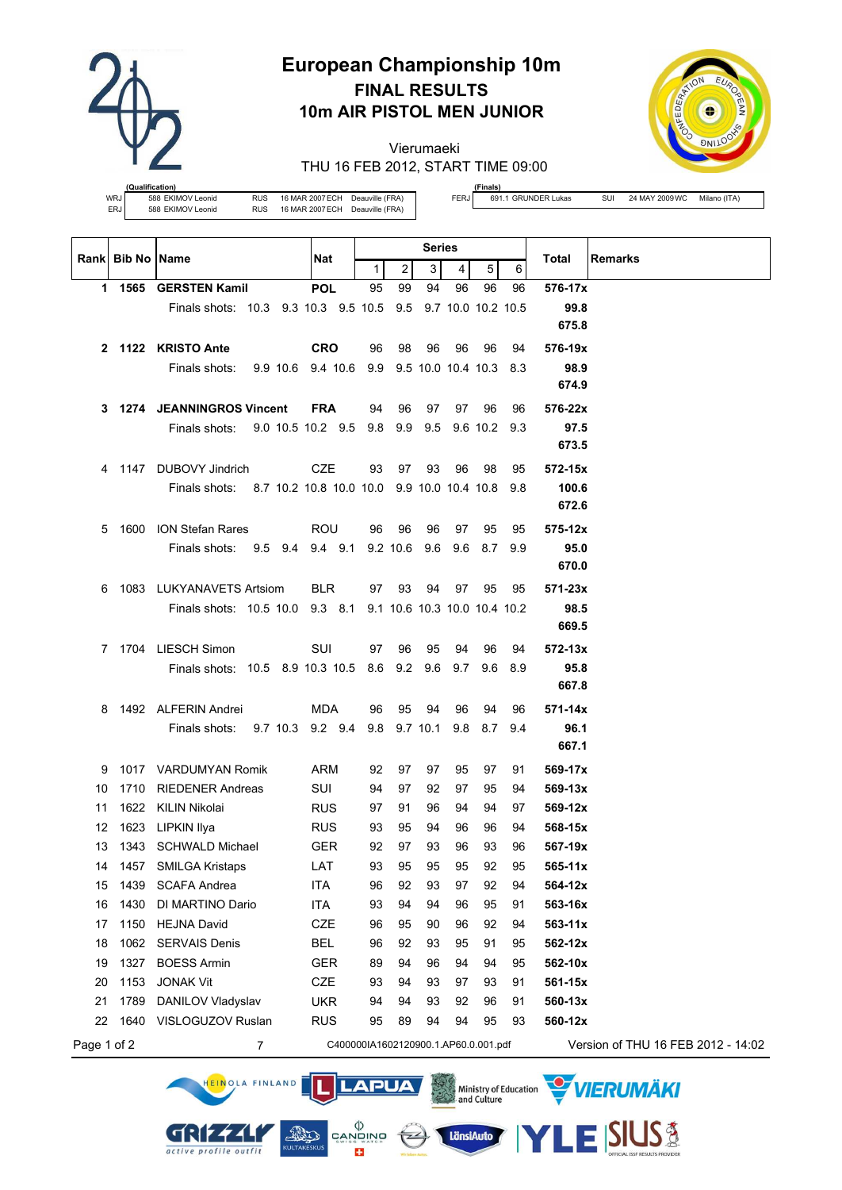

# **European Championship 10m FINAL RESULTS 10m AIR PISTOL MEN JUNIOR**

Vierumaeki THU 16 FEB 2012, START TIME 09:00



**(fication)**<br>588 EKIMOV Leonid

WRJ 588 EKIMOV Leonid RUS 16 MAR 2007 ECH Deauville (FRA)<br>ERJ 588 EKIMOV Leonid RUS 16 MAR 2007 ECH Deauville (FRA)

**(Finals)**

FERJ 691.1 GRUNDER Lukas SUI 24 MAY 2009 WC Milano (ITA)

|              | Rank Bib No Name |                                                                 | Nat                                  | Series       |                |                              | <b>Remarks</b><br>Total |              |      |                                    |
|--------------|------------------|-----------------------------------------------------------------|--------------------------------------|--------------|----------------|------------------------------|-------------------------|--------------|------|------------------------------------|
|              |                  |                                                                 |                                      | $\mathbf{1}$ | $\overline{c}$ | 3                            | $\overline{4}$          | 5            | 6    |                                    |
| 1.           |                  | 1565 GERSTEN Kamil                                              | <b>POL</b>                           | 95           | 99             | 94                           | 96                      | 96           | 96   | 576-17x                            |
|              |                  | Finals shots: 10.3 9.3 10.3 9.5 10.5                            |                                      |              | 9.5            |                              | 9.7 10.0 10.2 10.5      |              |      | 99.8                               |
|              |                  |                                                                 |                                      |              |                |                              |                         |              |      | 675.8                              |
| $\mathbf{2}$ |                  | 1122 KRISTO Ante                                                | <b>CRO</b>                           | 96           | 98             | 96                           | 96                      | 96           | 94   | 576-19x                            |
|              |                  | 9.9 10.6 9.4 10.6<br>Finals shots:                              |                                      |              |                | 9.9 9.5 10.0 10.4 10.3 8.3   |                         |              |      | 98.9                               |
|              |                  |                                                                 |                                      |              |                |                              |                         |              |      | 674.9                              |
| 3            |                  | 1274 JEANNINGROS Vincent                                        | <b>FRA</b>                           | 94           | 96             | 97                           | 97                      | 96           | 96   | 576-22x                            |
|              |                  | 9.0 10.5 10.2 9.5<br>Finals shots:                              |                                      | 9.8          | 9.9            | 9.5                          |                         | 9.6 10.2 9.3 |      | 97.5                               |
|              |                  |                                                                 |                                      |              |                |                              |                         |              |      | 673.5                              |
| 4            |                  | 1147 DUBOVY Jindrich                                            | <b>CZE</b>                           | 93           | 97             | 93                           | 96                      | 98           | 95   | 572-15x                            |
|              |                  | 8.7 10.2 10.8 10.0 10.0 9.9 10.0 10.4 10.8 9.8<br>Finals shots: |                                      |              |                |                              |                         |              |      | 100.6                              |
|              |                  |                                                                 |                                      |              |                |                              |                         |              |      | 672.6                              |
| 5            |                  | 1600 ION Stefan Rares                                           | ROU                                  | 96           | 96             | 96                           | 97                      | 95           | 95   | $575 - 12x$                        |
|              |                  | 9.5 9.4 9.4 9.1<br>Finals shots:                                |                                      |              | $9.2$ 10.6     | 9.6                          | 9.6                     | 8.7          | 9.9  | 95.0                               |
|              |                  |                                                                 |                                      |              |                |                              |                         |              |      | 670.0                              |
| 6            |                  | 1083 LUKYANAVETS Artsiom                                        | <b>BLR</b>                           | 97           | 93             | 94                           | 97                      | 95           | 95   | $571 - 23x$                        |
|              |                  | Finals shots: 10.5 10.0 9.3 8.1                                 |                                      |              |                | 9.1 10.6 10.3 10.0 10.4 10.2 |                         |              |      | 98.5                               |
|              |                  |                                                                 |                                      |              |                |                              |                         |              |      | 669.5                              |
|              |                  | 7 1704 LIESCH Simon                                             | SUI                                  | 97           | 96             | 95                           | 94                      | 96           | 94   | $572 - 13x$                        |
|              |                  | Finals shots: 10.5 8.9 10.3 10.5                                |                                      |              | 8.6 9.2        | 9.6                          | 9.7                     | 9.6          | -8.9 | 95.8                               |
|              |                  |                                                                 |                                      |              |                |                              |                         |              |      | 667.8                              |
| 8            |                  | 1492 ALFERIN Andrei                                             | MDA                                  | 96           | 95             | 94                           | 96                      | 94           | 96   | $571 - 14x$                        |
|              |                  | 9.7 10.3 9.2 9.4<br>Finals shots:                               |                                      |              | 9.8 9.7 10.1   |                              | 9.8                     | 8.7          | 9.4  | 96.1                               |
|              |                  |                                                                 |                                      |              |                |                              |                         |              |      | 667.1                              |
| 9            |                  | 1017 VARDUMYAN Romik                                            | ARM                                  | 92           | 97             | 97                           | 95                      | 97           | 91   | 569-17x                            |
| 10           |                  | 1710 RIEDENER Andreas                                           | SUI                                  | 94           | 97             | 92                           | 97                      | 95           | 94   | $569 - 13x$                        |
| 11           |                  | 1622 KILIN Nikolai                                              | <b>RUS</b>                           | 97           | 91             | 96                           | 94                      | 94           | 97   | 569-12x                            |
| 12           |                  | 1623 LIPKIN Ilya                                                | <b>RUS</b>                           | 93           | 95             | 94                           | 96                      | 96           | 94   | 568-15x                            |
| 13           |                  | 1343 SCHWALD Michael                                            | <b>GER</b>                           | 92           | 97             | 93                           | 96                      | 93           | 96   | 567-19x                            |
| 14           |                  | 1457 SMILGA Kristaps                                            | LAT                                  | 93           | 95             | 95                           | 95                      | 92           | 95   | $565 - 11x$                        |
| 15           | 1439             | <b>SCAFA Andrea</b>                                             | <b>ITA</b>                           | 96           | 92             | 93                           | 97                      | 92           | 94   | 564-12x                            |
| 16           | 1430             | DI MARTINO Dario                                                | <b>ITA</b>                           | 93           | 94             | 94                           | 96                      | 95           | 91   | 563-16x                            |
| 17           | 1150             | <b>HEJNA David</b>                                              | CZE                                  | 96           | 95             | 90                           | 96                      | 92           | 94   | $563 - 11x$                        |
| 18           | 1062             | <b>SERVAIS Denis</b>                                            | <b>BEL</b>                           | 96           | 92             | 93                           | 95                      | 91           | 95   | 562-12x                            |
| 19           | 1327             | <b>BOESS Armin</b>                                              | <b>GER</b>                           | 89           | 94             | 96                           | 94                      | 94           | 95   | 562-10x                            |
| 20           | 1153             | <b>JONAK Vit</b>                                                | <b>CZE</b>                           | 93           | 94             | 93                           | 97                      | 93           | 91   | 561-15x                            |
| 21           | 1789             | DANILOV Vladyslav                                               | <b>UKR</b>                           | 94           | 94             | 93                           | 92                      | 96           | 91   | 560-13x                            |
| 22           | 1640             | VISLOGUZOV Ruslan                                               | <b>RUS</b>                           | 95           | 89             | 94                           | 94                      | 95           | 93   | 560-12x                            |
| Page 1 of 2  |                  | $\overline{7}$                                                  | C400000IA1602120900.1.AP60.0.001.pdf |              |                |                              |                         |              |      | Version of THU 16 FEB 2012 - 14:02 |

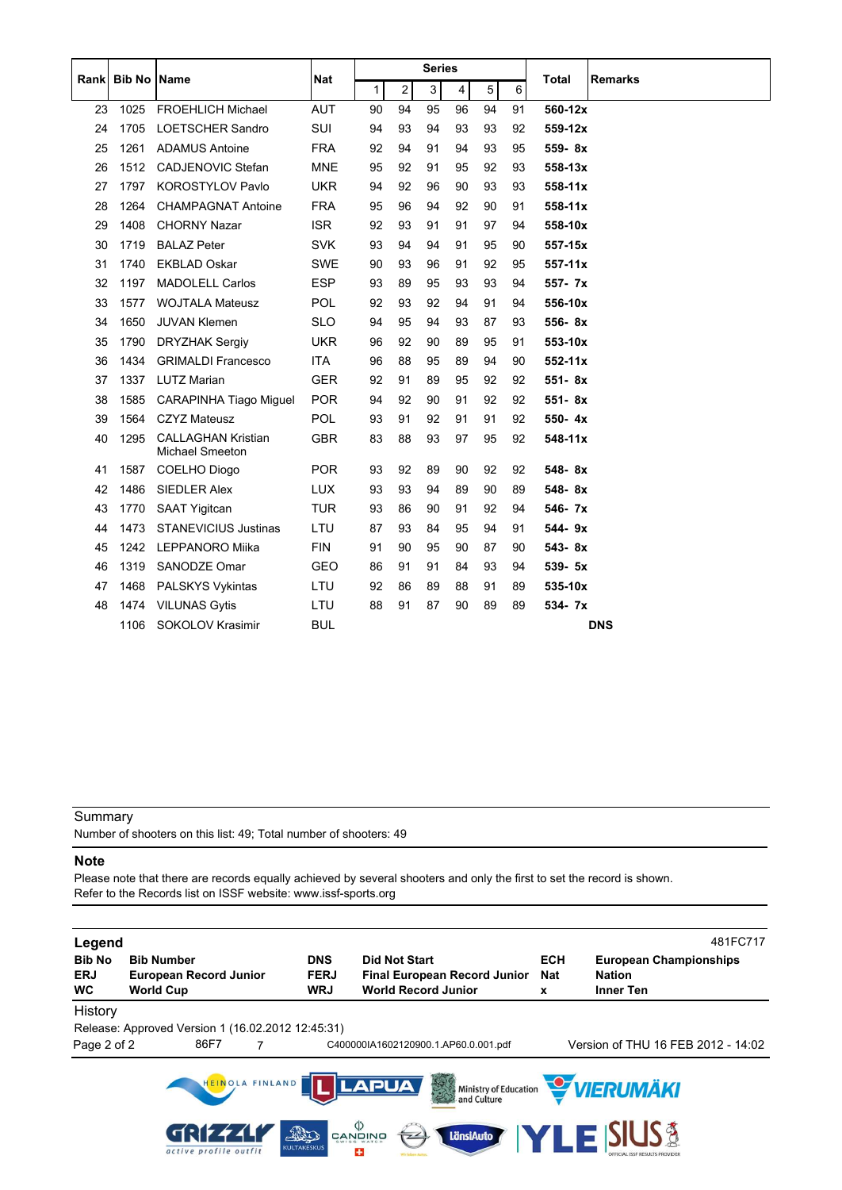|      |               |                                                     |            |    |                | <b>Series</b> |    |    |    |             |                |
|------|---------------|-----------------------------------------------------|------------|----|----------------|---------------|----|----|----|-------------|----------------|
| Rank | <b>Bib No</b> | Name                                                | Nat        | 1  | $\overline{2}$ | 3             | 4  | 5  | 6  | Total       | <b>Remarks</b> |
| 23   | 1025          | <b>FROEHLICH Michael</b>                            | <b>AUT</b> | 90 | 94             | 95            | 96 | 94 | 91 | 560-12x     |                |
| 24   | 1705          | <b>LOETSCHER Sandro</b>                             | <b>SUI</b> | 94 | 93             | 94            | 93 | 93 | 92 | 559-12x     |                |
| 25   | 1261          | <b>ADAMUS Antoine</b>                               | <b>FRA</b> | 92 | 94             | 91            | 94 | 93 | 95 | 559-8x      |                |
| 26   | 1512          | <b>CADJENOVIC Stefan</b>                            | <b>MNE</b> | 95 | 92             | 91            | 95 | 92 | 93 | 558-13x     |                |
| 27   | 1797          | <b>KOROSTYLOV Pavlo</b>                             | <b>UKR</b> | 94 | 92             | 96            | 90 | 93 | 93 | 558-11x     |                |
| 28   | 1264          | <b>CHAMPAGNAT Antoine</b>                           | <b>FRA</b> | 95 | 96             | 94            | 92 | 90 | 91 | 558-11x     |                |
| 29   | 1408          | <b>CHORNY Nazar</b>                                 | <b>ISR</b> | 92 | 93             | 91            | 91 | 97 | 94 | 558-10x     |                |
| 30   | 1719          | <b>BALAZ Peter</b>                                  | <b>SVK</b> | 93 | 94             | 94            | 91 | 95 | 90 | 557-15x     |                |
| 31   | 1740          | <b>EKBLAD Oskar</b>                                 | <b>SWE</b> | 90 | 93             | 96            | 91 | 92 | 95 | $557 - 11x$ |                |
| 32   | 1197          | <b>MADOLELL Carlos</b>                              | <b>ESP</b> | 93 | 89             | 95            | 93 | 93 | 94 | 557- 7x     |                |
| 33   | 1577          | <b>WOJTALA Mateusz</b>                              | <b>POL</b> | 92 | 93             | 92            | 94 | 91 | 94 | 556-10x     |                |
| 34   | 1650          | <b>JUVAN Klemen</b>                                 | <b>SLO</b> | 94 | 95             | 94            | 93 | 87 | 93 | 556-8x      |                |
| 35   | 1790          | <b>DRYZHAK Sergiv</b>                               | <b>UKR</b> | 96 | 92             | 90            | 89 | 95 | 91 | 553-10x     |                |
| 36   | 1434          | <b>GRIMALDI Francesco</b>                           | <b>ITA</b> | 96 | 88             | 95            | 89 | 94 | 90 | $552 - 11x$ |                |
| 37   | 1337          | <b>LUTZ Marian</b>                                  | <b>GER</b> | 92 | 91             | 89            | 95 | 92 | 92 | 551-8x      |                |
| 38   | 1585          | <b>CARAPINHA Tiago Miguel</b>                       | <b>POR</b> | 94 | 92             | 90            | 91 | 92 | 92 | 551-8x      |                |
| 39   | 1564          | <b>CZYZ Mateusz</b>                                 | <b>POL</b> | 93 | 91             | 92            | 91 | 91 | 92 | 550-4x      |                |
| 40   | 1295          | <b>CALLAGHAN Kristian</b><br><b>Michael Smeeton</b> | <b>GBR</b> | 83 | 88             | 93            | 97 | 95 | 92 | $548 - 11x$ |                |
| 41   | 1587          | COELHO Diogo                                        | <b>POR</b> | 93 | 92             | 89            | 90 | 92 | 92 | 548-8x      |                |
| 42   | 1486          | <b>SIEDLER Alex</b>                                 | <b>LUX</b> | 93 | 93             | 94            | 89 | 90 | 89 | 548-8x      |                |
| 43   | 1770          | <b>SAAT Yigitcan</b>                                | <b>TUR</b> | 93 | 86             | 90            | 91 | 92 | 94 | 546- 7x     |                |
| 44   | 1473          | <b>STANEVICIUS Justinas</b>                         | LTU        | 87 | 93             | 84            | 95 | 94 | 91 | 544-9x      |                |
| 45   | 1242          | LEPPANORO Miika                                     | <b>FIN</b> | 91 | 90             | 95            | 90 | 87 | 90 | 543-8x      |                |
| 46   | 1319          | SANODZE Omar                                        | GEO        | 86 | 91             | 91            | 84 | 93 | 94 | 539- 5x     |                |
| 47   | 1468          | PALSKYS Vykintas                                    | LTU        | 92 | 86             | 89            | 88 | 91 | 89 | 535-10x     |                |
| 48   | 1474          | <b>VILUNAS Gytis</b>                                | LTU        | 88 | 91             | 87            | 90 | 89 | 89 | 534- 7x     |                |
|      | 1106          | <b>SOKOLOV Krasimir</b>                             | <b>BUL</b> |    |                |               |    |    |    |             | <b>DNS</b>     |

Number of shooters on this list: 49; Total number of shooters: 49

### **Note**

Please note that there are records equally achieved by several shooters and only the first to set the record is shown. Refer to the Records list on ISSF website: www.issf-sports.org

| Legend<br><b>Bib No</b><br><b>ERJ</b><br><b>WC</b> | <b>Bib Number</b><br><b>European Record Junior</b><br><b>World Cup</b> | <b>DNS</b><br><b>FERJ</b><br><b>WRJ</b> | <b>Did Not Start</b><br><b>Final European Record Junior</b><br><b>World Record Junior</b> | <b>ECH</b><br><b>Nat</b><br>x | 481FC717<br><b>European Championships</b><br><b>Nation</b><br><b>Inner Ten</b> |
|----------------------------------------------------|------------------------------------------------------------------------|-----------------------------------------|-------------------------------------------------------------------------------------------|-------------------------------|--------------------------------------------------------------------------------|
| History<br>Page 2 of 2                             | Release: Approved Version 1 (16.02.2012 12:45:31)<br>86F7              |                                         | C400000IA1602120900.1.AP60.0.001.pdf                                                      |                               | Version of THU 16 FEB 2012 - 14:02                                             |
|                                                    | HEINOLA FINLAND                                                        |                                         | <b>LAPUA</b><br>3                                                                         |                               | Ministry of Education <b>WERUMAKI</b>                                          |
|                                                    | GRIF4.<br>active profile outfit                                        | FRO<br><b>KULTAKESKUS</b>               | פֿאַיפֿאָפֿ<br>פֿאַיפֿאַפֿ<br>LänsiAuto<br>÷                                              | <b>YLE'</b>                   |                                                                                |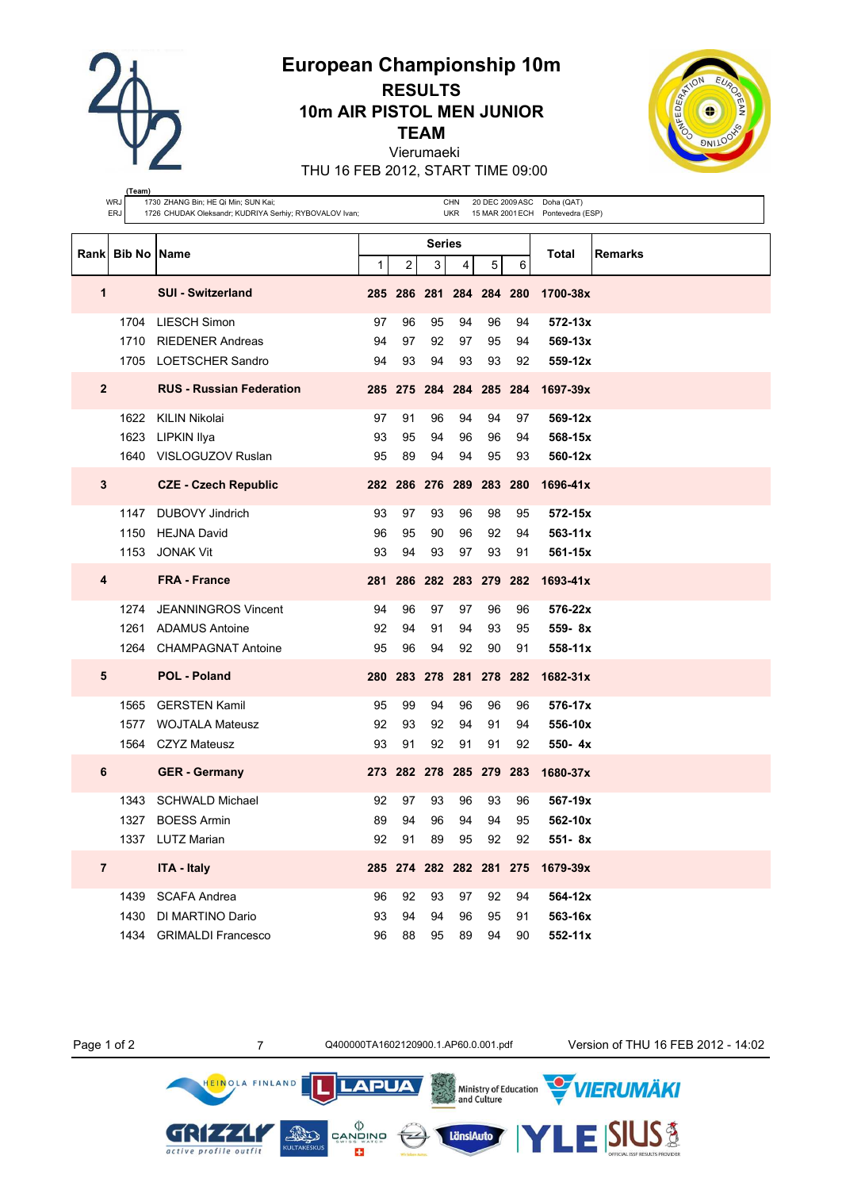**European Championship 10m**

**RESULTS 10m AIR PISTOL MEN JUNIOR**

**TEAM**

Vierumaeki

THU 16 FEB 2012, START TIME 09:00



|                | (Team)<br>WRJ    | 1730 ZHANG Bin; HE Qi Min; SUN Kai;                    |    |                         |                         | CHN        |    |    | 20 DEC 2009 ASC Doha (QAT)       |         |
|----------------|------------------|--------------------------------------------------------|----|-------------------------|-------------------------|------------|----|----|----------------------------------|---------|
|                | ERJ              | 1726 CHUDAK Oleksandr; KUDRIYA Serhiy; RYBOVALOV Ivan; |    |                         |                         | <b>UKR</b> |    |    | 15 MAR 2001 ECH Pontevedra (ESP) |         |
|                |                  |                                                        |    |                         | Series                  |            |    |    |                                  |         |
|                | Rank Bib No Name |                                                        | 1  | $\overline{\mathbf{c}}$ | 3                       | 4          | 5  | 6  | Total                            | Remarks |
| 1              |                  | <b>SUI - Switzerland</b>                               |    |                         | 285 286 281 284 284 280 |            |    |    | 1700-38x                         |         |
|                |                  |                                                        |    |                         |                         |            |    |    |                                  |         |
|                | 1704             | <b>LIESCH Simon</b>                                    | 97 | 96                      | 95                      | 94         | 96 | 94 | $572 - 13x$                      |         |
|                | 1710             | <b>RIEDENER Andreas</b>                                | 94 | 97                      | 92                      | 97         | 95 | 94 | $569 - 13x$                      |         |
|                | 1705             | LOETSCHER Sandro                                       | 94 | 93                      | 94                      | 93         | 93 | 92 | 559-12x                          |         |
| $\mathbf{2}$   |                  | <b>RUS - Russian Federation</b>                        |    |                         | 285 275 284 284 285 284 |            |    |    | 1697-39x                         |         |
|                |                  | 1622 KILIN Nikolai                                     | 97 | 91                      | 96                      | 94         | 94 | 97 | $569 - 12x$                      |         |
|                | 1623             | LIPKIN Ilya                                            | 93 | 95                      | 94                      | 96         | 96 | 94 | 568-15x                          |         |
|                | 1640             | VISLOGUZOV Ruslan                                      | 95 | 89                      | 94                      | 94         | 95 | 93 | 560-12x                          |         |
| $\mathbf{3}$   |                  | <b>CZE - Czech Republic</b>                            |    |                         | 282 286 276 289 283 280 |            |    |    | 1696-41x                         |         |
|                | 1147             | <b>DUBOVY Jindrich</b>                                 | 93 | 97                      | 93                      | 96         | 98 | 95 | 572-15x                          |         |
|                | 1150             | <b>HEJNA David</b>                                     | 96 | 95                      | 90                      | 96         | 92 | 94 | $563 - 11x$                      |         |
|                | 1153             | <b>JONAK Vit</b>                                       | 93 | 94                      | 93                      | 97         | 93 | 91 | 561-15x                          |         |
| 4              |                  | <b>FRA - France</b>                                    |    |                         | 281 286 282 283 279 282 |            |    |    | $1693 - 41x$                     |         |
|                | 1274             | <b>JEANNINGROS Vincent</b>                             | 94 | 96                      | 97                      | 97         | 96 | 96 | 576-22x                          |         |
|                | 1261             | ADAMUS Antoine                                         | 92 | 94                      | 91                      | 94         | 93 | 95 | $559 - 8x$                       |         |
|                | 1264             | <b>CHAMPAGNAT Antoine</b>                              | 95 | 96                      | 94                      | 92         | 90 | 91 | 558-11x                          |         |
| 5              |                  | <b>POL - Poland</b>                                    |    |                         | 280 283 278 281 278 282 |            |    |    | $1682 - 31x$                     |         |
|                | 1565             | <b>GERSTEN Kamil</b>                                   | 95 | 99                      | 94                      | 96         | 96 | 96 | 576-17x                          |         |
|                | 1577             | <b>WOJTALA Mateusz</b>                                 | 92 | 93                      | 92                      | 94         | 91 | 94 | 556-10x                          |         |
|                | 1564             | <b>CZYZ Mateusz</b>                                    | 93 | 91                      | 92                      | 91         | 91 | 92 | $550 - 4x$                       |         |
| 6              |                  | <b>GER</b> - Germany                                   |    |                         | 273 282 278 285 279 283 |            |    |    | 1680-37x                         |         |
|                | 1343             | <b>SCHWALD Michael</b>                                 | 92 | 97                      | 93                      | 96         | 93 | 96 | 567-19x                          |         |
|                |                  | 1327 BOESS Armin                                       | 89 | 94                      | 96                      | 94         | 94 | 95 | 562-10x                          |         |
|                |                  | 1337 LUTZ Marian                                       | 92 | 91                      | 89                      | 95         | 92 | 92 | 551-8x                           |         |
| $\overline{7}$ |                  | <b>ITA - Italy</b>                                     |    |                         | 285 274 282 282 281 275 |            |    |    | 1679-39x                         |         |
|                | 1439             | <b>SCAFA Andrea</b>                                    | 96 | 92                      | 93                      | 97         | 92 | 94 | 564-12x                          |         |
|                | 1430             | DI MARTINO Dario                                       | 93 | 94                      | 94                      | 96         | 95 | 91 | 563-16x                          |         |
|                |                  | 1434 GRIMALDI Francesco                                | 96 | 88                      | 95                      | 89         | 94 | 90 | 552-11x                          |         |

HEINOLA FINLAND

GRIZZLI

active profile outfit

 $\left(\frac{1}{2} 2\right)$ 

Ministry of Education<br>and Culture

LänsiAuto

**LAPUA** 

 $\begin{matrix} \langle \rangle \\ \texttt{CANDING} \\ \texttt{SWISS WATE} \end{matrix}$ 

E3

KULTAKESKL

Page 1 of 2 7 0400000TA1602120900.1.AP60.0.001.pdf Version of THU 16 FEB 2012 - 14:02

**VIERUMÄKI** 

**SIUS®**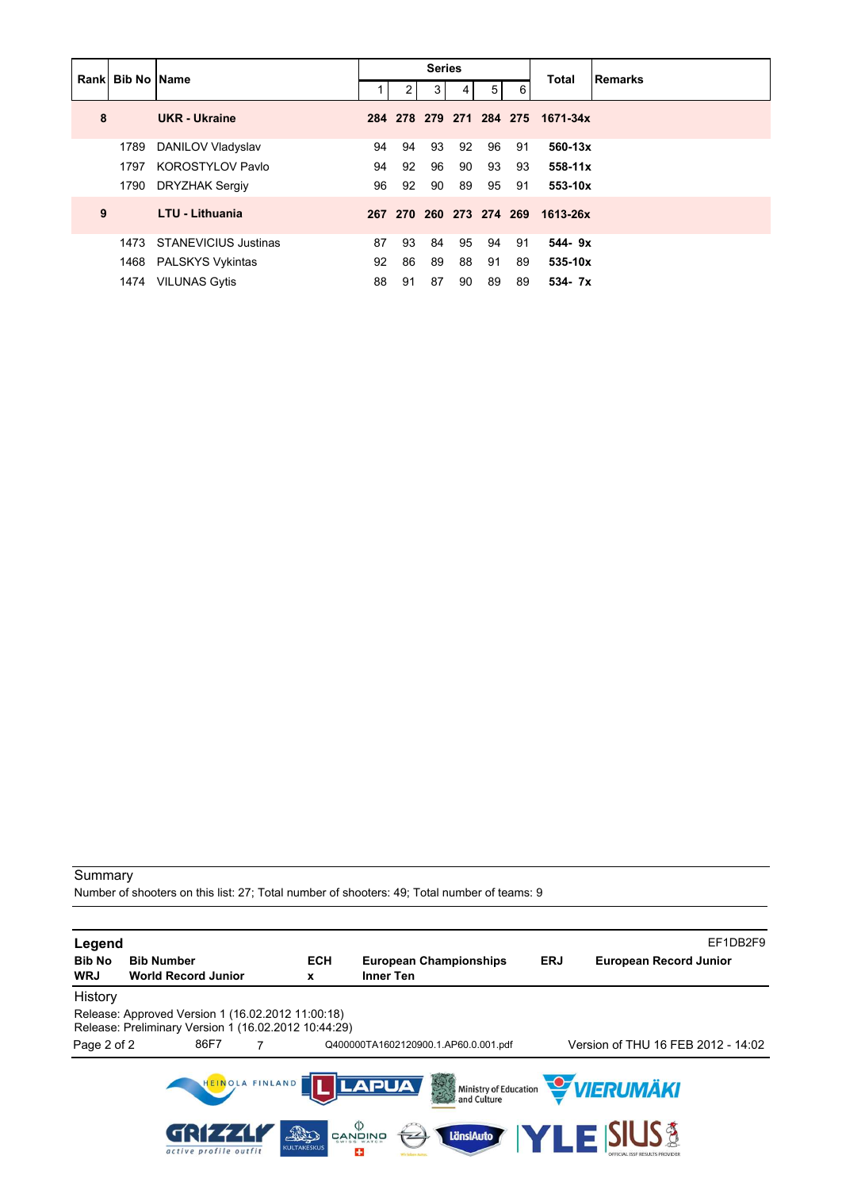|   |                      | <b>Rankl Bib No Name</b>    |    |                | <b>Series</b> |    |                |    | <b>Total</b>                     | Remarks |
|---|----------------------|-----------------------------|----|----------------|---------------|----|----------------|----|----------------------------------|---------|
|   |                      |                             |    | 2 <sub>1</sub> | 3             | 4  | 5 <sup>5</sup> | 6  |                                  |         |
| 8 | <b>UKR</b> - Ukraine |                             |    |                |               |    |                |    | 284 278 279 271 284 275 1671-34x |         |
|   | 1789                 | DANILOV Vladyslav           | 94 | 94             | 93            | 92 | 96             | 91 | 560-13x                          |         |
|   | 1797                 | KOROSTYLOV Pavlo            | 94 | 92             | 96            | 90 | 93             | 93 | $558 - 11x$                      |         |
|   | 1790                 | DRYZHAK Sergiy              | 96 | 92             | 90            | 89 | 95             | 91 | 553-10x                          |         |
| 9 |                      | <b>LTU - Lithuania</b>      |    |                |               |    |                |    | 267 270 260 273 274 269 1613-26x |         |
|   | 1473                 | <b>STANEVICIUS Justinas</b> | 87 | 93             | 84            | 95 | 94             | 91 | $544 - 9x$                       |         |
|   |                      | 1468 PALSKYS Vykintas       | 92 | 86             | 89            | 88 | 91             | 89 | 535-10x                          |         |
|   |                      | 1474 VILUNAS Gytis          | 88 | 91             | 87            | 90 | 89             | 89 | 534-7x                           |         |

Number of shooters on this list: 27; Total number of shooters: 49; Total number of teams: 9

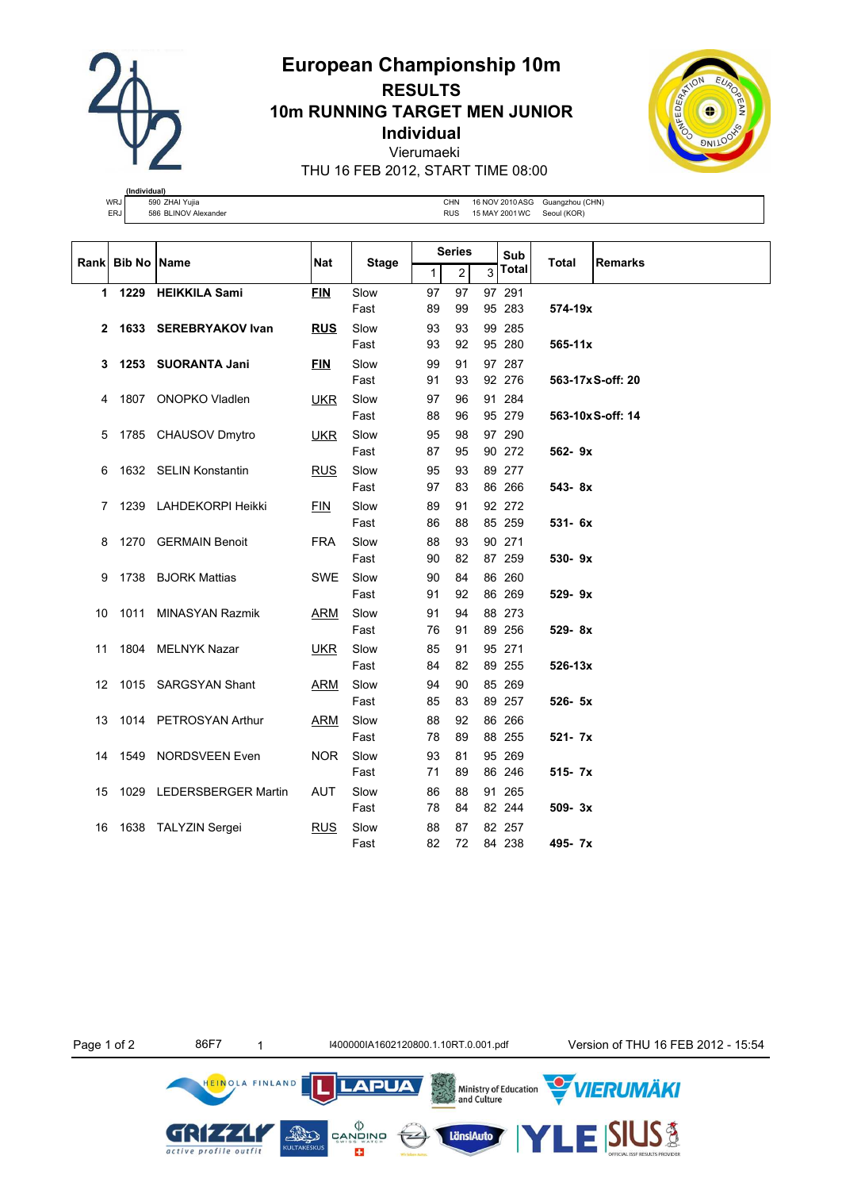**European Championship 10m RESULTS**

**10m RUNNING TARGET MEN JUNIOR**

**Individual**

Vierumaeki

THU 16 FEB 2012, START TIME 08:00



**(Individual)** WRJ 590 ZHAI Yujia CHN 16 NOV 2010 ASG Guangzhou (CHN) ERJ 586 BLINOV Alexander CHA CHANGER AND THE RUS 15 MAY 2001 WC Seoul (KOR)

|    | Rank Bib No Name |                          |            |              |    | <b>Series</b>    |   | Sub    |             | <b>Remarks</b>    |  |
|----|------------------|--------------------------|------------|--------------|----|------------------|---|--------|-------------|-------------------|--|
|    |                  |                          | Nat        | <b>Stage</b> | 1  | $\boldsymbol{2}$ | 3 | Total  | Total       |                   |  |
|    |                  | 1 1229 HEIKKILA Sami     | <b>FIN</b> | Slow         | 97 | 97               |   | 97 291 |             |                   |  |
|    |                  |                          |            | Fast         | 89 | 99               |   | 95 283 | 574-19x     |                   |  |
| 2  |                  | 1633 SEREBRYAKOV Ivan    | <b>RUS</b> | Slow         | 93 | 93               |   | 99 285 |             |                   |  |
|    |                  |                          |            | Fast         | 93 | 92               |   | 95 280 | $565 - 11x$ |                   |  |
| 3  |                  | 1253 SUORANTA Jani       | <b>FIN</b> | Slow         | 99 | 91               |   | 97 287 |             |                   |  |
|    |                  |                          |            | Fast         | 91 | 93               |   | 92 276 |             | 563-17x S-off: 20 |  |
| 4  |                  | 1807 ONOPKO Vladlen      | <b>UKR</b> | Slow         | 97 | 96               |   | 91 284 |             |                   |  |
|    |                  |                          |            | Fast         | 88 | 96               |   | 95 279 |             | 563-10xS-off: 14  |  |
| 5  |                  | 1785 CHAUSOV Dmytro      | <b>UKR</b> | Slow         | 95 | 98               |   | 97 290 |             |                   |  |
|    |                  |                          |            | Fast         | 87 | 95               |   | 90 272 | 562-9x      |                   |  |
| 6  |                  | 1632 SELIN Konstantin    | <b>RUS</b> | Slow         | 95 | 93               |   | 89 277 |             |                   |  |
|    |                  |                          |            | Fast         | 97 | 83               |   | 86 266 | 543-8x      |                   |  |
| 7  |                  | 1239 LAHDEKORPI Heikki   | FIN        | Slow         | 89 | 91               |   | 92 272 |             |                   |  |
|    |                  |                          |            | Fast         | 86 | 88               |   | 85 259 | $531 - 6x$  |                   |  |
| 8  |                  | 1270 GERMAIN Benoit      | <b>FRA</b> | Slow         | 88 | 93               |   | 90 271 |             |                   |  |
|    |                  |                          |            | Fast         | 90 | 82               |   | 87 259 | 530-9x      |                   |  |
| 9  |                  | 1738 BJORK Mattias       | <b>SWE</b> | Slow         | 90 | 84               |   | 86 260 |             |                   |  |
|    |                  |                          |            | Fast         | 91 | 92               |   | 86 269 | 529-9x      |                   |  |
| 10 | 1011             | <b>MINASYAN Razmik</b>   | <b>ARM</b> | Slow         | 91 | 94               |   | 88 273 |             |                   |  |
|    |                  |                          |            | Fast         | 76 | 91               |   | 89 256 | 529-8x      |                   |  |
| 11 | 1804             | <b>MELNYK Nazar</b>      | <b>UKR</b> | Slow         | 85 | 91               |   | 95 271 |             |                   |  |
|    |                  |                          |            | Fast         | 84 | 82               |   | 89 255 | 526-13x     |                   |  |
| 12 |                  | 1015 SARGSYAN Shant      | ARM        | Slow         | 94 | 90               |   | 85 269 |             |                   |  |
|    |                  |                          |            | Fast         | 85 | 83               |   | 89 257 | $526 - 5x$  |                   |  |
| 13 |                  | 1014 PETROSYAN Arthur    | ARM        | Slow         | 88 | 92               |   | 86 266 |             |                   |  |
|    |                  |                          |            | Fast         | 78 | 89               |   | 88 255 | 521- 7x     |                   |  |
| 14 |                  | 1549 NORDSVEEN Even      | <b>NOR</b> | Slow         | 93 | 81               |   | 95 269 |             |                   |  |
|    |                  |                          |            | Fast         | 71 | 89               |   | 86 246 | $515 - 7x$  |                   |  |
| 15 |                  | 1029 LEDERSBERGER Martin | <b>AUT</b> | Slow         | 86 | 88               |   | 91 265 |             |                   |  |
|    |                  |                          |            | Fast         | 78 | 84               |   | 82 244 | $509 - 3x$  |                   |  |
| 16 |                  | 1638 TALYZIN Sergei      | <b>RUS</b> | Slow         | 88 | 87               |   | 82 257 |             |                   |  |
|    |                  |                          |            | Fast         | 82 | 72               |   | 84 238 | 495-7x      |                   |  |

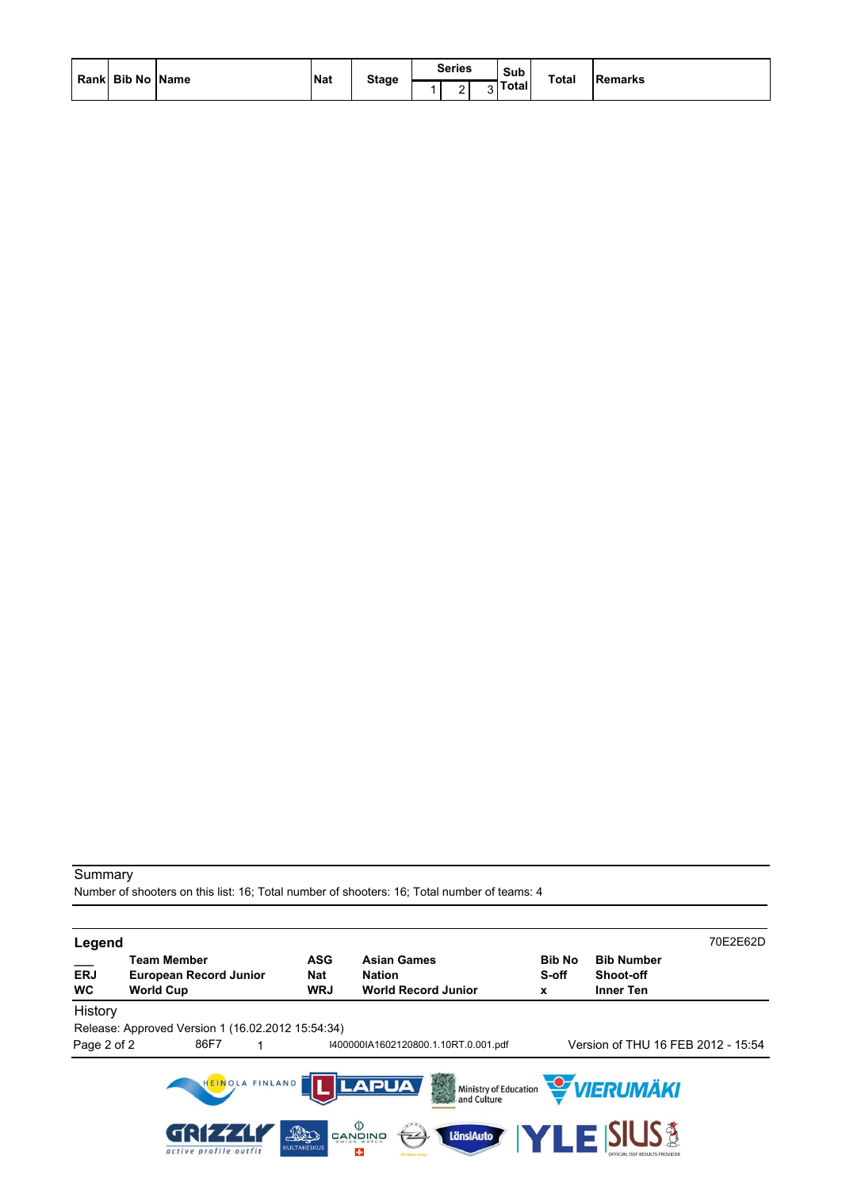| Rank Bib No Name | <b>Nat</b> |              | <b>Series</b> | Sub          | <b>Total</b> | Remarks |
|------------------|------------|--------------|---------------|--------------|--------------|---------|
|                  |            | <b>Stage</b> |               | <b>Total</b> |              |         |

Number of shooters on this list: 16; Total number of shooters: 16; Total number of teams: 4

| Legend                  |                                                                         |                                 |                                                                                                         |                             |                                                           | 70E2E62D |
|-------------------------|-------------------------------------------------------------------------|---------------------------------|---------------------------------------------------------------------------------------------------------|-----------------------------|-----------------------------------------------------------|----------|
| <b>ERJ</b><br><b>WC</b> | <b>Team Member</b><br><b>European Record Junior</b><br><b>World Cup</b> | <b>ASG</b><br>Nat<br><b>WRJ</b> | <b>Asian Games</b><br><b>Nation</b><br><b>World Record Junior</b>                                       | <b>Bib No</b><br>S-off<br>X | <b>Bib Number</b><br><b>Shoot-off</b><br><b>Inner Ten</b> |          |
| History<br>Page 2 of 2  | Release: Approved Version 1 (16.02.2012 15:54:34)<br>86F7               |                                 | I400000IA1602120800.1.10RT.0.001.pdf                                                                    |                             | Version of THU 16 FEB 2012 - 15:54                        |          |
|                         | HEINOLA FINLAND                                                         |                                 | <b>LAPUA</b><br>等<br>Ministry of Education<br>and Culture                                               |                             | <b>WERUMÄKI</b>                                           |          |
|                         | active profile outfit                                                   | The<br><b>KULTAKESKUS</b>       | $\overset{\text{(b)}}{\approx}$ הַעֲוֹ $\overset{\text{(c)}}{\approx}$<br>LänsiAuto<br>$\sqrt{2}$<br>25 |                             | E SIUS §                                                  |          |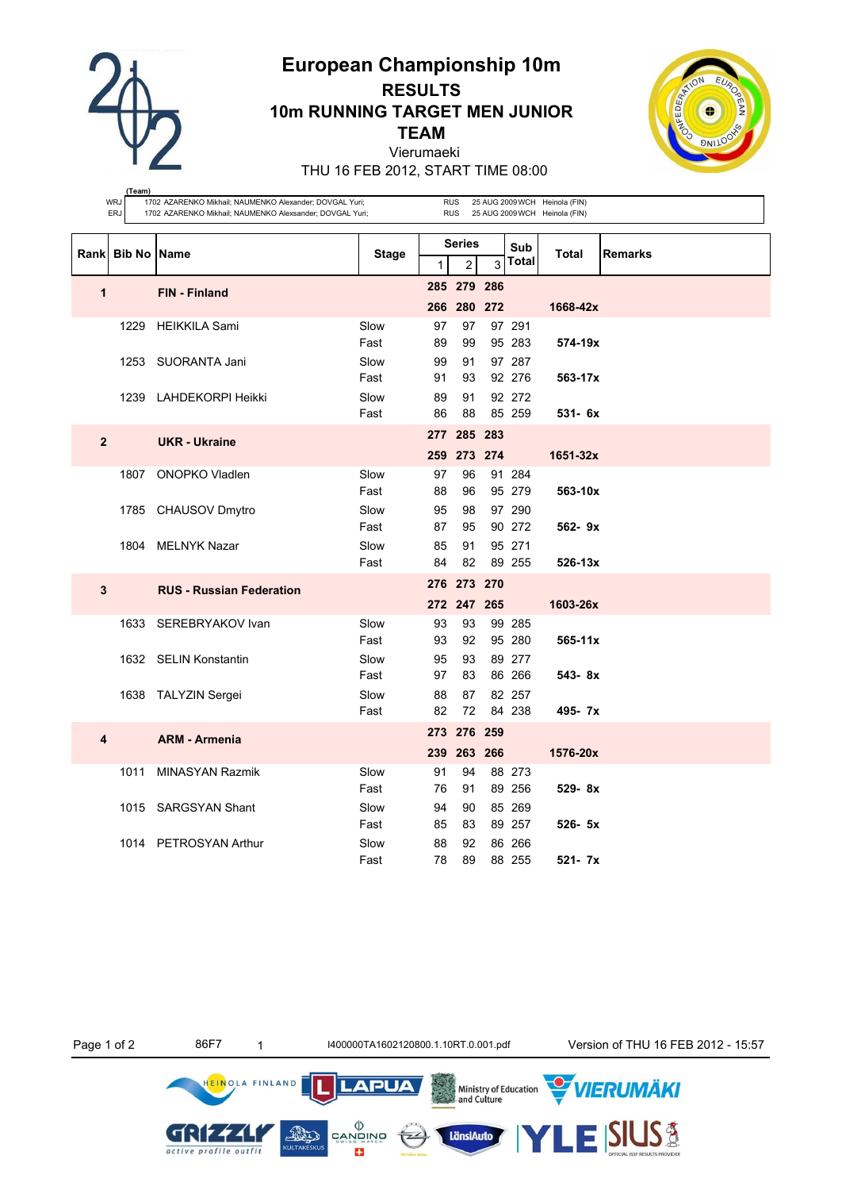**European Championship 10m RESULTS**

**10m RUNNING TARGET MEN JUNIOR**

**TEAM**

Vierumaeki

THU 16 FEB 2012, START TIME 08:00

**(Team)**

|                | WRJ<br>ERJ         | 1702 AZARENKO Mikhail; NAUMENKO Alexander; DOVGAL Yuri;<br>1702 AZARENKO Mikhail; NAUMENKO Alexsander; DOVGAL Yuri; |              | <b>RUS</b><br>25 AUG 2009 WCH Heinola (FIN)<br><b>RUS</b><br>25 AUG 2009 WCH Heinola (FIN) |                               |   |                  |             |                |  |
|----------------|--------------------|---------------------------------------------------------------------------------------------------------------------|--------------|--------------------------------------------------------------------------------------------|-------------------------------|---|------------------|-------------|----------------|--|
| Rank           | <b>Bib No Name</b> |                                                                                                                     | <b>Stage</b> |                                                                                            | <b>Series</b>                 | 3 | Sub<br>Total     | Total       | <b>Remarks</b> |  |
|                |                    |                                                                                                                     |              | $\mathbf{1}$                                                                               | $\overline{c}$<br>285 279 286 |   |                  |             |                |  |
| 1              |                    | FIN - Finland                                                                                                       |              |                                                                                            | 266 280 272                   |   |                  | 1668-42x    |                |  |
|                |                    | 1229 HEIKKILA Sami                                                                                                  | Slow         | 97                                                                                         | 97                            |   | 97 291           |             |                |  |
|                |                    | 1253 SUORANTA Jani                                                                                                  | Fast<br>Slow | 89<br>99                                                                                   | 99<br>91                      |   | 95 283<br>97 287 | 574-19x     |                |  |
|                |                    |                                                                                                                     | Fast         | 91                                                                                         | 93                            |   | 92 276           | 563-17x     |                |  |
|                |                    | 1239 LAHDEKORPI Heikki                                                                                              | Slow         | 89                                                                                         | 91                            |   | 92 272           |             |                |  |
|                |                    |                                                                                                                     | Fast         | 86                                                                                         | 88                            |   | 85 259           | 531- 6x     |                |  |
| $\overline{2}$ |                    | <b>UKR</b> - Ukraine                                                                                                |              |                                                                                            | 277 285 283                   |   |                  |             |                |  |
|                |                    |                                                                                                                     |              |                                                                                            | 259 273 274                   |   |                  | 1651-32x    |                |  |
|                | 1807               | ONOPKO Vladlen                                                                                                      | Slow<br>Fast | 97<br>88                                                                                   | 96<br>96                      |   | 91 284<br>95 279 | 563-10x     |                |  |
|                |                    | 1785 CHAUSOV Dmytro                                                                                                 | Slow         | 95                                                                                         | 98                            |   | 97 290           |             |                |  |
|                |                    |                                                                                                                     | Fast         | 87                                                                                         | 95                            |   | 90 272           | $562 - 9x$  |                |  |
|                |                    | 1804 MELNYK Nazar                                                                                                   | Slow         | 85<br>84                                                                                   | 91<br>82                      |   | 95 271<br>89 255 |             |                |  |
|                |                    |                                                                                                                     | Fast         |                                                                                            | 276 273 270                   |   |                  | $526 - 13x$ |                |  |
| $\mathbf{3}$   |                    | <b>RUS - Russian Federation</b>                                                                                     |              |                                                                                            | 272 247 265                   |   |                  | 1603-26x    |                |  |
|                |                    | 1633 SEREBRYAKOV Ivan                                                                                               | Slow         | 93                                                                                         | 93                            |   | 99 285           |             |                |  |
|                |                    |                                                                                                                     | Fast         | 93                                                                                         | 92                            |   | 95 280           | 565-11x     |                |  |
|                |                    | 1632 SELIN Konstantin                                                                                               | Slow         | 95                                                                                         | 93                            |   | 89 277           |             |                |  |
|                |                    | 1638 TALYZIN Sergei                                                                                                 | Fast<br>Slow | 97<br>88                                                                                   | 83<br>87                      |   | 86 266<br>82 257 | 543-8x      |                |  |
|                |                    |                                                                                                                     | Fast         | 82                                                                                         | 72                            |   | 84 238           | 495-7x      |                |  |
| 4              |                    | <b>ARM - Armenia</b>                                                                                                |              |                                                                                            | 273 276 259                   |   |                  |             |                |  |
|                |                    |                                                                                                                     |              |                                                                                            | 239 263 266                   |   |                  | 1576-20x    |                |  |
|                | 1011               | <b>MINASYAN Razmik</b>                                                                                              | Slow         | 91                                                                                         | 94                            |   | 88 273           |             |                |  |
|                |                    | 1015 SARGSYAN Shant                                                                                                 | Fast<br>Slow | 76<br>94                                                                                   | 91<br>90                      |   | 89 256<br>85 269 | $529 - 8x$  |                |  |
|                |                    |                                                                                                                     | Fast         | 85                                                                                         | 83                            |   | 89 257           | $526 - 5x$  |                |  |
|                |                    | 1014 PETROSYAN Arthur                                                                                               | Slow         | 88                                                                                         | 92                            |   | 86 266           |             |                |  |
|                |                    |                                                                                                                     | Fast         | 78                                                                                         | 89                            |   | 88 255           | $521 - 7x$  |                |  |

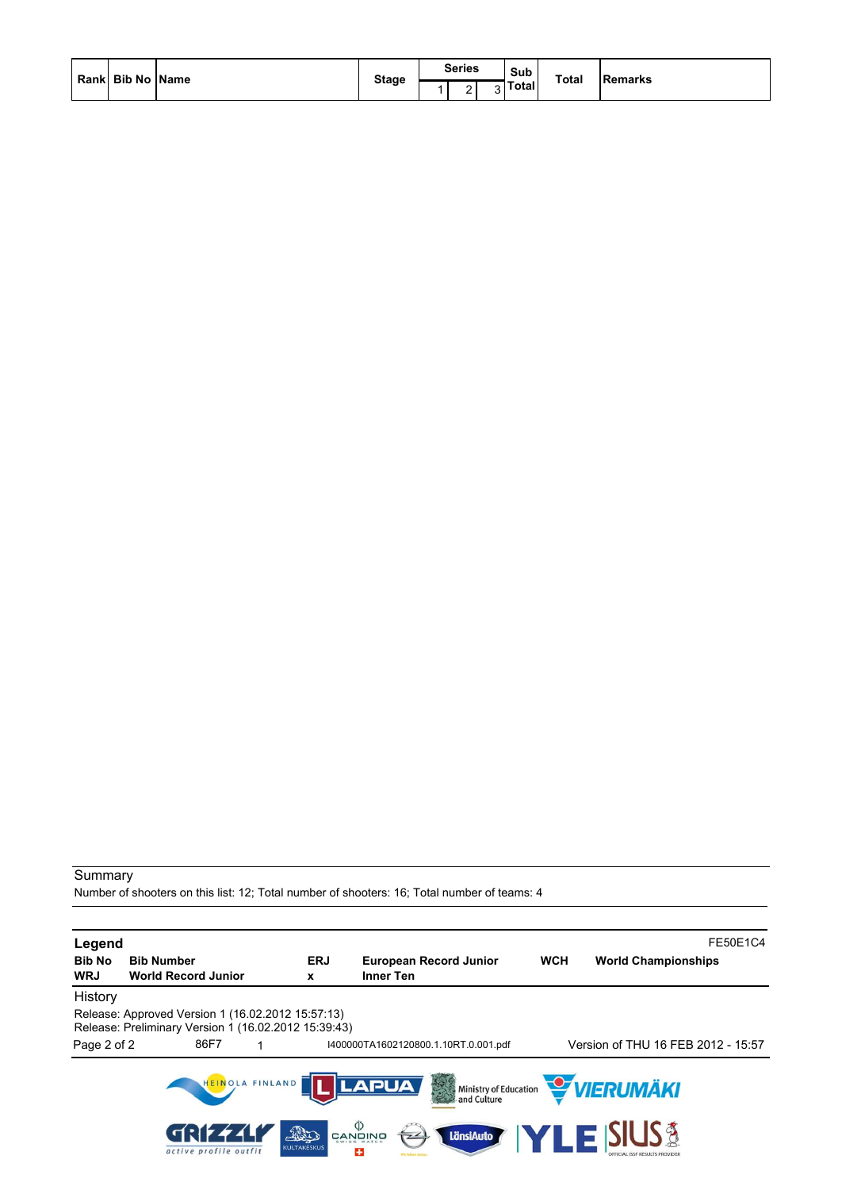| Rank  Bib No   Name |  | <b>Stage</b> | <b>Series</b> | Sub                                     | <b>Total</b> |                |
|---------------------|--|--------------|---------------|-----------------------------------------|--------------|----------------|
|                     |  |              | -             | $\overline{\phantom{0}}$<br><b>otal</b> |              | <b>Remarks</b> |

Number of shooters on this list: 12; Total number of shooters: 16; Total number of teams: 4

| Legend                                                                         |                                                   |                                |                                                      |                                                   |            | FE50E1C4                              |  |  |
|--------------------------------------------------------------------------------|---------------------------------------------------|--------------------------------|------------------------------------------------------|---------------------------------------------------|------------|---------------------------------------|--|--|
| <b>Bib No</b><br><b>Bib Number</b><br><b>WRJ</b><br><b>World Record Junior</b> |                                                   |                                | <b>ERJ</b><br>x                                      | <b>European Record Junior</b><br><b>Inner Ten</b> | <b>WCH</b> | <b>World Championships</b>            |  |  |
| History                                                                        |                                                   |                                |                                                      |                                                   |            |                                       |  |  |
|                                                                                | Release: Approved Version 1 (16.02.2012 15:57:13) |                                | Release: Preliminary Version 1 (16.02.2012 15:39:43) |                                                   |            |                                       |  |  |
| Page 2 of 2                                                                    |                                                   | 86F7                           |                                                      | I400000TA1602120800.1.10RT.0.001.pdf              |            | Version of THU 16 FEB 2012 - 15:57    |  |  |
|                                                                                |                                                   | HEINOLA FINLAND                |                                                      | <b>LAPUA</b>                                      |            | Ministry of Education <b>WERUMAKI</b> |  |  |
|                                                                                |                                                   | 69777<br>active profile outfit | AND<br><b>KULTAKESKUS</b>                            | פֿאופֿאפֿ<br>פֿאופֿאַפֿ<br>LänsiAuto<br>÷         |            | <b>YLE SIUS &amp;</b>                 |  |  |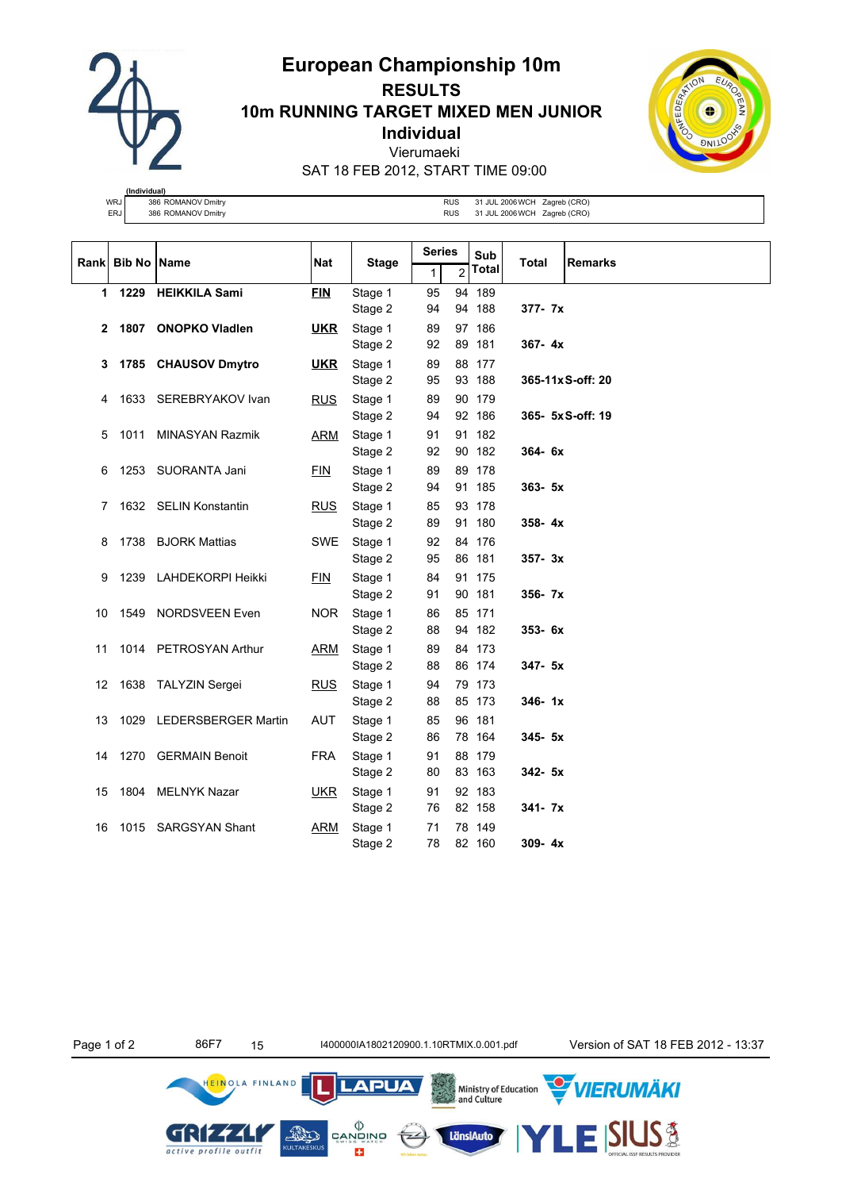

# **European Championship 10m RESULTS 10m RUNNING TARGET MIXED MEN JUNIOR Individual** Vierumaeki SAT 18 FEB 2012, START TIME 09:00



**(Individual)** WRJ 386 ROMANOV Dmitry RUS 31 JUL 2006 WCH Zagreb (CRO)<br>ERJ 386 ROMANOV Dmitry RUS 31 JUL 2006 WCH Zagreb (CRO)

|      | <b>Bib No Name</b> |                            | <b>Nat</b> |                    |          | <b>Series</b><br>Sub |                  | <b>Total</b> | <b>Remarks</b>    |
|------|--------------------|----------------------------|------------|--------------------|----------|----------------------|------------------|--------------|-------------------|
| Rank |                    |                            |            | <b>Stage</b>       | 1        | 2                    | Total            |              |                   |
|      | 1229<br>1          | <b>HEIKKILA Sami</b>       | <b>FIN</b> | Stage 1            | 95       |                      | 94 189           |              |                   |
|      |                    |                            |            | Stage 2            | 94       |                      | 94 188           | 377- 7x      |                   |
|      | 2<br>1807          | <b>ONOPKO Vladlen</b>      | <u>UKR</u> | Stage 1            | 89       |                      | 97 186           |              |                   |
|      |                    |                            |            | Stage 2            | 92       |                      | 89 181           | $367 - 4x$   |                   |
|      | 3                  | 1785 CHAUSOV Dmytro        | <u>UKR</u> | Stage 1            | 89       |                      | 88 177           |              |                   |
|      |                    |                            |            | Stage 2            | 95       |                      | 93 188           |              | 365-11x S-off: 20 |
|      | 1633<br>4          | SEREBRYAKOV Ivan           | <b>RUS</b> | Stage 1            | 89       |                      | 90 179           |              |                   |
|      |                    |                            |            | Stage 2            | 94       |                      | 92 186           |              | 365-5xS-off: 19   |
|      | 1011<br>5          | <b>MINASYAN Razmik</b>     | ARM        | Stage 1            | 91       |                      | 91 182           |              |                   |
|      |                    |                            |            | Stage 2            | 92       |                      | 90 182           | 364-6x       |                   |
|      | 6                  | 1253 SUORANTA Jani         | <b>FIN</b> | Stage 1            | 89<br>94 |                      | 89 178<br>91 185 | $363 - 5x$   |                   |
|      |                    |                            |            | Stage 2            |          |                      |                  |              |                   |
|      | 7                  | 1632 SELIN Konstantin      | <b>RUS</b> | Stage 1<br>Stage 2 | 85<br>89 |                      | 93 178<br>91 180 | $358 - 4x$   |                   |
|      | 1738<br>8          | <b>BJORK Mattias</b>       | SWE        | Stage 1            | 92       |                      | 84 176           |              |                   |
|      |                    |                            |            | Stage 2            | 95       |                      | 86 181           | $357 - 3x$   |                   |
|      | 9<br>1239          | LAHDEKORPI Heikki          | <b>FIN</b> | Stage 1            | 84       |                      | 91 175           |              |                   |
|      |                    |                            |            | Stage 2            | 91       |                      | 90 181           | $356 - 7x$   |                   |
| 10   | 1549               | NORDSVEEN Even             | <b>NOR</b> | Stage 1            | 86       |                      | 85 171           |              |                   |
|      |                    |                            |            | Stage 2            | 88       |                      | 94 182           | 353-6x       |                   |
| 11   |                    | 1014 PETROSYAN Arthur      | <b>ARM</b> | Stage 1            | 89       |                      | 84 173           |              |                   |
|      |                    |                            |            | Stage 2            | 88       |                      | 86 174           | 347- 5x      |                   |
| 12   | 1638               | <b>TALYZIN Sergei</b>      | <b>RUS</b> | Stage 1            | 94       |                      | 79 173           |              |                   |
|      |                    |                            |            | Stage 2            | 88       |                      | 85 173           | $346 - 1x$   |                   |
| 13   | 1029               | <b>LEDERSBERGER Martin</b> | <b>AUT</b> | Stage 1            | 85       |                      | 96 181           |              |                   |
|      |                    |                            |            | Stage 2            | 86       |                      | 78 164           | $345 - 5x$   |                   |
| 14   |                    | 1270 GERMAIN Benoit        | <b>FRA</b> | Stage 1            | 91       |                      | 88 179           |              |                   |
|      |                    |                            |            | Stage 2            | 80       |                      | 83 163           | 342- 5x      |                   |
| 15   | 1804               | <b>MELNYK Nazar</b>        | <b>UKR</b> | Stage 1            | 91       |                      | 92 183           |              |                   |
|      |                    |                            |            | Stage 2            | 76       |                      | 82 158           | $341 - 7x$   |                   |
| 16   | 1015               | <b>SARGSYAN Shant</b>      | <b>ARM</b> | Stage 1            | 71       |                      | 78 149           |              |                   |
|      |                    |                            |            | Stage 2            | 78       |                      | 82 160           | $309 - 4x$   |                   |

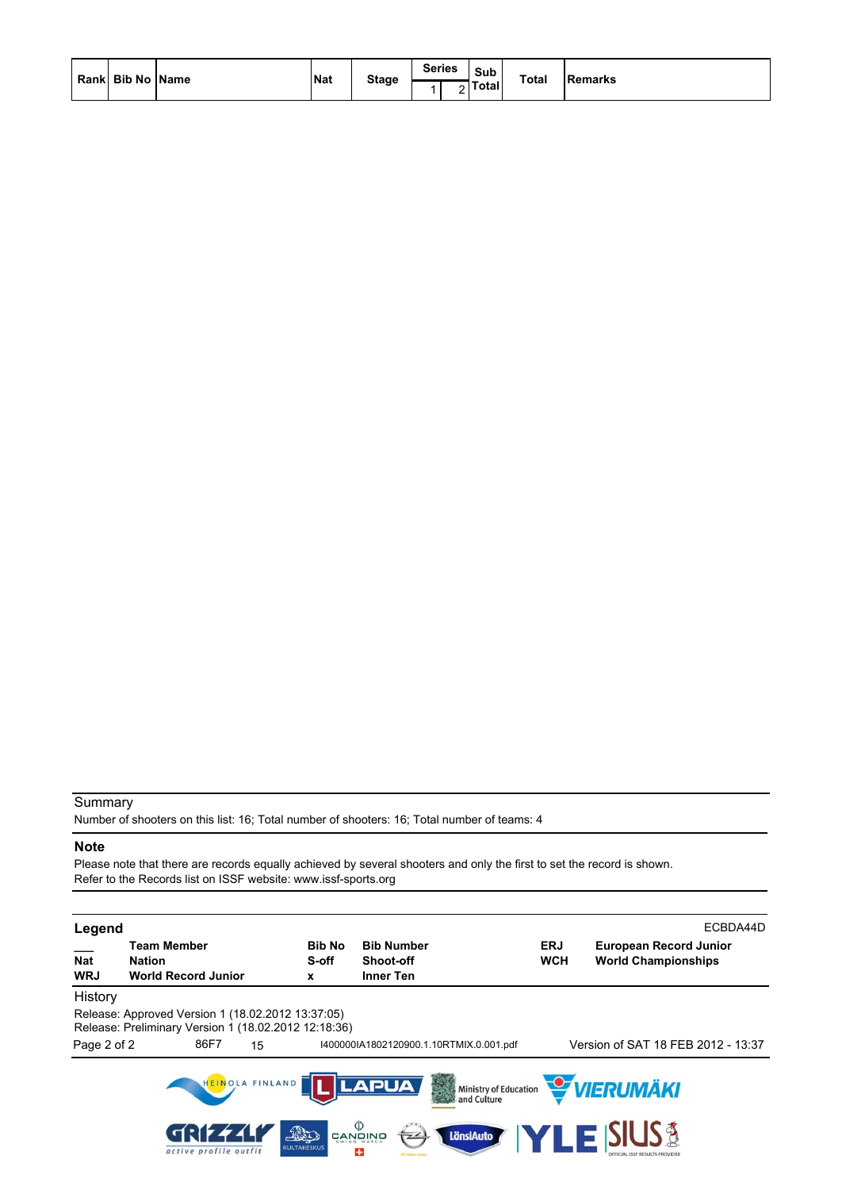| Rank Bib No Name | <b>Nat</b> | <b>Stage</b> | <b>Series</b> | Sub<br>Totall | <b>Total</b> | <b>Remarks</b> |
|------------------|------------|--------------|---------------|---------------|--------------|----------------|
|                  |            |              |               |               |              |                |

Number of shooters on this list: 16; Total number of shooters: 16; Total number of teams: 4

#### **Note**

Please note that there are records equally achieved by several shooters and only the first to set the record is shown. Refer to the Records list on ISSF website: www.issf-sports.org

| Legend                   |                                                                                                           |                            |                      |                                                                                         |                                           |                          |                                                             | ECBDA44D |
|--------------------------|-----------------------------------------------------------------------------------------------------------|----------------------------|----------------------|-----------------------------------------------------------------------------------------|-------------------------------------------|--------------------------|-------------------------------------------------------------|----------|
| <b>Nat</b><br><b>WRJ</b> | <b>Team Member</b><br>Nation<br><b>World Record Junior</b>                                                |                            | Bib No<br>S-off<br>x | <b>Bib Number</b><br><b>Shoot-off</b><br>Inner Ten                                      |                                           | <b>ERJ</b><br><b>WCH</b> | <b>European Record Junior</b><br><b>World Championships</b> |          |
| History                  |                                                                                                           |                            |                      |                                                                                         |                                           |                          |                                                             |          |
|                          | Release: Approved Version 1 (18.02.2012 13:37:05)<br>Release: Preliminary Version 1 (18.02.2012 12:18:36) |                            |                      |                                                                                         |                                           |                          |                                                             |          |
| Page 2 of 2              | 86F7                                                                                                      | 15                         |                      |                                                                                         | 14000001A1802120900.1.10RTMIX.0.001.pdf   |                          | Version of SAT 18 FEB 2012 - 13:37                          |          |
|                          |                                                                                                           | HEINOLA FINLAND            |                      | <b>LAPUA</b>                                                                            | 多<br>Ministry of Education<br>and Culture |                          | VIERUMÄKI                                                   |          |
|                          | active profile outfit                                                                                     | This<br><b>KULTAKESKUS</b> |                      | $\overset{\text{\tiny{(1)}}}{\approx}$ and $\overset{\text{\tiny{(2)}}}{\approx}$<br>45 | LänsiAuto                                 | LEK                      | <b>SIUS &amp;</b>                                           |          |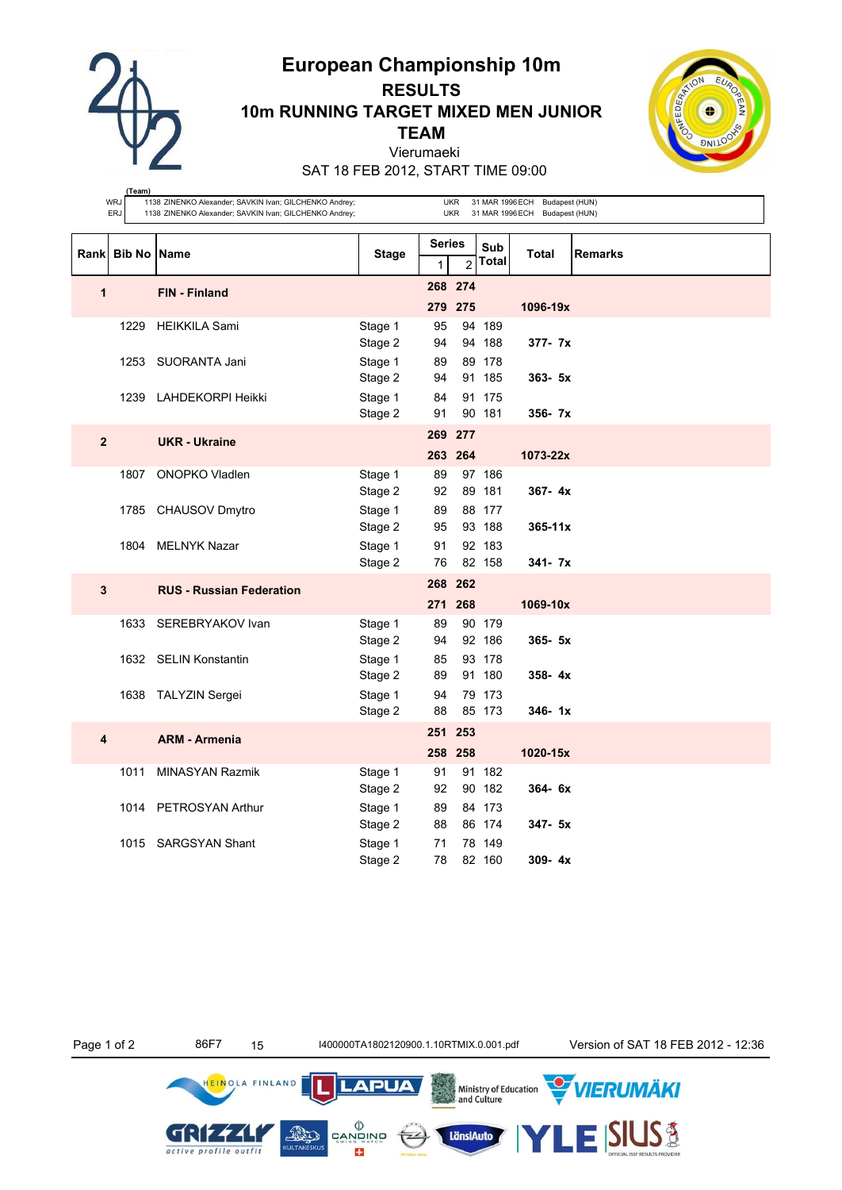**European Championship 10m**



**(Team)**

# **RESULTS 10m RUNNING TARGET MIXED MEN JUNIOR TEAM** Vierumaeki



SAT 18 FEB 2012, START TIME 09:00

|                         | <b>WRJ</b><br><b>ERJ</b> | 1138 ZINENKO Alexander; SAVKIN Ivan; GILCHENKO Andrey;<br>1138 ZINENKO Alexander; SAVKIN Ivan; GILCHENKO Andrey; |                               |                    | UKR<br><b>UKR</b>                                    |                  | 31 MAR 1996 ECH Budapest (HUN)<br>31 MAR 1996 ECH Budapest (HUN) |                |
|-------------------------|--------------------------|------------------------------------------------------------------------------------------------------------------|-------------------------------|--------------------|------------------------------------------------------|------------------|------------------------------------------------------------------|----------------|
|                         | Rank Bib No Name         |                                                                                                                  | <b>Stage</b>                  |                    | <b>Series</b><br>Sub<br>Total<br>$\overline{c}$<br>1 |                  | <b>Total</b>                                                     | <b>Remarks</b> |
| $\mathbf{1}$            |                          | <b>FIN - Finland</b>                                                                                             |                               | 268 274<br>279 275 |                                                      |                  | 1096-19x                                                         |                |
|                         | 1229                     | <b>HEIKKILA Sami</b>                                                                                             | Stage 1<br>Stage 2            | 95<br>94           |                                                      | 94 189<br>94 188 | $377 - 7x$                                                       |                |
|                         | 1253                     | SUORANTA Jani                                                                                                    | Stage 1                       | 89<br>94           |                                                      | 89 178<br>91 185 | $363 - 5x$                                                       |                |
|                         | 1239                     | LAHDEKORPI Heikki                                                                                                | Stage 2<br>Stage 1<br>Stage 2 | 84<br>91           |                                                      | 91 175<br>90 181 | 356- 7x                                                          |                |
| $\overline{\mathbf{2}}$ |                          | <b>UKR</b> - Ukraine                                                                                             |                               | 269 277            | 263 264                                              |                  | 1073-22x                                                         |                |
|                         | 1807                     | <b>ONOPKO Vladlen</b>                                                                                            | Stage 1<br>Stage 2            | 89<br>92           |                                                      | 97 186<br>89 181 | $367 - 4x$                                                       |                |
|                         |                          | 1785 CHAUSOV Dmytro                                                                                              | Stage 1<br>Stage 2            | 89<br>95           |                                                      | 88 177<br>93 188 | $365 - 11x$                                                      |                |
|                         |                          | 1804 MELNYK Nazar                                                                                                | Stage 1<br>Stage 2            | 91<br>76           |                                                      | 92 183<br>82 158 | 341- 7x                                                          |                |
| 3                       |                          | <b>RUS - Russian Federation</b>                                                                                  |                               | 268 262<br>271 268 |                                                      |                  | 1069-10x                                                         |                |
|                         | 1633                     | SEREBRYAKOV Ivan                                                                                                 | Stage 1<br>Stage 2            | 89<br>94           |                                                      | 90 179<br>92 186 | $365 - 5x$                                                       |                |
|                         |                          | 1632 SELIN Konstantin                                                                                            | Stage 1<br>Stage 2            | 85<br>89           |                                                      | 93 178<br>91 180 | $358 - 4x$                                                       |                |
|                         |                          | 1638 TALYZIN Sergei                                                                                              | Stage 1<br>Stage 2            | 94<br>88           |                                                      | 79 173<br>85 173 | $346 - 1x$                                                       |                |
| 4                       |                          | <b>ARM - Armenia</b>                                                                                             |                               | 251<br>258 258     | 253                                                  |                  | 1020-15x                                                         |                |
|                         | 1011                     | <b>MINASYAN Razmik</b>                                                                                           | Stage 1<br>Stage 2            | 91<br>92           |                                                      | 91 182<br>90 182 | $364 - 6x$                                                       |                |
|                         |                          | 1014 PETROSYAN Arthur                                                                                            | Stage 1<br>Stage 2            | 89<br>88           |                                                      | 84 173<br>86 174 | 347- 5x                                                          |                |
|                         |                          | 1015 SARGSYAN Shant                                                                                              | Stage 1<br>Stage 2            | 71<br>78           |                                                      | 78 149<br>82 160 | $309 - 4x$                                                       |                |

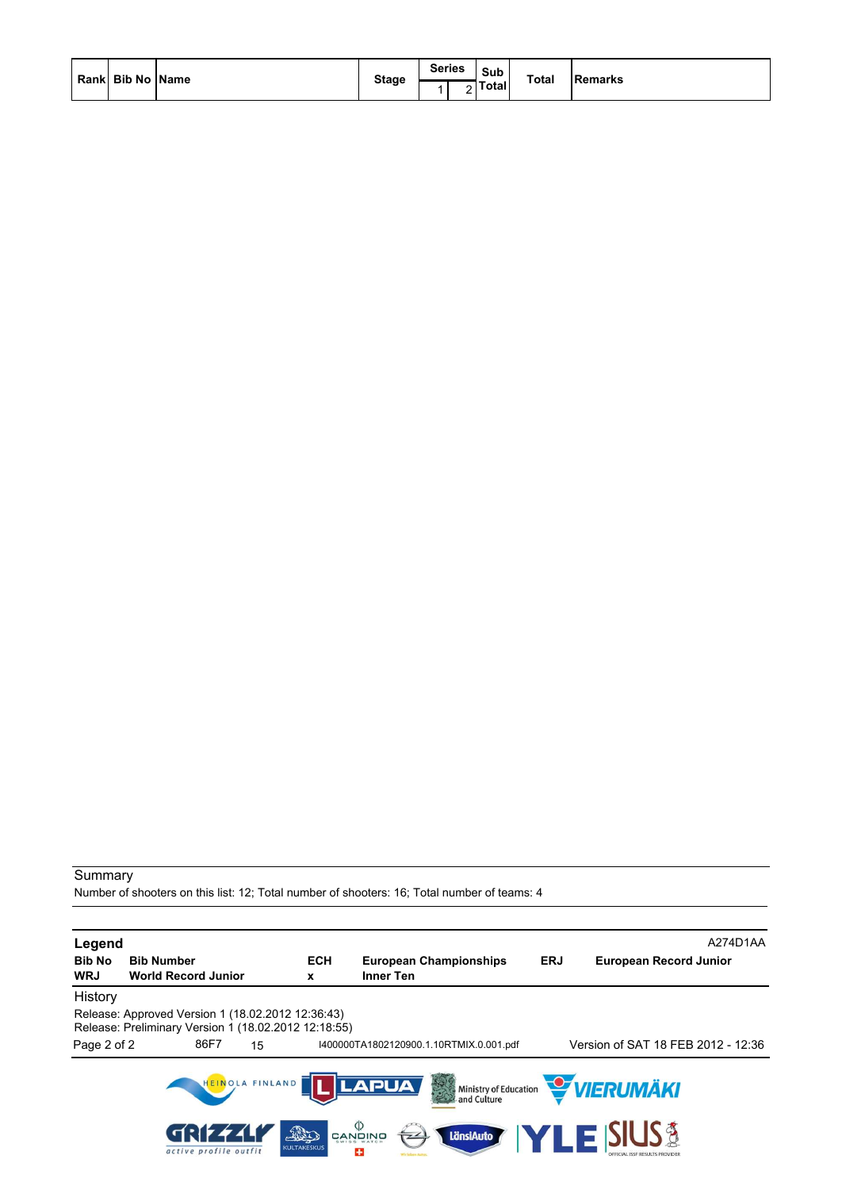Number of shooters on this list: 12; Total number of shooters: 16; Total number of teams: 4

| Legend<br><b>Bib No</b><br><b>WRJ</b> | <b>Bib Number</b><br><b>World Record Junior</b>                                                           |                       |                 | <b>ECH</b><br>x           | <b>Inner Ten</b>                                                                              | <b>European Championships</b>           | <b>ERJ</b> | A274D1AA<br><b>European Record Junior</b>              |
|---------------------------------------|-----------------------------------------------------------------------------------------------------------|-----------------------|-----------------|---------------------------|-----------------------------------------------------------------------------------------------|-----------------------------------------|------------|--------------------------------------------------------|
| History                               |                                                                                                           |                       |                 |                           |                                                                                               |                                         |            |                                                        |
|                                       | Release: Approved Version 1 (18.02.2012 12:36:43)<br>Release: Preliminary Version 1 (18.02.2012 12:18:55) |                       |                 |                           |                                                                                               |                                         |            |                                                        |
| Page 2 of 2                           |                                                                                                           | 86F7                  | 15              |                           |                                                                                               | 1400000TA1802120900.1.10RTMIX.0.001.pdf |            | Version of SAT 18 FEB 2012 - 12:36                     |
|                                       |                                                                                                           |                       | HEINOLA FINLAND |                           | <b>LAPUA</b>                                                                                  |                                         |            | Ministry of Education <b>WERUMAKI</b>                  |
|                                       |                                                                                                           | active profile outfit |                 | FRO<br><b>KULTAKESKUS</b> | $\overset{\text{\tiny{(1)}}}{\approx}$ and $\overset{\text{\tiny{(2)}}}{\approx}$<br>74<br>43 | LänsiAuto                               |            | <b>LE SIUS &amp;</b><br>OFFICIAL ISSF RESULTS PROVIDER |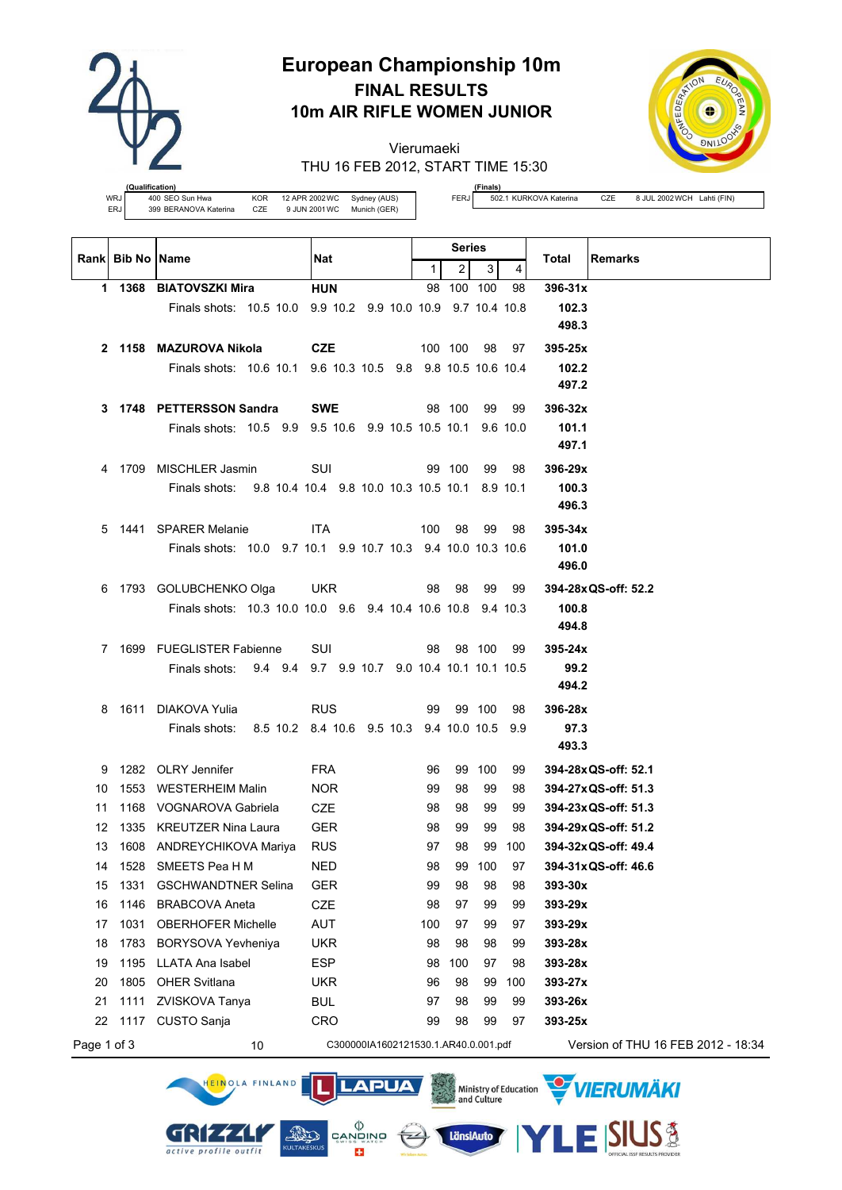

# **European Championship 10m FINAL RESULTS 10m AIR RIFLE WOMEN JUNIOR**

Vierumaeki THU 16 FEB 2012, START TIME 15:30



**(Qualification)** WRJ 400 SEO Sun Hwa<br>ERJ 399 BERANOVA Katerina CZE 9 JUN 2001 WC Munich (GER) ERJ 399 BERANOVA Katerina CZE

GRIZZLI

active profile outfit

**(Finals)**<br>502.1 KURKOVA Katerina

FERJ 502.1 KURKOVA Katerina CZE 8 JUL 2002 WCH Lahti (FIN)

**SIUS®** 

|             |                           |                                                              |                                              |              | Series         |           |           |                                              |
|-------------|---------------------------|--------------------------------------------------------------|----------------------------------------------|--------------|----------------|-----------|-----------|----------------------------------------------|
|             | <b>Rankl Bib No IName</b> |                                                              | Nat                                          | $\mathbf{1}$ | $\overline{2}$ | 3         | 4         | Total<br><b>Remarks</b>                      |
|             |                           | 1 1368 BIATOVSZKI Mira                                       | <b>HUN</b>                                   |              | 98 100 100     |           | 98        | $396-31x$                                    |
|             |                           | Finals shots: 10.5 10.0 9.9 10.2 9.9 10.0 10.9 9.7 10.4 10.8 |                                              |              |                |           |           | 102.3                                        |
|             |                           |                                                              |                                              |              |                |           |           | 498.3                                        |
|             |                           | 2 1158 MAZUROVA Nikola                                       | <b>CZE</b>                                   |              | 100 100        | 98        | 97        | 395-25x                                      |
|             |                           | Finals shots: 10.6 10.1 9.6 10.3 10.5 9.8 9.8 10.5 10.6 10.4 |                                              |              |                |           |           | 102.2                                        |
|             |                           |                                                              |                                              |              |                |           |           | 497.2                                        |
| 3           |                           | 1748 PETTERSSON Sandra                                       | <b>SWE</b>                                   |              | 98 100         | 99        | 99        | $396 - 32x$                                  |
|             |                           | Finals shots: 10.5 9.9 9.5 10.6 9.9 10.5 10.5 10.1 9.6 10.0  |                                              |              |                |           |           | 101.1                                        |
|             |                           |                                                              |                                              |              |                |           |           | 497.1                                        |
| 4           |                           | 1709 MISCHLER Jasmin                                         | SUI                                          |              | 99 100         | 99        | 98        | 396-29x                                      |
|             |                           | Finals shots: 9.8 10.4 10.4 9.8 10.0 10.3 10.5 10.1 8.9 10.1 |                                              |              |                |           |           | 100.3                                        |
|             |                           |                                                              |                                              |              |                |           |           | 496.3                                        |
| 5           |                           | 1441 SPARER Melanie                                          | <b>ITA</b>                                   | 100          | 98             | 99        | 98        | $395 - 34x$                                  |
|             |                           | Finals shots: 10.0 9.7 10.1 9.9 10.7 10.3 9.4 10.0 10.3 10.6 |                                              |              |                |           |           | 101.0                                        |
|             |                           |                                                              |                                              |              |                |           |           | 496.0                                        |
| 6           |                           | 1793 GOLUBCHENKO Olga                                        | UKR.                                         |              | 98 98          |           | 99 99     | 394-28x QS-off: 52.2                         |
|             |                           | Finals shots: 10.3 10.0 10.0 9.6 9.4 10.4 10.6 10.8 9.4 10.3 |                                              |              |                |           |           | 100.8                                        |
|             |                           |                                                              |                                              |              |                |           |           | 494.8                                        |
|             |                           | 7 1699 FUEGLISTER Fabienne                                   | SUI                                          | 98           |                | 98 100 99 |           | $395 - 24x$                                  |
|             |                           | Finals shots: 9.4 9.4 9.7 9.9 10.7 9.0 10.4 10.1 10.1 10.5   |                                              |              |                |           |           | 99.2                                         |
|             |                           |                                                              |                                              |              |                |           |           | 494.2                                        |
| 8           |                           | 1611 DIAKOVA Yulia                                           | <b>RUS</b>                                   |              |                | 99 99 100 | 98        | 396-28x                                      |
|             |                           | Finals shots:                                                | 8.5 10.2 8.4 10.6 9.5 10.3 9.4 10.0 10.5 9.9 |              |                |           |           | 97.3                                         |
|             |                           |                                                              |                                              |              |                |           |           | 493.3                                        |
| 9           |                           | 1282 OLRY Jennifer                                           | <b>FRA</b>                                   | 96           |                | 99 100    | 99        | 394-28xQS-off: 52.1                          |
| 10          | 1553                      | <b>WESTERHEIM Malin</b>                                      | NOR.                                         | 99           | 98             | 99        | 98        | 394-27x QS-off: 51.3                         |
| 11          |                           | 1168 VOGNAROVA Gabriela                                      | <b>CZE</b>                                   | 98           | 98             | 99        | 99        | 394-23x QS-off: 51.3                         |
| 12<br>13    |                           | 1335 KREUTZER Nina Laura<br>1608 ANDREYCHIKOVA Mariya        | <b>GER</b><br><b>RUS</b>                     | 98<br>97     | 99<br>98       | 99<br>99  | 98<br>100 | 394-29x QS-off: 51.2<br>394-32x QS-off: 49.4 |
|             |                           | 14 1528 SMEETS Pea H M                                       | NED                                          | 98           |                | 99 100 97 |           | 394-31x QS-off: 46.6                         |
| 15          | 1331                      | <b>GSCHWANDTNER Selina</b>                                   | GER                                          | 99           | 98             | 98        | 98        | 393-30x                                      |
| 16          | 1146                      | <b>BRABCOVA Aneta</b>                                        | CZE                                          | 98           | 97             | 99        | 99        | 393-29x                                      |
| 17          | 1031                      | <b>OBERHOFER Michelle</b>                                    | AUT                                          | 100          | 97             | 99        | 97        | 393-29x                                      |
| 18          | 1783                      | BORYSOVA Yevheniya                                           | <b>UKR</b>                                   | 98           | 98             | 98        | 99        | 393-28x                                      |
| 19          | 1195                      | <b>LLATA Ana Isabel</b>                                      | <b>ESP</b>                                   | 98           | 100            | 97        | 98        | 393-28x                                      |
| 20          | 1805                      | <b>OHER Svitlana</b>                                         | <b>UKR</b>                                   | 96           | 98             | 99        | 100       | 393-27x                                      |
| 21          | 1111                      | ZVISKOVA Tanya                                               | <b>BUL</b>                                   | 97           | 98             | 99        | 99        | 393-26x                                      |
| 22          | 1117                      | CUSTO Sanja                                                  | CRO                                          | 99           | 98             | 99        | 97        | 393-25x                                      |
| Page 1 of 3 |                           | 10                                                           | C300000IA1602121530.1.AR40.0.001.pdf         |              |                |           |           | Version of THU 16 FEB 2012 - 18:34           |

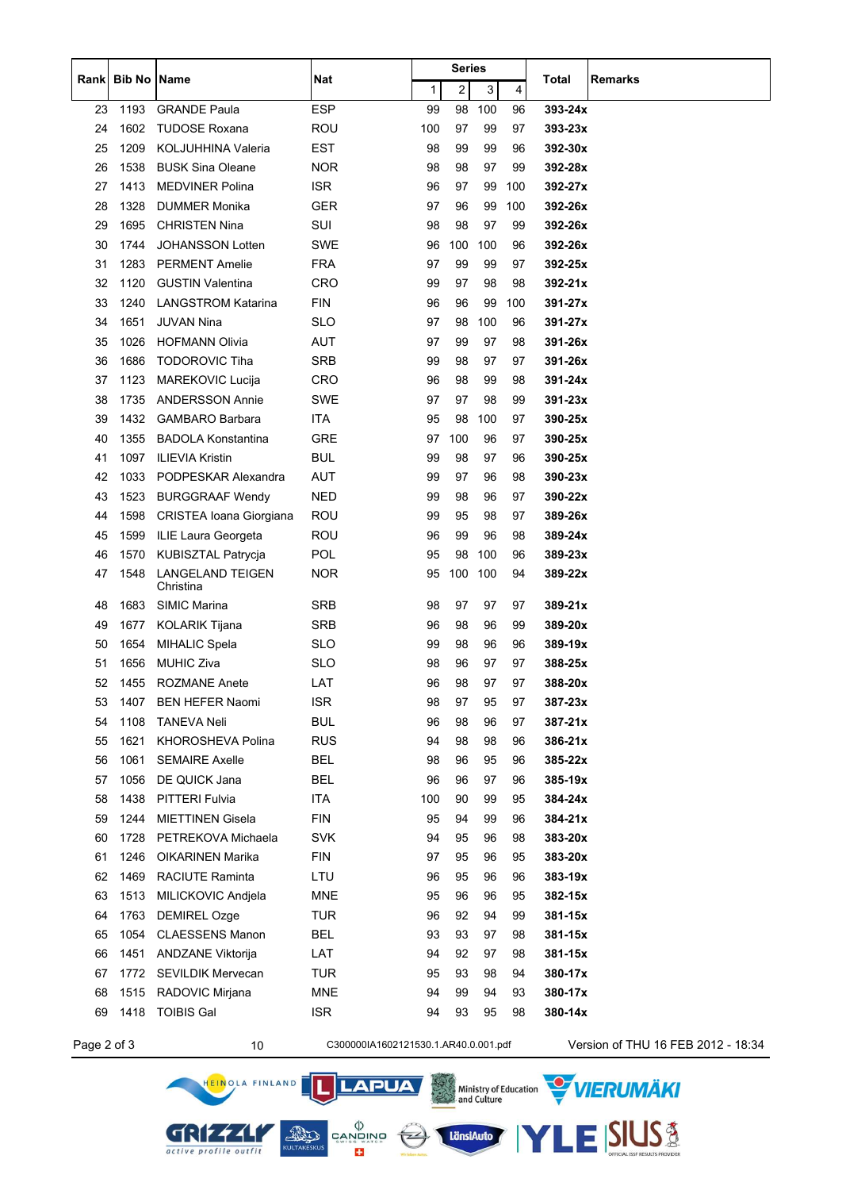|             |               |                               |                                      |     | Series                  |     |     | <b>Remarks</b> |                                    |
|-------------|---------------|-------------------------------|--------------------------------------|-----|-------------------------|-----|-----|----------------|------------------------------------|
| Rank        | <b>Bib No</b> | Name                          | <b>Nat</b>                           | 1   | $\overline{\mathbf{c}}$ | 3   | 4   | Total          |                                    |
| 23          | 1193          | <b>GRANDE Paula</b>           | <b>ESP</b>                           | 99  | 98                      | 100 | 96  | 393-24x        |                                    |
| 24          | 1602          | <b>TUDOSE Roxana</b>          | <b>ROU</b>                           | 100 | 97                      | 99  | 97  | $393 - 23x$    |                                    |
| 25          | 1209          | KOLJUHHINA Valeria            | EST                                  | 98  | 99                      | 99  | 96  | 392-30x        |                                    |
| 26          | 1538          | <b>BUSK Sina Oleane</b>       | <b>NOR</b>                           | 98  | 98                      | 97  | 99  | 392-28x        |                                    |
| 27          | 1413          | <b>MEDVINER Polina</b>        | <b>ISR</b>                           | 96  | 97                      | 99  | 100 | 392-27x        |                                    |
| 28          | 1328          | DUMMER Monika                 | <b>GER</b>                           | 97  | 96                      | 99  | 100 | 392-26x        |                                    |
| 29          | 1695          | <b>CHRISTEN Nina</b>          | SUI                                  | 98  | 98                      | 97  | 99  | 392-26x        |                                    |
| 30          | 1744          | <b>JOHANSSON Lotten</b>       | <b>SWE</b>                           | 96  | 100                     | 100 | 96  | 392-26x        |                                    |
| 31          | 1283          | <b>PERMENT Amelie</b>         | <b>FRA</b>                           | 97  | 99                      | 99  | 97  | 392-25x        |                                    |
| 32          | 1120          | <b>GUSTIN Valentina</b>       | <b>CRO</b>                           | 99  | 97                      | 98  | 98  | 392-21x        |                                    |
| 33          | 1240          | <b>LANGSTROM Katarina</b>     | <b>FIN</b>                           | 96  | 96                      | 99  | 100 | 391-27x        |                                    |
| 34          | 1651          | <b>JUVAN Nina</b>             | <b>SLO</b>                           | 97  | 98                      | 100 | 96  | 391-27x        |                                    |
| 35          | 1026          | <b>HOFMANN Olivia</b>         | <b>AUT</b>                           | 97  | 99                      | 97  | 98  | 391-26x        |                                    |
| 36          | 1686          | <b>TODOROVIC Tiha</b>         | <b>SRB</b>                           | 99  | 98                      | 97  | 97  | 391-26x        |                                    |
| 37          | 1123          | <b>MAREKOVIC Lucija</b>       | CRO                                  | 96  | 98                      | 99  | 98  | 391-24x        |                                    |
| 38          | 1735          | <b>ANDERSSON Annie</b>        | <b>SWE</b>                           | 97  | 97                      | 98  | 99  | $391 - 23x$    |                                    |
| 39          | 1432          | <b>GAMBARO Barbara</b>        | <b>ITA</b>                           | 95  | 98                      | 100 | 97  | 390-25x        |                                    |
| 40          | 1355          | <b>BADOLA Konstantina</b>     | <b>GRE</b>                           | 97  | 100                     | 96  | 97  | 390-25x        |                                    |
| 41          | 1097          | <b>ILIEVIA Kristin</b>        | <b>BUL</b>                           | 99  | 98                      | 97  | 96  | 390-25x        |                                    |
| 42          | 1033          | PODPESKAR Alexandra           | <b>AUT</b>                           | 99  | 97                      | 96  | 98  | 390-23x        |                                    |
| 43          | 1523          | <b>BURGGRAAF Wendy</b>        | <b>NED</b>                           | 99  | 98                      | 96  | 97  | 390-22x        |                                    |
| 44          | 1598          | CRISTEA Ioana Giorgiana       | ROU                                  | 99  | 95                      | 98  | 97  | 389-26x        |                                    |
| 45          | 1599          | ILIE Laura Georgeta           | ROU                                  | 96  | 99                      | 96  | 98  | 389-24x        |                                    |
| 46          | 1570          | KUBISZTAL Patrycja            | <b>POL</b>                           | 95  | 98                      | 100 | 96  | 389-23x        |                                    |
| 47          | 1548          | LANGELAND TEIGEN<br>Christina | <b>NOR</b>                           | 95  | 100                     | 100 | 94  | 389-22x        |                                    |
| 48          | 1683          | <b>SIMIC Marina</b>           | <b>SRB</b>                           | 98  | 97                      | 97  | 97  | 389-21x        |                                    |
| 49          | 1677          | KOLARIK Tijana                | <b>SRB</b>                           | 96  | 98                      | 96  | 99  | 389-20x        |                                    |
| 50          | 1654          | <b>MIHALIC Spela</b>          | <b>SLO</b>                           | 99  | 98                      | 96  | 96  | 389-19x        |                                    |
| 51          | 1656          | <b>MUHIC Ziva</b>             | <b>SLO</b>                           | 98  | 96                      | 97  | 97  | 388-25x        |                                    |
| 52          | 1455          | <b>ROZMANE Anete</b>          | LAT                                  | 96  | 98                      | 97  | 97  | 388-20x        |                                    |
| 53          | 1407          | <b>BEN HEFER Naomi</b>        | <b>ISR</b>                           | 98  | 97                      | 95  | 97  | 387-23x        |                                    |
| 54          | 1108          | <b>TANEVA Neli</b>            | <b>BUL</b>                           | 96  | 98                      | 96  | 97  | 387-21x        |                                    |
| 55          | 1621          | <b>KHOROSHEVA Polina</b>      | <b>RUS</b>                           | 94  | 98                      | 98  | 96  | 386-21x        |                                    |
| 56          | 1061          | <b>SEMAIRE Axelle</b>         | <b>BEL</b>                           | 98  | 96                      | 95  | 96  | 385-22x        |                                    |
| 57          | 1056          | DE QUICK Jana                 | <b>BEL</b>                           | 96  | 96                      | 97  | 96  | 385-19x        |                                    |
| 58          | 1438          | PITTERI Fulvia                | <b>ITA</b>                           | 100 | 90                      | 99  | 95  | 384-24x        |                                    |
| 59          | 1244          | <b>MIETTINEN Gisela</b>       | <b>FIN</b>                           | 95  | 94                      | 99  | 96  | 384-21x        |                                    |
| 60          | 1728          | PETREKOVA Michaela            | <b>SVK</b>                           | 94  | 95                      | 96  | 98  | 383-20x        |                                    |
| 61          | 1246          | OIKARINEN Marika              | <b>FIN</b>                           | 97  | 95                      | 96  | 95  | 383-20x        |                                    |
| 62          | 1469          | <b>RACIUTE Raminta</b>        | LTU                                  | 96  | 95                      | 96  | 96  | 383-19x        |                                    |
| 63          | 1513          | MILICKOVIC Andjela            | <b>MNE</b>                           | 95  | 96                      | 96  | 95  | 382-15x        |                                    |
| 64          | 1763          | <b>DEMIREL Ozge</b>           | TUR                                  | 96  | 92                      | 94  | 99  | $381 - 15x$    |                                    |
| 65          | 1054          | <b>CLAESSENS Manon</b>        | <b>BEL</b>                           | 93  | 93                      | 97  | 98  | 381-15x        |                                    |
| 66          | 1451          | ANDZANE Viktorija             | LAT                                  | 94  | 92                      | 97  | 98  | 381-15x        |                                    |
| 67          | 1772          | SEVILDIK Mervecan             | <b>TUR</b>                           | 95  | 93                      | 98  | 94  | 380-17x        |                                    |
| 68          | 1515          | RADOVIC Mirjana               | MNE                                  | 94  | 99                      | 94  | 93  | 380-17x        |                                    |
| 69          | 1418          | <b>TOIBIS Gal</b>             | <b>ISR</b>                           | 94  | 93                      | 95  | 98  | 380-14x        |                                    |
| Page 2 of 3 |               | 10                            | C300000IA1602121530.1.AR40.0.001.pdf |     |                         |     |     |                | Version of THU 16 FEB 2012 - 18:34 |

GRIZZLY active profile outfit

HEINOLA FINLAND

 $\mathbf{0}$ 

**LAPUA** Ministry of Education **WIERUMÄKI** 

**YLE SIUS &**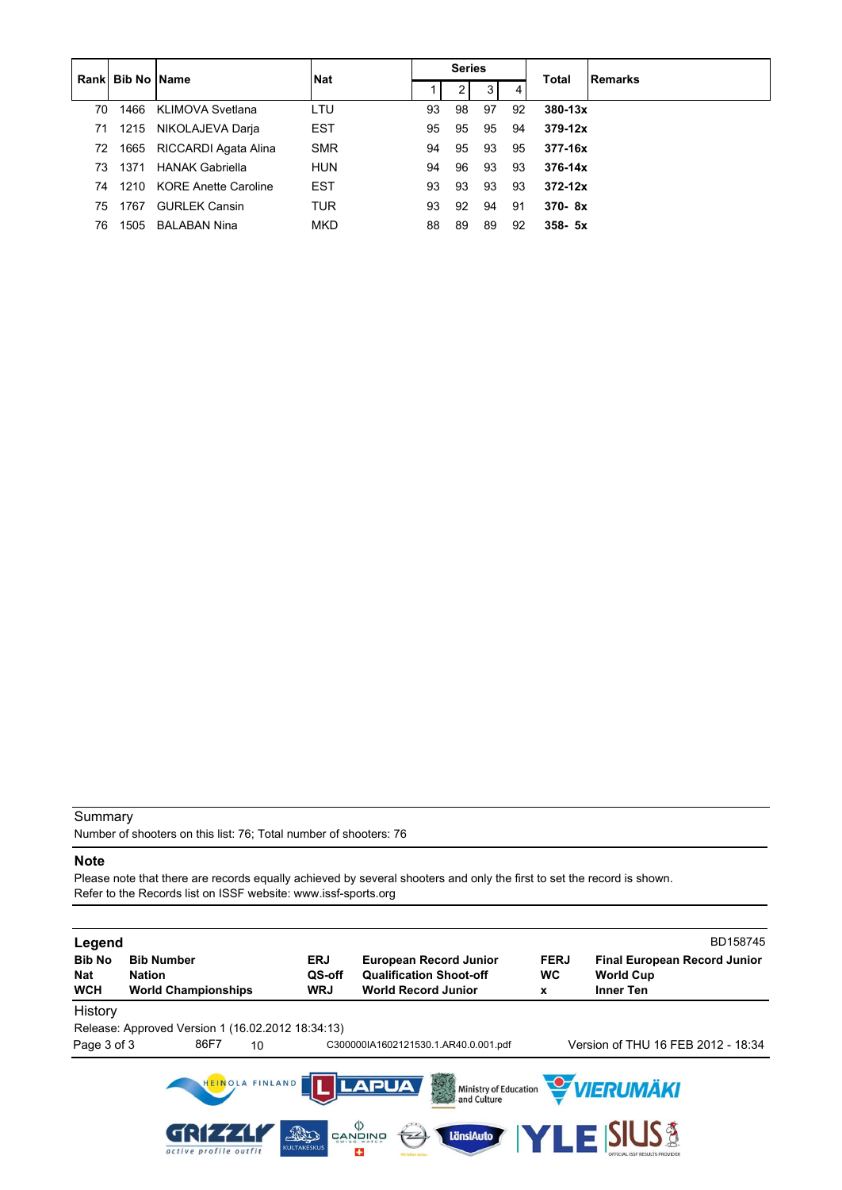|     | <b>Rankl Bib No IName</b> |                           |            |    | <b>Series</b> |    |    |             |                |
|-----|---------------------------|---------------------------|------------|----|---------------|----|----|-------------|----------------|
|     |                           |                           | l Nat      |    |               | 3  | 4  | Total       | <b>Remarks</b> |
| 70  | 1466                      | KLIMOVA Svetlana          | LTU        | 93 | 98            | 97 | 92 | $380 - 13x$ |                |
| 71  |                           | 1215 NIKOLAJEVA Darja     | <b>EST</b> | 95 | 95            | 95 | 94 | $379 - 12x$ |                |
| 72  |                           | 1665 RICCARDI Agata Alina | <b>SMR</b> | 94 | 95            | 93 | 95 | 377-16x     |                |
| 73. | 1371                      | <b>HANAK Gabriella</b>    | <b>HUN</b> | 94 | 96            | 93 | 93 | $376 - 14x$ |                |
| 74  |                           | 1210 KORE Anette Caroline | <b>EST</b> | 93 | 93            | 93 | 93 | $372 - 12x$ |                |
| 75. | 1767                      | <b>GURLEK Cansin</b>      | <b>TUR</b> | 93 | 92            | 94 | 91 | $370 - 8x$  |                |
| 76  | 1505                      | <b>BALABAN Nina</b>       | <b>MKD</b> | 88 | 89            | 89 | 92 | $358 - 5x$  |                |

Number of shooters on this list: 76; Total number of shooters: 76

### **Note**

Please note that there are records equally achieved by several shooters and only the first to set the record is shown. Refer to the Records list on ISSF website: www.issf-sports.org

| Legend<br><b>Bib No</b><br><b>Nat</b><br><b>WCH</b> | <b>Bib Number</b><br><b>Nation</b><br><b>World Championships</b> |                                              | <b>ERJ</b><br>QS-off<br><b>WRJ</b> | <b>European Record Junior</b><br><b>Qualification Shoot-off</b><br><b>World Record Junior</b> | <b>FERJ</b><br><b>WC</b><br>x | BD158745<br><b>Final European Record Junior</b><br><b>World Cup</b><br><b>Inner Ten</b> |
|-----------------------------------------------------|------------------------------------------------------------------|----------------------------------------------|------------------------------------|-----------------------------------------------------------------------------------------------|-------------------------------|-----------------------------------------------------------------------------------------|
| History<br>Page 3 of 3                              | Release: Approved Version 1 (16.02.2012 18:34:13)<br>86F7        | 10                                           |                                    | C300000IA1602121530.1.AR40.0.001.pdf                                                          |                               | Version of THU 16 FEB 2012 - 18:34                                                      |
|                                                     | dell 4                                                           | HEINOLA FINLAND<br>THE<br><b>KULTAKESKUS</b> | $\varphi$                          | <b>LAPUA</b><br>美<br>Ministry of Education<br>and Culture<br>LänsiAuto<br>74                  |                               | <b>VERUMÄKI</b><br>E ISIUS A                                                            |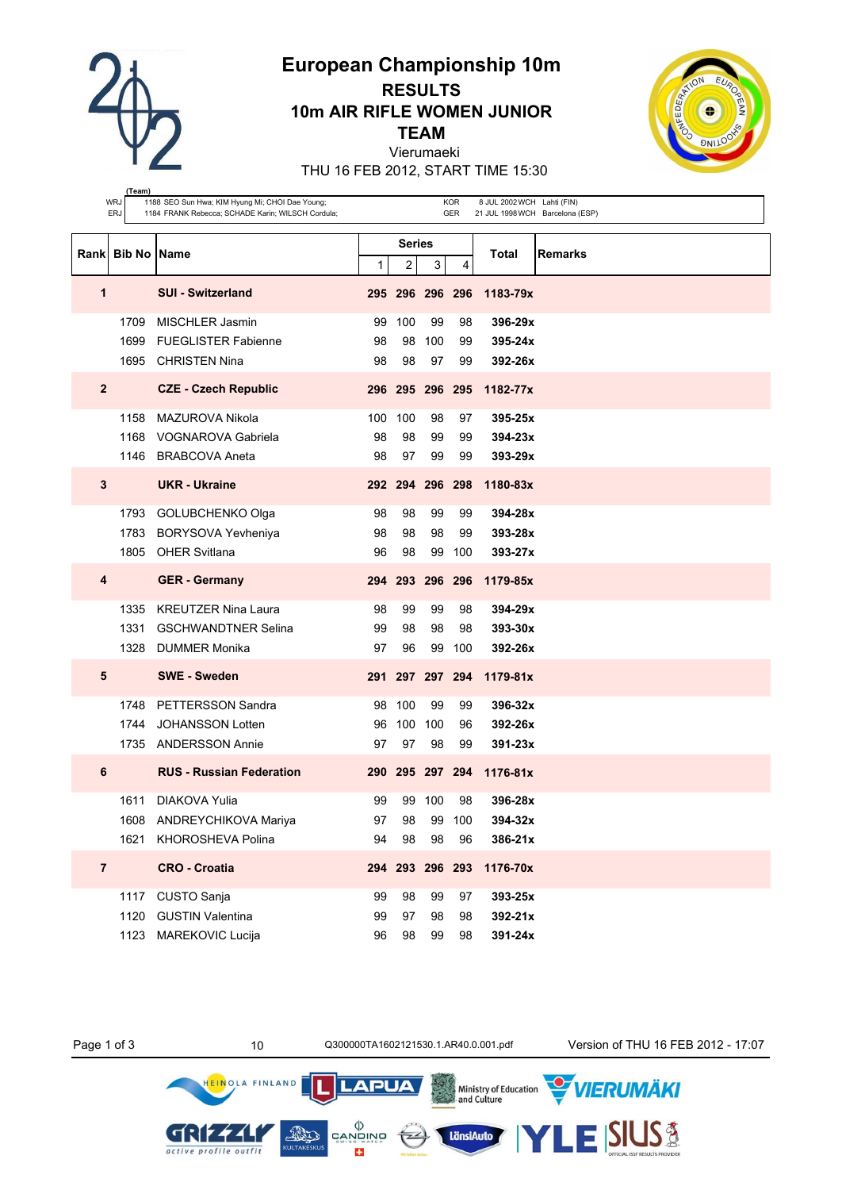**European Championship 10m**

**RESULTS 10m AIR RIFLE WOMEN JUNIOR**

**TEAM**

Vierumaeki

THU 16 FEB 2012, START TIME 15:30

| WRJ<br>1188 SEO Sun Hwa; KIM Hyung Mi; CHOI Dae Young;<br><b>KOR</b><br>ERJ<br>1184 FRANK Rebecca; SCHADE Karin; WILSCH Cordula;<br>GER |                  |                                                     |          |               |                 |                 | 8 JUL 2002 WCH Lahti (FIN)<br>21 JUL 1998 WCH Barcelona (ESP) |                |
|-----------------------------------------------------------------------------------------------------------------------------------------|------------------|-----------------------------------------------------|----------|---------------|-----------------|-----------------|---------------------------------------------------------------|----------------|
|                                                                                                                                         | Rank Bib No Name |                                                     |          | <b>Series</b> |                 |                 | Total                                                         | <b>Remarks</b> |
|                                                                                                                                         |                  |                                                     | 1        | 2             | 3               | 4               |                                                               |                |
| 1                                                                                                                                       |                  | <b>SUI - Switzerland</b>                            |          |               | 295 296 296 296 |                 | 1183-79x                                                      |                |
|                                                                                                                                         | 1709             | <b>MISCHLER Jasmin</b>                              | 99       | 100           | 99              | 98              | 396-29x                                                       |                |
|                                                                                                                                         | 1699             | <b>FUEGLISTER Fabienne</b><br>1695 CHRISTEN Nina    | 98<br>98 | 98<br>98      | 100<br>97       | 99<br>99        | 395-24x<br>392-26x                                            |                |
|                                                                                                                                         |                  |                                                     |          |               |                 |                 |                                                               |                |
| $\overline{2}$                                                                                                                          |                  | <b>CZE - Czech Republic</b>                         |          |               |                 | 296 295 296 295 | 1182-77x                                                      |                |
|                                                                                                                                         | 1158             | MAZUROVA Nikola                                     | 100      | 100           | 98              | 97              | 395-25x                                                       |                |
|                                                                                                                                         | 1168             | <b>VOGNAROVA Gabriela</b><br>1146 BRABCOVA Aneta    | 98<br>98 | 98<br>97      | 99<br>99        | 99<br>99        | 394-23x<br>393-29x                                            |                |
|                                                                                                                                         |                  |                                                     |          |               |                 |                 |                                                               |                |
| 3                                                                                                                                       |                  | <b>UKR</b> - Ukraine                                |          | 292 294       | 296 298         |                 | 1180-83x                                                      |                |
|                                                                                                                                         | 1793             | GOLUBCHENKO Olga                                    | 98       | 98            | 99              | 99              | 394-28x                                                       |                |
|                                                                                                                                         | 1783<br>1805     | BORYSOVA Yevheniya<br><b>OHER Svitlana</b>          | 98<br>96 | 98<br>98      | 98<br>99        | 99<br>100       | 393-28x<br>393-27x                                            |                |
|                                                                                                                                         |                  |                                                     |          |               |                 |                 |                                                               |                |
| 4                                                                                                                                       |                  | <b>GER</b> - Germany                                |          |               | 294 293 296 296 |                 | 1179-85x                                                      |                |
|                                                                                                                                         | 1335             | <b>KREUTZER Nina Laura</b>                          | 98       | 99            | 99              | 98              | 394-29x                                                       |                |
|                                                                                                                                         | 1331<br>1328     | <b>GSCHWANDTNER Selina</b><br>DUMMER Monika         | 99<br>97 | 98<br>96      | 98<br>99        | 98<br>100       | 393-30x<br>392-26x                                            |                |
| 5                                                                                                                                       |                  | <b>SWE - Sweden</b>                                 |          |               |                 | 291 297 297 294 | $1179 - 81x$                                                  |                |
|                                                                                                                                         |                  |                                                     |          |               |                 |                 |                                                               |                |
|                                                                                                                                         | 1748<br>1744     | <b>PETTERSSON Sandra</b><br><b>JOHANSSON Lotten</b> | 98<br>96 | 100<br>100    | 99<br>100       | 99<br>96        | 396-32x<br>392-26x                                            |                |
|                                                                                                                                         | 1735             | <b>ANDERSSON Annie</b>                              | 97       | 97            | 98              | 99              | 391-23x                                                       |                |
| 6                                                                                                                                       |                  | <b>RUS - Russian Federation</b>                     |          |               |                 | 290 295 297 294 | $1176 - 81x$                                                  |                |
|                                                                                                                                         | 1611             | DIAKOVA Yulia                                       | 99       | 99            | 100             | 98              | 396-28x                                                       |                |
|                                                                                                                                         |                  | 1608 ANDREYCHIKOVA Mariya                           | 97       | 98            | 99              | 100             | 394-32x                                                       |                |
|                                                                                                                                         |                  | 1621 KHOROSHEVA Polina                              | 94       | 98            | 98              | 96              | 386-21x                                                       |                |
| $\overline{7}$                                                                                                                          |                  | <b>CRO - Croatia</b>                                |          |               | 294 293 296 293 |                 | 1176-70x                                                      |                |
|                                                                                                                                         | 1117             | <b>CUSTO Sanja</b>                                  | 99       | 98            | 99              | 97              | 393-25x                                                       |                |
|                                                                                                                                         | 1120             | <b>GUSTIN Valentina</b>                             | 99       | 97            | 98              | 98              | 392-21x                                                       |                |
|                                                                                                                                         | 1123             | <b>MAREKOVIC Lucija</b>                             | 96       | 98            | 99              | 98              | 391-24x                                                       |                |

Page 1 of 3 10 10 Q300000TA1602121530.1.AR40.0.001.pdf Version of THU 16 FEB 2012 - 17:07



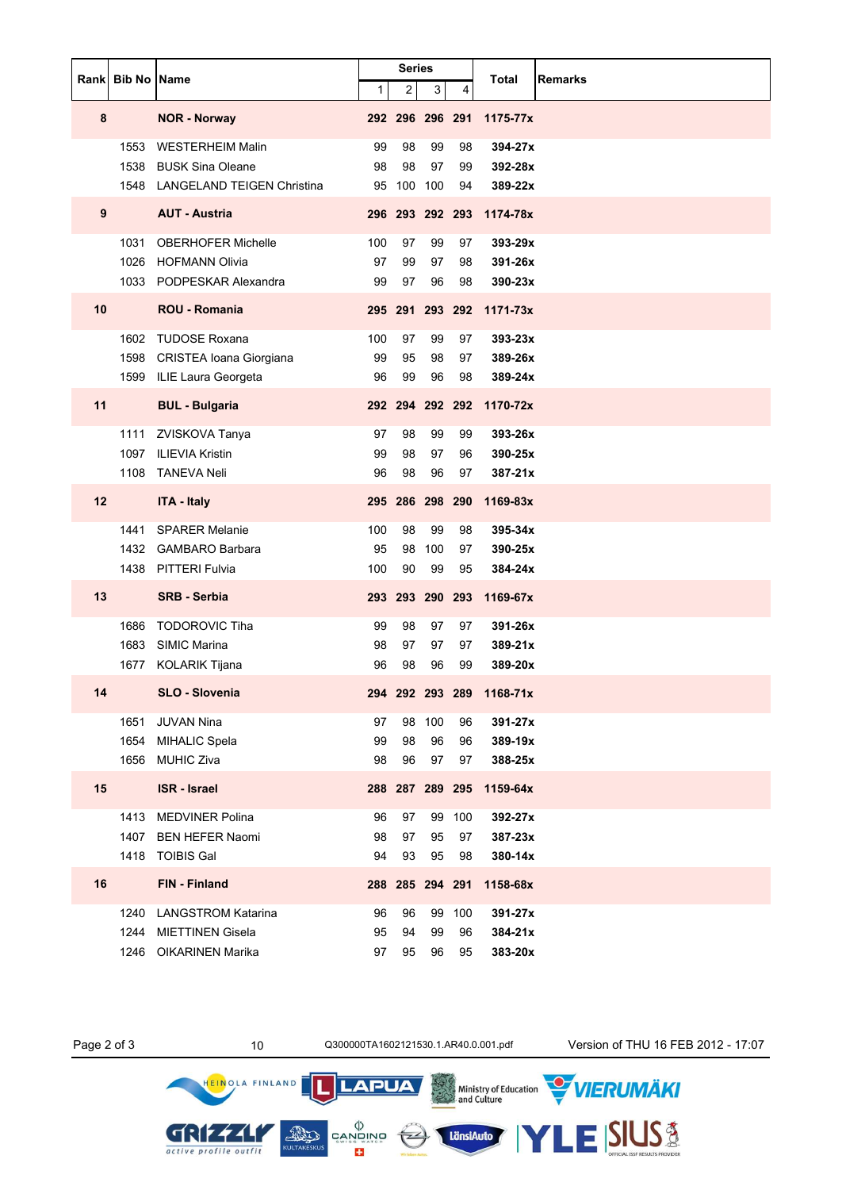|    | Rank Bib No Name |                                   |     | <b>Series</b>           |        |        | Total                    | <b>Remarks</b> |
|----|------------------|-----------------------------------|-----|-------------------------|--------|--------|--------------------------|----------------|
|    |                  |                                   | 1   | $\overline{\mathbf{c}}$ | 3      | 4      |                          |                |
| 8  |                  | <b>NOR - Norway</b>               |     | 292 296 296 291         |        |        | 1175-77x                 |                |
|    | 1553             | <b>WESTERHEIM Malin</b>           | 99  | 98                      | 99     | 98     | 394-27x                  |                |
|    | 1538             | <b>BUSK Sina Oleane</b>           | 98  | 98                      | 97     | 99     | 392-28x                  |                |
|    | 1548             | <b>LANGELAND TEIGEN Christina</b> | 95  | 100 100                 |        | 94     | 389-22x                  |                |
| 9  |                  | <b>AUT - Austria</b>              |     | 296 293 292 293         |        |        | 1174-78x                 |                |
|    | 1031             | <b>OBERHOFER Michelle</b>         | 100 | 97                      | 99     | 97     | 393-29x                  |                |
|    | 1026             | <b>HOFMANN Olivia</b>             | 97  | 99                      | 97     | 98     | 391-26x                  |                |
|    |                  | 1033 PODPESKAR Alexandra          | 99  | 97                      | 96     | 98     | 390-23x                  |                |
| 10 |                  | ROU - Romania                     |     | 295 291 293 292         |        |        | 1171-73x                 |                |
|    | 1602             | <b>TUDOSE Roxana</b>              | 100 | 97                      | 99     | 97     | 393-23x                  |                |
|    | 1598             | CRISTEA Ioana Giorgiana           | 99  | 95                      | 98     | 97     | 389-26x                  |                |
|    | 1599             | ILIE Laura Georgeta               | 96  | 99                      | 96     | 98     | 389-24x                  |                |
| 11 |                  | <b>BUL - Bulgaria</b>             |     | 292 294 292 292         |        |        | 1170-72x                 |                |
|    | 1111             | ZVISKOVA Tanya                    | 97  | 98                      | 99     | 99     | 393-26x                  |                |
|    | 1097             | <b>ILIEVIA Kristin</b>            | 99  | 98                      | 97     | 96     | 390-25x                  |                |
|    | 1108             | <b>TANEVA Neli</b>                | 96  | 98                      | 96     | 97     | 387-21x                  |                |
| 12 |                  | <b>ITA - Italy</b>                |     | 295 286 298 290         |        |        | 1169-83x                 |                |
|    | 1441             | <b>SPARER Melanie</b>             | 100 | 98                      | 99     | 98     | 395-34x                  |                |
|    | 1432             | <b>GAMBARO Barbara</b>            | 95  | 98                      | 100    | 97     | 390-25x                  |                |
|    |                  | 1438 PITTERI Fulvia               | 100 | 90                      | 99     | 95     | 384-24x                  |                |
| 13 |                  | <b>SRB - Serbia</b>               | 293 | 293 290 293             |        |        | 1169-67x                 |                |
|    | 1686             | <b>TODOROVIC Tiha</b>             | 99  | 98                      | 97     | 97     | 391-26x                  |                |
|    | 1683             | <b>SIMIC Marina</b>               | 98  | 97                      | 97     | 97     | $389 - 21x$              |                |
|    | 1677             | KOLARIK Tijana                    | 96  | 98                      | 96     | 99     | 389-20x                  |                |
| 14 |                  | SLO - Slovenia                    |     |                         |        |        | 294 292 293 289 1168-71x |                |
|    | 1651             | <b>JUVAN Nina</b>                 | 97  |                         | 98 100 | 96     | 391-27x                  |                |
|    | 1654             | <b>MIHALIC Spela</b>              | 99  | 98                      | 96     | 96     | 389-19x                  |                |
|    | 1656             | <b>MUHIC Ziva</b>                 | 98  | 96                      | 97     | 97     | 388-25x                  |                |
| 15 |                  | <b>ISR</b> - Israel               |     |                         |        |        | 288 287 289 295 1159-64x |                |
|    | 1413             | <b>MEDVINER Polina</b>            | 96  | 97                      | 99     | 100    | 392-27x                  |                |
|    | 1407             | <b>BEN HEFER Naomi</b>            | 98  | 97                      | 95     | 97     | 387-23x                  |                |
|    |                  | 1418 TOIBIS Gal                   | 94  | 93                      | 95     | 98     | 380-14x                  |                |
| 16 |                  | FIN - Finland                     |     | 288 285 294 291         |        |        | 1158-68x                 |                |
|    | 1240             | <b>LANGSTROM Katarina</b>         | 96  | 96                      |        | 99 100 | 391-27x                  |                |
|    | 1244             | <b>MIETTINEN Gisela</b>           | 95  | 94                      | 99     | 96     | 384-21x                  |                |
|    |                  | 1246 OIKARINEN Marika             | 97  | 95                      | 96     | 95     | 383-20x                  |                |

HEINOLA FINLAND

GRIZZLY active profile outfit

LänsiAuto

**LAPUA** 

 $\begin{matrix} \langle \rangle \\ \text{CAND} \\ \text{CAND} \\ \text{SUS} \\ \text{CUS} \end{matrix}$ 

Page 2 of 3 10 10 Q300000TA1602121530.1.AR40.0.001.pdf Version of THU 16 FEB 2012 - 17:07

Ministry of Education WIERUMAKI

LESIUS<sup>3</sup>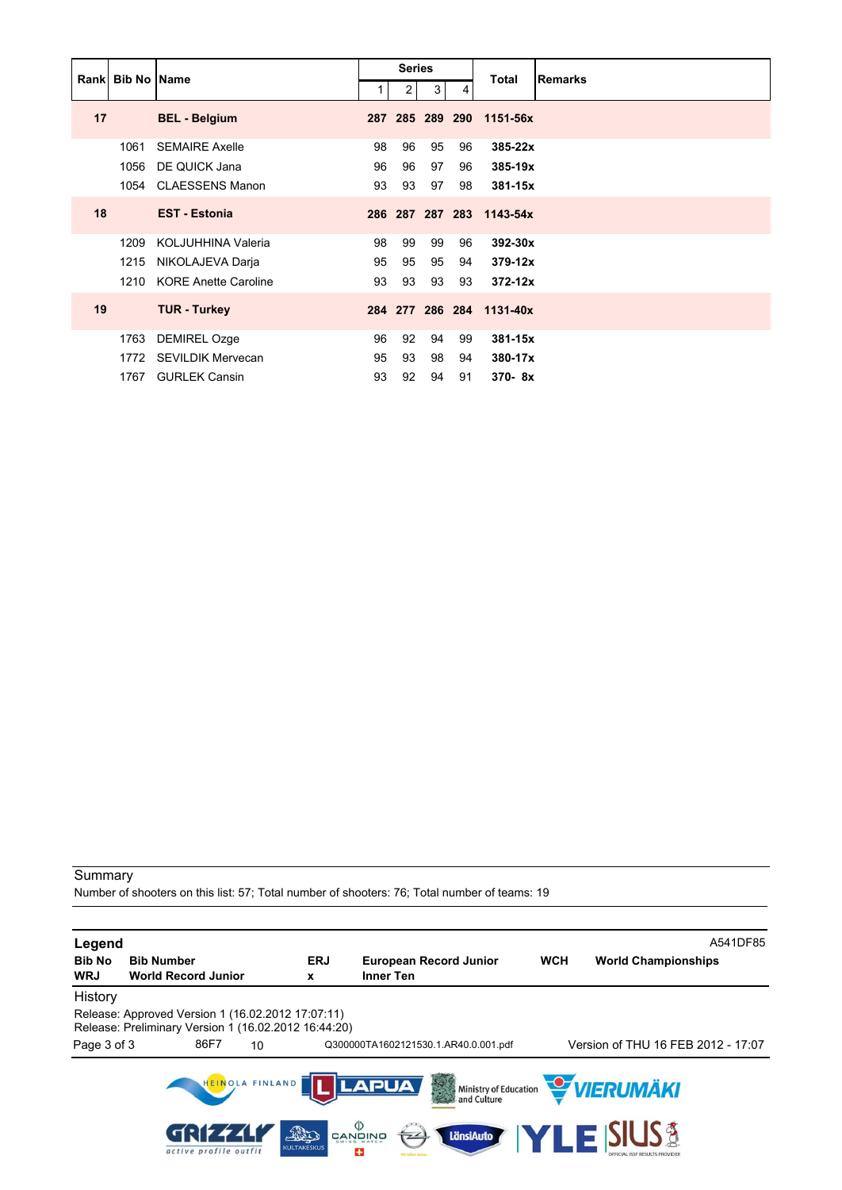|    | <b>Rankl Bib No IName</b> |                             |     | <b>Series</b>  |                 |     | Total                    | <b>Remarks</b> |
|----|---------------------------|-----------------------------|-----|----------------|-----------------|-----|--------------------------|----------------|
|    |                           |                             |     | 2 <sub>1</sub> | 3 <sup>1</sup>  | 4   |                          |                |
| 17 |                           | <b>BEL - Belgium</b>        | 287 |                | 285 289         | 290 | 1151-56x                 |                |
|    | 1061                      | <b>SEMAIRE Axelle</b>       | 98  | 96             | 95              | 96  | 385-22x                  |                |
|    | 1056                      | DE QUICK Jana               | 96  | 96             | 97              | 96  | 385-19x                  |                |
|    | 1054                      | <b>CLAESSENS Manon</b>      | 93  | 93             | 97              | 98  | $381 - 15x$              |                |
| 18 |                           | <b>EST - Estonia</b>        |     |                |                 |     | 286 287 287 283 1143-54x |                |
|    | 1209                      | KOLJUHHINA Valeria          | 98  | 99             | 99              | 96  | 392-30x                  |                |
|    | 1215                      | NIKOLAJEVA Darja            | 95  | 95             | 95              | 94  | $379 - 12x$              |                |
|    | 1210                      | <b>KORE Anette Caroline</b> | 93  | 93             | 93              | 93  | $372 - 12x$              |                |
| 19 |                           | <b>TUR - Turkey</b>         |     |                | 284 277 286 284 |     | 1131-40x                 |                |
|    | 1763                      | <b>DEMIREL Ozge</b>         | 96  | 92             | 94              | 99  | $381 - 15x$              |                |
|    | 1772                      | <b>SEVILDIK Mervecan</b>    | 95  | 93             | 98              | 94  | 380-17x                  |                |
|    | 1767                      | <b>GURLEK Cansin</b>        | 93  | 92             | 94              | 91  | $370 - 8x$               |                |

Number of shooters on this list: 57; Total number of shooters: 76; Total number of teams: 19

| Legend                      |                                                                                                           |                       |                 |                             |                           |                                      |            |                                                         | A541DF85 |
|-----------------------------|-----------------------------------------------------------------------------------------------------------|-----------------------|-----------------|-----------------------------|---------------------------|--------------------------------------|------------|---------------------------------------------------------|----------|
| <b>Bib No</b><br><b>WRJ</b> | <b>Bib Number</b><br><b>World Record Junior</b>                                                           |                       |                 | <b>ERJ</b><br>x             | <b>Inner Ten</b>          | <b>European Record Junior</b>        | <b>WCH</b> | <b>World Championships</b>                              |          |
| History                     |                                                                                                           |                       |                 |                             |                           |                                      |            |                                                         |          |
|                             | Release: Approved Version 1 (16.02.2012 17:07:11)<br>Release: Preliminary Version 1 (16.02.2012 16:44:20) |                       |                 |                             |                           |                                      |            |                                                         |          |
| Page 3 of 3                 |                                                                                                           | 86F7                  | 10              |                             |                           | Q300000TA1602121530.1.AR40.0.001.pdf |            | Version of THU 16 FEB 2012 - 17:07                      |          |
|                             |                                                                                                           |                       | HEINOLA FINLAND |                             | <b>LAPUA</b>              |                                      |            | Ministry of Education <b>WERUMAKI</b>                   |          |
|                             |                                                                                                           | active profile outfit |                 | FALLO<br><b>KULTAKESKUS</b> | פֿאומעשֿ<br>פֿאױפֿאַ<br>÷ | LänsiAuto                            |            | <b>YLE SIUS &amp;</b><br>DEFICIAL ISSE RESULTS PROVIDEE |          |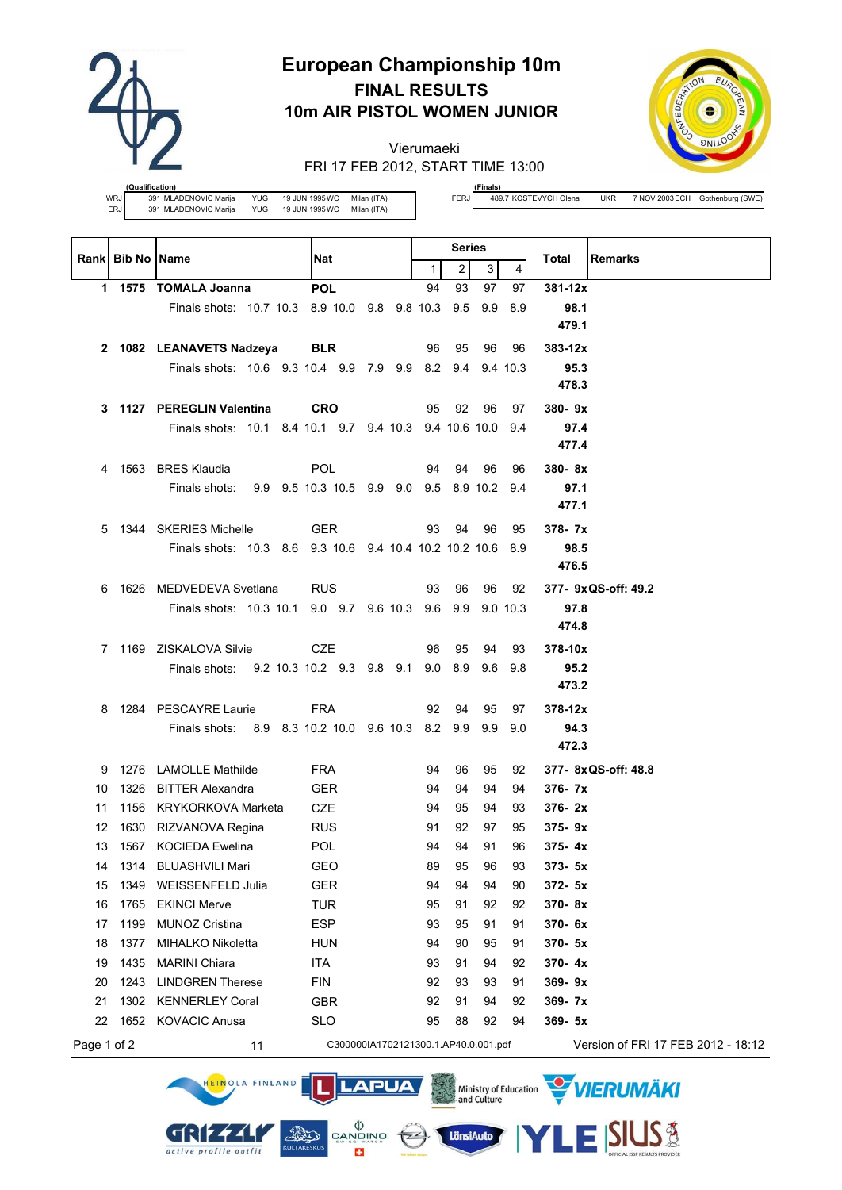

# **European Championship 10m FINAL RESULTS 10m AIR PISTOL WOMEN JUNIOR**

Vierumaeki FRI 17 FEB 2012, START TIME 13:00



**(Qualification)** WRJ 391 MLADENOVIC Marija YUG 19 JUN 1995WC Milan (ITA)<br>ERJ 391 MLADENOVIC Marija YUG 19 JUN 1995WC Milan (ITA) ERJ 391 MLADENOVIC Marija YUG

HEINOLA FINLAND

GRIZZLI

active profile outfit

**LAPUA** 

 $\left(\frac{1}{2} 2\right)$ 

 $\begin{matrix} \langle \rangle \\ \texttt{CANDING} \\ \texttt{SUNBS} \\ \end{matrix}$ 

÷

**AND** 

**(Finals)**<br>489.7 KOSTEVYCH Olena

FERJ 489.7 KOSTEVYCH Olena UKR 7 NOV 2003 ECH Gothenburg (SWE)

VIERUMÄKI

**SIUS®** 

Ministry of Education<br>and Culture

LänsiAuto

|             | <b>Rankl Bib No IName</b> |                                                             |                                            |              | <b>Series</b>  |     |          |                                    |
|-------------|---------------------------|-------------------------------------------------------------|--------------------------------------------|--------------|----------------|-----|----------|------------------------------------|
|             |                           |                                                             | Nat                                        | $\mathbf{1}$ | $\overline{2}$ | 3   | 4        | Total<br><b>Remarks</b>            |
|             |                           | 1 1575 TOMALA Joanna                                        | <b>POL</b>                                 | 94           | 93             | 97  | 97       | 381-12x                            |
|             |                           | Finals shots: 10.7 10.3 8.9 10.0 9.8 9.8 10.3               |                                            |              | 9.5            | 9.9 | 8.9      | 98.1                               |
|             |                           |                                                             |                                            |              |                |     |          | 479.1                              |
|             |                           | 2 1082 LEANAVETS Nadzeya                                    | <b>BLR</b>                                 | 96           | 95             | 96  | 96       | $383 - 12x$                        |
|             |                           | Finals shots: 10.6 9.3 10.4 9.9 7.9 9.9 8.2 9.4 9.4 10.3    |                                            |              |                |     |          | 95.3                               |
|             |                           |                                                             |                                            |              |                |     |          | 478.3                              |
| 3           |                           | 1127 PEREGLIN Valentina                                     | <b>CRO</b>                                 | 95           | 92             | 96  | 97       | $380 - 9x$                         |
|             |                           | Finals shots: 10.1 8.4 10.1 9.7 9.4 10.3 9.4 10.6 10.0 9.4  |                                            |              |                |     |          | 97.4                               |
|             |                           |                                                             |                                            |              |                |     |          | 477.4                              |
| 4           |                           | 1563 BRES Klaudia                                           | <b>POL</b>                                 | 94           | 94             | 96  | 96       | $380 - 8x$                         |
|             |                           | Finals shots:                                               | 9.9 9.5 10.3 10.5 9.9 9.0 9.5 8.9 10.2 9.4 |              |                |     |          | 97.1                               |
|             |                           |                                                             |                                            |              |                |     |          | 477.1                              |
| 5.          |                           | 1344 SKERIES Michelle                                       | <b>GER</b>                                 | 93           | 94             | 96  | 95       | 378-7x                             |
|             |                           | Finals shots: 10.3 8.6 9.3 10.6 9.4 10.4 10.2 10.2 10.6 8.9 |                                            |              |                |     |          | 98.5                               |
|             |                           |                                                             |                                            |              |                |     |          | 476.5                              |
| 6           |                           | 1626 MEDVEDEVA Svetlana                                     | <b>RUS</b>                                 | 93           | 96             | 96  | 92       | 377- 9x QS-off: 49.2               |
|             |                           | Finals shots: 10.3 10.1 9.0 9.7 9.6 10.3 9.6 9.9            |                                            |              |                |     | 9.0 10.3 | 97.8                               |
|             |                           |                                                             |                                            |              |                |     |          | 474.8                              |
|             |                           | 7 1169 ZISKALOVA Silvie                                     | CZE                                        | 96           | 95             | 94  | 93       | 378-10x                            |
|             |                           | Finals shots: 9.2 10.3 10.2 9.3 9.8 9.1 9.0 8.9 9.6 9.8     |                                            |              |                |     |          | 95.2<br>473.2                      |
|             |                           |                                                             |                                            |              |                |     |          |                                    |
| 8           |                           | 1284 PESCAYRE Laurie                                        | <b>FRA</b>                                 | 92           | 94             | 95  | 97       | $378 - 12x$                        |
|             |                           | Finals shots: 8.9 8.3 10.2 10.0 9.6 10.3 8.2 9.9 9.9 9.0    |                                            |              |                |     |          | 94.3<br>472.3                      |
| 9           |                           | 1276 LAMOLLE Mathilde                                       | <b>FRA</b>                                 | 94           |                | 95  | 92       | 377-8xQS-off: 48.8                 |
| 10          |                           | 1326 BITTER Alexandra                                       | <b>GER</b>                                 | 94           | 96<br>94       | 94  | 94       | $376 - 7x$                         |
| 11          |                           | 1156 KRYKORKOVA Marketa                                     | <b>CZE</b>                                 | 94           | 95             | 94  | 93       | $376 - 2x$                         |
| 12          |                           | 1630 RIZVANOVA Regina                                       | <b>RUS</b>                                 | 91           | 92             | 97  | 95       | $375 - 9x$                         |
| 13          |                           | 1567 KOCIEDA Ewelina                                        | <b>POL</b>                                 | 94           | 94             | 91  | 96       | $375 - 4x$                         |
|             |                           | 14 1314 BLUASHVILI Mari                                     | GEO                                        | 89           | 95             | 96  | 93       | 373- 5x                            |
| 15          |                           | 1349 WEISSENFELD Julia                                      | <b>GER</b>                                 | 94           | 94             | 94  | 90       | 372- 5x                            |
| 16          | 1765                      | <b>EKINCI Merve</b>                                         | <b>TUR</b>                                 | 95           | 91             | 92  | 92       | 370-8x                             |
| 17          | 1199                      | <b>MUNOZ Cristina</b>                                       | <b>ESP</b>                                 | 93           | 95             | 91  | 91       | 370-6x                             |
| 18          | 1377                      | MIHALKO Nikoletta                                           | <b>HUN</b>                                 | 94           | 90             | 95  | 91       | 370- 5x                            |
| 19          | 1435                      | <b>MARINI Chiara</b>                                        | ITA                                        | 93           | 91             | 94  | 92       | 370-4x                             |
| 20          | 1243                      | <b>LINDGREN Therese</b>                                     | <b>FIN</b>                                 | 92           | 93             | 93  | 91       | 369-9x                             |
| 21          | 1302                      | <b>KENNERLEY Coral</b>                                      | <b>GBR</b>                                 | 92           | 91             | 94  | 92       | 369- 7x                            |
| 22          | 1652                      | <b>KOVACIC Anusa</b>                                        | <b>SLO</b>                                 | 95           | 88             | 92  | 94       | 369- 5x                            |
| Page 1 of 2 |                           | 11                                                          | C300000IA1702121300.1.AP40.0.001.pdf       |              |                |     |          | Version of FRI 17 FEB 2012 - 18:12 |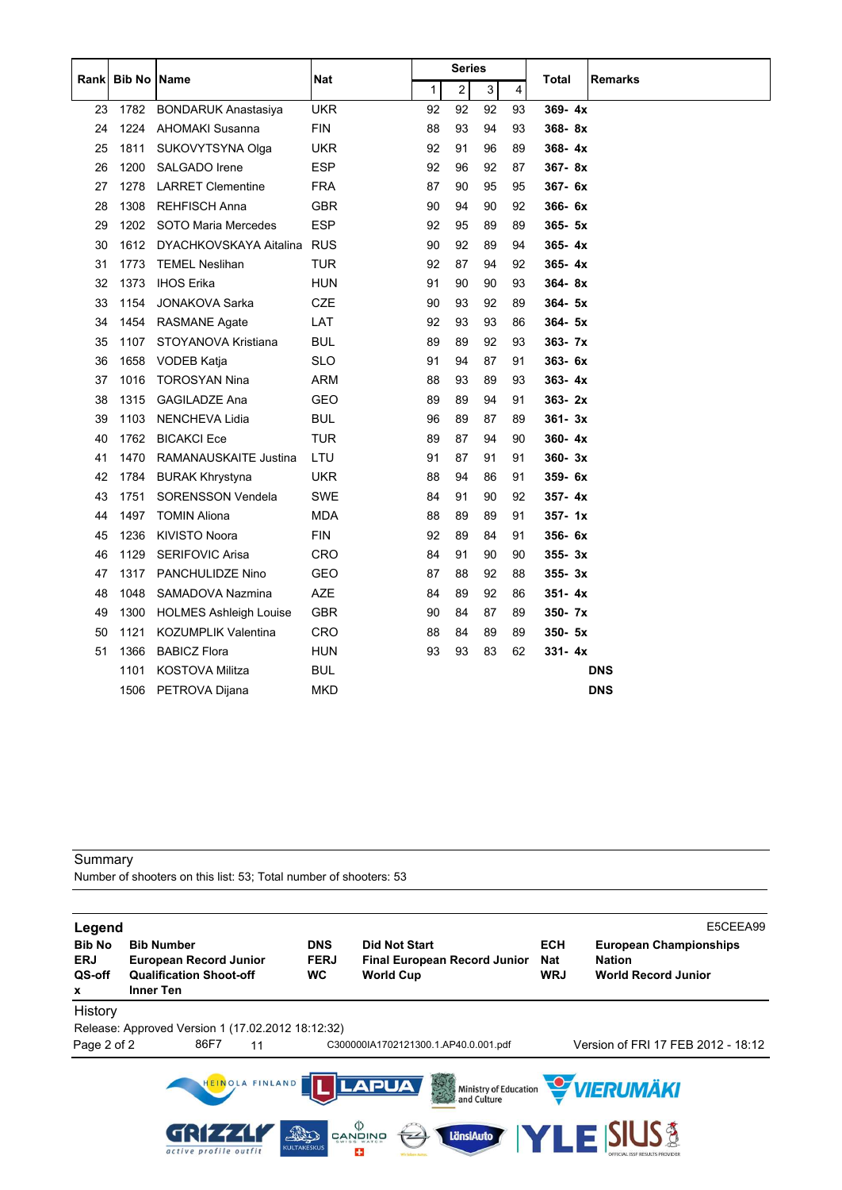|    | Rank Bib No Name |                               |            |    | Series |    |    |            |                |
|----|------------------|-------------------------------|------------|----|--------|----|----|------------|----------------|
|    |                  |                               | Nat        | 1  | 2      | 3  | 4  | Total      | <b>Remarks</b> |
| 23 | 1782             | <b>BONDARUK Anastasiya</b>    | <b>UKR</b> | 92 | 92     | 92 | 93 | $369 - 4x$ |                |
| 24 | 1224             | <b>AHOMAKI Susanna</b>        | <b>FIN</b> | 88 | 93     | 94 | 93 | $368 - 8x$ |                |
| 25 | 1811             | SUKOVYTSYNA Olga              | UKR.       | 92 | 91     | 96 | 89 | $368 - 4x$ |                |
| 26 | 1200             | SALGADO Irene                 | <b>ESP</b> | 92 | 96     | 92 | 87 | $367 - 8x$ |                |
| 27 | 1278             | <b>LARRET Clementine</b>      | <b>FRA</b> | 87 | 90     | 95 | 95 | $367 - 6x$ |                |
| 28 | 1308             | <b>REHFISCH Anna</b>          | <b>GBR</b> | 90 | 94     | 90 | 92 | $366 - 6x$ |                |
| 29 | 1202             | SOTO Maria Mercedes           | <b>ESP</b> | 92 | 95     | 89 | 89 | $365 - 5x$ |                |
| 30 | 1612             | DYACHKOVSKAYA Aitalina        | <b>RUS</b> | 90 | 92     | 89 | 94 | $365 - 4x$ |                |
| 31 | 1773             | <b>TEMEL Neslihan</b>         | <b>TUR</b> | 92 | 87     | 94 | 92 | $365 - 4x$ |                |
| 32 | 1373             | <b>IHOS Erika</b>             | <b>HUN</b> | 91 | 90     | 90 | 93 | $364 - 8x$ |                |
| 33 | 1154             | <b>JONAKOVA Sarka</b>         | <b>CZE</b> | 90 | 93     | 92 | 89 | $364 - 5x$ |                |
| 34 | 1454             | <b>RASMANE Agate</b>          | LAT        | 92 | 93     | 93 | 86 | $364 - 5x$ |                |
| 35 | 1107             | STOYANOVA Kristiana           | <b>BUL</b> | 89 | 89     | 92 | 93 | $363 - 7x$ |                |
| 36 | 1658             | <b>VODEB Katja</b>            | <b>SLO</b> | 91 | 94     | 87 | 91 | 363-6x     |                |
| 37 | 1016             | <b>TOROSYAN Nina</b>          | ARM        | 88 | 93     | 89 | 93 | $363 - 4x$ |                |
| 38 | 1315             | <b>GAGILADZE Ana</b>          | <b>GEO</b> | 89 | 89     | 94 | 91 | $363 - 2x$ |                |
| 39 | 1103             | <b>NENCHEVA Lidia</b>         | BUL        | 96 | 89     | 87 | 89 | $361 - 3x$ |                |
| 40 | 1762             | <b>BICAKCI Ece</b>            | <b>TUR</b> | 89 | 87     | 94 | 90 | $360 - 4x$ |                |
| 41 | 1470             | RAMANAUSKAITE Justina         | LTU        | 91 | 87     | 91 | 91 | $360 - 3x$ |                |
| 42 | 1784             | <b>BURAK Khrystyna</b>        | <b>UKR</b> | 88 | 94     | 86 | 91 | 359-6x     |                |
| 43 | 1751             | <b>SORENSSON Vendela</b>      | <b>SWE</b> | 84 | 91     | 90 | 92 | $357 - 4x$ |                |
| 44 | 1497             | <b>TOMIN Aliona</b>           | <b>MDA</b> | 88 | 89     | 89 | 91 | $357 - 1x$ |                |
| 45 | 1236             | <b>KIVISTO Noora</b>          | <b>FIN</b> | 92 | 89     | 84 | 91 | 356-6x     |                |
| 46 | 1129             | <b>SERIFOVIC Arisa</b>        | <b>CRO</b> | 84 | 91     | 90 | 90 | $355 - 3x$ |                |
| 47 | 1317             | PANCHULIDZE Nino              | GEO        | 87 | 88     | 92 | 88 | $355 - 3x$ |                |
| 48 | 1048             | SAMADOVA Nazmina              | <b>AZE</b> | 84 | 89     | 92 | 86 | $351 - 4x$ |                |
| 49 | 1300             | <b>HOLMES Ashleigh Louise</b> | <b>GBR</b> | 90 | 84     | 87 | 89 | $350 - 7x$ |                |
| 50 | 1121             | <b>KOZUMPLIK Valentina</b>    | <b>CRO</b> | 88 | 84     | 89 | 89 | 350- 5x    |                |
| 51 | 1366             | <b>BABICZ Flora</b>           | <b>HUN</b> | 93 | 93     | 83 | 62 | $331 - 4x$ |                |
|    | 1101             | <b>KOSTOVA Militza</b>        | <b>BUL</b> |    |        |    |    |            | <b>DNS</b>     |
|    | 1506             | PETROVA Dijana                | <b>MKD</b> |    |        |    |    |            | <b>DNS</b>     |

Number of shooters on this list: 53; Total number of shooters: 53

| Legend<br><b>Bib No</b>   | <b>Bib Number</b>                                                                   |                 | <b>DNS</b>               | <b>Did Not Start</b>                                                                                      | <b>ECH</b>               | E5CEEA99<br><b>European Championships</b>   |
|---------------------------|-------------------------------------------------------------------------------------|-----------------|--------------------------|-----------------------------------------------------------------------------------------------------------|--------------------------|---------------------------------------------|
| <b>ERJ</b><br>QS-off<br>x | <b>European Record Junior</b><br><b>Qualification Shoot-off</b><br><b>Inner Ten</b> |                 | <b>FERJ</b><br><b>WC</b> | <b>Final European Record Junior</b><br><b>World Cup</b>                                                   | <b>Nat</b><br><b>WRJ</b> | <b>Nation</b><br><b>World Record Junior</b> |
| History                   |                                                                                     |                 |                          |                                                                                                           |                          |                                             |
|                           | Release: Approved Version 1 (17.02.2012 18:12:32)                                   |                 |                          |                                                                                                           |                          |                                             |
| Page 2 of 2               | 86F7                                                                                | 11              |                          | C300000IA1702121300.1.AP40.0.001.pdf                                                                      |                          | Version of FRI 17 FEB 2012 - 18:12          |
|                           | active profile outfit                                                               | HEINOLA FINLAND | 20<br><b>KULTAKESKUS</b> | <b>LAPUA</b><br>Ministry of Education<br>$\overset{\Diamond}{\mathbb{P}}$ gangwa<br><b>LänsiAuto</b><br>÷ |                          | VIERUMÄKI<br><b>SIUS &amp;</b><br>LEK       |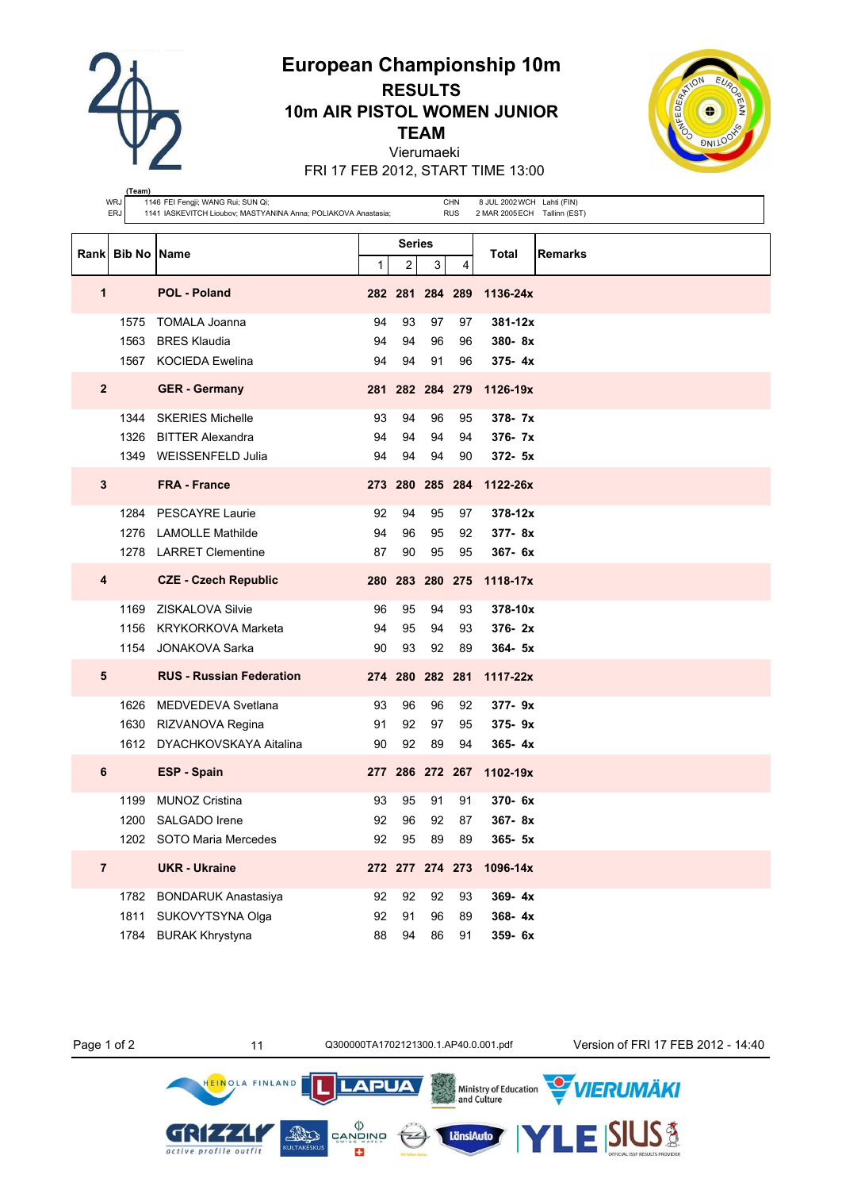

**(Team)**

# **European Championship 10m RESULTS 10m AIR PISTOL WOMEN JUNIOR TEAM**



Vierumaeki FRI 17 FEB 2012, START TIME 13:00

|                         | WRJ<br>ERJ         | 1146 FEI Fengji; WANG Rui; SUN Qi;<br>1141 IASKEVITCH Lioubov; MASTYANINA Anna; POLIAKOVA Anastasia; | CHN<br><b>RUS</b> | 8 JUL 2002 WCH Lahti (FIN)<br>2 MAR 2005 ECH Tallinn (EST) |    |    |                          |
|-------------------------|--------------------|------------------------------------------------------------------------------------------------------|-------------------|------------------------------------------------------------|----|----|--------------------------|
|                         |                    |                                                                                                      |                   | <b>Series</b>                                              |    |    |                          |
| Rank                    | <b>Bib No Name</b> |                                                                                                      | 1                 | $\overline{c}$                                             | 3  | 4  | Total<br>Remarks         |
| $\mathbf{1}$            |                    | <b>POL - Poland</b>                                                                                  |                   | 282 281 284 289                                            |    |    | 1136-24x                 |
|                         | 1575               | <b>TOMALA Joanna</b>                                                                                 | 94                | 93                                                         | 97 | 97 | $381 - 12x$              |
|                         | 1563               | <b>BRES Klaudia</b>                                                                                  | 94                | 94                                                         | 96 | 96 | $380 - 8x$               |
|                         |                    | 1567 KOCIEDA Ewelina                                                                                 | 94                | 94                                                         | 91 | 96 | $375 - 4x$               |
| $\overline{2}$          |                    | <b>GER</b> - Germany                                                                                 |                   |                                                            |    |    | 281 282 284 279 1126-19x |
|                         | 1344               | <b>SKERIES Michelle</b>                                                                              | 93                | 94                                                         | 96 | 95 | $378 - 7x$               |
|                         | 1326               | <b>BITTER Alexandra</b>                                                                              | 94                | 94                                                         | 94 | 94 | $376 - 7x$               |
|                         |                    | 1349 WEISSENFELD Julia                                                                               | 94                | 94                                                         | 94 | 90 | $372 - 5x$               |
| $\mathbf{3}$            |                    | <b>FRA - France</b>                                                                                  |                   |                                                            |    |    | 273 280 285 284 1122-26x |
|                         | 1284               | <b>PESCAYRE Laurie</b>                                                                               | 92                | 94                                                         | 95 | 97 | $378 - 12x$              |
|                         | 1276               | <b>LAMOLLE Mathilde</b>                                                                              | 94                | 96                                                         | 95 | 92 | $377 - 8x$               |
|                         |                    | 1278 LARRET Clementine                                                                               | 87                | 90                                                         | 95 | 95 | $367 - 6x$               |
| $\overline{\mathbf{4}}$ |                    | <b>CZE - Czech Republic</b>                                                                          |                   |                                                            |    |    | 280 283 280 275 1118-17x |
|                         | 1169               | <b>ZISKALOVA Silvie</b>                                                                              | 96                | 95                                                         | 94 | 93 | 378-10x                  |
|                         | 1156               | KRYKORKOVA Marketa                                                                                   | 94                | 95                                                         | 94 | 93 | $376 - 2x$               |
|                         |                    | 1154 JONAKOVA Sarka                                                                                  | 90                | 93                                                         | 92 | 89 | $364 - 5x$               |
| 5                       |                    | <b>RUS - Russian Federation</b>                                                                      |                   | 274 280 282 281                                            |    |    | $1117 - 22x$             |
|                         | 1626               | MEDVEDEVA Svetlana                                                                                   | 93                | 96                                                         | 96 | 92 | $377 - 9x$               |
|                         |                    | 1630 RIZVANOVA Regina                                                                                | 91                | 92                                                         | 97 | 95 | $375 - 9x$               |
|                         |                    | 1612 DYACHKOVSKAYA Aitalina                                                                          | 90                | 92                                                         | 89 | 94 | $365 - 4x$               |
| 6                       |                    | <b>ESP - Spain</b>                                                                                   |                   | 277 286 272 267                                            |    |    | 1102-19x                 |
|                         | 1199               | <b>MUNOZ Cristina</b>                                                                                | 93                | 95                                                         | 91 | 91 | $370 - 6x$               |
|                         | 1200               | SALGADO Irene                                                                                        | 92                | 96                                                         | 92 | 87 | 367-8x                   |
|                         |                    | 1202 SOTO Maria Mercedes                                                                             | 92                | 95                                                         | 89 | 89 | 365- 5x                  |
| $\overline{7}$          |                    | <b>UKR - Ukraine</b>                                                                                 |                   | 272 277 274 273                                            |    |    | 1096-14x                 |
|                         | 1782               | <b>BONDARUK Anastasiya</b>                                                                           | 92                | 92                                                         | 92 | 93 | 369-4x                   |
|                         | 1811               | SUKOVYTSYNA Olga                                                                                     | 92                | 91                                                         | 96 | 89 | 368-4x                   |
|                         | 1784               | <b>BURAK Khrystyna</b>                                                                               | 88                | 94                                                         | 86 | 91 | 359-6x                   |

**AND** 

HEINOLA FINLAND

GRI 224

active profile outfit

 $tr$ 

Ministry of Education<br>and Culture

LänsiAuto

**LAPUA** 

 $\begin{matrix} \langle \rangle \\ \texttt{CANDING} \\ \texttt{SWISS WATE} \end{matrix}$ 

E3

Page 1 of 2 11 0300000TA1702121300.1.AP40.0.001.pdf Version of FRI 17 FEB 2012 - 14:40

**VIERUMÄKI** 

**SIUS®**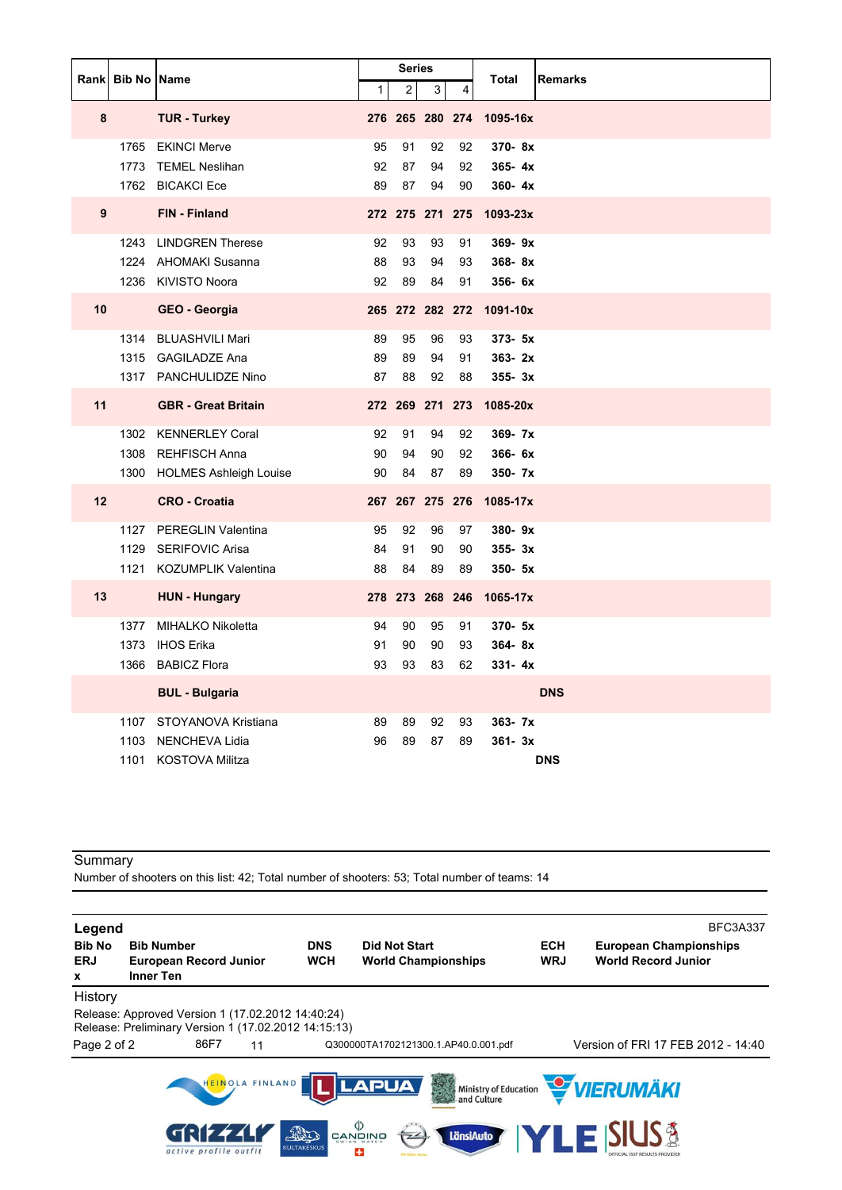|    | Rank Bib No Name |                             |                | <b>Series</b>   |    |    | <b>Remarks</b><br>Total |
|----|------------------|-----------------------------|----------------|-----------------|----|----|-------------------------|
|    |                  |                             | 1 <sup>1</sup> | $\overline{c}$  | 3  | 4  |                         |
| 8  |                  | <b>TUR - Turkey</b>         |                | 276 265 280 274 |    |    | 1095-16x                |
|    |                  | 1765 EKINCI Merve           | 95             | 91              | 92 | 92 | 370-8x                  |
|    |                  | 1773 TEMEL Neslihan         | 92             | 87              | 94 | 92 | $365 - 4x$              |
|    |                  | 1762 BICAKCI Ece            | 89             | 87              | 94 | 90 | $360 - 4x$              |
| 9  |                  | FIN - Finland               |                | 272 275 271 275 |    |    | 1093-23x                |
|    |                  | 1243 LINDGREN Therese       | 92             | 93              | 93 | 91 | $369 - 9x$              |
|    |                  | 1224 AHOMAKI Susanna        | 88             | 93              | 94 | 93 | 368-8x                  |
|    |                  | 1236 KIVISTO Noora          | 92             | 89              | 84 | 91 | 356- 6x                 |
| 10 |                  | <b>GEO - Georgia</b>        |                | 265 272 282 272 |    |    | 1091-10x                |
|    |                  | 1314 BLUASHVILI Mari        | 89             | 95              | 96 | 93 | $373 - 5x$              |
|    |                  | 1315 GAGILADZE Ana          | 89             | 89              | 94 | 91 | $363 - 2x$              |
|    |                  | 1317 PANCHULIDZE Nino       | 87             | 88              | 92 | 88 | $355 - 3x$              |
| 11 |                  | <b>GBR</b> - Great Britain  |                | 272 269 271 273 |    |    | 1085-20x                |
|    |                  | 1302 KENNERLEY Coral        | 92             | 91              | 94 | 92 | $369 - 7x$              |
|    |                  | 1308 REHFISCH Anna          | 90             | 94              | 90 | 92 | 366-6x                  |
|    |                  | 1300 HOLMES Ashleigh Louise | 90             | 84              | 87 | 89 | 350- 7x                 |
| 12 |                  | <b>CRO - Croatia</b>        |                | 267 267 275 276 |    |    | 1085-17x                |
|    |                  | 1127 PEREGLIN Valentina     | 95             | 92              | 96 | 97 | 380-9x                  |
|    | 1129             | <b>SERIFOVIC Arisa</b>      | 84             | 91              | 90 | 90 | $355 - 3x$              |
|    |                  | 1121 KOZUMPLIK Valentina    | 88             | 84              | 89 | 89 | $350 - 5x$              |
| 13 |                  | <b>HUN - Hungary</b>        |                | 278 273 268 246 |    |    | 1065-17x                |
|    |                  | 1377 MIHALKO Nikoletta      | 94             | 90              | 95 | 91 | 370- 5x                 |
|    | 1373             | IHOS Erika                  | 91             | 90              | 90 | 93 | $364 - 8x$              |
|    |                  | 1366 BABICZ Flora           | 93             | 93              | 83 | 62 | $331 - 4x$              |
|    |                  | <b>BUL - Bulgaria</b>       |                |                 |    |    | <b>DNS</b>              |
|    |                  | 1107 STOYANOVA Kristiana    | 89             | 89              | 92 | 93 | $363 - 7x$              |
|    | 1103             | NENCHEVA Lidia              | 96             | 89              | 87 | 89 | $361 - 3x$              |
|    |                  | 1101 KOSTOVA Militza        |                |                 |    |    | <b>DNS</b>              |

Number of shooters on this list: 42; Total number of shooters: 53; Total number of teams: 14

**Legend** BFC3A337 **Bib No Bib Number DNS Did Not Start ECH European Championships ERJ European Record Junior WCH World Championships WRJ World Record Junior x Inner Ten** History Release: Approved Version 1 (17.02.2012 14:40:24) Release: Preliminary Version 1 (17.02.2012 14:15:13) Page 2 of 2 86F7 11 Q300000TA1702121300.1.AP40.0.001.pdf Version of FRI 17 FEB 2012 - 14:40 VIERUMÄKI HEINOLA FINLAND **LAPUA** Ministry of Education<br>and Culture  $\begin{matrix} \langle \rangle \\ \text{CANQING} \end{matrix}$ E SIUS & GRI z LänsiAuto  $\overline{z}$ active profile outfit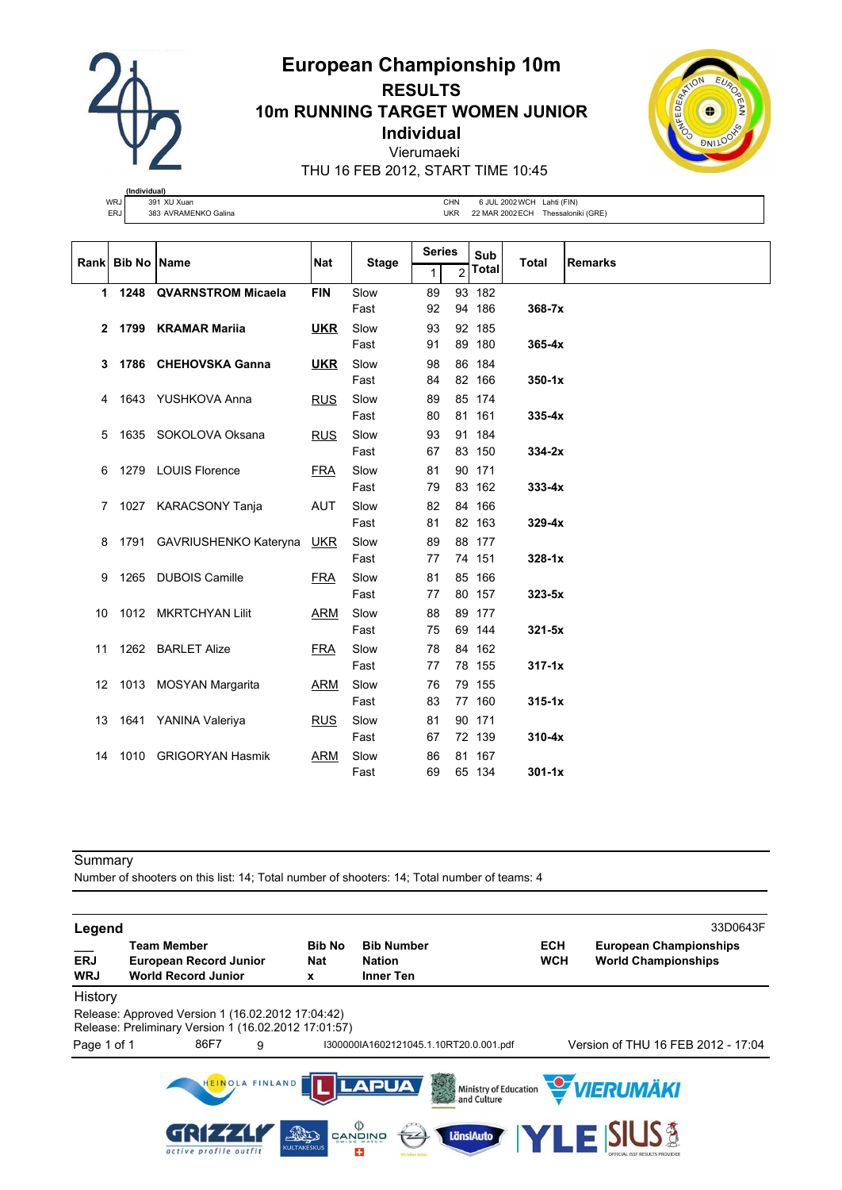**European Championship 10m RESULTS**

**10m RUNNING TARGET WOMEN JUNIOR**

**Individual**

Vierumaeki

THU 16 FEB 2012, START TIME 10:45

|            | (Individual) |                      |    |
|------------|--------------|----------------------|----|
| <b>WRJ</b> |              | 391 XU Xuan          | СH |
| ERJ        |              | 383 AVRAMENKO Galina | UK |

IN 6 JUL 2002 WCH Lahti (FIN) ER 22 MAR 2002 ECH Thessaloniki (GRE)

|                | Rank Bib No Name |                                | <b>Nat</b> | <b>Stage</b> | <b>Series</b> |   | Sub          | <b>Total</b> | <b>Remarks</b> |
|----------------|------------------|--------------------------------|------------|--------------|---------------|---|--------------|--------------|----------------|
|                |                  |                                |            |              | 1             | 2 | <b>Total</b> |              |                |
|                |                  | 1 1248 QVARNSTROM Micaela      | <b>FIN</b> | Slow         | 89            |   | 93 182       |              |                |
|                |                  |                                |            | Fast         | 92            |   | 94 186       | 368-7x       |                |
| $\mathbf{2}$   |                  | 1799 KRAMAR Marija             | <u>UKR</u> | Slow         | 93            |   | 92 185       |              |                |
|                |                  |                                |            | Fast         | 91            |   | 89 180       | $365 - 4x$   |                |
| 3              |                  | 1786 CHEHOVSKA Ganna           | <u>UKR</u> | Slow         | 98            |   | 86 184       |              |                |
|                |                  |                                |            | Fast         | 84            |   | 82 166       | $350 - 1x$   |                |
| 4              |                  | 1643 YUSHKOVA Anna             | <b>RUS</b> | Slow         | 89            |   | 85 174       |              |                |
|                |                  |                                |            | Fast         | 80            |   | 81 161       | $335 - 4x$   |                |
| 5              |                  | 1635 SOKOLOVA Oksana           | <b>RUS</b> | Slow         | 93            |   | 91 184       |              |                |
|                |                  |                                |            | Fast         | 67            |   | 83 150       | $334-2x$     |                |
| 6              |                  | 1279 LOUIS Florence            | <b>FRA</b> | Slow         | 81            |   | 90 171       |              |                |
|                |                  |                                |            | Fast         | 79            |   | 83 162       | $333 - 4x$   |                |
| $\overline{7}$ |                  | 1027 KARACSONY Tanja           | AUT        | Slow         | 82            |   | 84 166       |              |                |
|                |                  |                                |            | Fast         | 81            |   | 82 163       | $329 - 4x$   |                |
| 8              |                  | 1791 GAVRIUSHENKO Kateryna UKR |            | Slow         | 89            |   | 88 177       |              |                |
|                |                  |                                |            | Fast         | 77            |   | 74 151       | $328-1x$     |                |
| 9              |                  | 1265 DUBOIS Camille            | <b>FRA</b> | Slow         | 81            |   | 85 166       |              |                |
|                |                  |                                |            | Fast         | 77            |   | 80 157       | $323 - 5x$   |                |
| 10             |                  | 1012 MKRTCHYAN Lilit           | ARM        | Slow         | 88            |   | 89 177       |              |                |
|                |                  |                                |            | Fast         | 75            |   | 69 144       | $321 - 5x$   |                |
|                |                  | 11 1262 BARLET Alize           | <b>FRA</b> | Slow         | 78            |   | 84 162       |              |                |
|                |                  |                                |            | Fast         | 77            |   | 78 155       | $317 - 1x$   |                |
|                |                  | 12 1013 MOSYAN Margarita       | <b>ARM</b> | Slow         | 76            |   | 79 155       |              |                |
|                |                  |                                |            | Fast         | 83            |   | 77 160       | $315 - 1x$   |                |
|                |                  | 13 1641 YANINA Valeriya        | <b>RUS</b> | Slow         | 81            |   | 90 171       |              |                |
|                |                  |                                |            | Fast         | 67            |   | 72 139       | $310 - 4x$   |                |
| 14             |                  | 1010 GRIGORYAN Hasmik          | ARM        | Slow         | 86            |   | 81 167       |              |                |
|                |                  |                                |            | Fast         | 69            |   | 65 134       | $301 - 1x$   |                |

#### Summary

Number of shooters on this list: 14; Total number of shooters: 14; Total number of teams: 4

**Legend** 33D0643F **\_\_\_ Team Member Bib No Bib Number ECH European Championships ERJ European Record Junior Nat Nation WCH World Championships WRJ World Record Junior x Inner Ten** History Release: Approved Version 1 (16.02.2012 17:04:42) Release: Preliminary Version 1 (16.02.2012 17:01:57) Page 1 of 1 86F7 9 I300000IA1602121045.1.10RT20.0.001.pdf Version of THU 16 FEB 2012 - 17:04 HEINOLA FINLAND VIERUMÄKI **LAPUA** Ministry of Education<br>and Culture  $\begin{matrix} \langle \rangle \\ \text{CANQING} \end{matrix}$ IS& GRI  $\overline{\mathcal{A}}$ **AND** LänsiAuto active profile outfit CULTAR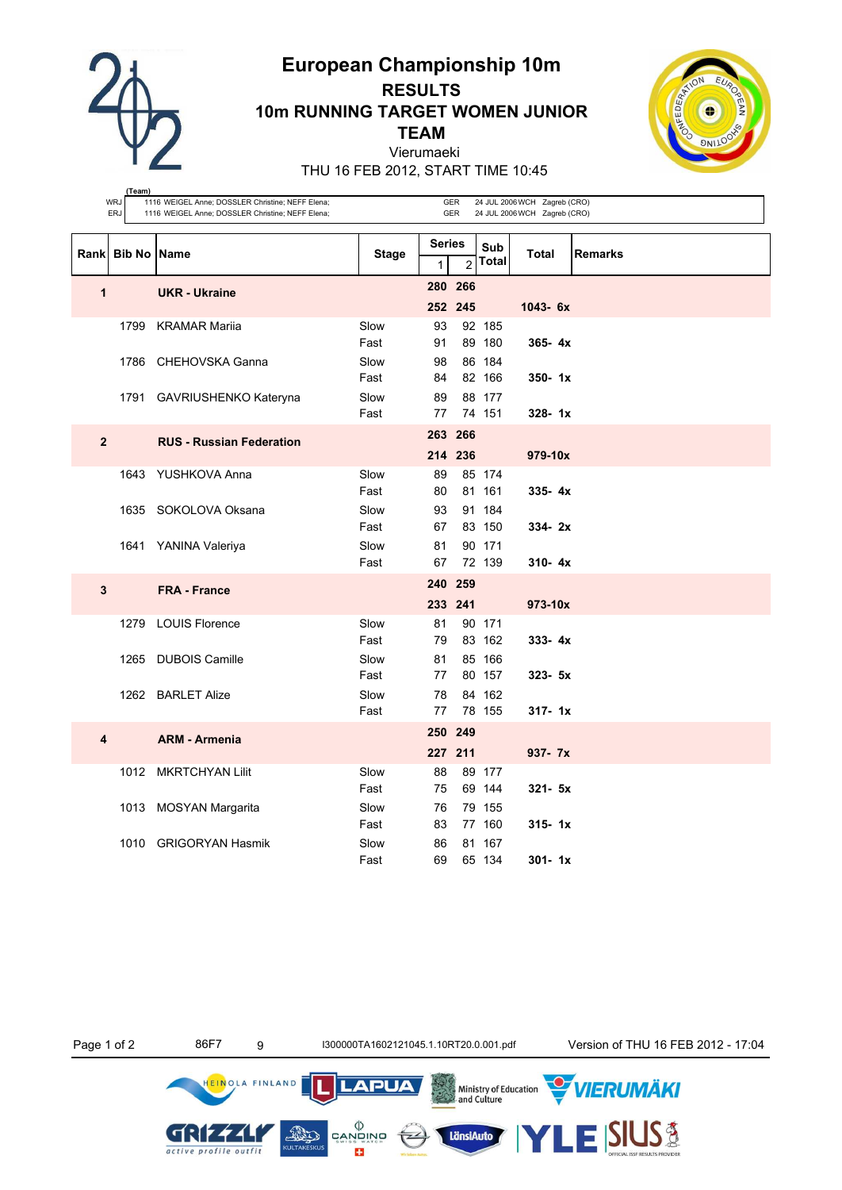**European Championship 10m**

**RESULTS 10m RUNNING TARGET WOMEN JUNIOR**

**TEAM**

Vierumaeki



THU 16 FEB 2012, START TIME 10:45

**(Team)**

|                         | <b>WRJ</b><br><b>ERJ</b> | 1116 WEIGEL Anne; DOSSLER Christine; NEFF Elena;<br>1116 WEIGEL Anne; DOSSLER Christine; NEFF Elena; | 24 JUL 2006 WCH Zagreb (CRO)<br>24 JUL 2006 WCH Zagreb (CRO) |                               |                    |                     |              |                |
|-------------------------|--------------------------|------------------------------------------------------------------------------------------------------|--------------------------------------------------------------|-------------------------------|--------------------|---------------------|--------------|----------------|
|                         | Rank Bib No Name         |                                                                                                      | <b>Stage</b>                                                 | <b>Series</b><br>$\mathbf{1}$ | $\overline{2}$     | Sub<br><b>Total</b> | <b>Total</b> | <b>Remarks</b> |
| 1                       |                          | <b>UKR - Ukraine</b>                                                                                 |                                                              |                               | 280 266<br>252 245 |                     | $1043 - 6x$  |                |
|                         |                          | 1799 KRAMAR Mariia                                                                                   | Slow<br>Fast                                                 | 93<br>91                      |                    | 92 185<br>89 180    | $365 - 4x$   |                |
|                         |                          | 1786 CHEHOVSKA Ganna                                                                                 | Slow<br>Fast                                                 | 98<br>84                      |                    | 86 184<br>82 166    | $350 - 1x$   |                |
|                         |                          | 1791 GAVRIUSHENKO Kateryna                                                                           | Slow<br>Fast                                                 | 89<br>77                      |                    | 88 177<br>74 151    | $328 - 1x$   |                |
| $\overline{2}$          |                          | <b>RUS - Russian Federation</b>                                                                      |                                                              |                               | 263 266<br>214 236 |                     | 979-10x      |                |
|                         |                          | 1643 YUSHKOVA Anna                                                                                   | Slow<br>Fast                                                 | 89<br>80                      |                    | 85 174<br>81 161    | $335 - 4x$   |                |
|                         |                          | 1635 SOKOLOVA Oksana                                                                                 | Slow<br>Fast                                                 | 93<br>67                      |                    | 91 184<br>83 150    | $334 - 2x$   |                |
|                         |                          | 1641 YANINA Valeriya                                                                                 | Slow<br>Fast                                                 | 81<br>67                      |                    | 90 171<br>72 139    | $310 - 4x$   |                |
| $\mathbf{3}$            |                          | <b>FRA - France</b>                                                                                  |                                                              |                               | 240 259<br>233 241 |                     | 973-10x      |                |
|                         |                          | 1279 LOUIS Florence                                                                                  | Slow<br>Fast                                                 | 81<br>79                      |                    | 90 171<br>83 162    | $333 - 4x$   |                |
|                         |                          | 1265 DUBOIS Camille                                                                                  | Slow<br>Fast                                                 | 81<br>77                      |                    | 85 166<br>80 157    | $323 - 5x$   |                |
|                         |                          | 1262 BARLET Alize                                                                                    | Slow<br>Fast                                                 | 78<br>77                      |                    | 84 162<br>78 155    | $317 - 1x$   |                |
| $\overline{\mathbf{4}}$ |                          | <b>ARM - Armenia</b>                                                                                 |                                                              | 250 249                       | 227 211            |                     | 937- 7x      |                |
|                         |                          | 1012 MKRTCHYAN Lilit                                                                                 | Slow<br>Fast                                                 | 88<br>75                      |                    | 89 177<br>69 144    | $321 - 5x$   |                |
|                         |                          | 1013 MOSYAN Margarita                                                                                | Slow<br>Fast                                                 | 76<br>83                      |                    | 79 155<br>77 160    | $315 - 1x$   |                |
|                         |                          | 1010 GRIGORYAN Hasmik                                                                                | Slow<br>Fast                                                 | 86<br>69                      |                    | 81 167<br>65 134    | $301 - 1x$   |                |

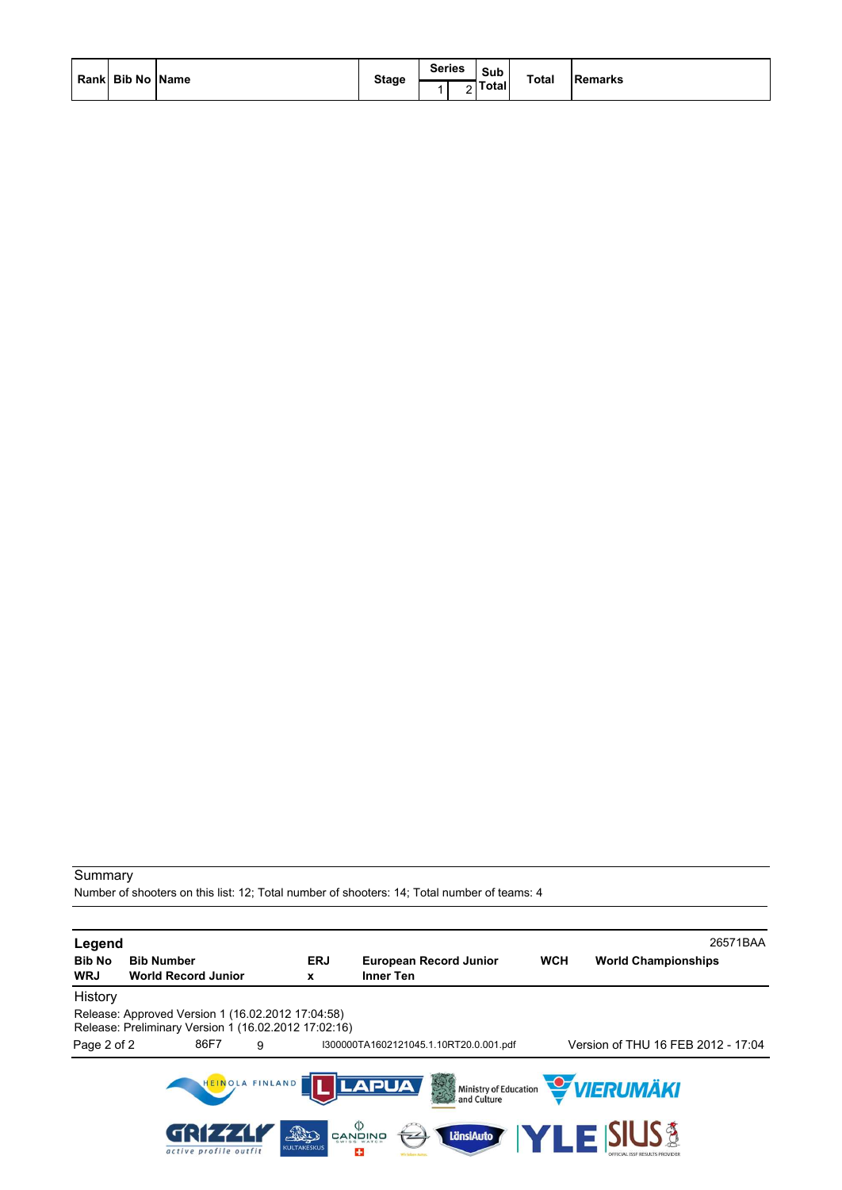|  | Rank  Bib No   Name |  | <b>Stage</b> | <b>Series</b> | Sub<br>Total | <b>Total</b> | <b>Remarks</b> |
|--|---------------------|--|--------------|---------------|--------------|--------------|----------------|
|--|---------------------|--|--------------|---------------|--------------|--------------|----------------|

Number of shooters on this list: 12; Total number of shooters: 14; Total number of teams: 4

| Legend                      |                                                 |                                                                                                           |                                                 |                                                   |                                        |            | 26571BAA                              |
|-----------------------------|-------------------------------------------------|-----------------------------------------------------------------------------------------------------------|-------------------------------------------------|---------------------------------------------------|----------------------------------------|------------|---------------------------------------|
| <b>Bib No</b><br><b>WRJ</b> | <b>Bib Number</b><br><b>World Record Junior</b> |                                                                                                           | <b>ERJ</b><br>X                                 | <b>European Record Junior</b><br><b>Inner Ten</b> |                                        | <b>WCH</b> | <b>World Championships</b>            |
|                             |                                                 |                                                                                                           |                                                 |                                                   |                                        |            |                                       |
| History                     |                                                 |                                                                                                           |                                                 |                                                   |                                        |            |                                       |
|                             |                                                 | Release: Approved Version 1 (16.02.2012 17:04:58)<br>Release: Preliminary Version 1 (16.02.2012 17:02:16) |                                                 |                                                   |                                        |            |                                       |
| Page 2 of 2                 | 86F7                                            | 9                                                                                                         |                                                 |                                                   | I300000TA1602121045.1.10RT20.0.001.pdf |            | Version of THU 16 FEB 2012 - 17:04    |
|                             |                                                 | HEINOLA FINLAND                                                                                           |                                                 | <b>LAPUA</b>                                      | 大学                                     |            | Ministry of Education <b>WERUMAKI</b> |
|                             |                                                 | active profile outfit                                                                                     | פֿאומעש<br>פֿ<br>THE<br><b>KULTAKESKUS</b><br>÷ |                                                   | LänsiAuto                              |            | <b>TLE SIUS &amp;</b>                 |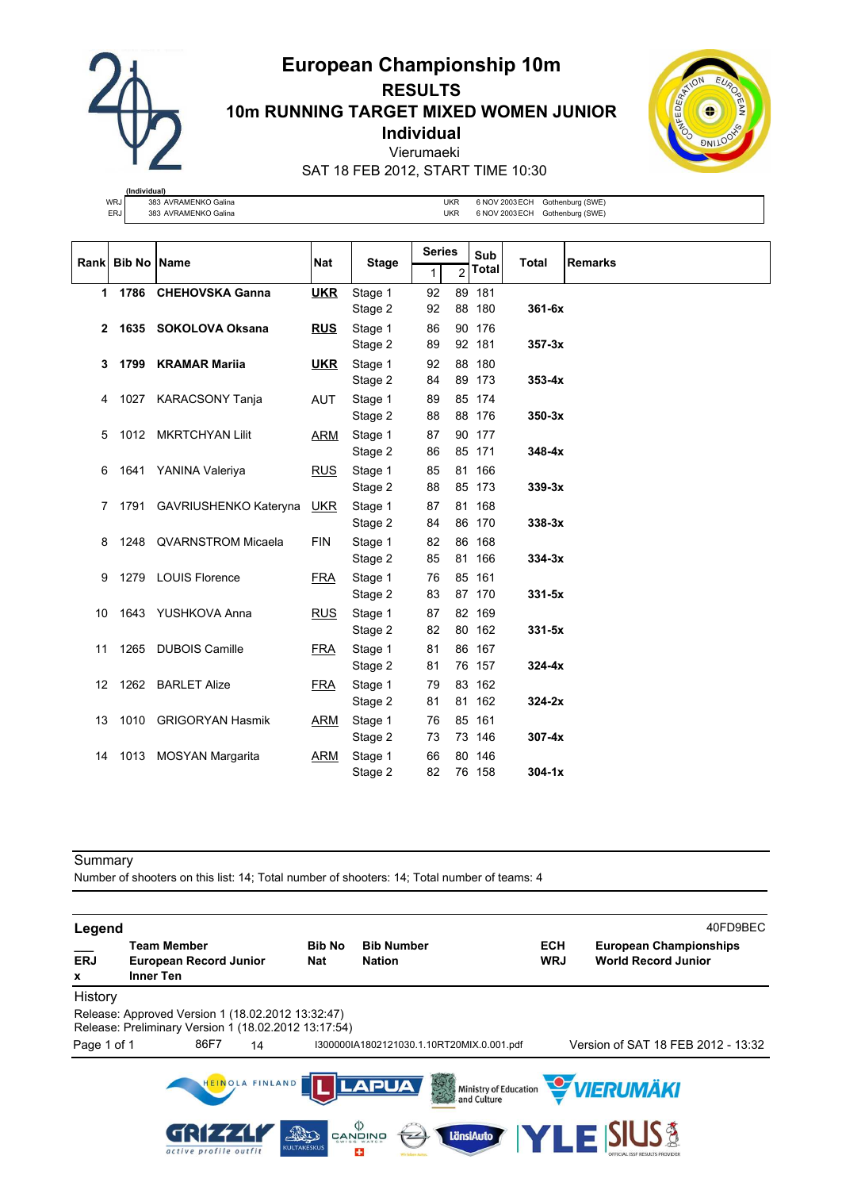**European Championship 10m RESULTS**

**10m RUNNING TARGET MIXED WOMEN JUNIOR**

**Individual**

Vierumaeki



|     | (Individual)         |     |                |                  |
|-----|----------------------|-----|----------------|------------------|
| WRJ | 383 AVRAMENKO Galina | JKR | 6 NOV 2003 ECH | Gothenburg (SWE) |
| ERJ | 383 AVRAMENKO Galina | JKR | 6 NOV 2003 ECH | Gothenburg (SWE) |

|    | Rank Bib No Name |                            | <b>Nat</b> | <b>Stage</b>       |          | <b>Series</b>  |                  | <b>Total</b> | <b>Remarks</b> |
|----|------------------|----------------------------|------------|--------------------|----------|----------------|------------------|--------------|----------------|
|    |                  |                            |            |                    | 1        | $\overline{2}$ | <b>Total</b>     |              |                |
| 1  |                  | 1786 CHEHOVSKA Ganna       | <b>UKR</b> | Stage 1            | 92       | 89             | 181              |              |                |
|    |                  |                            |            | Stage 2            | 92       |                | 88 180           | $361 - 6x$   |                |
| 2  |                  | 1635 SOKOLOVA Oksana       | <b>RUS</b> | Stage 1            | 86       | 90             | 176              |              |                |
|    |                  |                            |            | Stage 2            | 89       |                | 92 181           | $357 - 3x$   |                |
| 3  |                  | 1799 KRAMAR Marija         | <b>UKR</b> | Stage 1            | 92       | 88             | 180              |              |                |
|    |                  |                            |            | Stage 2            | 84       |                | 89 173           | $353 - 4x$   |                |
| 4  |                  | 1027 KARACSONY Tanja       | <b>AUT</b> | Stage 1            | 89       |                | 85 174           |              |                |
|    |                  |                            |            | Stage 2            | 88       |                | 88 176           | $350-3x$     |                |
| 5  |                  | 1012 MKRTCHYAN Lilit       | ARM        | Stage 1            | 87       |                | 90 177           |              |                |
|    |                  |                            |            | Stage 2            | 86       |                | 85 171           | $348 - 4x$   |                |
| 6  |                  | 1641 YANINA Valeriya       | <b>RUS</b> | Stage 1            | 85       |                | 81 166           |              |                |
|    |                  |                            |            | Stage 2            | 88       |                | 85 173           | $339-3x$     |                |
| 7  |                  | 1791 GAVRIUSHENKO Kateryna | <u>UKR</u> | Stage 1            | 87       |                | 81 168           |              |                |
|    |                  |                            |            | Stage 2            | 84       |                | 86 170           | $338-3x$     |                |
| 8  |                  | 1248 QVARNSTROM Micaela    | <b>FIN</b> | Stage 1            | 82       |                | 86 168           |              |                |
|    |                  |                            |            | Stage 2            | 85       |                | 81 166           | $334-3x$     |                |
| 9  |                  | 1279 LOUIS Florence        | <b>FRA</b> | Stage 1            | 76       |                | 85 161           |              |                |
|    |                  |                            |            | Stage 2            | 83       |                | 87 170           | $331 - 5x$   |                |
| 10 |                  | 1643 YUSHKOVA Anna         | <b>RUS</b> | Stage 1            | 87<br>82 |                | 82 169<br>80 162 | $331 - 5x$   |                |
|    |                  |                            |            | Stage 2            |          |                |                  |              |                |
| 11 |                  | 1265 DUBOIS Camille        | <b>FRA</b> | Stage 1<br>Stage 2 | 81<br>81 |                | 86 167<br>76 157 | $324-4x$     |                |
|    |                  | 1262 BARLET Alize          |            |                    |          | 83             | 162              |              |                |
| 12 |                  |                            | <b>FRA</b> | Stage 1<br>Stage 2 | 79<br>81 |                | 81 162           | $324-2x$     |                |
| 13 |                  | 1010 GRIGORYAN Hasmik      | ARM        | Stage 1            | 76       |                | 85 161           |              |                |
|    |                  |                            |            | Stage 2            | 73       |                | 73 146           | $307 - 4x$   |                |
| 14 |                  | 1013 MOSYAN Margarita      | <b>ARM</b> | Stage 1            | 66       | 80             | 146              |              |                |
|    |                  |                            |            | Stage 2            | 82       |                | 76 158           | $304 - 1x$   |                |

Summary

Number of shooters on this list: 14; Total number of shooters: 14; Total number of teams: 4

**Legend** 40FD9BEC **\_\_\_ Team Member Bib No Bib Number ECH European Championships ERJ European Record Junior Nat Nation WRJ World Record Junior x Inner Ten** History Release: Approved Version 1 (18.02.2012 13:32:47) Release: Preliminary Version 1 (18.02.2012 13:17:54) Page 1 of 1 86F7 14 I300000IA1802121030.1.10RT20MIX.0.001.pdf Version of SAT 18 FEB 2012 - 13:32 HEINOLA FINLAND |<br>| Ministry of Education<br>| and Culture VIERUMÄKI **LAPUA**  $\begin{matrix} \langle \rangle \\ \text{CANQING} \end{matrix}$ **S&** GRI  $\overline{\mathcal{A}}$ **AND** LänsiAuto active profile outfit **CULTA**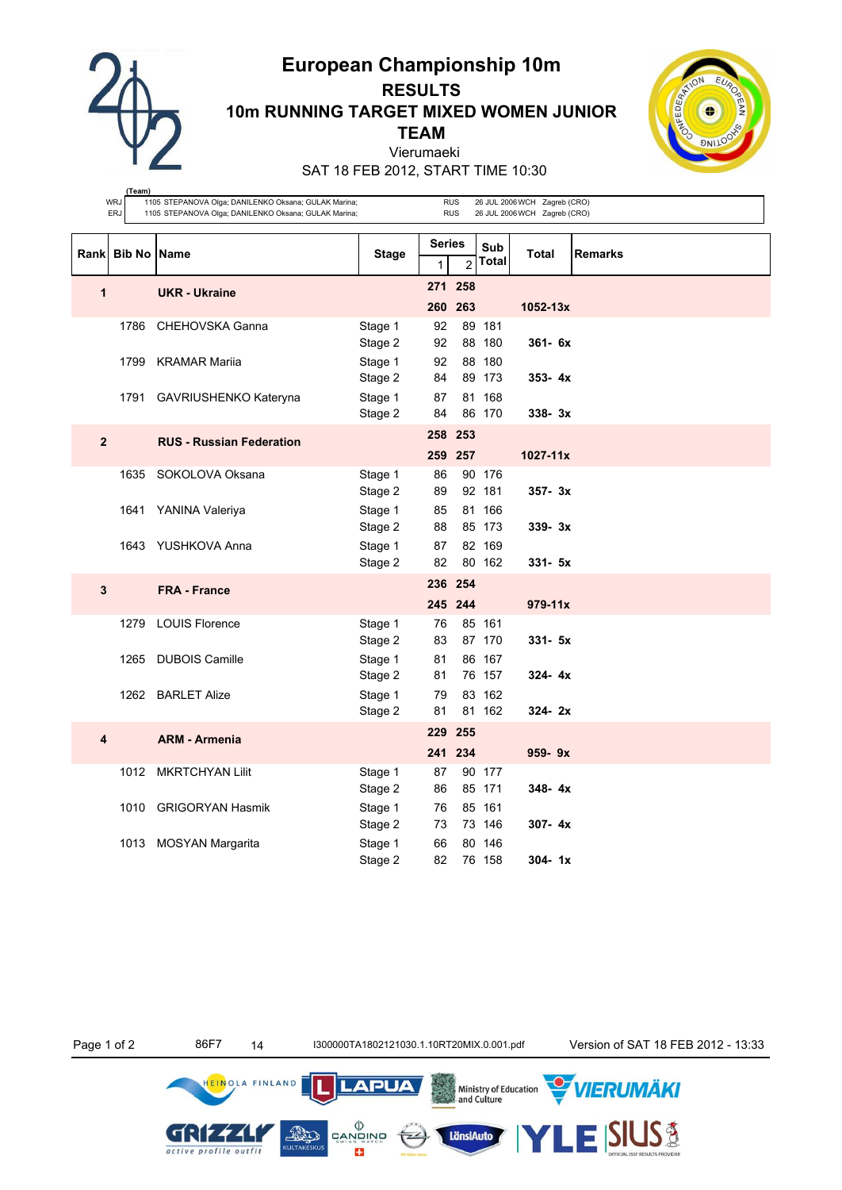**European Championship 10m**



# **RESULTS 10m RUNNING TARGET MIXED WOMEN JUNIOR TEAM**

Vierumaeki



SAT 18 FEB 2012, START TIME 10:30

| (Team)<br>WRJ<br>1105 STEPANOVA Olga; DANILENKO Oksana; GULAK Marina;<br><b>RUS</b><br>26 JUL 2006 WCH Zagreb (CRO) |                    |                                 |                    |                                      |         |                     |              |                |  |  |
|---------------------------------------------------------------------------------------------------------------------|--------------------|---------------------------------|--------------------|--------------------------------------|---------|---------------------|--------------|----------------|--|--|
| ERJ<br>1105 STEPANOVA Olga; DANILENKO Oksana; GULAK Marina;<br><b>RUS</b><br>26 JUL 2006 WCH Zagreb (CRO)           |                    |                                 |                    |                                      |         |                     |              |                |  |  |
|                                                                                                                     |                    |                                 |                    |                                      |         |                     |              |                |  |  |
| Rank                                                                                                                | <b>Bib No Name</b> |                                 | Stage              | <b>Series</b><br>$\overline{2}$<br>1 |         | Sub<br><b>Total</b> | Total        | <b>Remarks</b> |  |  |
|                                                                                                                     |                    |                                 |                    |                                      | 271 258 |                     |              |                |  |  |
| 1                                                                                                                   |                    | <b>UKR - Ukraine</b>            |                    |                                      | 260 263 |                     | $1052 - 13x$ |                |  |  |
|                                                                                                                     | 1786               | CHEHOVSKA Ganna                 | Stage 1            | 92                                   |         | 89 181              |              |                |  |  |
|                                                                                                                     |                    |                                 | Stage 2            | 92                                   |         | 88 180              | $361 - 6x$   |                |  |  |
|                                                                                                                     |                    | 1799 KRAMAR Mariia              | Stage 1            | 92                                   |         | 88 180              |              |                |  |  |
|                                                                                                                     |                    |                                 | Stage 2            | 84                                   |         | 89 173              | $353 - 4x$   |                |  |  |
|                                                                                                                     | 1791               | GAVRIUSHENKO Kateryna           | Stage 1            | 87                                   |         | 81 168              |              |                |  |  |
|                                                                                                                     |                    |                                 | Stage 2            | 84                                   |         | 86 170              | $338 - 3x$   |                |  |  |
| $\overline{2}$                                                                                                      |                    | <b>RUS - Russian Federation</b> |                    | 258 253                              |         |                     |              |                |  |  |
|                                                                                                                     |                    |                                 |                    |                                      | 259 257 |                     | $1027 - 11x$ |                |  |  |
|                                                                                                                     | 1635               | SOKOLOVA Oksana                 | Stage 1            | 86                                   |         | 90 176              |              |                |  |  |
|                                                                                                                     |                    |                                 | Stage 2            | 89                                   |         | 92 181              | $357 - 3x$   |                |  |  |
|                                                                                                                     |                    | 1641 YANINA Valeriya            | Stage 1            | 85                                   |         | 81 166              |              |                |  |  |
|                                                                                                                     |                    |                                 | Stage 2            | 88                                   |         | 85 173              | $339 - 3x$   |                |  |  |
|                                                                                                                     |                    | 1643 YUSHKOVA Anna              | Stage 1<br>Stage 2 | 87<br>82                             |         | 82 169<br>80 162    | $331 - 5x$   |                |  |  |
|                                                                                                                     |                    |                                 |                    |                                      |         |                     |              |                |  |  |
| 3                                                                                                                   |                    | <b>FRA - France</b>             |                    |                                      | 236 254 |                     |              |                |  |  |
|                                                                                                                     |                    |                                 |                    |                                      | 245 244 |                     | $979 - 11x$  |                |  |  |
|                                                                                                                     | 1279               | <b>LOUIS Florence</b>           | Stage 1<br>Stage 2 | 76<br>83                             |         | 85 161<br>87 170    | $331 - 5x$   |                |  |  |
|                                                                                                                     | 1265               | <b>DUBOIS Camille</b>           | Stage 1            | 81                                   |         | 86 167              |              |                |  |  |
|                                                                                                                     |                    |                                 | Stage 2            | 81                                   |         | 76 157              | $324 - 4x$   |                |  |  |
|                                                                                                                     |                    | 1262 BARLET Alize               | Stage 1            | 79                                   |         | 83 162              |              |                |  |  |
|                                                                                                                     |                    |                                 | Stage 2            | 81                                   |         | 81 162              | $324 - 2x$   |                |  |  |
| 4                                                                                                                   |                    | <b>ARM - Armenia</b>            |                    |                                      | 229 255 |                     |              |                |  |  |
|                                                                                                                     |                    |                                 |                    |                                      | 241 234 |                     | $959 - 9x$   |                |  |  |
|                                                                                                                     |                    | 1012 MKRTCHYAN Lilit            | Stage 1            | 87                                   |         | 90 177              |              |                |  |  |
|                                                                                                                     |                    |                                 | Stage 2            | 86                                   |         | 85 171              | $348 - 4x$   |                |  |  |
|                                                                                                                     |                    | 1010 GRIGORYAN Hasmik           | Stage 1            | 76                                   |         | 85 161              |              |                |  |  |
|                                                                                                                     |                    |                                 | Stage 2            | 73                                   |         | 73 146              | $307 - 4x$   |                |  |  |
|                                                                                                                     |                    | 1013 MOSYAN Margarita           | Stage 1            | 66                                   |         | 80 146              |              |                |  |  |
|                                                                                                                     |                    |                                 | Stage 2            | 82                                   |         | 76 158              | $304 - 1x$   |                |  |  |